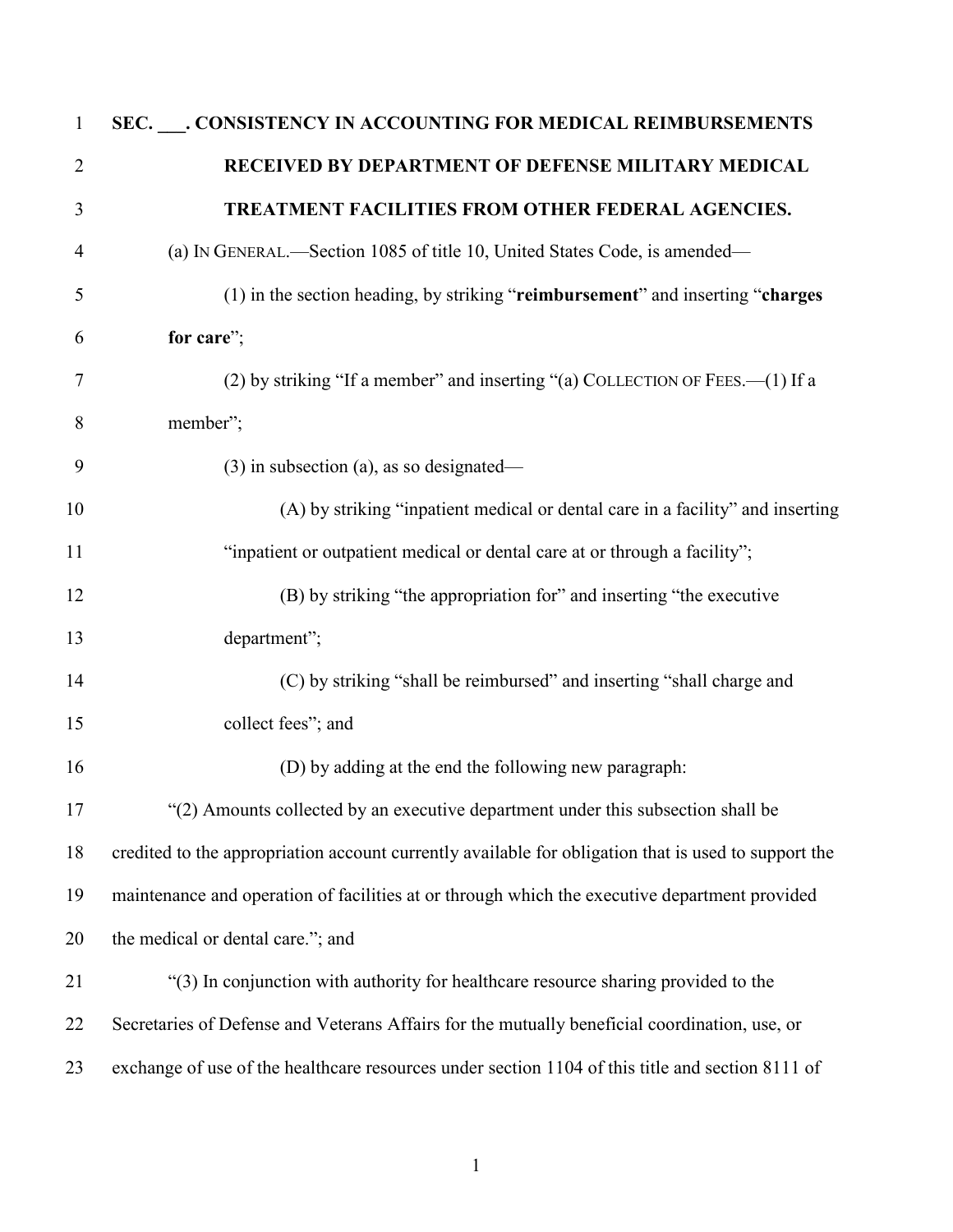| $\mathbf{1}$   | SEC. ___. CONSISTENCY IN ACCOUNTING FOR MEDICAL REIMBURSEMENTS                                       |
|----------------|------------------------------------------------------------------------------------------------------|
| $\overline{2}$ | RECEIVED BY DEPARTMENT OF DEFENSE MILITARY MEDICAL                                                   |
| 3              | TREATMENT FACILITIES FROM OTHER FEDERAL AGENCIES.                                                    |
| 4              | (a) IN GENERAL.—Section 1085 of title 10, United States Code, is amended—                            |
| 5              | (1) in the section heading, by striking "reimbursement" and inserting "charges                       |
| 6              | for care";                                                                                           |
| 7              | (2) by striking "If a member" and inserting "(a) COLLECTION OF FEES. (1) If a                        |
| 8              | member";                                                                                             |
| 9              | $(3)$ in subsection (a), as so designated—                                                           |
| 10             | (A) by striking "inpatient medical or dental care in a facility" and inserting                       |
| 11             | "inpatient or outpatient medical or dental care at or through a facility";                           |
| 12             | (B) by striking "the appropriation for" and inserting "the executive                                 |
| 13             | department";                                                                                         |
| 14             | (C) by striking "shall be reimbursed" and inserting "shall charge and                                |
| 15             | collect fees"; and                                                                                   |
| 16             | (D) by adding at the end the following new paragraph:                                                |
| 17             | "(2) Amounts collected by an executive department under this subsection shall be                     |
| 18             | credited to the appropriation account currently available for obligation that is used to support the |
| 19             | maintenance and operation of facilities at or through which the executive department provided        |
| 20             | the medical or dental care."; and                                                                    |
| 21             | "(3) In conjunction with authority for healthcare resource sharing provided to the                   |
| 22             | Secretaries of Defense and Veterans Affairs for the mutually beneficial coordination, use, or        |
| 23             | exchange of use of the healthcare resources under section 1104 of this title and section 8111 of     |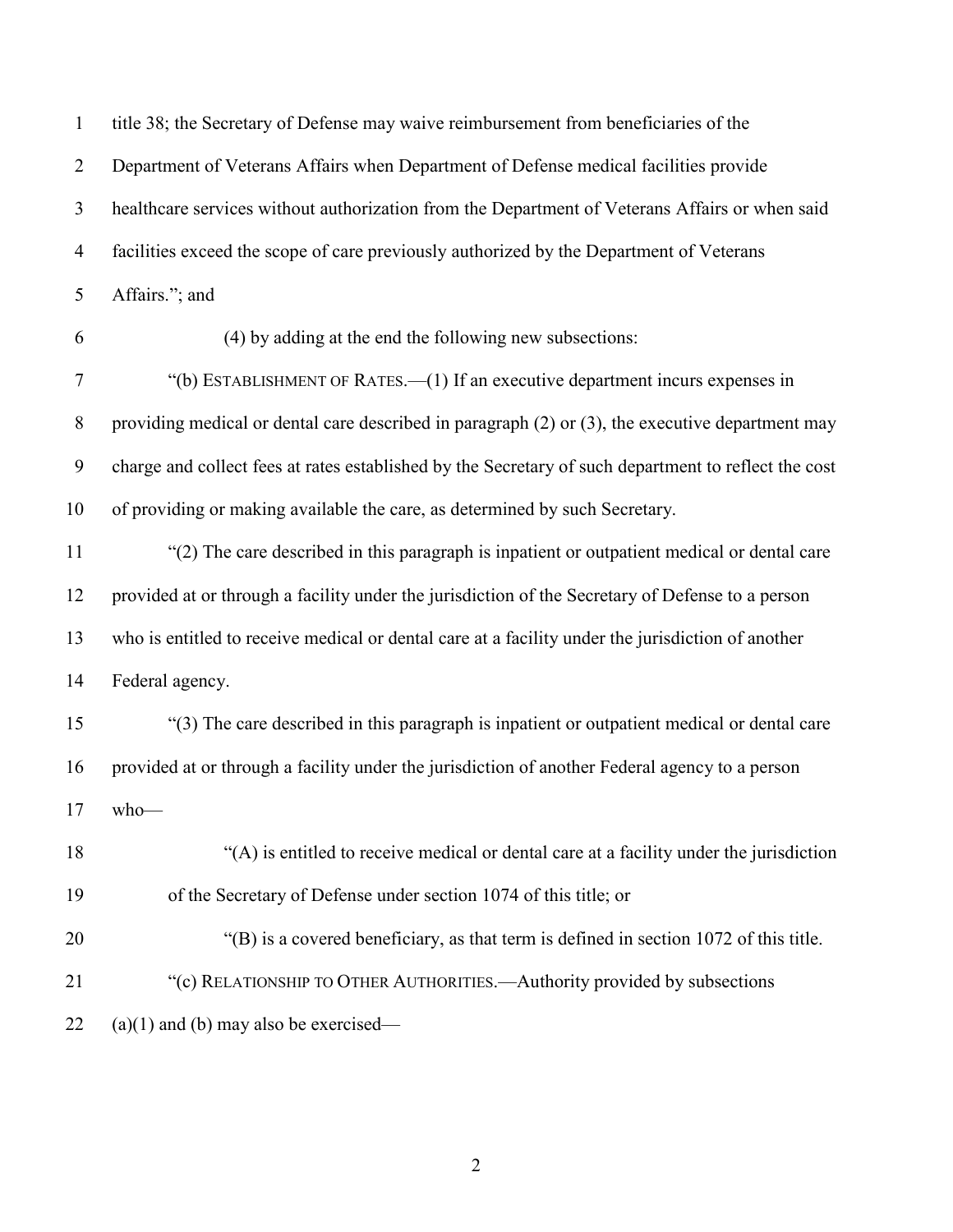| $\mathbf{1}$   | title 38; the Secretary of Defense may waive reimbursement from beneficiaries of the                  |
|----------------|-------------------------------------------------------------------------------------------------------|
| $\overline{2}$ | Department of Veterans Affairs when Department of Defense medical facilities provide                  |
| $\mathfrak{Z}$ | healthcare services without authorization from the Department of Veterans Affairs or when said        |
| $\overline{4}$ | facilities exceed the scope of care previously authorized by the Department of Veterans               |
| 5              | Affairs."; and                                                                                        |
| 6              | (4) by adding at the end the following new subsections:                                               |
| $\tau$         | "(b) ESTABLISHMENT OF RATES.—(1) If an executive department incurs expenses in                        |
| $\,8\,$        | providing medical or dental care described in paragraph $(2)$ or $(3)$ , the executive department may |
| 9              | charge and collect fees at rates established by the Secretary of such department to reflect the cost  |
| 10             | of providing or making available the care, as determined by such Secretary.                           |
| 11             | "(2) The care described in this paragraph is inpatient or outpatient medical or dental care           |
| 12             | provided at or through a facility under the jurisdiction of the Secretary of Defense to a person      |
| 13             | who is entitled to receive medical or dental care at a facility under the jurisdiction of another     |
| 14             | Federal agency.                                                                                       |
| 15             | "(3) The care described in this paragraph is inpatient or outpatient medical or dental care           |
| 16             | provided at or through a facility under the jurisdiction of another Federal agency to a person        |
| 17             | $who$ —                                                                                               |
| 18             | "(A) is entitled to receive medical or dental care at a facility under the jurisdiction               |
| 19             | of the Secretary of Defense under section 1074 of this title; or                                      |
| 20             | "(B) is a covered beneficiary, as that term is defined in section 1072 of this title.                 |
| 21             | "(c) RELATIONSHIP TO OTHER AUTHORITIES.—Authority provided by subsections                             |
| 22             | $(a)(1)$ and (b) may also be exercised—                                                               |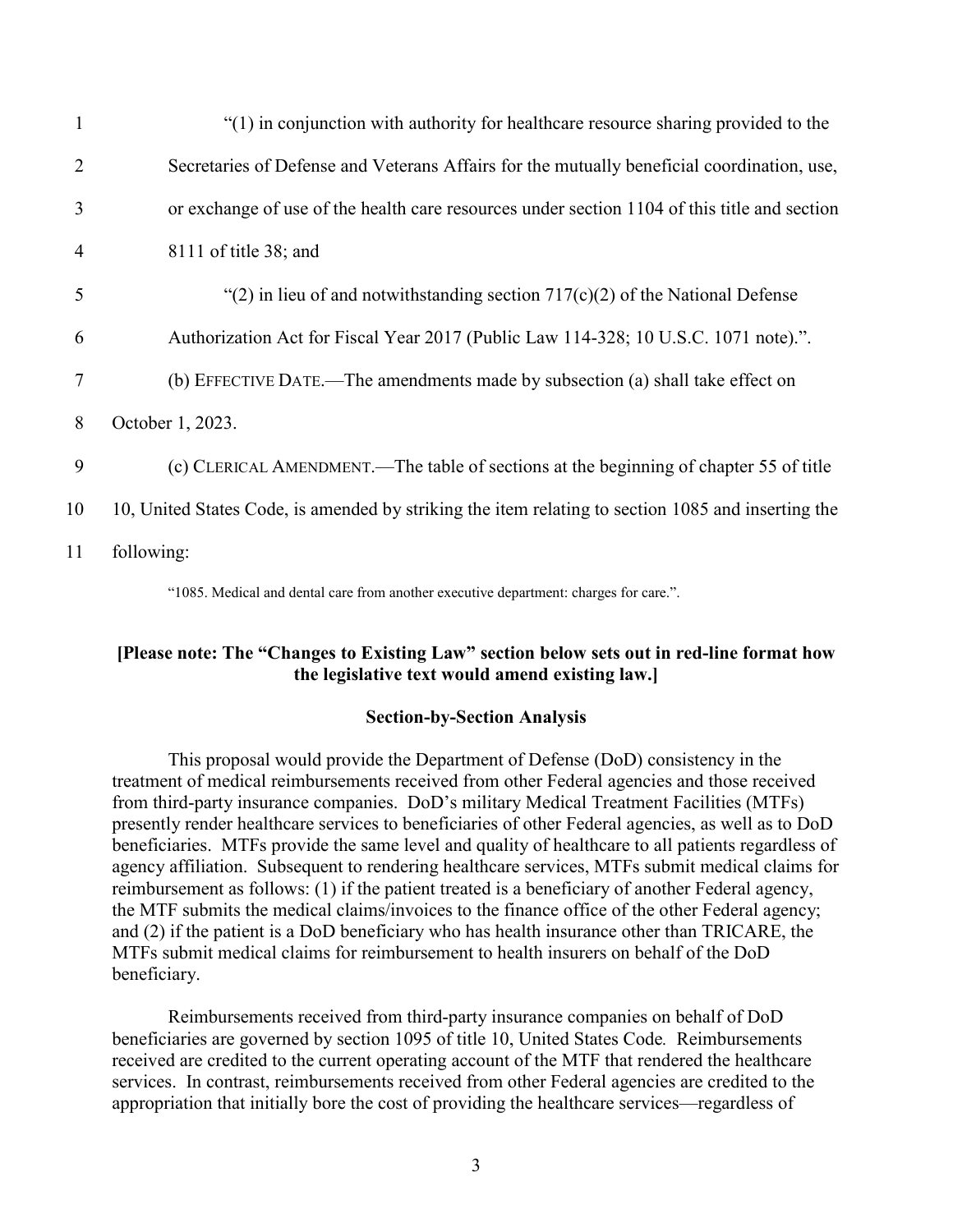| $\mathbf{1}$   | "(1) in conjunction with authority for healthcare resource sharing provided to the                 |
|----------------|----------------------------------------------------------------------------------------------------|
| $\overline{2}$ | Secretaries of Defense and Veterans Affairs for the mutually beneficial coordination, use,         |
| 3              | or exchange of use of the health care resources under section 1104 of this title and section       |
| $\overline{4}$ | $8111$ of title 38; and                                                                            |
| 5              | "(2) in lieu of and notwithstanding section $717(c)(2)$ of the National Defense                    |
| 6              | Authorization Act for Fiscal Year 2017 (Public Law 114-328; 10 U.S.C. 1071 note).".                |
| 7              | (b) EFFECTIVE DATE.—The amendments made by subsection (a) shall take effect on                     |
| 8              | October 1, 2023.                                                                                   |
| 9              | (c) CLERICAL AMENDMENT.—The table of sections at the beginning of chapter 55 of title              |
| 10             | 10, United States Code, is amended by striking the item relating to section 1085 and inserting the |
| 11             | following:                                                                                         |
|                | "1085. Medical and dental care from another executive department: charges for care.".              |

#### **[Please note: The "Changes to Existing Law" section below sets out in red-line format how the legislative text would amend existing law.]**

#### **Section-by-Section Analysis**

This proposal would provide the Department of Defense (DoD) consistency in the treatment of medical reimbursements received from other Federal agencies and those received from third-party insurance companies. DoD's military Medical Treatment Facilities (MTFs) presently render healthcare services to beneficiaries of other Federal agencies, as well as to DoD beneficiaries. MTFs provide the same level and quality of healthcare to all patients regardless of agency affiliation. Subsequent to rendering healthcare services, MTFs submit medical claims for reimbursement as follows: (1) if the patient treated is a beneficiary of another Federal agency, the MTF submits the medical claims/invoices to the finance office of the other Federal agency; and (2) if the patient is a DoD beneficiary who has health insurance other than TRICARE, the MTFs submit medical claims for reimbursement to health insurers on behalf of the DoD beneficiary.

Reimbursements received from third-party insurance companies on behalf of DoD beneficiaries are governed by section 1095 of title 10, United States Code*.* Reimbursements received are credited to the current operating account of the MTF that rendered the healthcare services. In contrast, reimbursements received from other Federal agencies are credited to the appropriation that initially bore the cost of providing the healthcare services—regardless of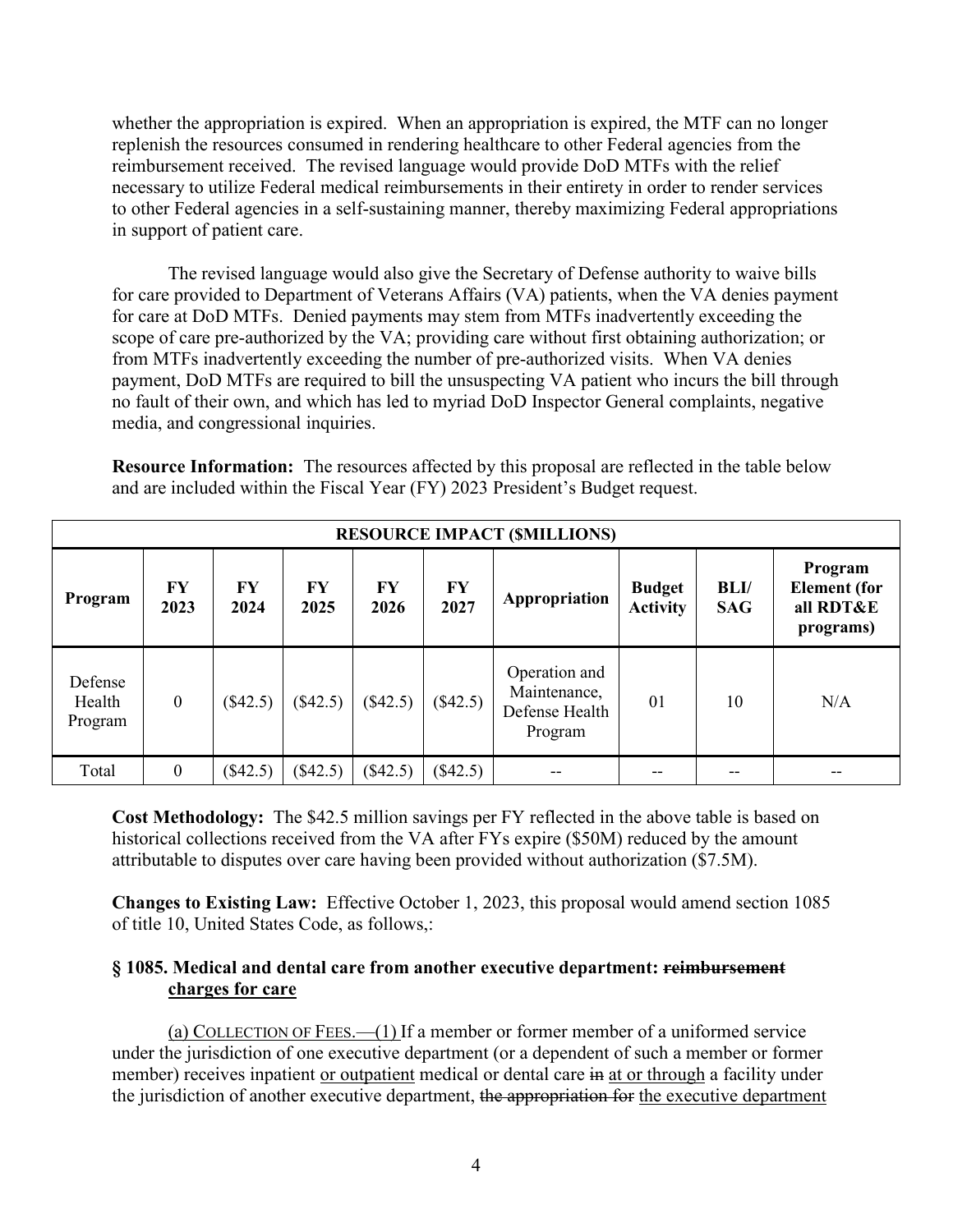whether the appropriation is expired. When an appropriation is expired, the MTF can no longer replenish the resources consumed in rendering healthcare to other Federal agencies from the reimbursement received. The revised language would provide DoD MTFs with the relief necessary to utilize Federal medical reimbursements in their entirety in order to render services to other Federal agencies in a self-sustaining manner, thereby maximizing Federal appropriations in support of patient care.

The revised language would also give the Secretary of Defense authority to waive bills for care provided to Department of Veterans Affairs (VA) patients, when the VA denies payment for care at DoD MTFs. Denied payments may stem from MTFs inadvertently exceeding the scope of care pre-authorized by the VA; providing care without first obtaining authorization; or from MTFs inadvertently exceeding the number of pre-authorized visits. When VA denies payment, DoD MTFs are required to bill the unsuspecting VA patient who incurs the bill through no fault of their own, and which has led to myriad DoD Inspector General complaints, negative media, and congressional inquiries.

**Resource Information:** The resources affected by this proposal are reflected in the table below and are included within the Fiscal Year (FY) 2023 President's Budget request.

|                              | <b>RESOURCE IMPACT (SMILLIONS)</b> |            |            |            |                   |                                                            |                                  |                    |                                                          |
|------------------------------|------------------------------------|------------|------------|------------|-------------------|------------------------------------------------------------|----------------------------------|--------------------|----------------------------------------------------------|
| Program                      | FY<br>2023                         | FY<br>2024 | FY<br>2025 | FY<br>2026 | <b>FY</b><br>2027 | Appropriation                                              | <b>Budget</b><br><b>Activity</b> | BLI/<br><b>SAG</b> | Program<br><b>Element</b> (for<br>all RDT&E<br>programs) |
| Defense<br>Health<br>Program | $\mathbf{0}$                       | (\$42.5)   | (\$42.5)   | (\$42.5)   | $(\$42.5)$        | Operation and<br>Maintenance,<br>Defense Health<br>Program | 01                               | 10                 | N/A                                                      |
| Total                        | $\mathbf{0}$                       | $(\$42.5)$ | $(\$42.5)$ | (\$42.5)   | (\$42.5)          |                                                            |                                  |                    |                                                          |

**Cost Methodology:** The \$42.5 million savings per FY reflected in the above table is based on historical collections received from the VA after FYs expire (\$50M) reduced by the amount attributable to disputes over care having been provided without authorization (\$7.5M).

**Changes to Existing Law:** Effective October 1, 2023, this proposal would amend section 1085 of title 10, United States Code, as follows,:

#### **§ 1085. Medical and dental care from another executive department: reimbursement charges for care**

(a) COLLECTION OF FEES.—(1) If a member or former member of a uniformed service under the jurisdiction of one executive department (or a dependent of such a member or former member) receives inpatient or outpatient medical or dental care in at or through a facility under the jurisdiction of another executive department, the appropriation for the executive department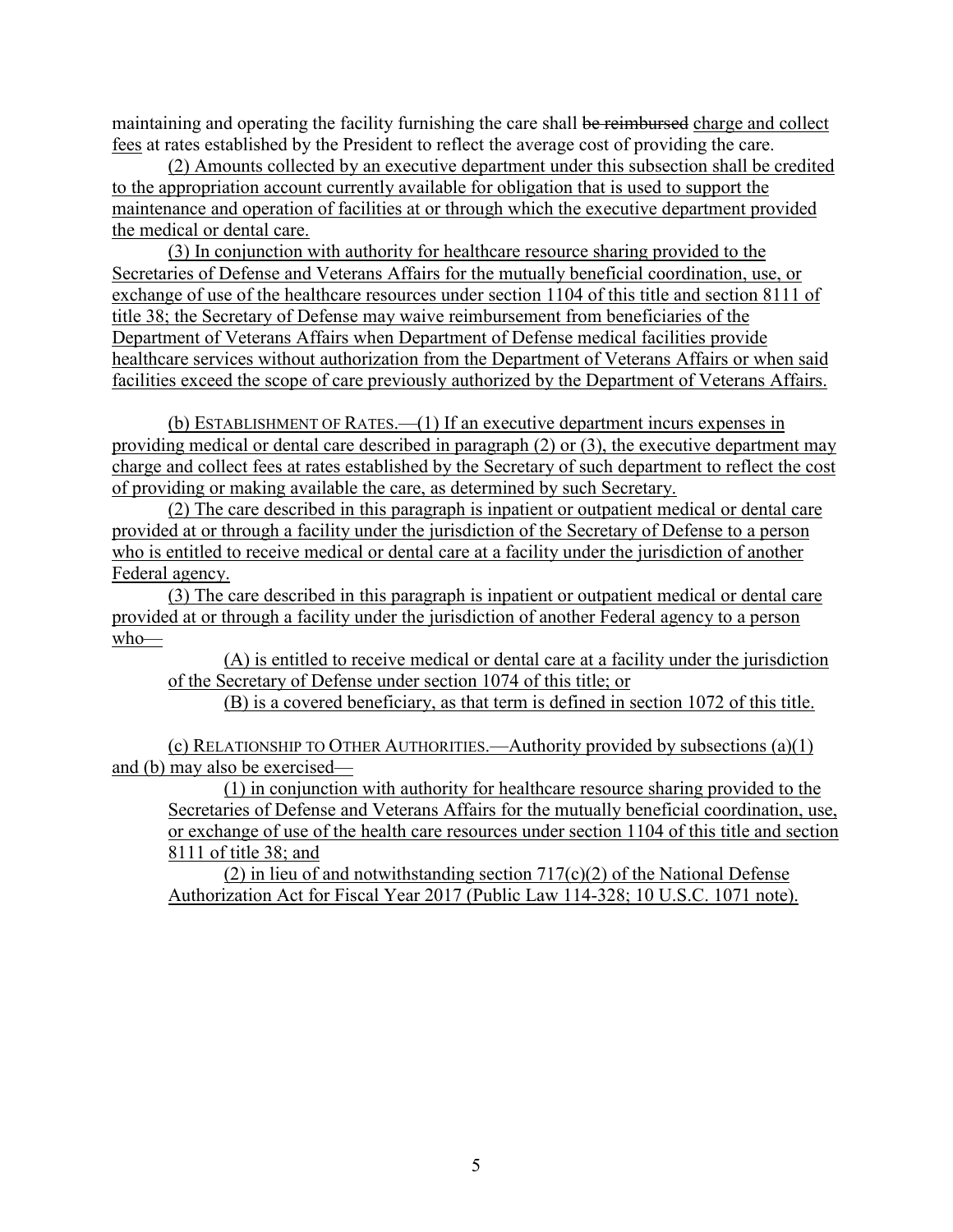maintaining and operating the facility furnishing the care shall be reimbursed charge and collect fees at rates established by the President to reflect the average cost of providing the care.

(2) Amounts collected by an executive department under this subsection shall be credited to the appropriation account currently available for obligation that is used to support the maintenance and operation of facilities at or through which the executive department provided the medical or dental care.

(3) In conjunction with authority for healthcare resource sharing provided to the Secretaries of Defense and Veterans Affairs for the mutually beneficial coordination, use, or exchange of use of the healthcare resources under section 1104 of this title and section 8111 of title 38; the Secretary of Defense may waive reimbursement from beneficiaries of the Department of Veterans Affairs when Department of Defense medical facilities provide healthcare services without authorization from the Department of Veterans Affairs or when said facilities exceed the scope of care previously authorized by the Department of Veterans Affairs.

(b) ESTABLISHMENT OF RATES.—(1) If an executive department incurs expenses in providing medical or dental care described in paragraph (2) or (3), the executive department may charge and collect fees at rates established by the Secretary of such department to reflect the cost of providing or making available the care, as determined by such Secretary.

(2) The care described in this paragraph is inpatient or outpatient medical or dental care provided at or through a facility under the jurisdiction of the Secretary of Defense to a person who is entitled to receive medical or dental care at a facility under the jurisdiction of another Federal agency.

(3) The care described in this paragraph is inpatient or outpatient medical or dental care provided at or through a facility under the jurisdiction of another Federal agency to a person who—

(A) is entitled to receive medical or dental care at a facility under the jurisdiction of the Secretary of Defense under section 1074 of this title; or

(B) is a covered beneficiary, as that term is defined in section 1072 of this title.

(c) RELATIONSHIP TO OTHER AUTHORITIES.—Authority provided by subsections (a)(1) and (b) may also be exercised—

(1) in conjunction with authority for healthcare resource sharing provided to the Secretaries of Defense and Veterans Affairs for the mutually beneficial coordination, use, or exchange of use of the health care resources under section 1104 of this title and section 8111 of title 38; and

(2) in lieu of and notwithstanding section  $717(c)(2)$  of the National Defense Authorization Act for Fiscal Year 2017 (Public Law 114-328; 10 U.S.C. 1071 note).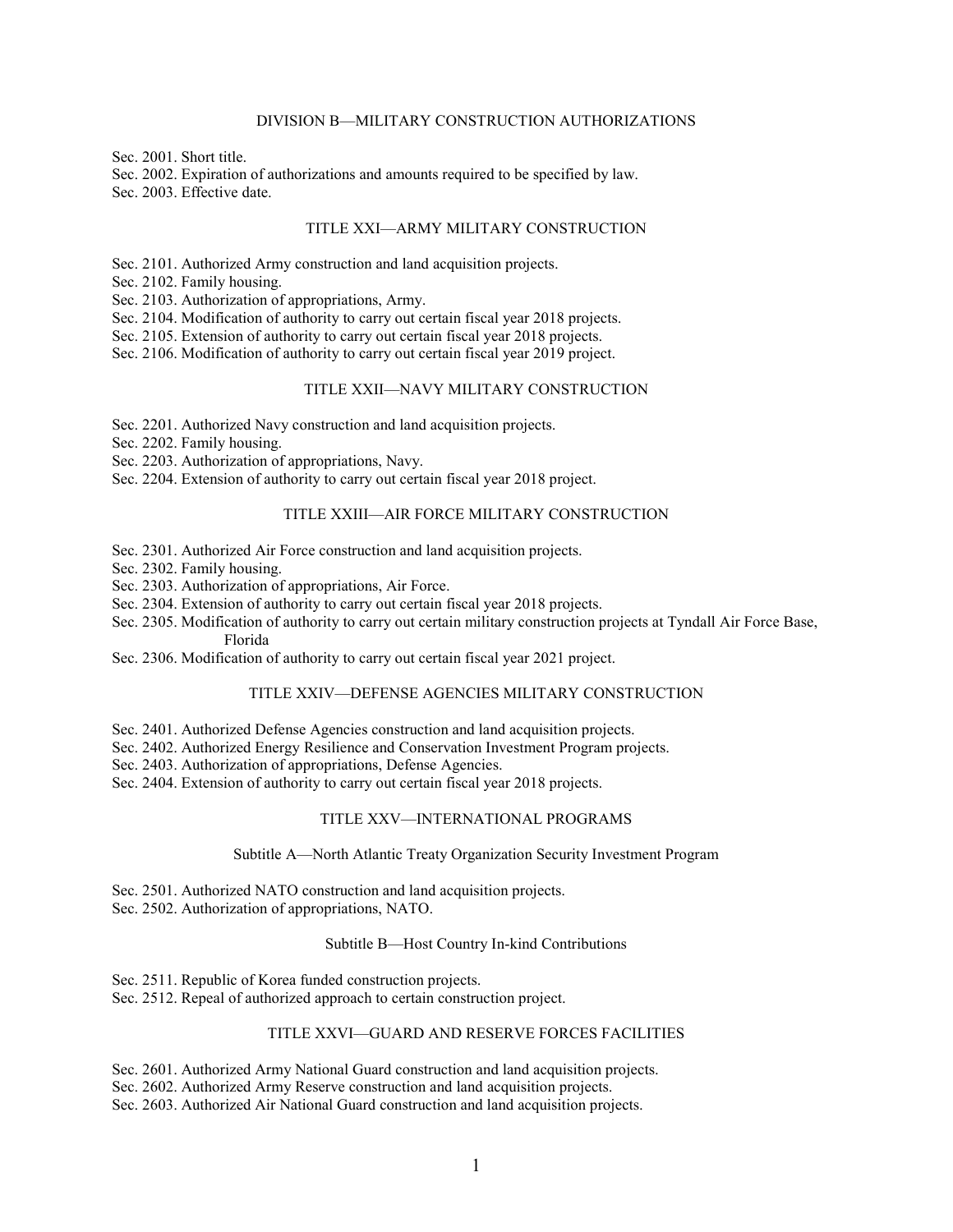#### DIVISION B—MILITARY CONSTRUCTION AUTHORIZATIONS

Sec. 2001. Short title.

Sec. 2002. Expiration of authorizations and amounts required to be specified by law. Sec. 2003. Effective date.

#### TITLE XXI—ARMY MILITARY CONSTRUCTION

Sec. 2101. Authorized Army construction and land acquisition projects.

Sec. 2102. Family housing.

Sec. 2103. Authorization of appropriations, Army.

Sec. 2104. Modification of authority to carry out certain fiscal year 2018 projects.

Sec. 2105. Extension of authority to carry out certain fiscal year 2018 projects.

Sec. 2106. Modification of authority to carry out certain fiscal year 2019 project.

#### TITLE XXII—NAVY MILITARY CONSTRUCTION

Sec. 2201. Authorized Navy construction and land acquisition projects.

Sec. 2202. Family housing.

Sec. 2203. Authorization of appropriations, Navy.

Sec. 2204. Extension of authority to carry out certain fiscal year 2018 project.

#### TITLE XXIII—AIR FORCE MILITARY CONSTRUCTION

Sec. 2301. Authorized Air Force construction and land acquisition projects.

Sec. 2302. Family housing.

Sec. 2303. Authorization of appropriations, Air Force.

Sec. 2304. Extension of authority to carry out certain fiscal year 2018 projects.

Sec. 2305. Modification of authority to carry out certain military construction projects at Tyndall Air Force Base, Florida

Sec. 2306. Modification of authority to carry out certain fiscal year 2021 project.

#### TITLE XXIV—DEFENSE AGENCIES MILITARY CONSTRUCTION

Sec. 2401. Authorized Defense Agencies construction and land acquisition projects.

Sec. 2402. Authorized Energy Resilience and Conservation Investment Program projects.

Sec. 2403. Authorization of appropriations, Defense Agencies.

Sec. 2404. Extension of authority to carry out certain fiscal year 2018 projects.

#### TITLE XXV—INTERNATIONAL PROGRAMS

#### Subtitle A—North Atlantic Treaty Organization Security Investment Program

Sec. 2501. Authorized NATO construction and land acquisition projects. Sec. 2502. Authorization of appropriations, NATO.

#### Subtitle B—Host Country In-kind Contributions

Sec. 2511. Republic of Korea funded construction projects.

Sec. 2512. Repeal of authorized approach to certain construction project.

#### TITLE XXVI—GUARD AND RESERVE FORCES FACILITIES

Sec. 2601. Authorized Army National Guard construction and land acquisition projects. Sec. 2602. Authorized Army Reserve construction and land acquisition projects. Sec. 2603. Authorized Air National Guard construction and land acquisition projects.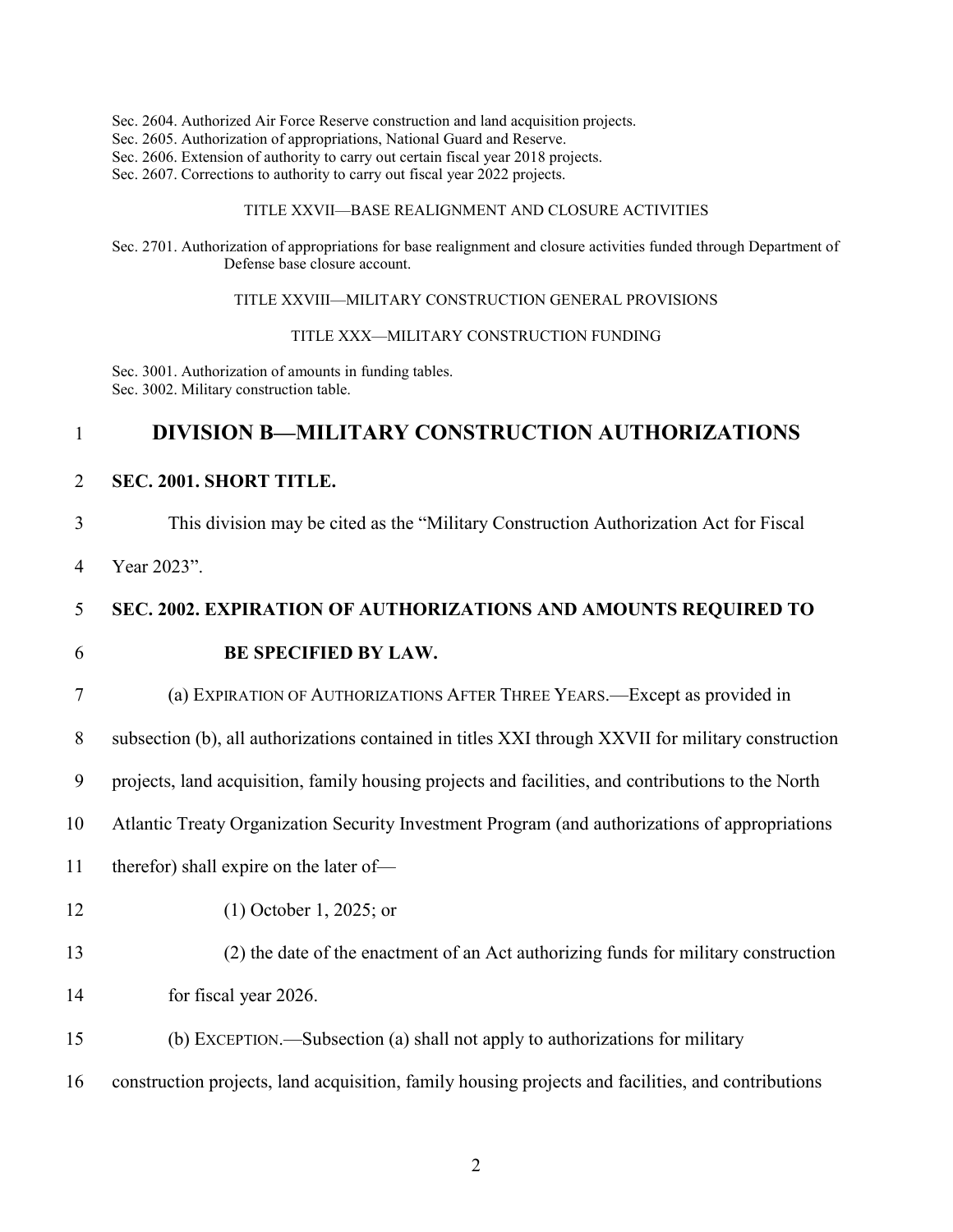- Sec. 2604. Authorized Air Force Reserve construction and land acquisition projects.
- Sec. 2605. Authorization of appropriations, National Guard and Reserve.
- Sec. 2606. Extension of authority to carry out certain fiscal year 2018 projects.
- Sec. 2607. Corrections to authority to carry out fiscal year 2022 projects.

#### TITLE XXVII—BASE REALIGNMENT AND CLOSURE ACTIVITIES

Sec. 2701. Authorization of appropriations for base realignment and closure activities funded through Department of Defense base closure account.

TITLE XXVIII—MILITARY CONSTRUCTION GENERAL PROVISIONS

TITLE XXX—MILITARY CONSTRUCTION FUNDING

Sec. 3001. Authorization of amounts in funding tables. Sec. 3002. Military construction table.

#### 1 **DIVISION B—MILITARY CONSTRUCTION AUTHORIZATIONS**

2 **SEC. 2001. SHORT TITLE.**

3 This division may be cited as the "Military Construction Authorization Act for Fiscal

4 Year 2023".

#### 5 **SEC. 2002. EXPIRATION OF AUTHORIZATIONS AND AMOUNTS REQUIRED TO**

#### 6 **BE SPECIFIED BY LAW.**

7 (a) EXPIRATION OF AUTHORIZATIONS AFTER THREE YEARS.—Except as provided in

8 subsection (b), all authorizations contained in titles XXI through XXVII for military construction

9 projects, land acquisition, family housing projects and facilities, and contributions to the North

10 Atlantic Treaty Organization Security Investment Program (and authorizations of appropriations

- 11 therefor) shall expire on the later of—
- 

12 (1) October 1, 2025; or

- 13 (2) the date of the enactment of an Act authorizing funds for military construction
- 14 for fiscal year 2026.
- 15 (b) EXCEPTION.—Subsection (a) shall not apply to authorizations for military
- 16 construction projects, land acquisition, family housing projects and facilities, and contributions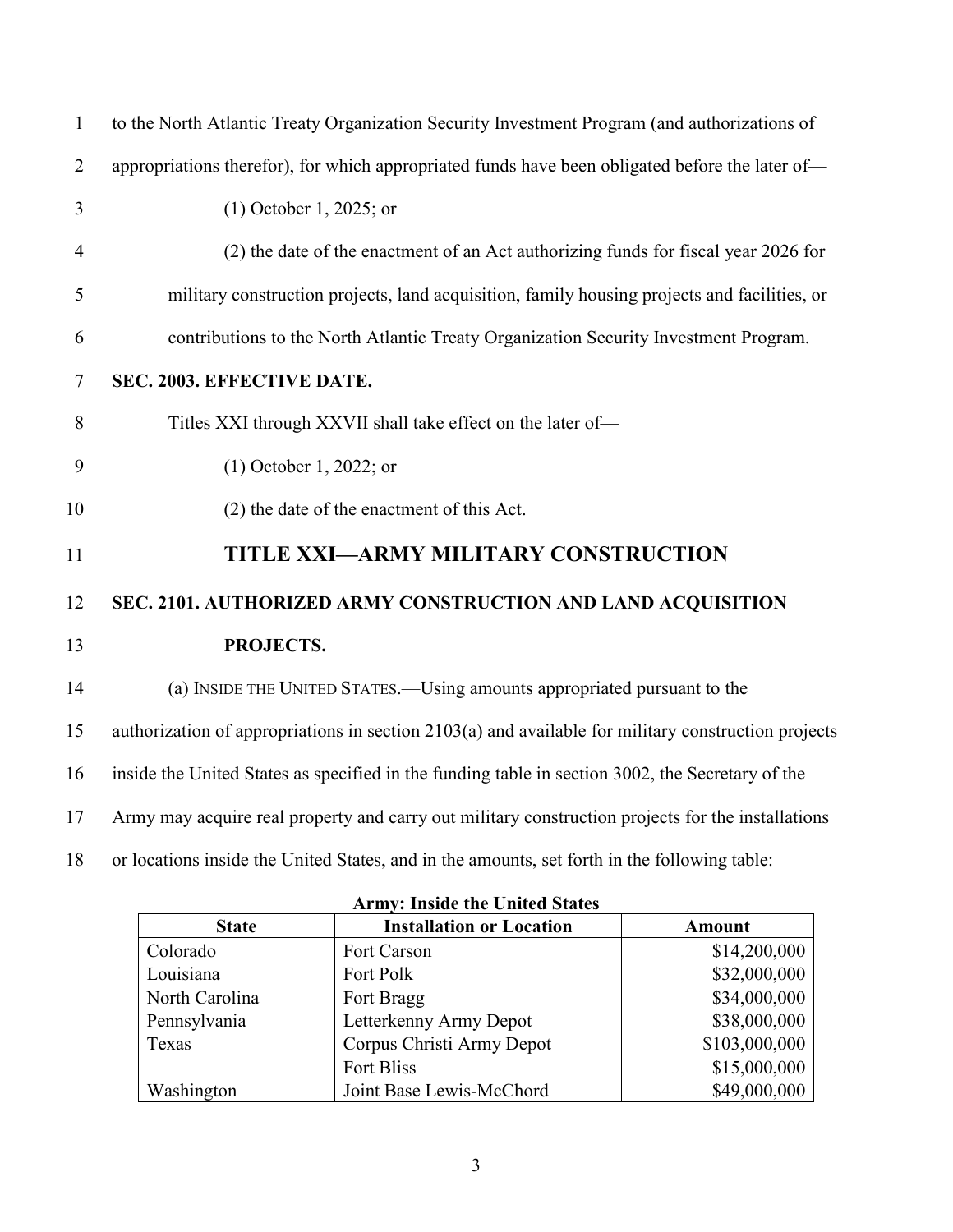| $\mathbf{1}$   | to the North Atlantic Treaty Organization Security Investment Program (and authorizations of        |
|----------------|-----------------------------------------------------------------------------------------------------|
| $\overline{2}$ | appropriations therefor), for which appropriated funds have been obligated before the later of-     |
| $\overline{3}$ | $(1)$ October 1, 2025; or                                                                           |
| $\overline{4}$ | (2) the date of the enactment of an Act authorizing funds for fiscal year 2026 for                  |
| 5              | military construction projects, land acquisition, family housing projects and facilities, or        |
| 6              | contributions to the North Atlantic Treaty Organization Security Investment Program.                |
| $\tau$         | SEC. 2003. EFFECTIVE DATE.                                                                          |
| 8              | Titles XXI through XXVII shall take effect on the later of-                                         |
| 9              | $(1)$ October 1, 2022; or                                                                           |
| 10             | (2) the date of the enactment of this Act.                                                          |
| 11             | TITLE XXI-ARMY MILITARY CONSTRUCTION                                                                |
| 12             | SEC. 2101. AUTHORIZED ARMY CONSTRUCTION AND LAND ACQUISITION                                        |
| 13             | PROJECTS.                                                                                           |
| 14             | (a) INSIDE THE UNITED STATES.—Using amounts appropriated pursuant to the                            |
| 15             | authorization of appropriations in section 2103(a) and available for military construction projects |
| 16             | inside the United States as specified in the funding table in section 3002, the Secretary of the    |
| 17             | Army may acquire real property and carry out military construction projects for the installations   |
| 18             | or locations inside the United States, and in the amounts, set forth in the following table:        |

| <b>State</b>   | <b>Installation or Location</b> | <b>Amount</b> |  |  |  |
|----------------|---------------------------------|---------------|--|--|--|
| Colorado       | Fort Carson                     | \$14,200,000  |  |  |  |
| Louisiana      | Fort Polk                       | \$32,000,000  |  |  |  |
| North Carolina | Fort Bragg                      | \$34,000,000  |  |  |  |
| Pennsylvania   | Letterkenny Army Depot          | \$38,000,000  |  |  |  |
| Texas          | Corpus Christi Army Depot       | \$103,000,000 |  |  |  |
|                | Fort Bliss                      | \$15,000,000  |  |  |  |
| Washington     | Joint Base Lewis-McChord        | \$49,000,000  |  |  |  |

**Army: Inside the United States**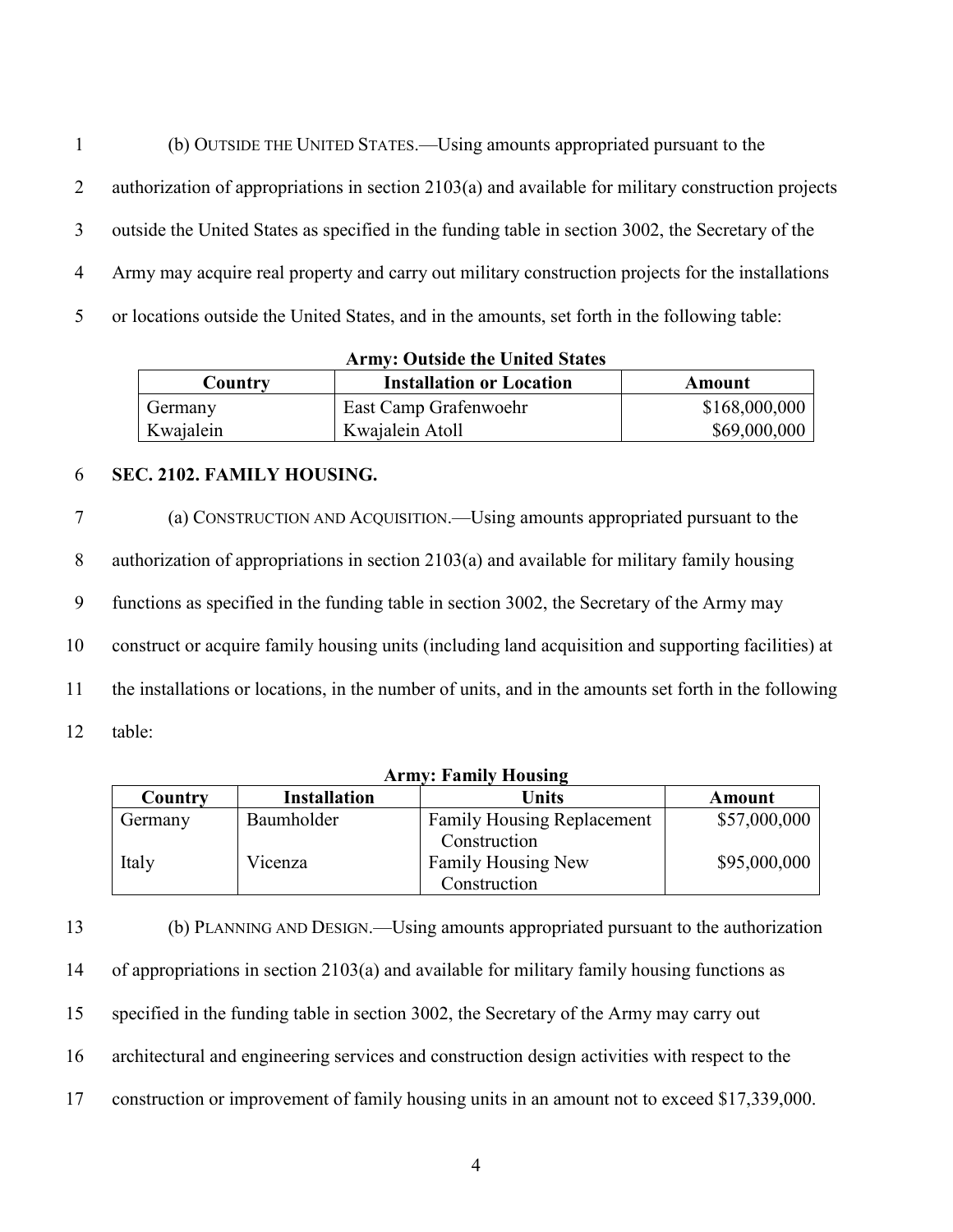(b) OUTSIDE THE UNITED STATES.—Using amounts appropriated pursuant to the authorization of appropriations in section 2103(a) and available for military construction projects outside the United States as specified in the funding table in section 3002, the Secretary of the Army may acquire real property and carry out military construction projects for the installations or locations outside the United States, and in the amounts, set forth in the following table:

**Army: Outside the United States**

| Country   | <b>Installation or Location</b> | Amount        |
|-----------|---------------------------------|---------------|
| Germany   | East Camp Grafenwoehr           | \$168,000,000 |
| Kwajalein | Kwajalein Atoll                 | \$69,000,000  |

#### 6 **SEC. 2102. FAMILY HOUSING.**

 (a) CONSTRUCTION AND ACQUISITION.—Using amounts appropriated pursuant to the authorization of appropriations in section 2103(a) and available for military family housing functions as specified in the funding table in section 3002, the Secretary of the Army may construct or acquire family housing units (including land acquisition and supporting facilities) at the installations or locations, in the number of units, and in the amounts set forth in the following 12 table:

| <b>Army: Family Housing</b> |                     |                                                   |              |  |  |
|-----------------------------|---------------------|---------------------------------------------------|--------------|--|--|
| Country                     | <b>Installation</b> | Units                                             | Amount       |  |  |
| Germany                     | Baumholder          | <b>Family Housing Replacement</b><br>Construction | \$57,000,000 |  |  |
| Italy                       | Vicenza             | Family Housing New<br>Construction                | \$95,000,000 |  |  |

 (b) PLANNING AND DESIGN.—Using amounts appropriated pursuant to the authorization of appropriations in section 2103(a) and available for military family housing functions as specified in the funding table in section 3002, the Secretary of the Army may carry out architectural and engineering services and construction design activities with respect to the construction or improvement of family housing units in an amount not to exceed \$17,339,000.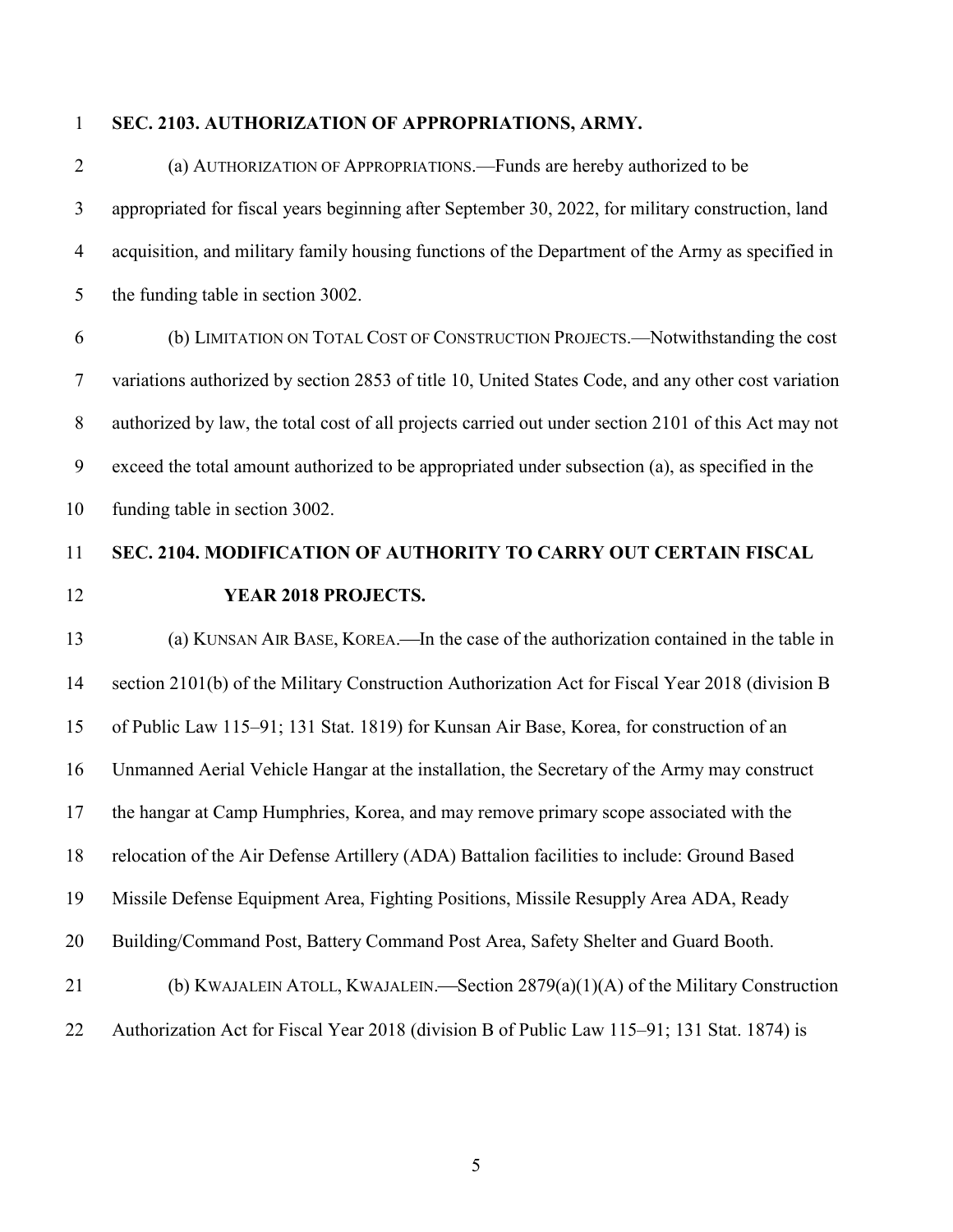#### **SEC. 2103. AUTHORIZATION OF APPROPRIATIONS, ARMY.**

 (a) AUTHORIZATION OF APPROPRIATIONS.—Funds are hereby authorized to be appropriated for fiscal years beginning after September 30, 2022, for military construction, land acquisition, and military family housing functions of the Department of the Army as specified in 5 the funding table in section 3002.

 (b) LIMITATION ON TOTAL COST OF CONSTRUCTION PROJECTS.—Notwithstanding the cost variations authorized by section 2853 of title 10, United States Code, and any other cost variation authorized by law, the total cost of all projects carried out under section 2101 of this Act may not exceed the total amount authorized to be appropriated under subsection (a), as specified in the funding table in section 3002.

# **SEC. 2104. MODIFICATION OF AUTHORITY TO CARRY OUT CERTAIN FISCAL YEAR 2018 PROJECTS.**

# 13 (a) KUNSAN AIR BASE, KOREA.—In the case of the authorization contained in the table in section 2101(b) of the Military Construction Authorization Act for Fiscal Year 2018 (division B of Public Law 115–91; 131 Stat. 1819) for Kunsan Air Base, Korea, for construction of an Unmanned Aerial Vehicle Hangar at the installation, the Secretary of the Army may construct the hangar at Camp Humphries, Korea, and may remove primary scope associated with the relocation of the Air Defense Artillery (ADA) Battalion facilities to include: Ground Based Missile Defense Equipment Area, Fighting Positions, Missile Resupply Area ADA, Ready Building/Command Post, Battery Command Post Area, Safety Shelter and Guard Booth. 21 (b) KWAJALEIN ATOLL, KWAJALEIN.—Section  $2879(a)(1)(A)$  of the Military Construction

#### Authorization Act for Fiscal Year 2018 (division B of Public Law 115–91; 131 Stat. 1874) is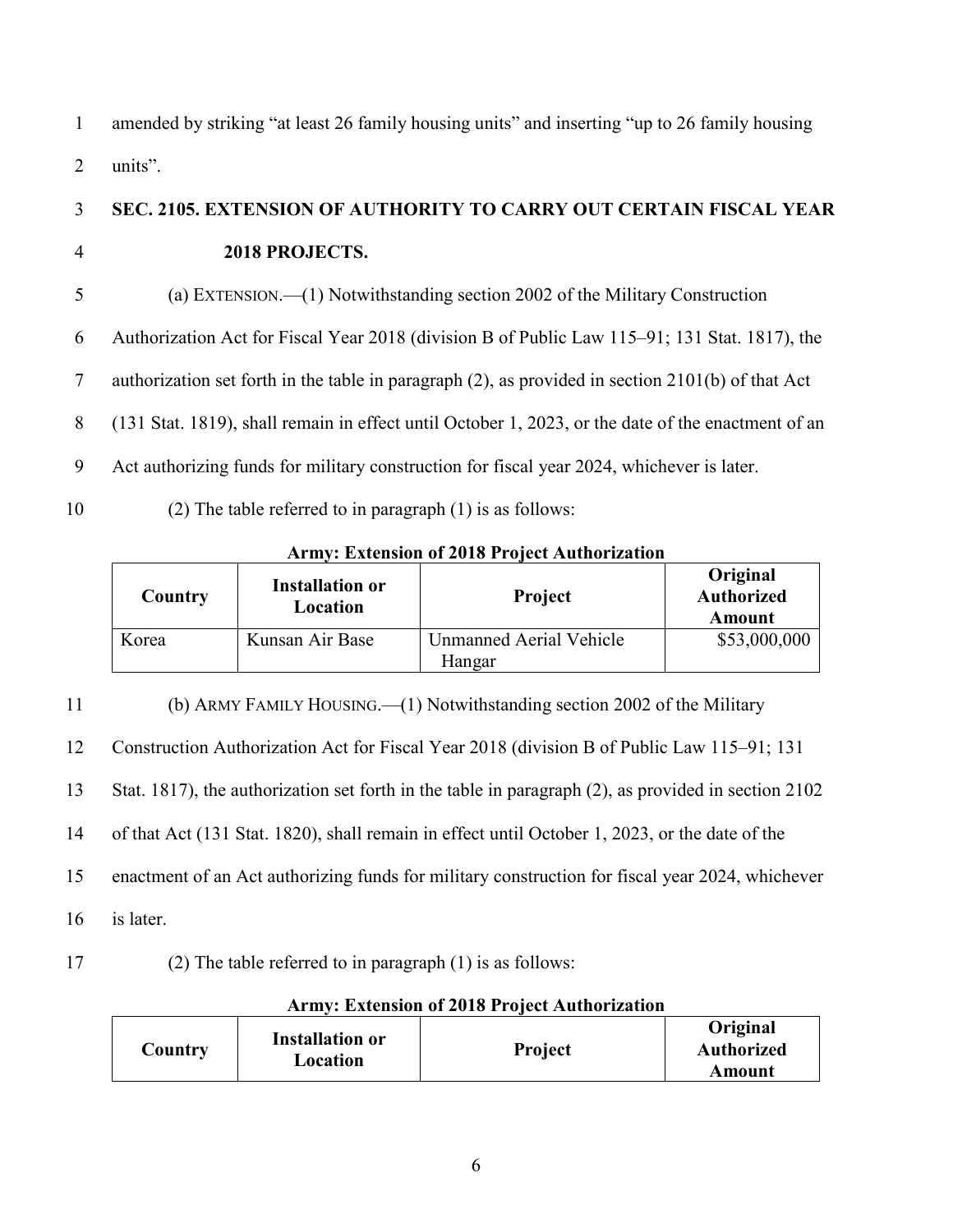1 amended by striking "at least 26 family housing units" and inserting "up to 26 family housing 2 units".

3 **SEC. 2105. EXTENSION OF AUTHORITY TO CARRY OUT CERTAIN FISCAL YEAR** 

#### 4 **2018 PROJECTS.**

5 (a) EXTENSION.—(1) Notwithstanding section 2002 of the Military Construction

6 Authorization Act for Fiscal Year 2018 (division B of Public Law 115–91; 131 Stat. 1817), the

7 authorization set forth in the table in paragraph (2), as provided in section 2101(b) of that Act

8 (131 Stat. 1819), shall remain in effect until October 1, 2023, or the date of the enactment of an

- 9 Act authorizing funds for military construction for fiscal year 2024, whichever is later.
- 10 (2) The table referred to in paragraph (1) is as follows:

#### **Army: Extension of 2018 Project Authorization**

| Country | <b>Installation or</b><br>Location | <b>Project</b>          | Original<br><b>Authorized</b><br>Amount |
|---------|------------------------------------|-------------------------|-----------------------------------------|
| Korea   | Kunsan Air Base                    | Unmanned Aerial Vehicle | \$53,000,000                            |
|         |                                    | Hangar                  |                                         |

 (b) ARMY FAMILY HOUSING.—(1) Notwithstanding section 2002 of the Military Construction Authorization Act for Fiscal Year 2018 (division B of Public Law 115–91; 131 Stat. 1817), the authorization set forth in the table in paragraph (2), as provided in section 2102 of that Act (131 Stat. 1820), shall remain in effect until October 1, 2023, or the date of the enactment of an Act authorizing funds for military construction for fiscal year 2024, whichever is later.

#### 17 (2) The table referred to in paragraph (1) is as follows:

|         | ATHIV. EXTERNOIT OF 2010 TTOJECT AUTHOLIZATION |                |                                         |  |  |  |
|---------|------------------------------------------------|----------------|-----------------------------------------|--|--|--|
| Country | <b>Installation or</b><br>Location             | <b>Project</b> | Original<br><b>Authorized</b><br>Amount |  |  |  |

#### **Army: Extension of 2018 Project Authorization**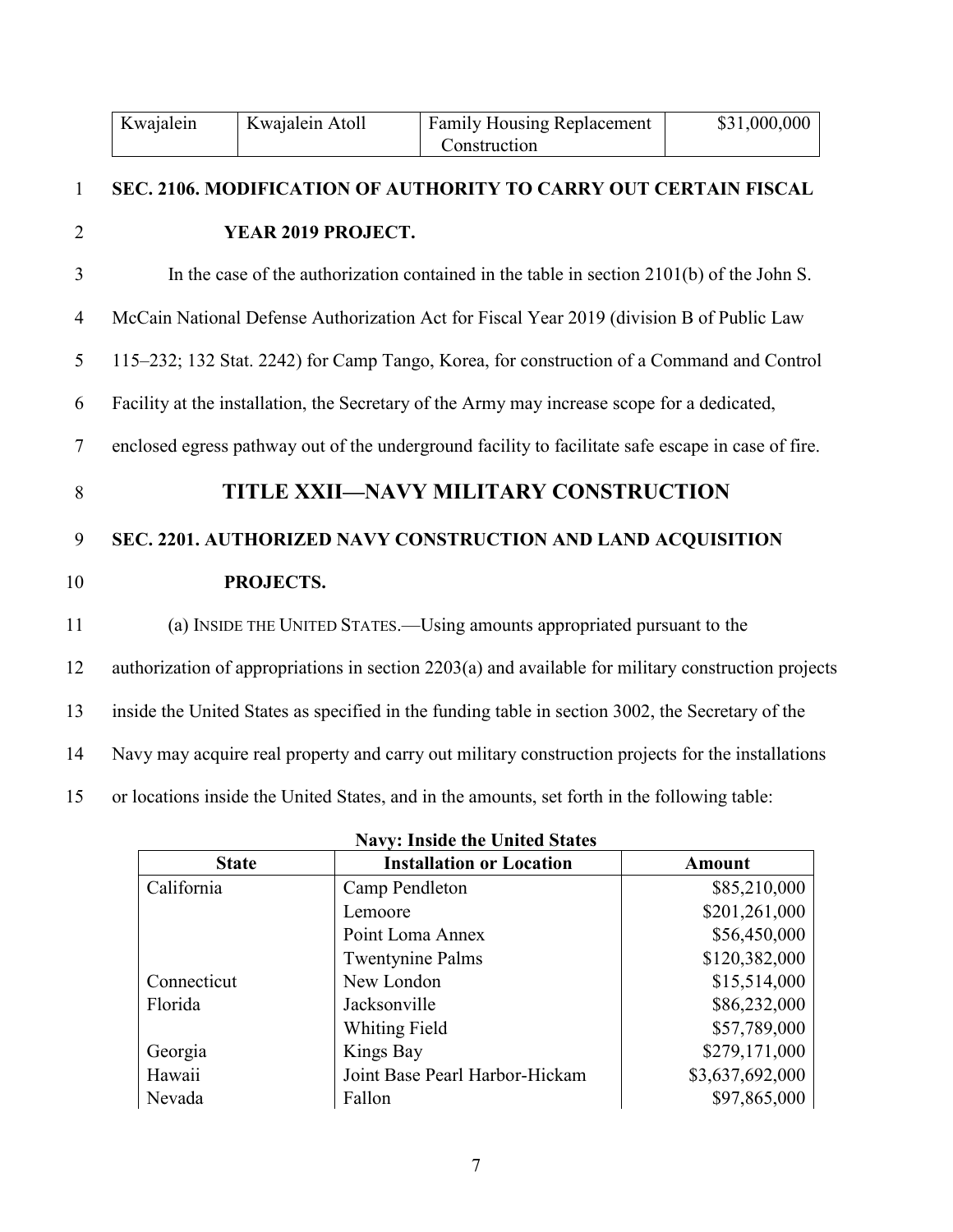|                  | Kwajalein                                                                                   | Kwajalein Atoll                                                                                   | <b>Family Housing Replacement</b><br>Construction                                                   | \$31,000,000 |  |
|------------------|---------------------------------------------------------------------------------------------|---------------------------------------------------------------------------------------------------|-----------------------------------------------------------------------------------------------------|--------------|--|
| $\mathbf{1}$     |                                                                                             |                                                                                                   | SEC. 2106. MODIFICATION OF AUTHORITY TO CARRY OUT CERTAIN FISCAL                                    |              |  |
| $\overline{2}$   |                                                                                             | YEAR 2019 PROJECT.                                                                                |                                                                                                     |              |  |
| 3                |                                                                                             |                                                                                                   | In the case of the authorization contained in the table in section $2101(b)$ of the John S.         |              |  |
| $\overline{4}$   |                                                                                             |                                                                                                   | McCain National Defense Authorization Act for Fiscal Year 2019 (division B of Public Law            |              |  |
| 5                |                                                                                             |                                                                                                   | 115–232; 132 Stat. 2242) for Camp Tango, Korea, for construction of a Command and Control           |              |  |
| 6                | Facility at the installation, the Secretary of the Army may increase scope for a dedicated, |                                                                                                   |                                                                                                     |              |  |
| $\tau$           |                                                                                             |                                                                                                   | enclosed egress pathway out of the underground facility to facilitate safe escape in case of fire.  |              |  |
| 8                |                                                                                             |                                                                                                   | TITLE XXII-NAVY MILITARY CONSTRUCTION                                                               |              |  |
| $\boldsymbol{9}$ |                                                                                             |                                                                                                   | SEC. 2201. AUTHORIZED NAVY CONSTRUCTION AND LAND ACQUISITION                                        |              |  |
| 10               |                                                                                             | PROJECTS.                                                                                         |                                                                                                     |              |  |
| 11               |                                                                                             |                                                                                                   | (a) INSIDE THE UNITED STATES.—Using amounts appropriated pursuant to the                            |              |  |
| 12               |                                                                                             |                                                                                                   | authorization of appropriations in section 2203(a) and available for military construction projects |              |  |
| 13               |                                                                                             |                                                                                                   | inside the United States as specified in the funding table in section 3002, the Secretary of the    |              |  |
| 14               |                                                                                             | Navy may acquire real property and carry out military construction projects for the installations |                                                                                                     |              |  |
| 15               |                                                                                             |                                                                                                   | or locations inside the United States, and in the amounts, set forth in the following table:        |              |  |

| <b>Navy: Inside the United States</b> |                                 |                 |  |  |
|---------------------------------------|---------------------------------|-----------------|--|--|
| <b>State</b>                          | <b>Installation or Location</b> | <b>Amount</b>   |  |  |
| California                            | Camp Pendleton                  | \$85,210,000    |  |  |
|                                       | Lemoore                         | \$201,261,000   |  |  |
|                                       | Point Loma Annex                | \$56,450,000    |  |  |
|                                       | <b>Twentynine Palms</b>         | \$120,382,000   |  |  |
| Connecticut                           | New London                      | \$15,514,000    |  |  |
| Florida                               | Jacksonville                    | \$86,232,000    |  |  |
|                                       | Whiting Field                   | \$57,789,000    |  |  |
| Georgia                               | Kings Bay                       | \$279,171,000   |  |  |
| Hawaii                                | Joint Base Pearl Harbor-Hickam  | \$3,637,692,000 |  |  |
| Nevada                                | Fallon                          | \$97,865,000    |  |  |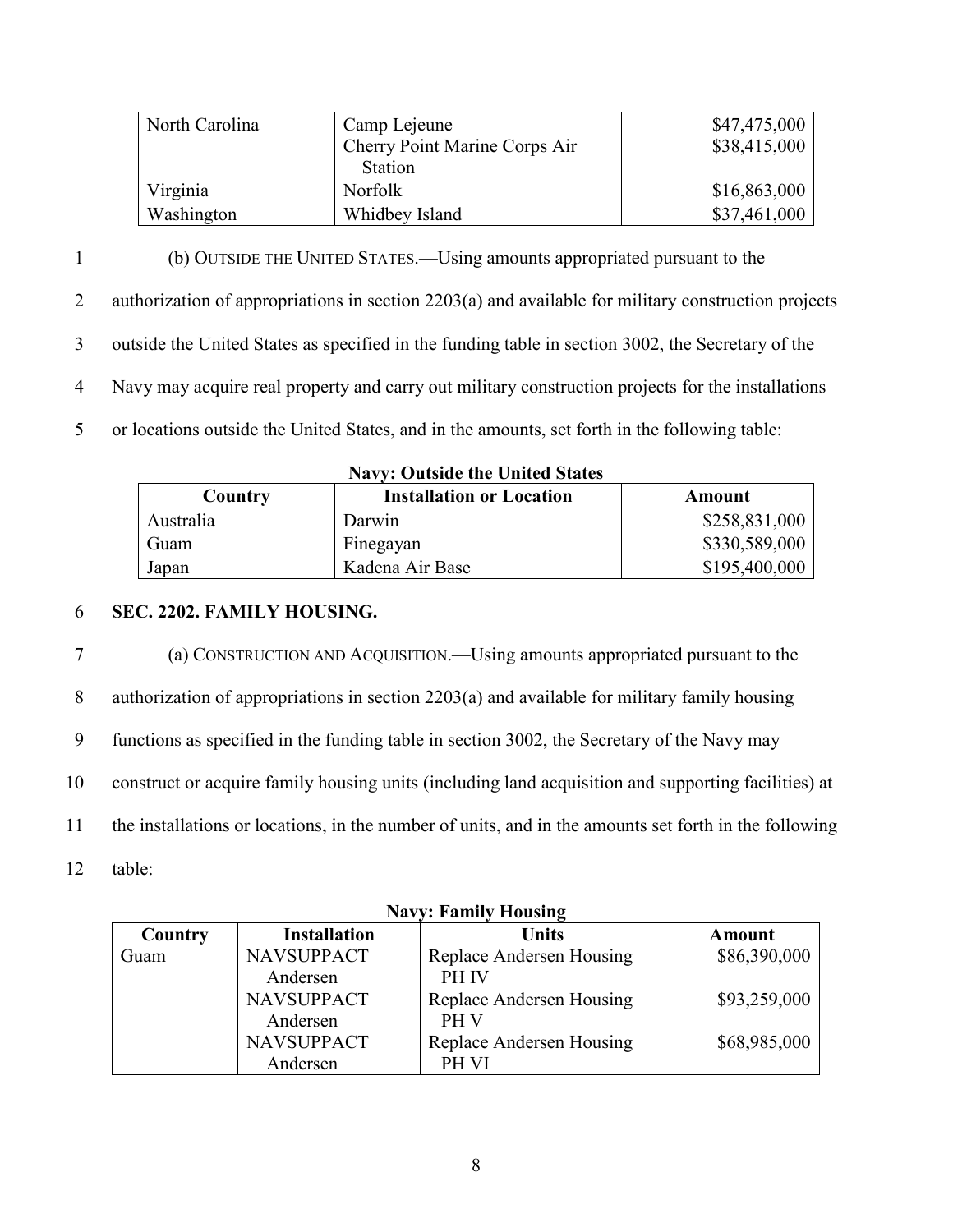| North Carolina | Camp Lejeune                  | \$47,475,000 |
|----------------|-------------------------------|--------------|
|                | Cherry Point Marine Corps Air | \$38,415,000 |
|                | <b>Station</b>                |              |
| Virginia       | Norfolk                       | \$16,863,000 |
| Washington     | Whidbey Island                | \$37,461,000 |

 (b) OUTSIDE THE UNITED STATES.—Using amounts appropriated pursuant to the authorization of appropriations in section 2203(a) and available for military construction projects outside the United States as specified in the funding table in section 3002, the Secretary of the Navy may acquire real property and carry out military construction projects for the installations or locations outside the United States, and in the amounts, set forth in the following table:

| Country   | <b>Installation or Location</b> | Amount        |  |  |
|-----------|---------------------------------|---------------|--|--|
| Australia | Darwin                          | \$258,831,000 |  |  |
| Guam      | Finegayan                       | \$330,589,000 |  |  |
| Japan     | Kadena Air Base                 | \$195,400,000 |  |  |

#### **Navy: Outside the United States**

#### 6 **SEC. 2202. FAMILY HOUSING.**

 (a) CONSTRUCTION AND ACQUISITION.—Using amounts appropriated pursuant to the authorization of appropriations in section 2203(a) and available for military family housing functions as specified in the funding table in section 3002, the Secretary of the Navy may construct or acquire family housing units (including land acquisition and supporting facilities) at the installations or locations, in the number of units, and in the amounts set forth in the following

12 table:

| Navy: Family Housing |                               |                                          |              |  |  |
|----------------------|-------------------------------|------------------------------------------|--------------|--|--|
| Country              | <b>Installation</b>           | Units                                    | Amount       |  |  |
| Guam                 | <b>NAVSUPPACT</b><br>Andersen | Replace Andersen Housing<br><b>PH IV</b> | \$86,390,000 |  |  |
|                      | <b>NAVSUPPACT</b><br>Andersen | Replace Andersen Housing<br>PH V         | \$93,259,000 |  |  |
|                      | <b>NAVSUPPACT</b><br>Andersen | Replace Andersen Housing<br>PH VI        | \$68,985,000 |  |  |

**Navy: Family Housing**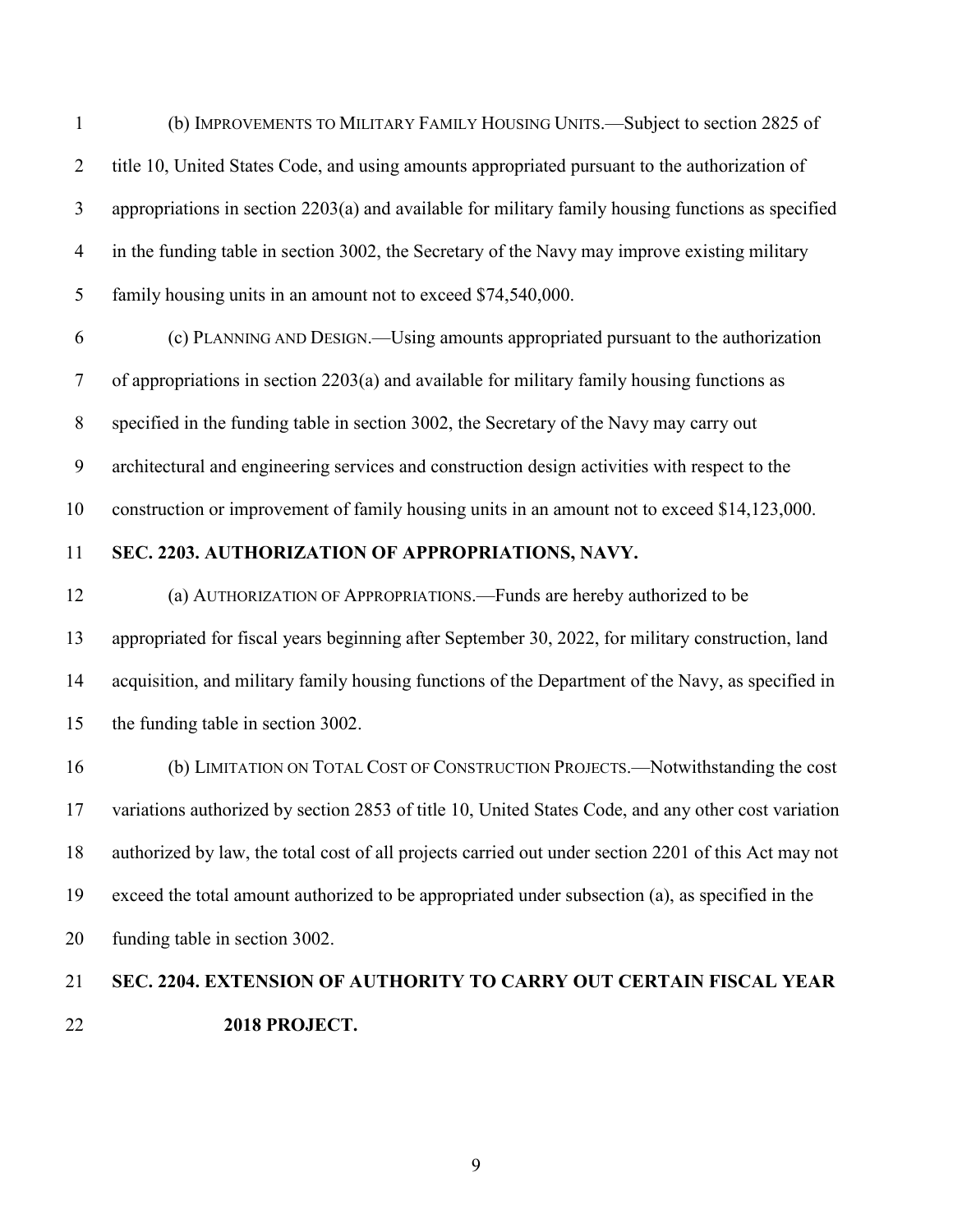(b) IMPROVEMENTS TO MILITARY FAMILY HOUSING UNITS.—Subject to section 2825 of 2 title 10, United States Code, and using amounts appropriated pursuant to the authorization of appropriations in section 2203(a) and available for military family housing functions as specified in the funding table in section 3002, the Secretary of the Navy may improve existing military family housing units in an amount not to exceed \$74,540,000.

 (c) PLANNING AND DESIGN.—Using amounts appropriated pursuant to the authorization of appropriations in section 2203(a) and available for military family housing functions as specified in the funding table in section 3002, the Secretary of the Navy may carry out architectural and engineering services and construction design activities with respect to the construction or improvement of family housing units in an amount not to exceed \$14,123,000.

#### **SEC. 2203. AUTHORIZATION OF APPROPRIATIONS, NAVY.**

 (a) AUTHORIZATION OF APPROPRIATIONS.—Funds are hereby authorized to be appropriated for fiscal years beginning after September 30, 2022, for military construction, land acquisition, and military family housing functions of the Department of the Navy, as specified in the funding table in section 3002.

 (b) LIMITATION ON TOTAL COST OF CONSTRUCTION PROJECTS.—Notwithstanding the cost variations authorized by section 2853 of title 10, United States Code, and any other cost variation authorized by law, the total cost of all projects carried out under section 2201 of this Act may not exceed the total amount authorized to be appropriated under subsection (a), as specified in the funding table in section 3002.

# **SEC. 2204. EXTENSION OF AUTHORITY TO CARRY OUT CERTAIN FISCAL YEAR 2018 PROJECT.**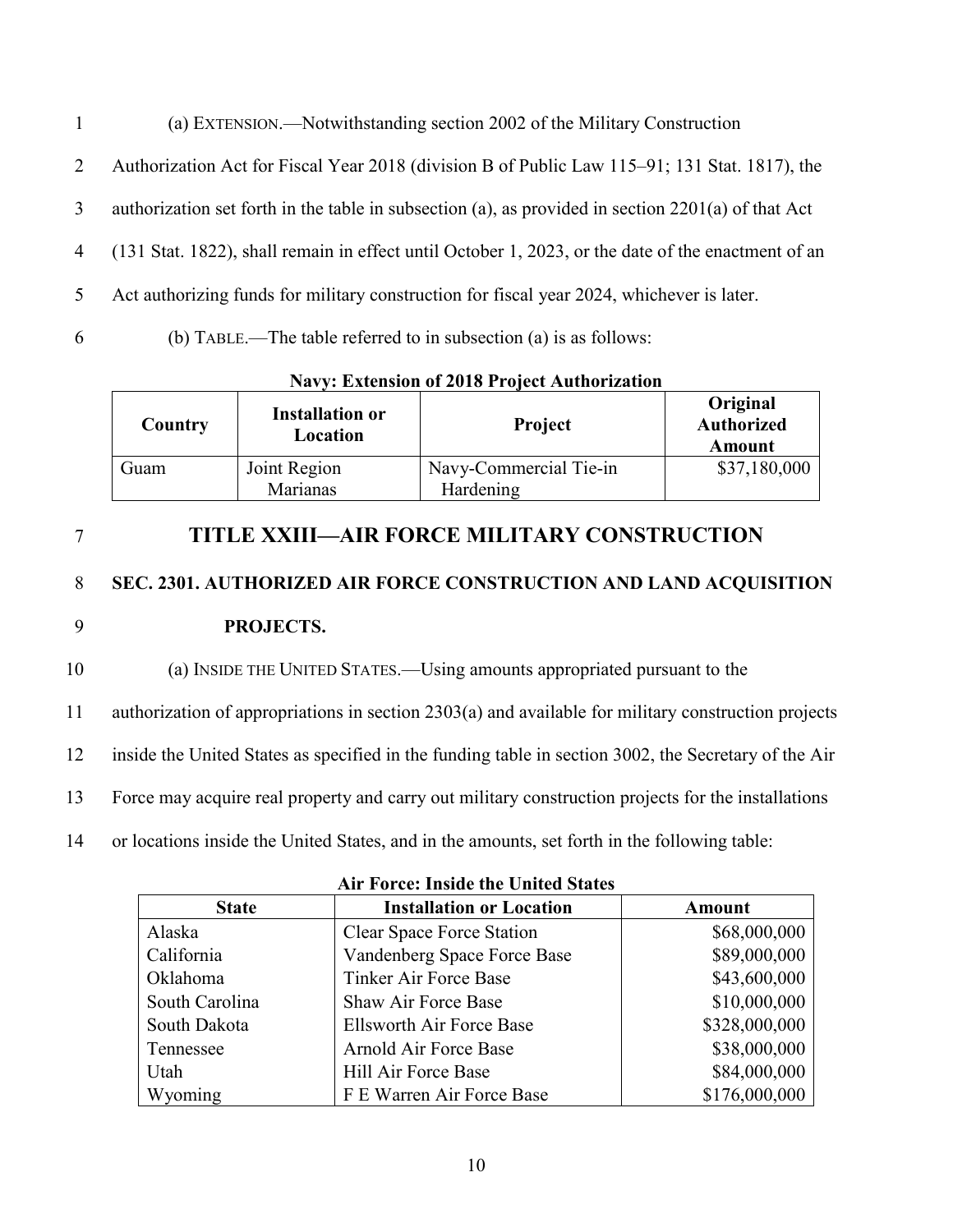(a) EXTENSION.—Notwithstanding section 2002 of the Military Construction Authorization Act for Fiscal Year 2018 (division B of Public Law 115–91; 131 Stat. 1817), the authorization set forth in the table in subsection (a), as provided in section 2201(a) of that Act (131 Stat. 1822), shall remain in effect until October 1, 2023, or the date of the enactment of an Act authorizing funds for military construction for fiscal year 2024, whichever is later.

6 (b) TABLE.—The table referred to in subsection (a) is as follows:

| <b>Navy: Extension of 2018 Project Authorization</b> |  |
|------------------------------------------------------|--|
|                                                      |  |

| Country | <b>Installation or</b><br>Location | <b>Project</b>         | Original<br><b>Authorized</b><br>Amount |
|---------|------------------------------------|------------------------|-----------------------------------------|
| Guam    | Joint Region                       | Navy-Commercial Tie-in | \$37,180,000                            |
|         | Marianas                           | Hardening              |                                         |

7 **TITLE XXIII—AIR FORCE MILITARY CONSTRUCTION**

# 8 **SEC. 2301. AUTHORIZED AIR FORCE CONSTRUCTION AND LAND ACQUISITION**  9 **PROJECTS.**

 (a) INSIDE THE UNITED STATES.—Using amounts appropriated pursuant to the authorization of appropriations in section 2303(a) and available for military construction projects inside the United States as specified in the funding table in section 3002, the Secretary of the Air Force may acquire real property and carry out military construction projects for the installations or locations inside the United States, and in the amounts, set forth in the following table:

| <b>State</b>   | <b>Installation or Location</b>  | <b>Amount</b> |  |  |
|----------------|----------------------------------|---------------|--|--|
| Alaska         | <b>Clear Space Force Station</b> | \$68,000,000  |  |  |
| California     | Vandenberg Space Force Base      | \$89,000,000  |  |  |
| Oklahoma       | <b>Tinker Air Force Base</b>     | \$43,600,000  |  |  |
| South Carolina | <b>Shaw Air Force Base</b>       | \$10,000,000  |  |  |
| South Dakota   | Ellsworth Air Force Base         | \$328,000,000 |  |  |
| Tennessee      | Arnold Air Force Base            | \$38,000,000  |  |  |
| Utah           | Hill Air Force Base              | \$84,000,000  |  |  |
| Wyoming        | F E Warren Air Force Base        | \$176,000,000 |  |  |

|  |  |  |  | <b>Air Force: Inside the United States</b> |  |
|--|--|--|--|--------------------------------------------|--|
|--|--|--|--|--------------------------------------------|--|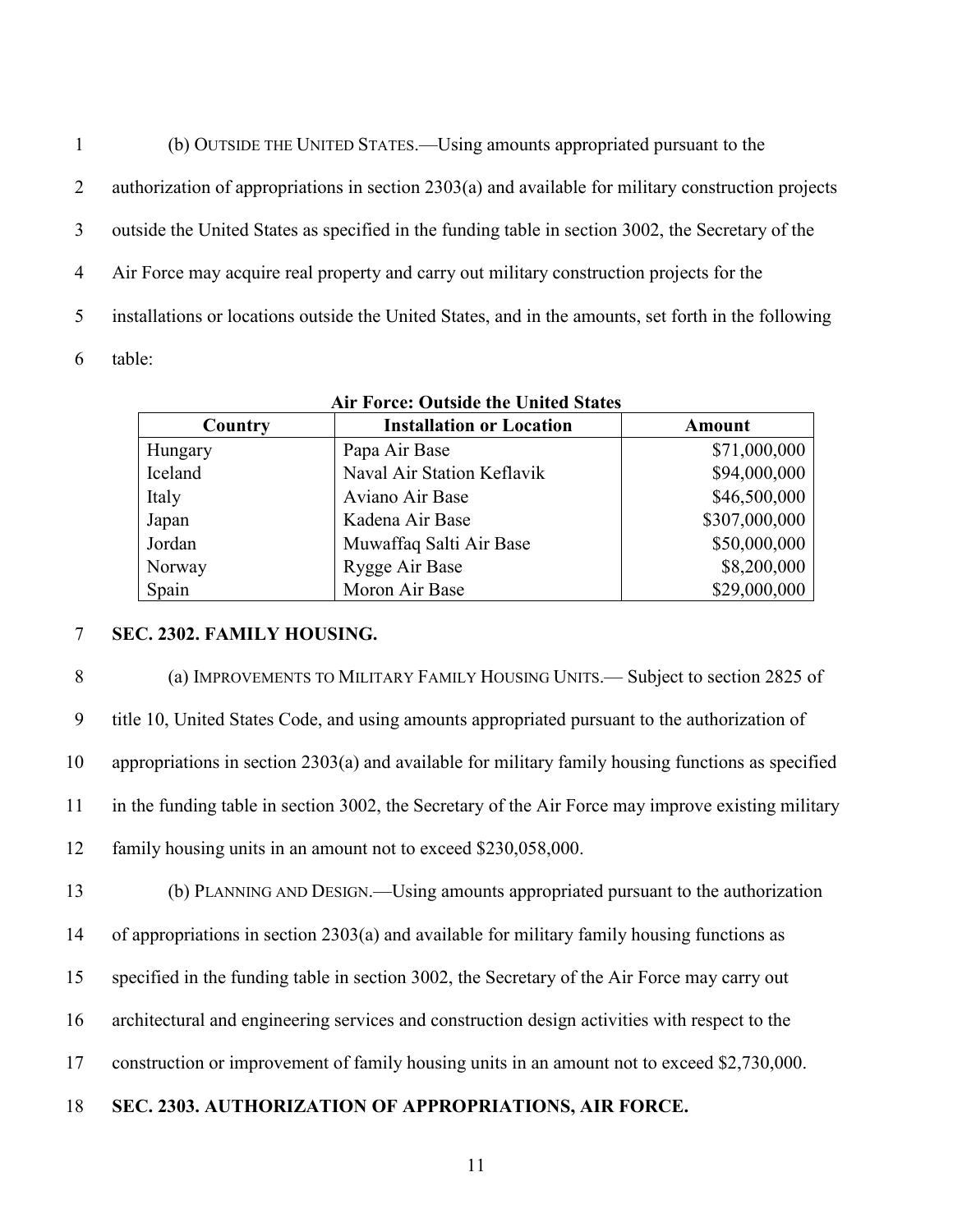(b) OUTSIDE THE UNITED STATES.—Using amounts appropriated pursuant to the authorization of appropriations in section 2303(a) and available for military construction projects outside the United States as specified in the funding table in section 3002, the Secretary of the Air Force may acquire real property and carry out military construction projects for the installations or locations outside the United States, and in the amounts, set forth in the following table:

| Country                  | <b>Installation or Location</b> |               |
|--------------------------|---------------------------------|---------------|
| Hungary                  | Papa Air Base                   | \$71,000,000  |
| Iceland                  | Naval Air Station Keflavik      | \$94,000,000  |
| Italy                    | Aviano Air Base                 | \$46,500,000  |
| Japan                    | Kadena Air Base                 | \$307,000,000 |
| Jordan                   | Muwaffaq Salti Air Base         | \$50,000,000  |
| Rygge Air Base<br>Norway |                                 | \$8,200,000   |
| Spain                    | Moron Air Base                  | \$29,000,000  |

#### **Air Force: Outside the United States**

#### **SEC. 2302. FAMILY HOUSING.**

 (a) IMPROVEMENTS TO MILITARY FAMILY HOUSING UNITS.— Subject to section 2825 of title 10, United States Code, and using amounts appropriated pursuant to the authorization of appropriations in section 2303(a) and available for military family housing functions as specified in the funding table in section 3002, the Secretary of the Air Force may improve existing military family housing units in an amount not to exceed \$230,058,000. (b) PLANNING AND DESIGN.—Using amounts appropriated pursuant to the authorization of appropriations in section 2303(a) and available for military family housing functions as specified in the funding table in section 3002, the Secretary of the Air Force may carry out architectural and engineering services and construction design activities with respect to the construction or improvement of family housing units in an amount not to exceed \$2,730,000.

#### **SEC. 2303. AUTHORIZATION OF APPROPRIATIONS, AIR FORCE.**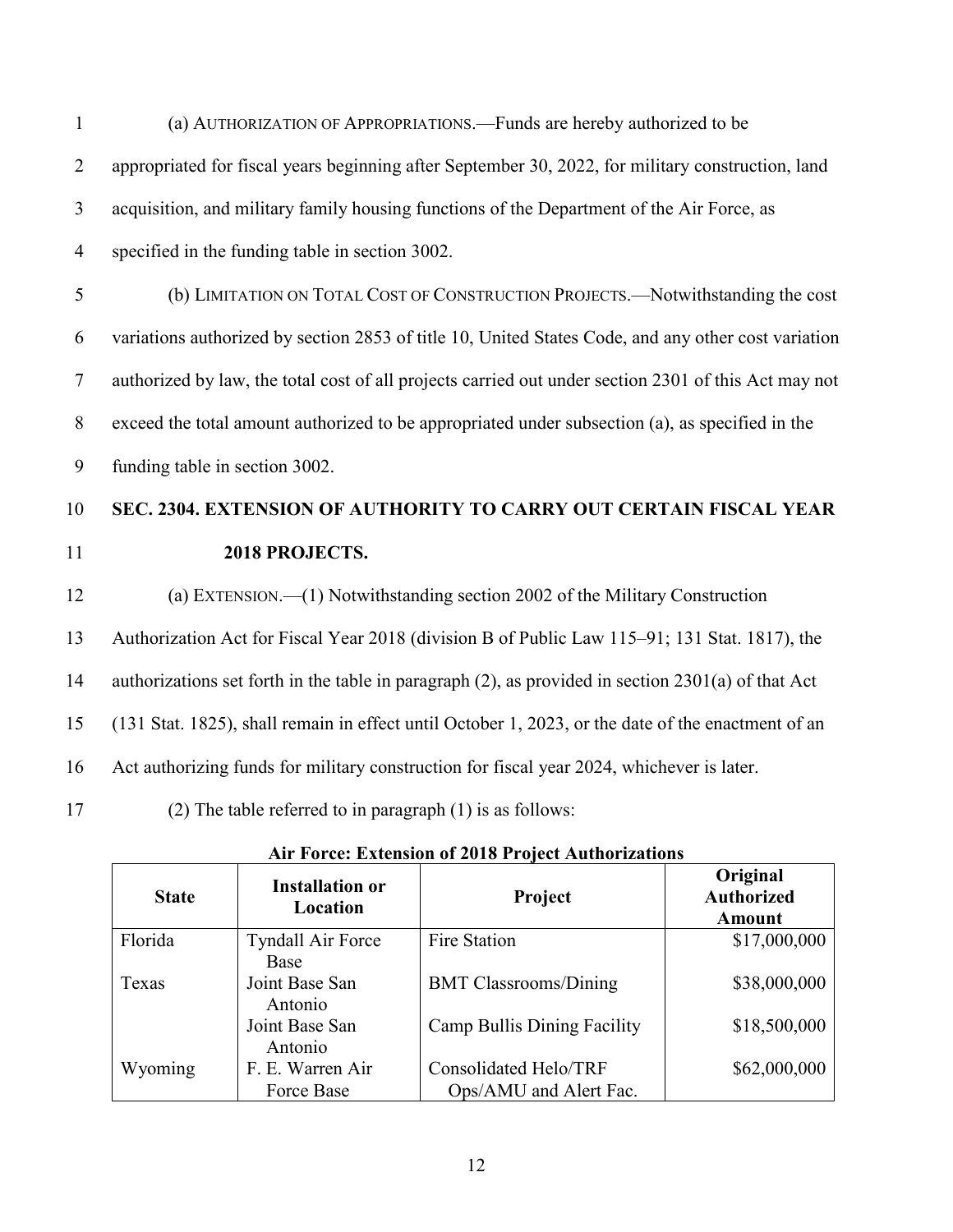| $\mathbf{1}$   | (a) AUTHORIZATION OF APPROPRIATIONS. - Funds are hereby authorized to be                                 |
|----------------|----------------------------------------------------------------------------------------------------------|
| $\overline{2}$ | appropriated for fiscal years beginning after September 30, 2022, for military construction, land        |
| 3              | acquisition, and military family housing functions of the Department of the Air Force, as                |
| $\overline{4}$ | specified in the funding table in section 3002.                                                          |
| 5              | (b) LIMITATION ON TOTAL COST OF CONSTRUCTION PROJECTS.- Notwithstanding the cost                         |
| 6              | variations authorized by section 2853 of title 10, United States Code, and any other cost variation      |
| $\overline{7}$ | authorized by law, the total cost of all projects carried out under section 2301 of this Act may not     |
| 8              | exceed the total amount authorized to be appropriated under subsection (a), as specified in the          |
| 9              | funding table in section 3002.                                                                           |
|                |                                                                                                          |
|                | SEC. 2304. EXTENSION OF AUTHORITY TO CARRY OUT CERTAIN FISCAL YEAR                                       |
| 10<br>11       | 2018 PROJECTS.                                                                                           |
| 12             | (a) EXTENSION. -- (1) Notwithstanding section 2002 of the Military Construction                          |
|                | Authorization Act for Fiscal Year 2018 (division B of Public Law 115–91; 131 Stat. 1817), the            |
| 13<br>14       | authorizations set forth in the table in paragraph $(2)$ , as provided in section 2301 $(a)$ of that Act |
| 15             | (131 Stat. 1825), shall remain in effect until October 1, 2023, or the date of the enactment of an       |
| 16             | Act authorizing funds for military construction for fiscal year 2024, whichever is later.                |
| 17             | (2) The table referred to in paragraph $(1)$ is as follows:                                              |

| <b>State</b> | <b>Installation or</b><br>Location | <b>Project</b>               | Original<br><b>Authorized</b><br><b>Amount</b> |
|--------------|------------------------------------|------------------------------|------------------------------------------------|
| Florida      | <b>Tyndall Air Force</b>           | Fire Station                 | \$17,000,000                                   |
|              | Base                               |                              |                                                |
| Texas        | Joint Base San                     | <b>BMT Classrooms/Dining</b> | \$38,000,000                                   |
|              | Antonio                            |                              |                                                |
|              | Joint Base San                     | Camp Bullis Dining Facility  | \$18,500,000                                   |
|              | Antonio                            |                              |                                                |
| Wyoming      | F. E. Warren Air                   | Consolidated Helo/TRF        | \$62,000,000                                   |
|              | Force Base                         | Ops/AMU and Alert Fac.       |                                                |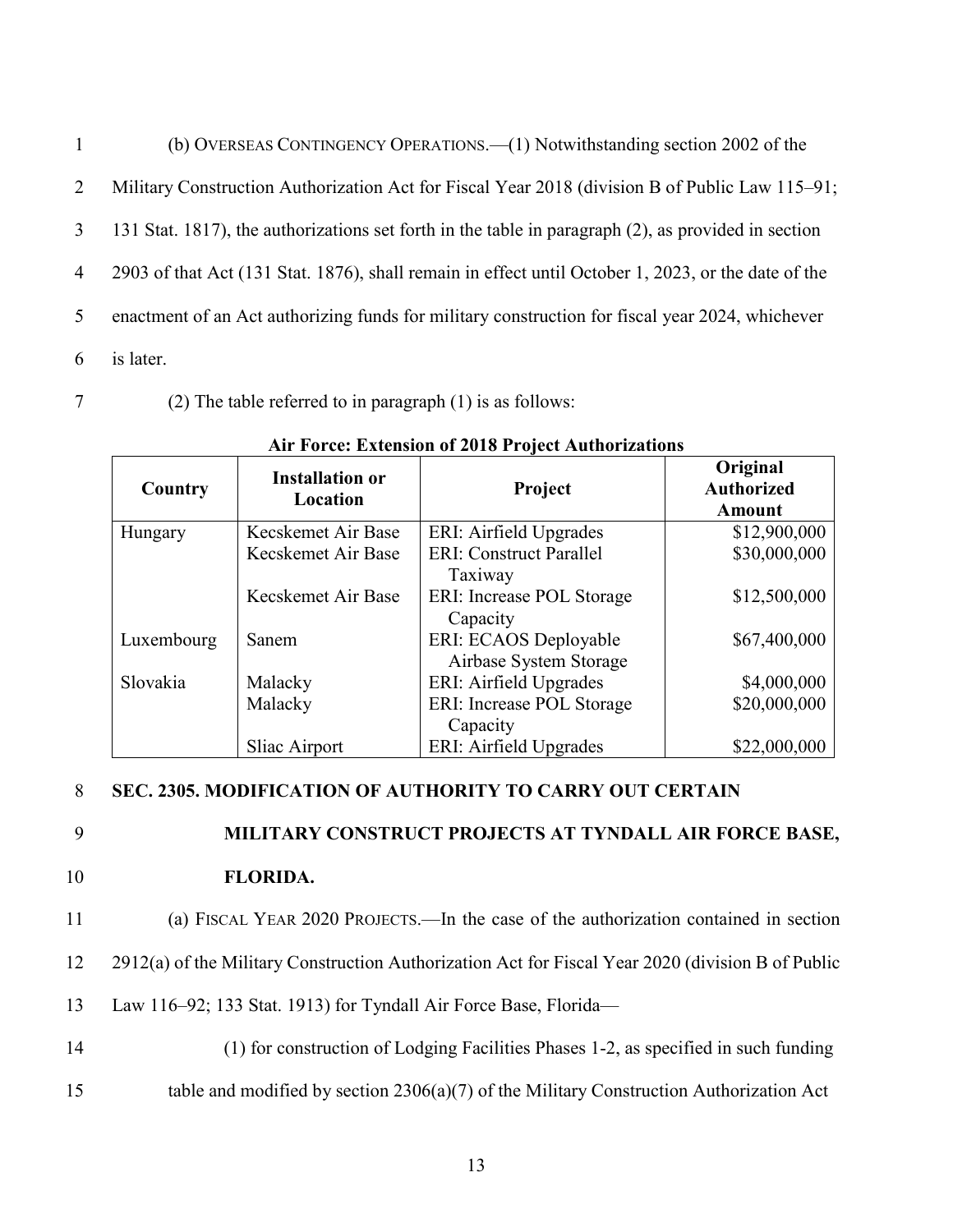| $\mathbf{1}$   | (b) OVERSEAS CONTINGENCY OPERATIONS.—(1) Notwithstanding section 2002 of the                        |
|----------------|-----------------------------------------------------------------------------------------------------|
| 2              | Military Construction Authorization Act for Fiscal Year 2018 (division B of Public Law 115–91;      |
| 3              | 131 Stat. 1817), the authorizations set forth in the table in paragraph (2), as provided in section |
| $\overline{4}$ | 2903 of that Act (131 Stat. 1876), shall remain in effect until October 1, 2023, or the date of the |
| 5              | enactment of an Act authorizing funds for military construction for fiscal year 2024, whichever     |
| 6              | is later.                                                                                           |

7 (2) The table referred to in paragraph (1) is as follows:

| Country    | <b>Installation or</b><br>Location | Project                                         | Original<br><b>Authorized</b><br><b>Amount</b> |
|------------|------------------------------------|-------------------------------------------------|------------------------------------------------|
| Hungary    | Kecskemet Air Base                 | ERI: Airfield Upgrades                          | \$12,900,000                                   |
|            | Kecskemet Air Base                 | <b>ERI: Construct Parallel</b><br>Taxiway       | \$30,000,000                                   |
|            | Kecskemet Air Base                 | ERI: Increase POL Storage<br>Capacity           | \$12,500,000                                   |
| Luxembourg | Sanem                              | ERI: ECAOS Deployable<br>Airbase System Storage | \$67,400,000                                   |
| Slovakia   | Malacky                            | ERI: Airfield Upgrades                          | \$4,000,000                                    |
|            | Malacky                            | ERI: Increase POL Storage                       | \$20,000,000                                   |
|            |                                    | Capacity                                        |                                                |
|            | Sliac Airport                      | ERI: Airfield Upgrades                          | \$22,000,000                                   |

**Air Force: Extension of 2018 Project Authorizations**

#### 8 **SEC. 2305. MODIFICATION OF AUTHORITY TO CARRY OUT CERTAIN**

### 9 **MILITARY CONSTRUCT PROJECTS AT TYNDALL AIR FORCE BASE,**

- 10 **FLORIDA.**
- 11 (a) FISCAL YEAR 2020 PROJECTS.—In the case of the authorization contained in section
- 12 2912(a) of the Military Construction Authorization Act for Fiscal Year 2020 (division B of Public
- 13 Law 116–92; 133 Stat. 1913) for Tyndall Air Force Base, Florida—
- 14 (1) for construction of Lodging Facilities Phases 1-2, as specified in such funding
- 15 table and modified by section 2306(a)(7) of the Military Construction Authorization Act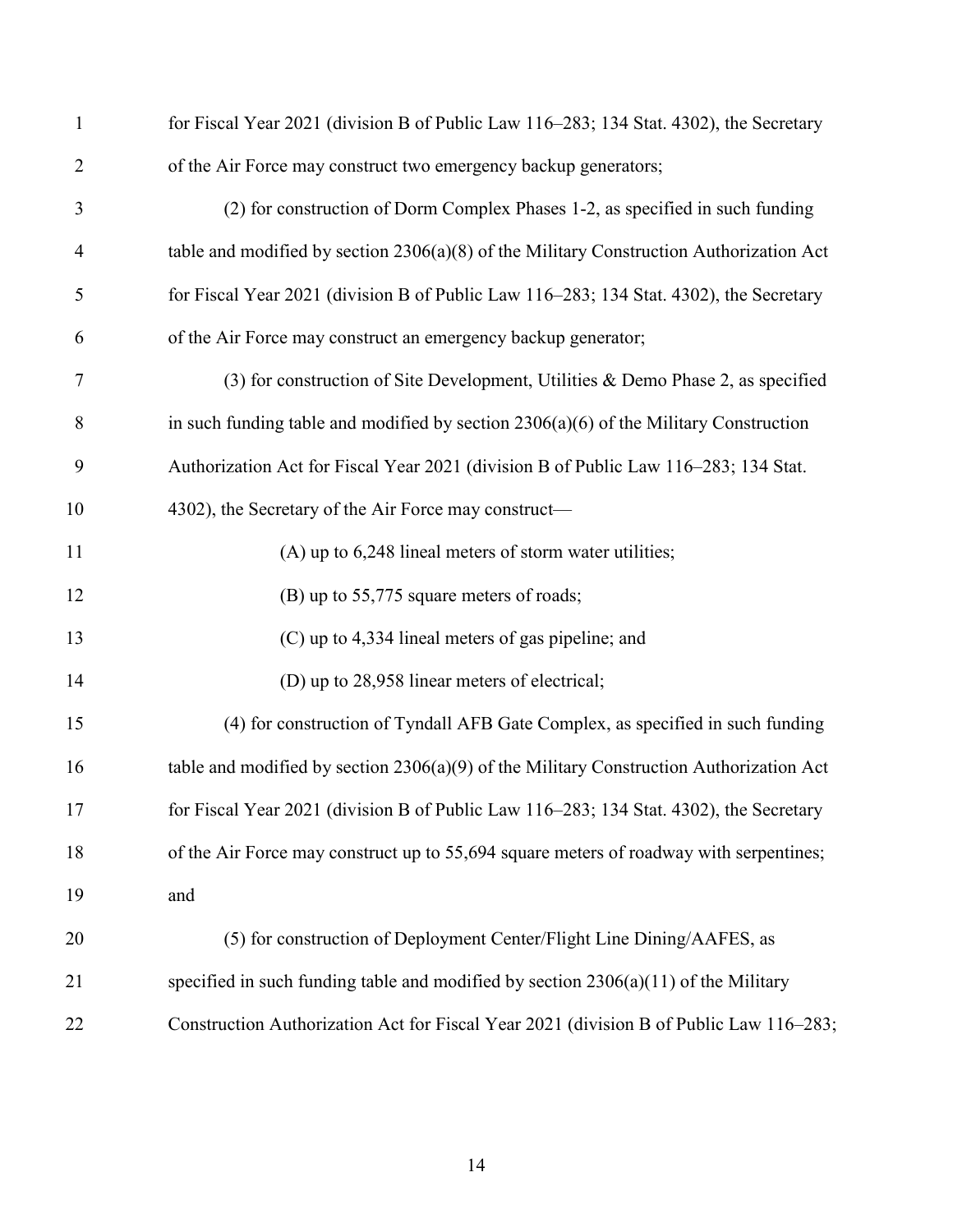| 1              | for Fiscal Year 2021 (division B of Public Law 116–283; 134 Stat. 4302), the Secretary    |
|----------------|-------------------------------------------------------------------------------------------|
| $\overline{2}$ | of the Air Force may construct two emergency backup generators;                           |
| 3              | (2) for construction of Dorm Complex Phases 1-2, as specified in such funding             |
| $\overline{4}$ | table and modified by section $2306(a)(8)$ of the Military Construction Authorization Act |
| 5              | for Fiscal Year 2021 (division B of Public Law 116-283; 134 Stat. 4302), the Secretary    |
| 6              | of the Air Force may construct an emergency backup generator;                             |
| $\overline{7}$ | (3) for construction of Site Development, Utilities & Demo Phase 2, as specified          |
| 8              | in such funding table and modified by section $2306(a)(6)$ of the Military Construction   |
| 9              | Authorization Act for Fiscal Year 2021 (division B of Public Law 116-283; 134 Stat.       |
| 10             | 4302), the Secretary of the Air Force may construct—                                      |
| 11             | (A) up to 6,248 lineal meters of storm water utilities;                                   |
| 12             | (B) up to 55,775 square meters of roads;                                                  |
| 13             | (C) up to 4,334 lineal meters of gas pipeline; and                                        |
| 14             | (D) up to 28,958 linear meters of electrical;                                             |
| 15             | (4) for construction of Tyndall AFB Gate Complex, as specified in such funding            |
| 16             | table and modified by section $2306(a)(9)$ of the Military Construction Authorization Act |
| 17             | for Fiscal Year 2021 (division B of Public Law 116-283; 134 Stat. 4302), the Secretary    |
| 18             | of the Air Force may construct up to 55,694 square meters of roadway with serpentines;    |
| 19             | and                                                                                       |
| 20             | (5) for construction of Deployment Center/Flight Line Dining/AAFES, as                    |
| 21             | specified in such funding table and modified by section $2306(a)(11)$ of the Military     |
| 22             | Construction Authorization Act for Fiscal Year 2021 (division B of Public Law 116–283;    |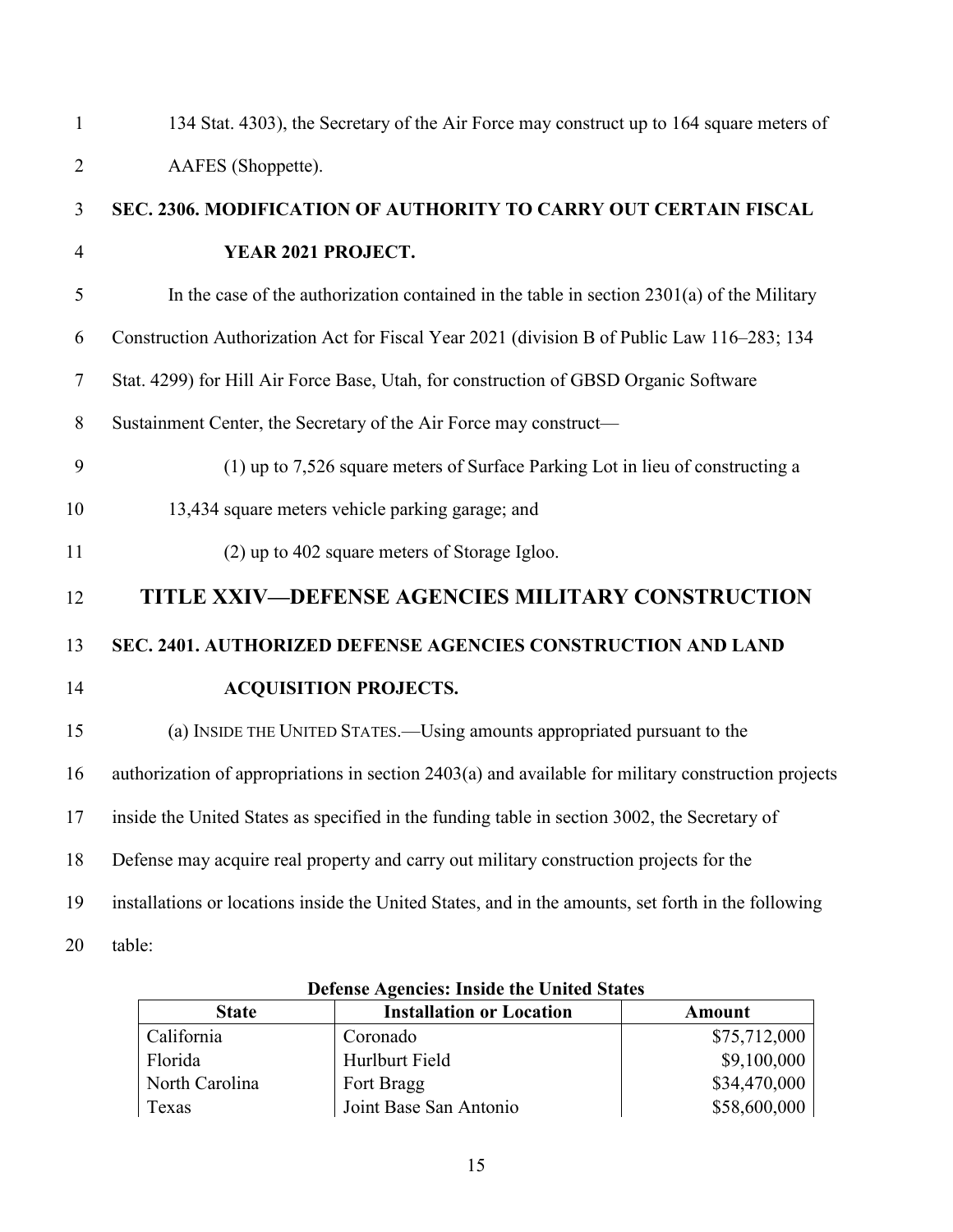| 134 Stat. 4303), the Secretary of the Air Force may construct up to 164 square meters of            |
|-----------------------------------------------------------------------------------------------------|
| AAFES (Shoppette).                                                                                  |
| SEC. 2306. MODIFICATION OF AUTHORITY TO CARRY OUT CERTAIN FISCAL                                    |
| YEAR 2021 PROJECT.                                                                                  |
| In the case of the authorization contained in the table in section $2301(a)$ of the Military        |
| Construction Authorization Act for Fiscal Year 2021 (division B of Public Law 116–283; 134          |
| Stat. 4299) for Hill Air Force Base, Utah, for construction of GBSD Organic Software                |
| Sustainment Center, the Secretary of the Air Force may construct—                                   |
| (1) up to 7,526 square meters of Surface Parking Lot in lieu of constructing a                      |
| 13,434 square meters vehicle parking garage; and                                                    |
| (2) up to 402 square meters of Storage Igloo.                                                       |
| TITLE XXIV-DEFENSE AGENCIES MILITARY CONSTRUCTION                                                   |
| SEC. 2401. AUTHORIZED DEFENSE AGENCIES CONSTRUCTION AND LAND                                        |
| <b>ACQUISITION PROJECTS.</b>                                                                        |
| (a) INSIDE THE UNITED STATES.—Using amounts appropriated pursuant to the                            |
| authorization of appropriations in section 2403(a) and available for military construction projects |
| inside the United States as specified in the funding table in section 3002, the Secretary of        |
| Defense may acquire real property and carry out military construction projects for the              |
| installations or locations inside the United States, and in the amounts, set forth in the following |
| table:                                                                                              |
|                                                                                                     |

| Detense Agencies. Thing the United States |                        |              |  |
|-------------------------------------------|------------------------|--------------|--|
| <b>State</b>                              | Amount                 |              |  |
| California                                | Coronado               | \$75,712,000 |  |
| Florida                                   | Hurlburt Field         | \$9,100,000  |  |
| North Carolina                            | Fort Bragg             | \$34,470,000 |  |
| Texas                                     | Joint Base San Antonio | \$58,600,000 |  |

**Defense Agencies: Inside the United States**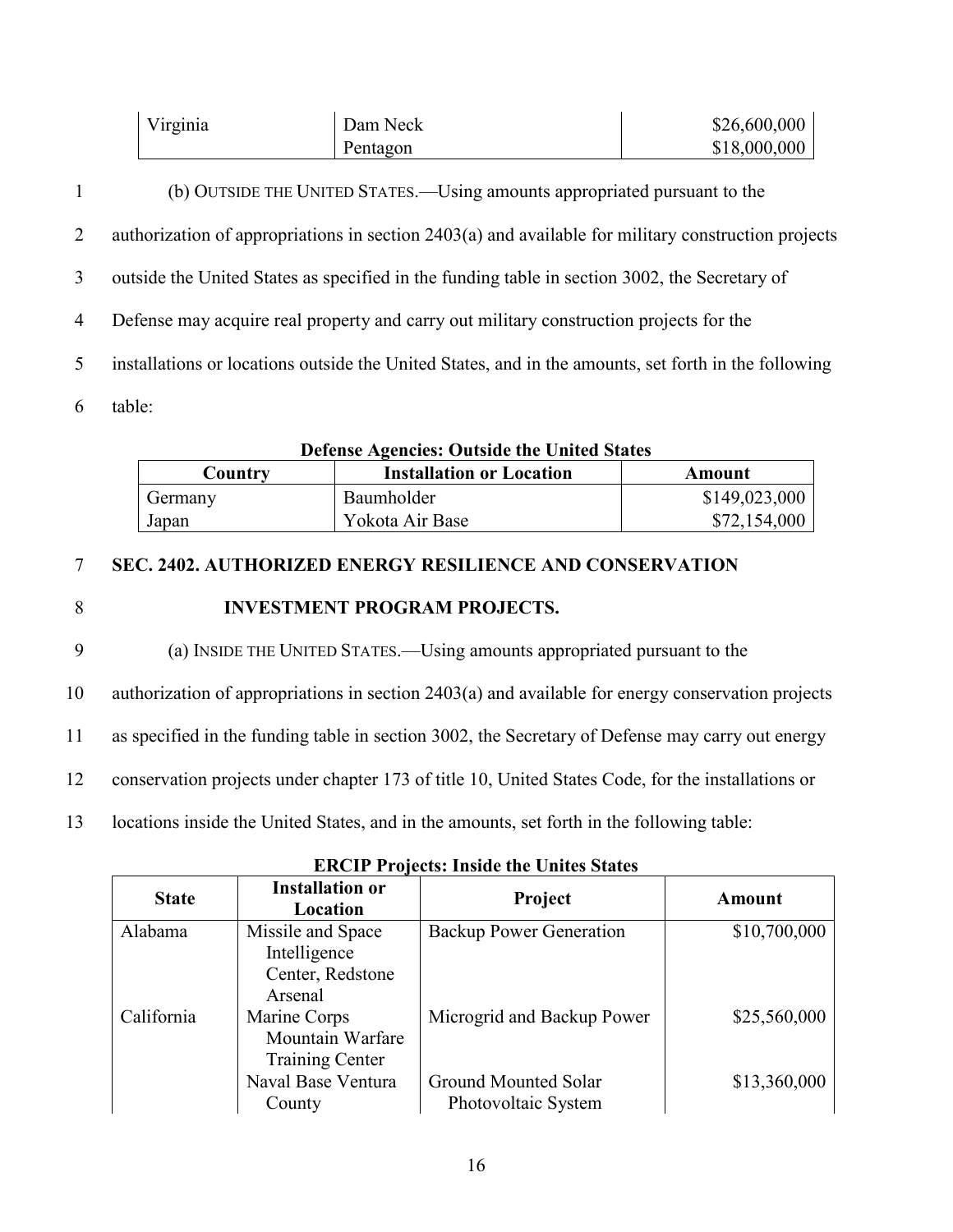| Virginia | Dam Neck | \$26,600,000 |
|----------|----------|--------------|
|          | Pentagon | \$18,000,000 |

| $\mathbf{1}$   | (b) OUTSIDE THE UNITED STATES.—Using amounts appropriated pursuant to the                            |
|----------------|------------------------------------------------------------------------------------------------------|
| $\overline{2}$ | authorization of appropriations in section 2403(a) and available for military construction projects  |
| 3              | outside the United States as specified in the funding table in section 3002, the Secretary of        |
| $\overline{4}$ | Defense may acquire real property and carry out military construction projects for the               |
| 5              | installations or locations outside the United States, and in the amounts, set forth in the following |
| 6              | table:                                                                                               |

| Defense Agencies: Outside the United States |                 |               |  |
|---------------------------------------------|-----------------|---------------|--|
| Country                                     | Amount          |               |  |
| Germany                                     | Baumholder      | \$149,023,000 |  |
| Japan                                       | Yokota Air Base | \$72,154,000  |  |

## **Defense Agencies: Outside the United States**

#### 7 **SEC. 2402. AUTHORIZED ENERGY RESILIENCE AND CONSERVATION**

#### 8 **INVESTMENT PROGRAM PROJECTS.**

9 (a) INSIDE THE UNITED STATES.—Using amounts appropriated pursuant to the

10 authorization of appropriations in section 2403(a) and available for energy conservation projects

11 as specified in the funding table in section 3002, the Secretary of Defense may carry out energy

- 12 conservation projects under chapter 173 of title 10, United States Code, for the installations or
- 13 locations inside the United States, and in the amounts, set forth in the following table:

| <b>State</b> | <b>Installation or</b><br>Location                               | Project                                     | Amount       |
|--------------|------------------------------------------------------------------|---------------------------------------------|--------------|
| Alabama      | Missile and Space<br>Intelligence<br>Center, Redstone<br>Arsenal | Backup Power Generation                     | \$10,700,000 |
| California   | Marine Corps<br>Mountain Warfare<br><b>Training Center</b>       | Microgrid and Backup Power                  | \$25,560,000 |
|              | Naval Base Ventura<br>County                                     | Ground Mounted Solar<br>Photovoltaic System | \$13,360,000 |

#### **ERCIP Projects: Inside the Unites States**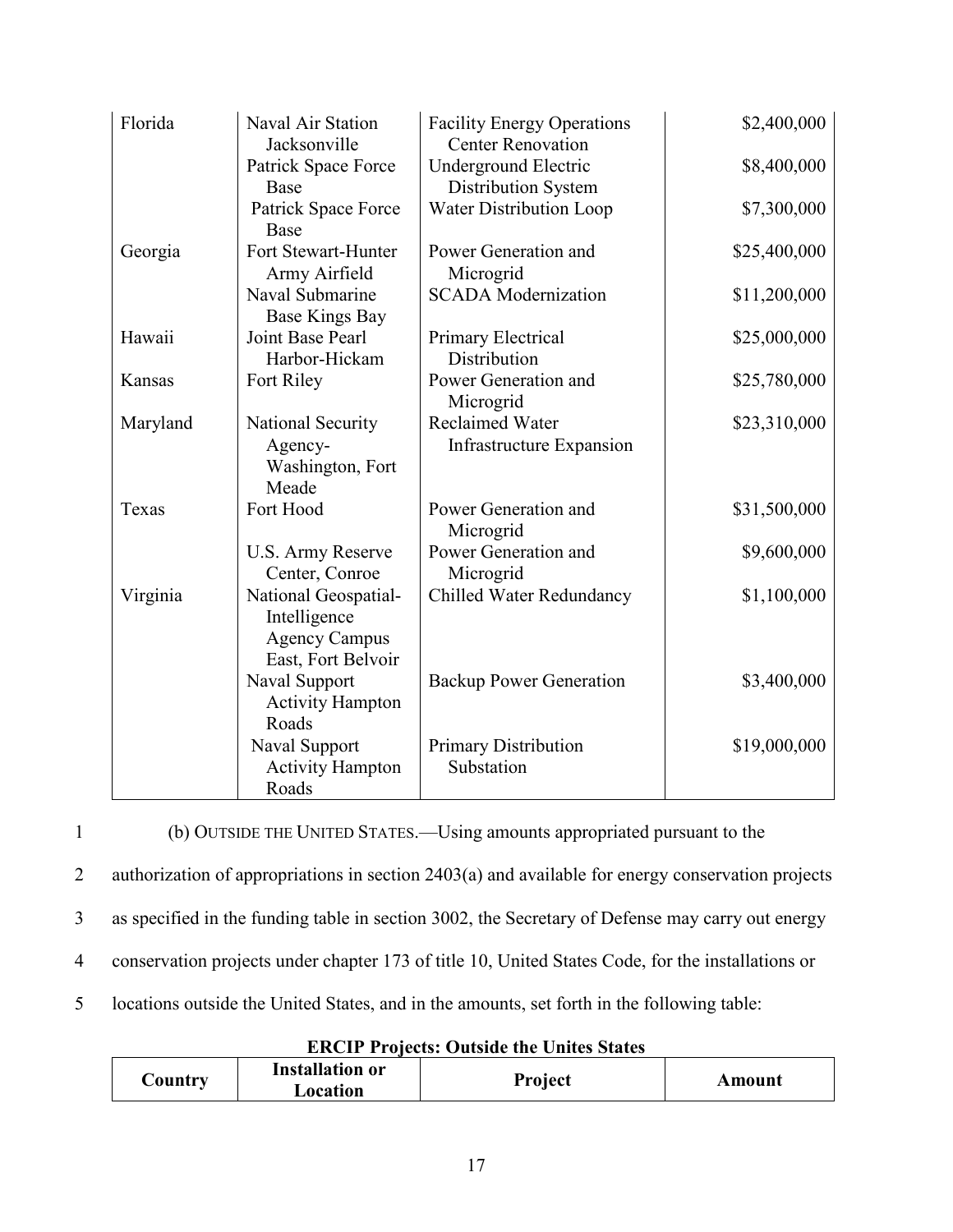| Florida  | Naval Air Station<br>Jacksonville                                                  | <b>Facility Energy Operations</b><br><b>Center Renovation</b> | \$2,400,000  |
|----------|------------------------------------------------------------------------------------|---------------------------------------------------------------|--------------|
|          | Patrick Space Force<br>Base                                                        | <b>Underground Electric</b><br>Distribution System            | \$8,400,000  |
|          | Patrick Space Force<br>Base                                                        | <b>Water Distribution Loop</b>                                | \$7,300,000  |
| Georgia  | Fort Stewart-Hunter<br>Army Airfield                                               | Power Generation and<br>Microgrid                             | \$25,400,000 |
|          | Naval Submarine<br><b>Base Kings Bay</b>                                           | <b>SCADA</b> Modernization                                    | \$11,200,000 |
| Hawaii   | Joint Base Pearl<br>Harbor-Hickam                                                  | Primary Electrical<br>Distribution                            | \$25,000,000 |
| Kansas   | Fort Riley                                                                         | Power Generation and<br>Microgrid                             | \$25,780,000 |
| Maryland | National Security<br>Agency-<br>Washington, Fort<br>Meade                          | <b>Reclaimed Water</b><br>Infrastructure Expansion            | \$23,310,000 |
| Texas    | Fort Hood                                                                          | Power Generation and<br>Microgrid                             | \$31,500,000 |
|          | U.S. Army Reserve<br>Center, Conroe                                                | Power Generation and<br>Microgrid                             | \$9,600,000  |
| Virginia | National Geospatial-<br>Intelligence<br><b>Agency Campus</b><br>East, Fort Belvoir | Chilled Water Redundancy                                      | \$1,100,000  |
|          | Naval Support<br><b>Activity Hampton</b><br>Roads                                  | <b>Backup Power Generation</b>                                | \$3,400,000  |
|          | Naval Support<br><b>Activity Hampton</b><br>Roads                                  | <b>Primary Distribution</b><br>Substation                     | \$19,000,000 |

1 (b) OUTSIDE THE UNITED STATES.—Using amounts appropriated pursuant to the

2 authorization of appropriations in section 2403(a) and available for energy conservation projects

3 as specified in the funding table in section 3002, the Secretary of Defense may carry out energy

4 conservation projects under chapter 173 of title 10, United States Code, for the installations or

5 locations outside the United States, and in the amounts, set forth in the following table:

**ERCIP Projects: Outside the Unites States**

| <b>Installation or</b><br>$\mathcal{\cup}$ ountry<br>Location | <b>Project</b> | Amount |
|---------------------------------------------------------------|----------------|--------|
|---------------------------------------------------------------|----------------|--------|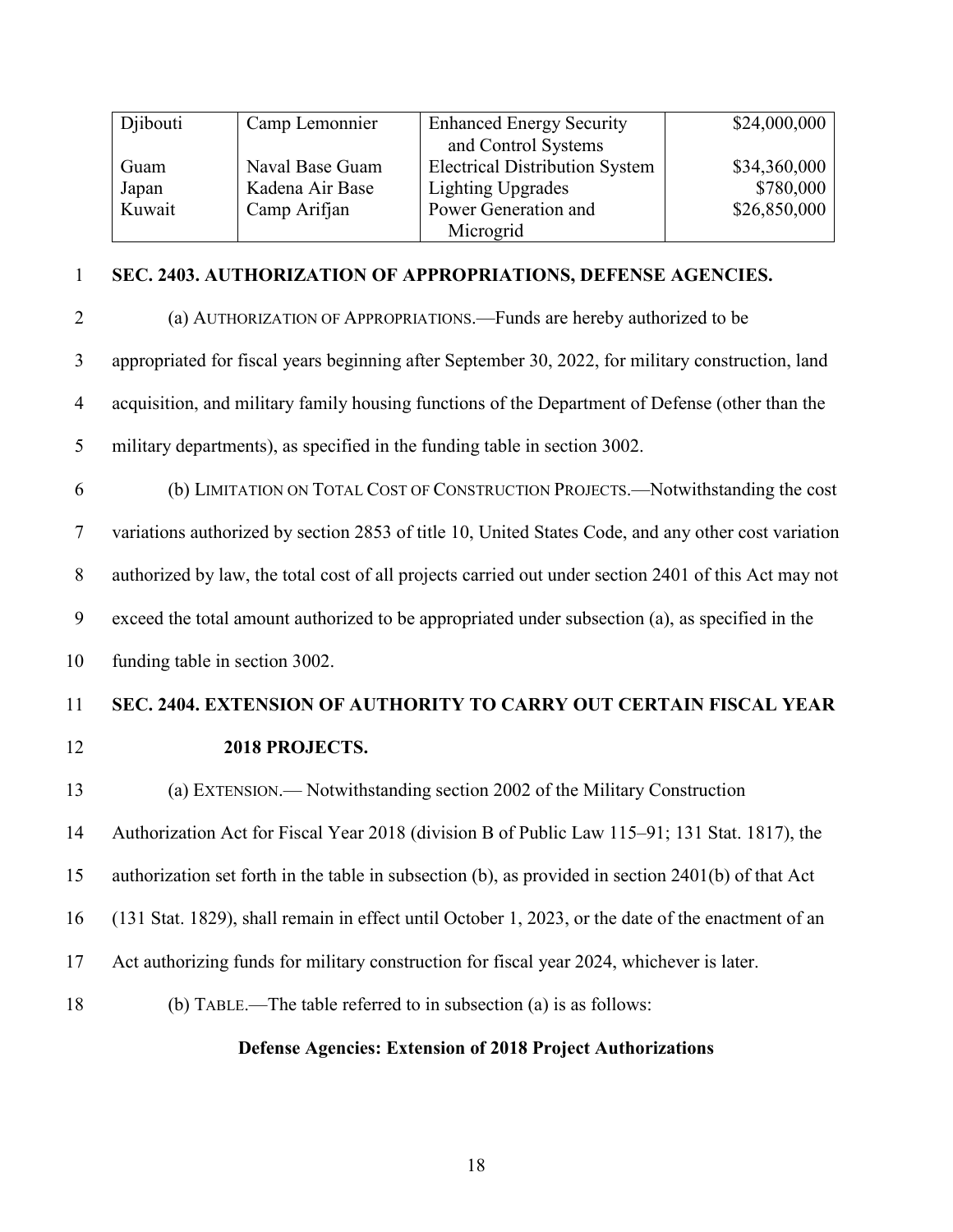| Djibouti | Camp Lemonnier  | <b>Enhanced Energy Security</b>       | \$24,000,000 |
|----------|-----------------|---------------------------------------|--------------|
|          |                 | and Control Systems                   |              |
| Guam     | Naval Base Guam | <b>Electrical Distribution System</b> | \$34,360,000 |
| Japan    | Kadena Air Base | Lighting Upgrades                     | \$780,000    |
| Kuwait   | Camp Arifjan    | Power Generation and                  | \$26,850,000 |
|          |                 | Microgrid                             |              |

#### **SEC. 2403. AUTHORIZATION OF APPROPRIATIONS, DEFENSE AGENCIES.**

- (a) AUTHORIZATION OF APPROPRIATIONS.—Funds are hereby authorized to be appropriated for fiscal years beginning after September 30, 2022, for military construction, land acquisition, and military family housing functions of the Department of Defense (other than the military departments), as specified in the funding table in section 3002.
- (b) LIMITATION ON TOTAL COST OF CONSTRUCTION PROJECTS.—Notwithstanding the cost

variations authorized by section 2853 of title 10, United States Code, and any other cost variation

authorized by law, the total cost of all projects carried out under section 2401 of this Act may not

exceed the total amount authorized to be appropriated under subsection (a), as specified in the

funding table in section 3002.

#### **SEC. 2404. EXTENSION OF AUTHORITY TO CARRY OUT CERTAIN FISCAL YEAR**

#### **2018 PROJECTS.**

(a) EXTENSION.— Notwithstanding section 2002 of the Military Construction

Authorization Act for Fiscal Year 2018 (division B of Public Law 115–91; 131 Stat. 1817), the

authorization set forth in the table in subsection (b), as provided in section 2401(b) of that Act

(131 Stat. 1829), shall remain in effect until October 1, 2023, or the date of the enactment of an

- Act authorizing funds for military construction for fiscal year 2024, whichever is later.
- (b) TABLE.—The table referred to in subsection (a) is as follows:

#### **Defense Agencies: Extension of 2018 Project Authorizations**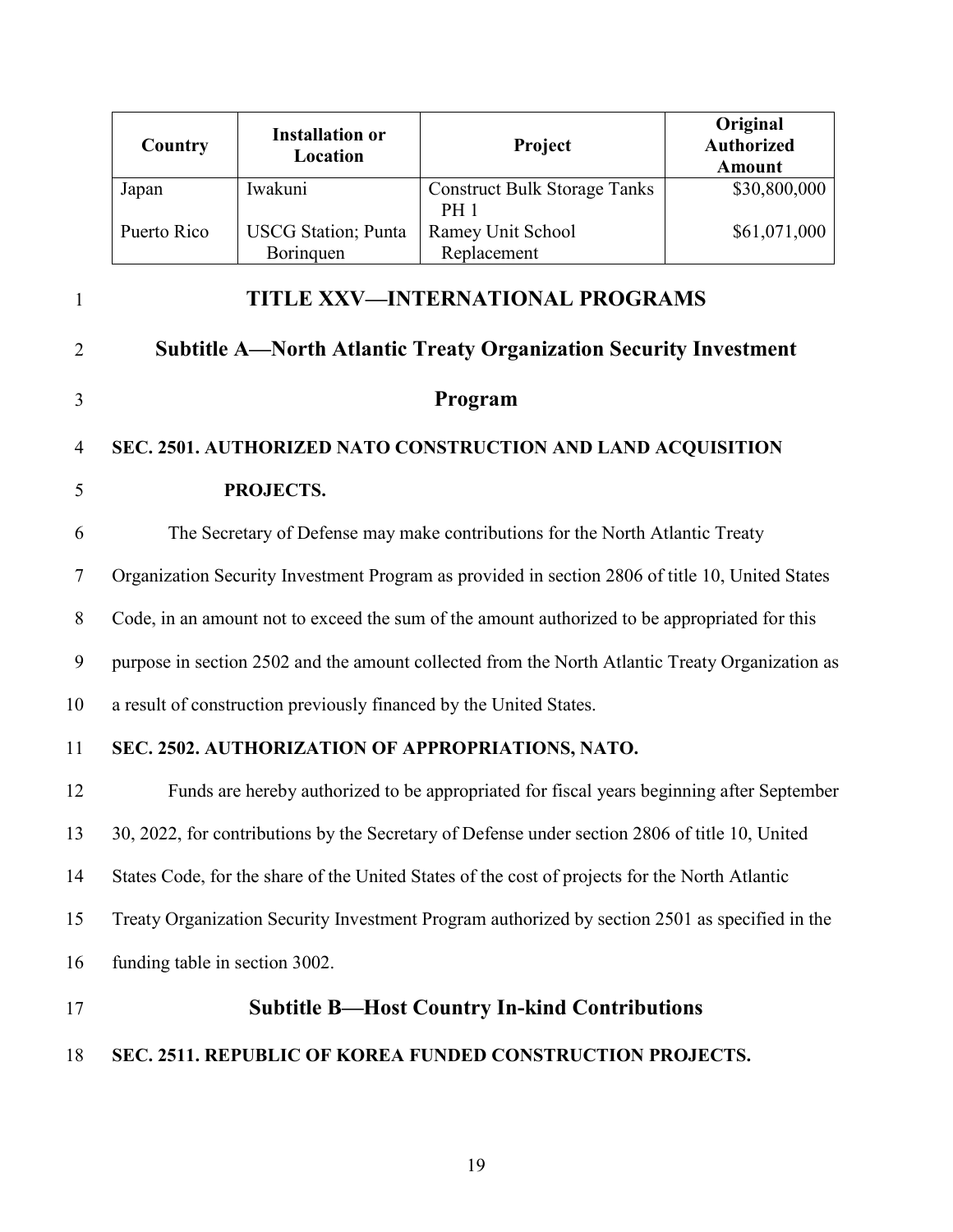| Country     | <b>Installation or</b><br>Location | Project                             | Original<br><b>Authorized</b><br><b>Amount</b> |
|-------------|------------------------------------|-------------------------------------|------------------------------------------------|
| Japan       | Iwakuni                            | <b>Construct Bulk Storage Tanks</b> | \$30,800,000                                   |
|             |                                    | <b>PH</b> 1                         |                                                |
| Puerto Rico | <b>USCG</b> Station; Punta         | Ramey Unit School                   | \$61,071,000                                   |
|             | Boringuen                          | Replacement                         |                                                |

2 **Subtitle A—North Atlantic Treaty Organization Security Investment** 

1 **TITLE XXV—INTERNATIONAL PROGRAMS**

# 3 **Program**

#### 4 **SEC. 2501. AUTHORIZED NATO CONSTRUCTION AND LAND ACQUISITION**

### 5 **PROJECTS.**

6 The Secretary of Defense may make contributions for the North Atlantic Treaty 7 Organization Security Investment Program as provided in section 2806 of title 10, United States 8 Code, in an amount not to exceed the sum of the amount authorized to be appropriated for this

9 purpose in section 2502 and the amount collected from the North Atlantic Treaty Organization as

10 a result of construction previously financed by the United States.

#### 11 **SEC. 2502. AUTHORIZATION OF APPROPRIATIONS, NATO.**

 Funds are hereby authorized to be appropriated for fiscal years beginning after September 30, 2022, for contributions by the Secretary of Defense under section 2806 of title 10, United States Code, for the share of the United States of the cost of projects for the North Atlantic Treaty Organization Security Investment Program authorized by section 2501 as specified in the funding table in section 3002.

### 17 **Subtitle B—Host Country In-kind Contributions**

#### 18 **SEC. 2511. REPUBLIC OF KOREA FUNDED CONSTRUCTION PROJECTS.**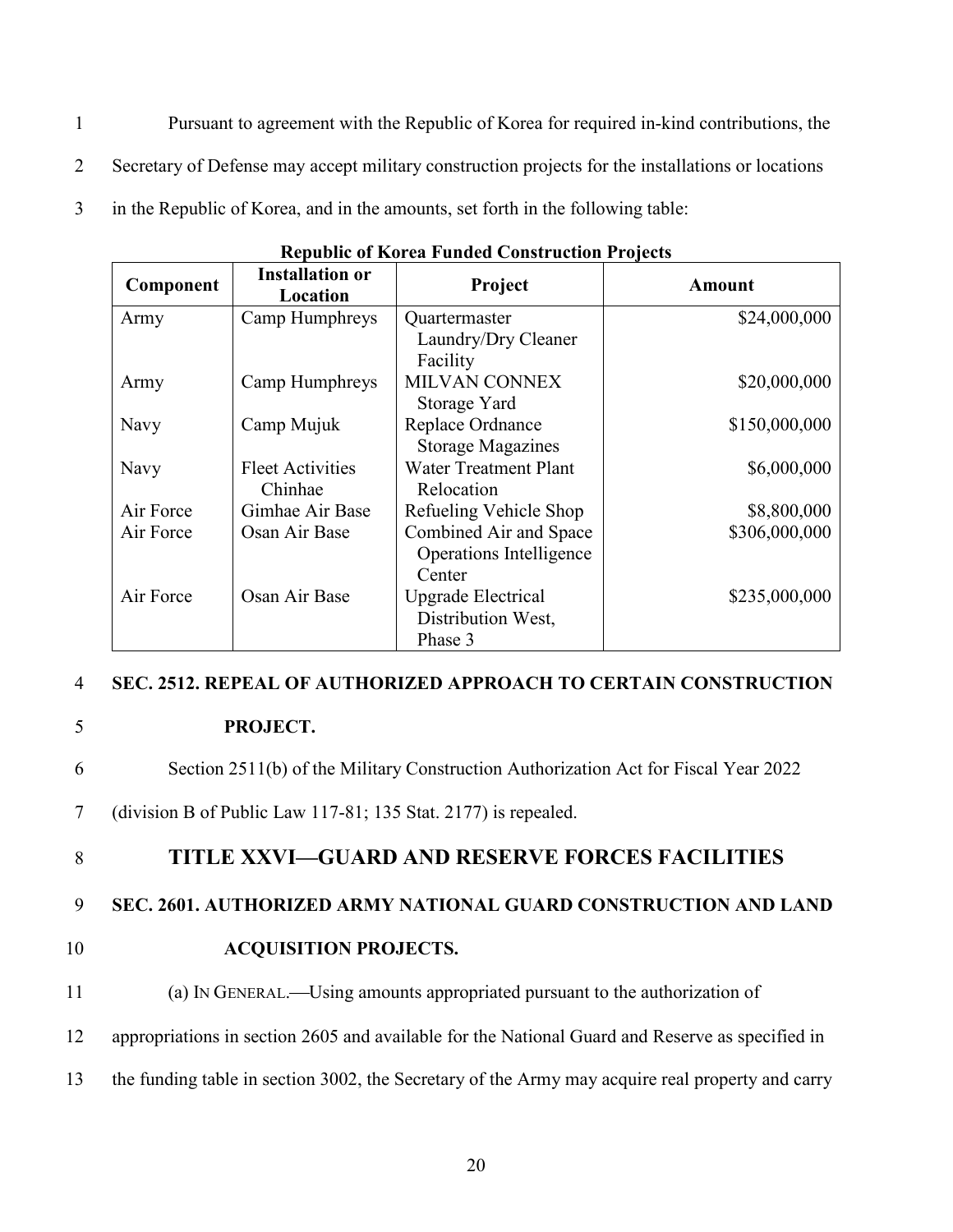- 1 Pursuant to agreement with the Republic of Korea for required in-kind contributions, the
- 2 Secretary of Defense may accept military construction projects for the installations or locations
- 3 in the Republic of Korea, and in the amounts, set forth in the following table:

| Component | <b>Installation or</b><br>Location | Project                      | <b>Amount</b> |
|-----------|------------------------------------|------------------------------|---------------|
| Army      | Camp Humphreys                     | Quartermaster                | \$24,000,000  |
|           |                                    | Laundry/Dry Cleaner          |               |
|           |                                    | Facility                     |               |
| Army      | Camp Humphreys                     | <b>MILVAN CONNEX</b>         | \$20,000,000  |
|           |                                    | Storage Yard                 |               |
| Navy      | Camp Mujuk                         | Replace Ordnance             | \$150,000,000 |
|           |                                    | <b>Storage Magazines</b>     |               |
| Navy      | <b>Fleet Activities</b>            | <b>Water Treatment Plant</b> | \$6,000,000   |
|           | Chinhae                            | Relocation                   |               |
| Air Force | Gimhae Air Base                    | Refueling Vehicle Shop       | \$8,800,000   |
| Air Force | Osan Air Base                      | Combined Air and Space       | \$306,000,000 |
|           |                                    | Operations Intelligence      |               |
|           |                                    | Center                       |               |
| Air Force | Osan Air Base                      | Upgrade Electrical           | \$235,000,000 |
|           |                                    | Distribution West,           |               |
|           |                                    | Phase 3                      |               |

| <b>Republic of Korea Funded Construction Projects</b> |
|-------------------------------------------------------|
|-------------------------------------------------------|

#### 4 **SEC. 2512. REPEAL OF AUTHORIZED APPROACH TO CERTAIN CONSTRUCTION**

- 5 **PROJECT.**
- 6 Section 2511(b) of the Military Construction Authorization Act for Fiscal Year 2022
- 7 (division B of Public Law 117-81; 135 Stat. 2177) is repealed.

#### 8 **TITLE XXVI—GUARD AND RESERVE FORCES FACILITIES**

#### 9 **SEC. 2601. AUTHORIZED ARMY NATIONAL GUARD CONSTRUCTION AND LAND**

- 10 **ACQUISITION PROJECTS.**
- 11 (a) IN GENERAL.—Using amounts appropriated pursuant to the authorization of
- 12 appropriations in section 2605 and available for the National Guard and Reserve as specified in
- 13 the funding table in section 3002, the Secretary of the Army may acquire real property and carry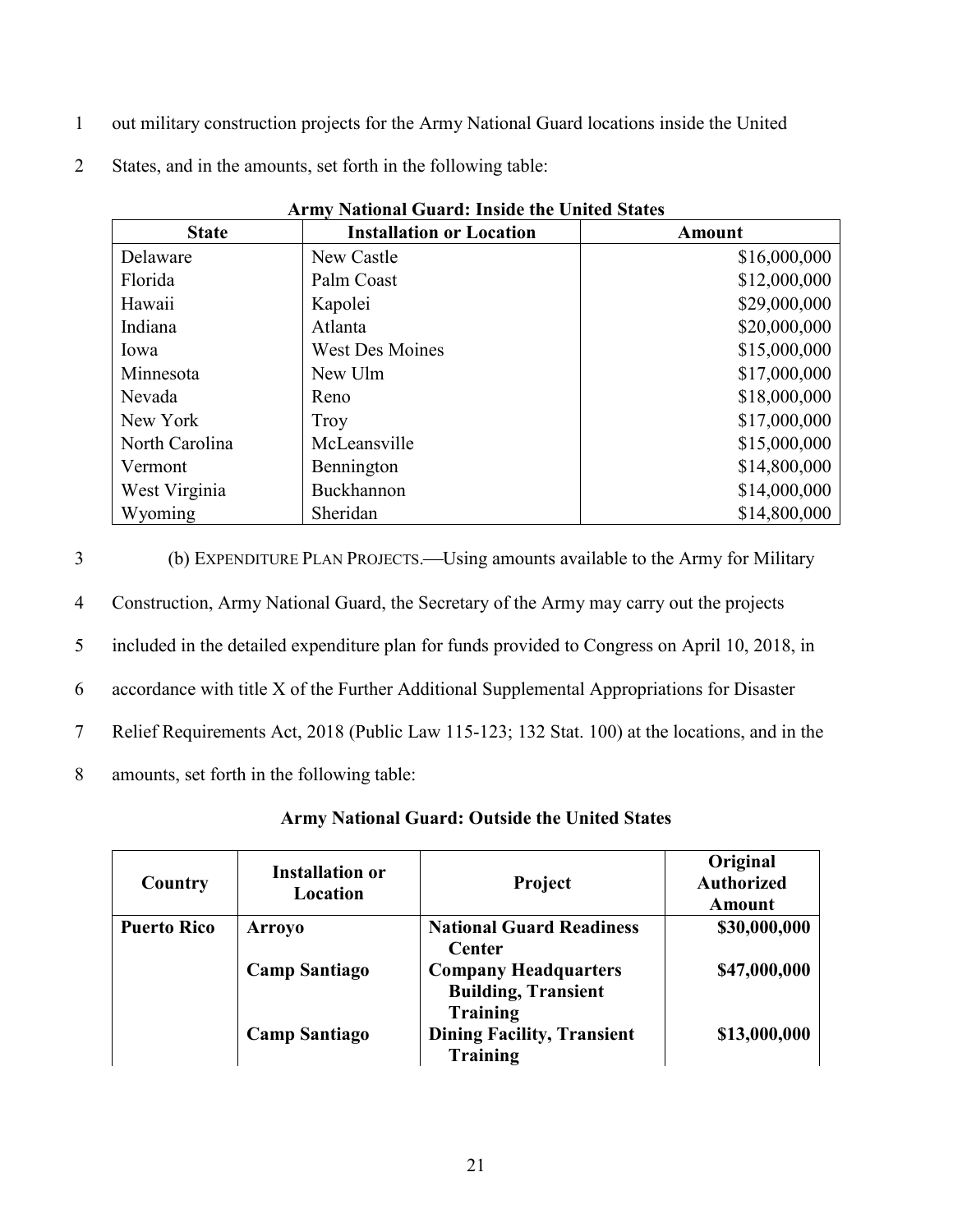- 1 out military construction projects for the Army National Guard locations inside the United
- 2 States, and in the amounts, set forth in the following table:

| Ariny National Guard: Inside the United States |                                 |              |  |
|------------------------------------------------|---------------------------------|--------------|--|
| <b>State</b>                                   | <b>Installation or Location</b> | Amount       |  |
| Delaware                                       | New Castle                      | \$16,000,000 |  |
| Florida                                        | Palm Coast                      | \$12,000,000 |  |
| Hawaii                                         | Kapolei                         | \$29,000,000 |  |
| Indiana                                        | Atlanta                         | \$20,000,000 |  |
| Iowa                                           | <b>West Des Moines</b>          | \$15,000,000 |  |
| Minnesota                                      | New Ulm                         | \$17,000,000 |  |
| Nevada                                         | Reno                            | \$18,000,000 |  |
| New York                                       | Troy                            | \$17,000,000 |  |
| North Carolina                                 | McLeansville                    | \$15,000,000 |  |
| Vermont                                        | Bennington                      | \$14,800,000 |  |
| West Virginia                                  | Buckhannon                      | \$14,000,000 |  |
| Wyoming                                        | Sheridan                        | \$14,800,000 |  |

**Army National Guard: Inside the United States**

| 3 | (b) EXPENDITURE PLAN PROJECTS.—Using amounts available to the Army for Military                |
|---|------------------------------------------------------------------------------------------------|
| 4 | Construction, Army National Guard, the Secretary of the Army may carry out the projects        |
| 5 | included in the detailed expenditure plan for funds provided to Congress on April 10, 2018, in |
| 6 | accordance with title X of the Further Additional Supplemental Appropriations for Disaster     |
|   | Relief Requirements Act, 2018 (Public Law 115-123; 132 Stat. 100) at the locations, and in the |
| 8 | amounts, set forth in the following table:                                                     |

#### **Army National Guard: Outside the United States**

| Country            | <b>Installation or</b><br>Location | <b>Project</b>                                            | Original<br><b>Authorized</b><br>Amount |
|--------------------|------------------------------------|-----------------------------------------------------------|-----------------------------------------|
| <b>Puerto Rico</b> | <b>Arroyo</b>                      | <b>National Guard Readiness</b><br>Center                 | \$30,000,000                            |
|                    | <b>Camp Santiago</b>               | <b>Company Headquarters</b><br><b>Building, Transient</b> | \$47,000,000                            |
|                    | <b>Camp Santiago</b>               | Training<br><b>Dining Facility, Transient</b><br>Training | \$13,000,000                            |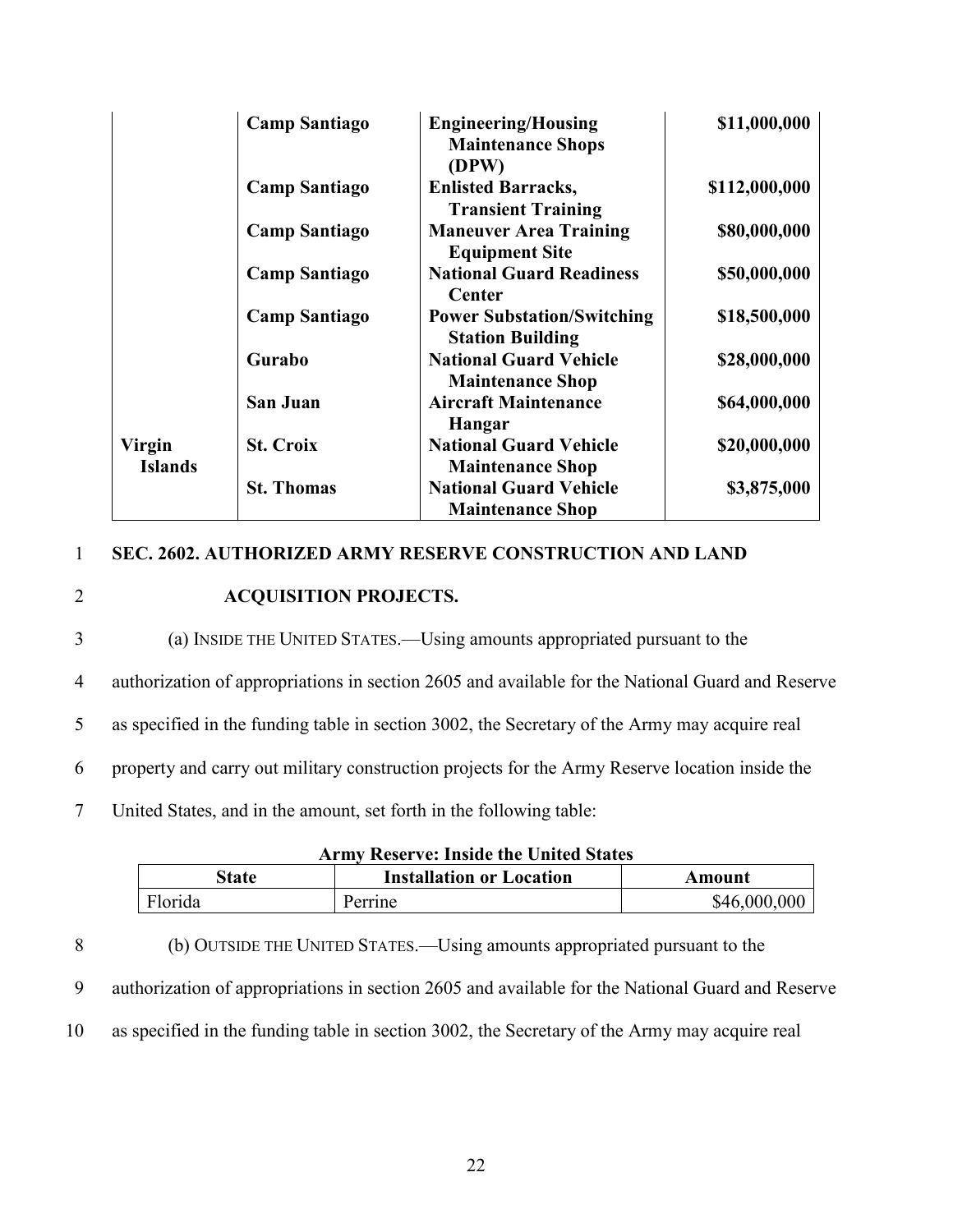|                | <b>Camp Santiago</b> | <b>Engineering/Housing</b><br><b>Maintenance Shops</b><br>(DPW) | \$11,000,000  |
|----------------|----------------------|-----------------------------------------------------------------|---------------|
|                | <b>Camp Santiago</b> | <b>Enlisted Barracks,</b><br><b>Transient Training</b>          | \$112,000,000 |
|                | <b>Camp Santiago</b> | <b>Maneuver Area Training</b><br><b>Equipment Site</b>          | \$80,000,000  |
|                | <b>Camp Santiago</b> | <b>National Guard Readiness</b><br>Center                       | \$50,000,000  |
|                | <b>Camp Santiago</b> | <b>Power Substation/Switching</b><br><b>Station Building</b>    | \$18,500,000  |
|                | Gurabo               | <b>National Guard Vehicle</b><br><b>Maintenance Shop</b>        | \$28,000,000  |
|                | <b>San Juan</b>      | <b>Aircraft Maintenance</b><br>Hangar                           | \$64,000,000  |
| <b>Virgin</b>  | <b>St. Croix</b>     | <b>National Guard Vehicle</b>                                   | \$20,000,000  |
| <b>Islands</b> |                      | <b>Maintenance Shop</b>                                         |               |
|                | <b>St. Thomas</b>    | <b>National Guard Vehicle</b>                                   | \$3,875,000   |
|                |                      | <b>Maintenance Shop</b>                                         |               |

#### 1 **SEC. 2602. AUTHORIZED ARMY RESERVE CONSTRUCTION AND LAND**

#### 2 **ACQUISITION PROJECTS.**

- 3 (a) INSIDE THE UNITED STATES.—Using amounts appropriated pursuant to the
- 4 authorization of appropriations in section 2605 and available for the National Guard and Reserve

5 as specified in the funding table in section 3002, the Secretary of the Army may acquire real

6 property and carry out military construction projects for the Army Reserve location inside the

7 United States, and in the amount, set forth in the following table:

| <b>Army Reserve: Inside the United States</b> |  |  |
|-----------------------------------------------|--|--|
|-----------------------------------------------|--|--|

| state   | <b>Installation or Location</b> | Amount       |
|---------|---------------------------------|--------------|
| Florida | errine                          | \$46,000,000 |

8 (b) OUTSIDE THE UNITED STATES.—Using amounts appropriated pursuant to the 9 authorization of appropriations in section 2605 and available for the National Guard and Reserve 10 as specified in the funding table in section 3002, the Secretary of the Army may acquire real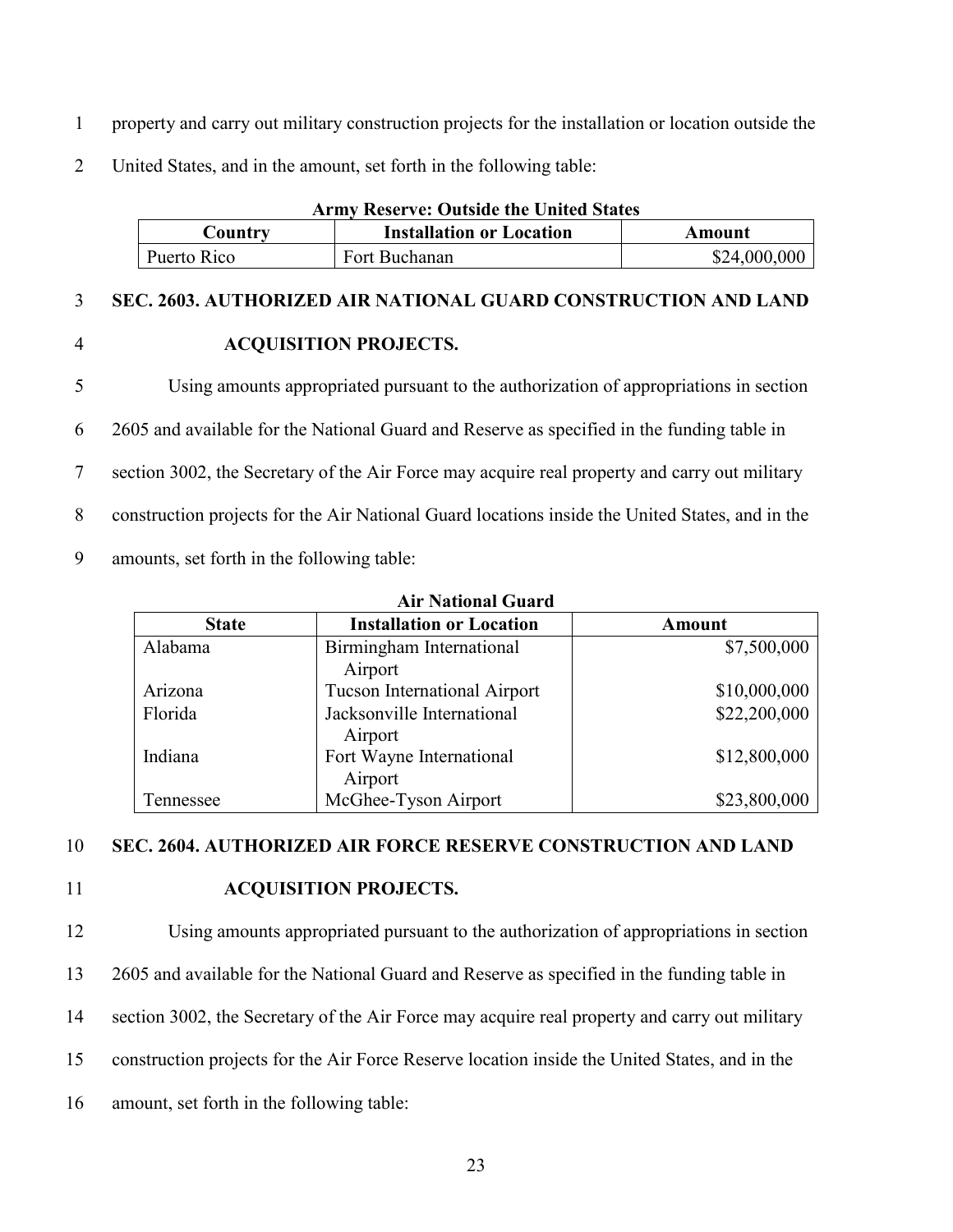- 1 property and carry out military construction projects for the installation or location outside the
- 2 United States, and in the amount, set forth in the following table:

| <b>Army Reserve: Outside the United States</b> |                                 |              |
|------------------------------------------------|---------------------------------|--------------|
| Country                                        | <b>Installation or Location</b> | Amount       |
| Puerto Rico                                    | Fort Buchanan                   | \$24,000,000 |

#### 3 **SEC. 2603. AUTHORIZED AIR NATIONAL GUARD CONSTRUCTION AND LAND**

#### 4 **ACQUISITION PROJECTS.**

 Using amounts appropriated pursuant to the authorization of appropriations in section 2605 and available for the National Guard and Reserve as specified in the funding table in section 3002, the Secretary of the Air Force may acquire real property and carry out military construction projects for the Air National Guard locations inside the United States, and in the amounts, set forth in the following table:

| <b>Air National Guard</b> |                                       |              |  |
|---------------------------|---------------------------------------|--------------|--|
| <b>State</b>              | <b>Installation or Location</b>       | Amount       |  |
| Alabama                   | Birmingham International<br>Airport   | \$7,500,000  |  |
| Arizona                   | Tucson International Airport          | \$10,000,000 |  |
| Florida                   | Jacksonville International<br>Airport | \$22,200,000 |  |
| Indiana                   | Fort Wayne International<br>Airport   | \$12,800,000 |  |
| Tennessee                 | McGhee-Tyson Airport                  | \$23,800,000 |  |

10 **SEC. 2604. AUTHORIZED AIR FORCE RESERVE CONSTRUCTION AND LAND** 

#### 11 **ACQUISITION PROJECTS.**

 Using amounts appropriated pursuant to the authorization of appropriations in section 2605 and available for the National Guard and Reserve as specified in the funding table in section 3002, the Secretary of the Air Force may acquire real property and carry out military construction projects for the Air Force Reserve location inside the United States, and in the amount, set forth in the following table: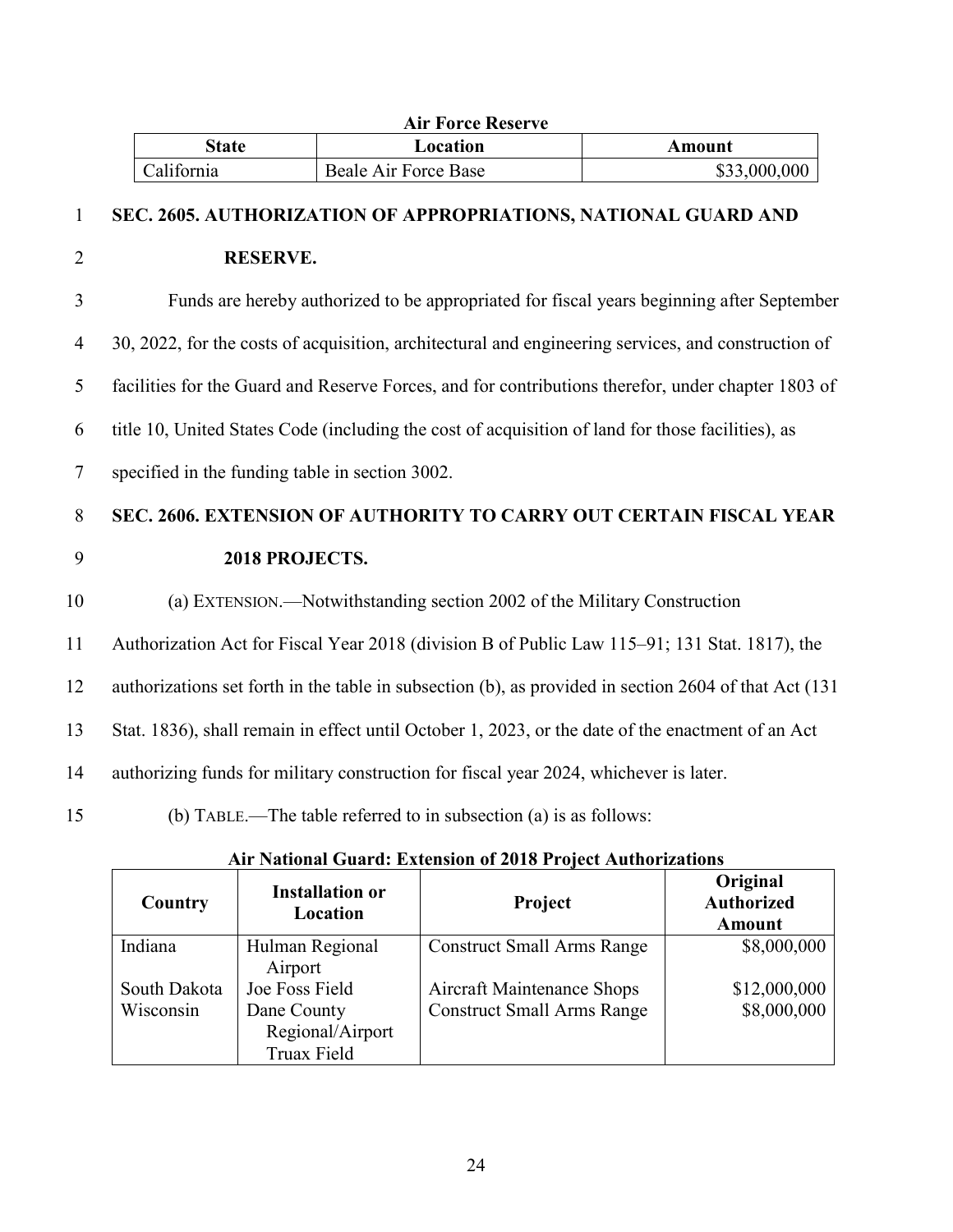|                |                                                 | <b>Air Force Reserve</b>                                                                          |                                                                                                       |
|----------------|-------------------------------------------------|---------------------------------------------------------------------------------------------------|-------------------------------------------------------------------------------------------------------|
|                | <b>State</b>                                    | Location                                                                                          | <b>Amount</b>                                                                                         |
|                | California                                      | <b>Beale Air Force Base</b>                                                                       | \$33,000,000                                                                                          |
| $\mathbf{1}$   |                                                 | SEC. 2605. AUTHORIZATION OF APPROPRIATIONS, NATIONAL GUARD AND                                    |                                                                                                       |
| $\overline{2}$ | <b>RESERVE.</b>                                 |                                                                                                   |                                                                                                       |
| 3              |                                                 |                                                                                                   | Funds are hereby authorized to be appropriated for fiscal years beginning after September             |
| $\overline{4}$ |                                                 |                                                                                                   | 30, 2022, for the costs of acquisition, architectural and engineering services, and construction of   |
| 5              |                                                 |                                                                                                   | facilities for the Guard and Reserve Forces, and for contributions therefor, under chapter 1803 of    |
| 6              |                                                 | title 10, United States Code (including the cost of acquisition of land for those facilities), as |                                                                                                       |
| $\tau$         | specified in the funding table in section 3002. |                                                                                                   |                                                                                                       |
| 8              |                                                 |                                                                                                   | SEC. 2606. EXTENSION OF AUTHORITY TO CARRY OUT CERTAIN FISCAL YEAR                                    |
| 9              | 2018 PROJECTS.                                  |                                                                                                   |                                                                                                       |
| 10             |                                                 | (a) EXTENSION.—Notwithstanding section 2002 of the Military Construction                          |                                                                                                       |
| 11             |                                                 | Authorization Act for Fiscal Year 2018 (division B of Public Law 115–91; 131 Stat. 1817), the     |                                                                                                       |
| 12             |                                                 |                                                                                                   | authorizations set forth in the table in subsection (b), as provided in section 2604 of that Act (131 |
| 13             |                                                 | Stat. 1836), shall remain in effect until October 1, 2023, or the date of the enactment of an Act |                                                                                                       |
| 14             |                                                 | authorizing funds for military construction for fiscal year 2024, whichever is later.             |                                                                                                       |
| 15             |                                                 | (b) TABLE.—The table referred to in subsection (a) is as follows:                                 |                                                                                                       |
|                |                                                 |                                                                                                   |                                                                                                       |

| Country                   | <b>Installation or</b><br>Location                               | <b>Project</b>                                                         | Original<br><b>Authorized</b><br><b>Amount</b> |
|---------------------------|------------------------------------------------------------------|------------------------------------------------------------------------|------------------------------------------------|
| Indiana                   | Hulman Regional<br>Airport                                       | <b>Construct Small Arms Range</b>                                      | \$8,000,000                                    |
| South Dakota<br>Wisconsin | Joe Foss Field<br>Dane County<br>Regional/Airport<br>Truax Field | <b>Aircraft Maintenance Shops</b><br><b>Construct Small Arms Range</b> | \$12,000,000<br>\$8,000,000                    |

#### **Air National Guard: Extension of 2018 Project Authorizations**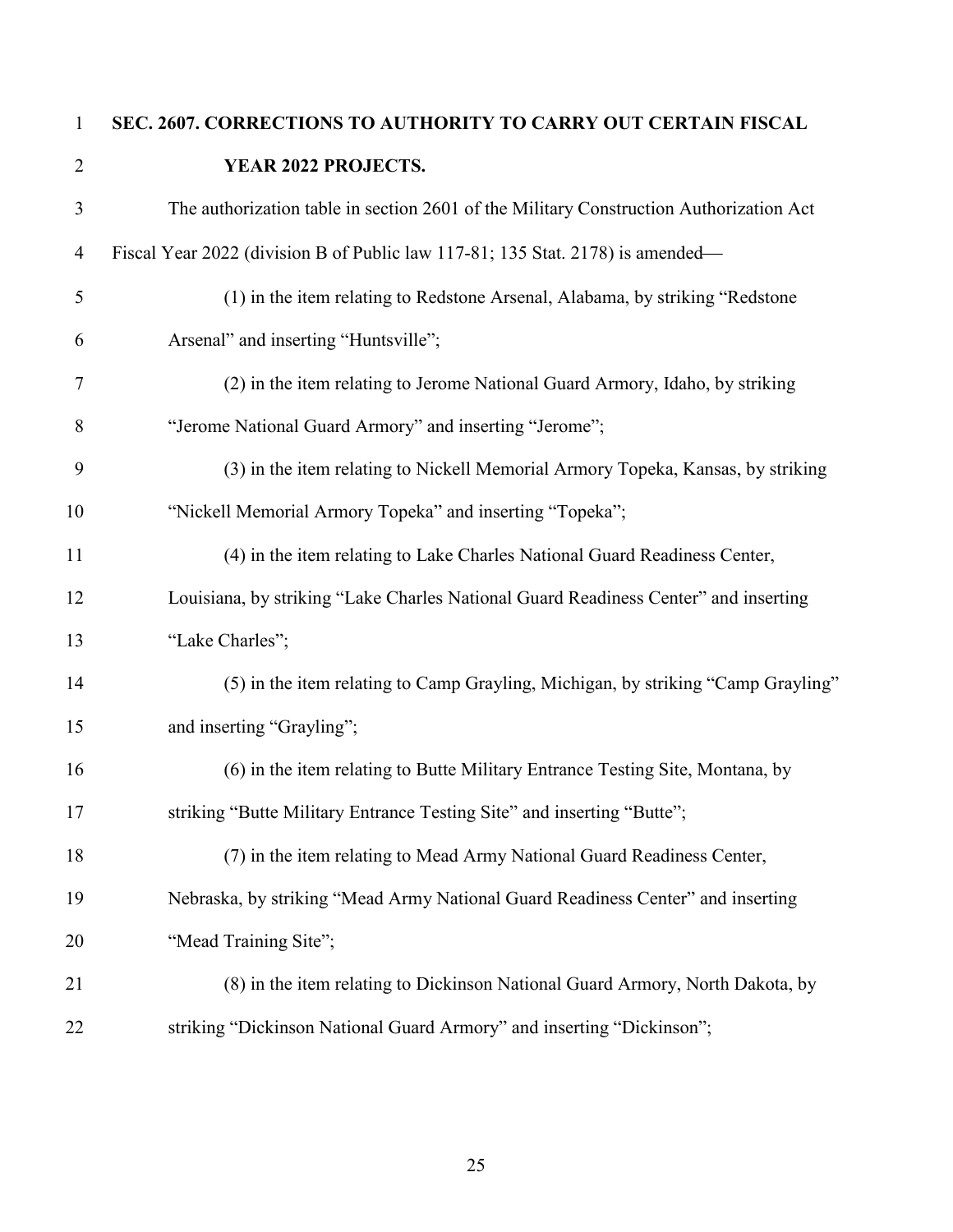**SEC. 2607. CORRECTIONS TO AUTHORITY TO CARRY OUT CERTAIN FISCAL YEAR 2022 PROJECTS.** The authorization table in section 2601 of the Military Construction Authorization Act Fiscal Year 2022 (division B of Public law 117-81; 135 Stat. 2178) is amended (1) in the item relating to Redstone Arsenal, Alabama, by striking "Redstone Arsenal" and inserting "Huntsville"; (2) in the item relating to Jerome National Guard Armory, Idaho, by striking "Jerome National Guard Armory" and inserting "Jerome"; (3) in the item relating to Nickell Memorial Armory Topeka, Kansas, by striking "Nickell Memorial Armory Topeka" and inserting "Topeka"; (4) in the item relating to Lake Charles National Guard Readiness Center, Louisiana, by striking "Lake Charles National Guard Readiness Center" and inserting "Lake Charles"; (5) in the item relating to Camp Grayling, Michigan, by striking "Camp Grayling" 15 and inserting "Grayling"; (6) in the item relating to Butte Military Entrance Testing Site, Montana, by 17 striking "Butte Military Entrance Testing Site" and inserting "Butte"; (7) in the item relating to Mead Army National Guard Readiness Center, Nebraska, by striking "Mead Army National Guard Readiness Center" and inserting 20 "Mead Training Site"; (8) in the item relating to Dickinson National Guard Armory, North Dakota, by striking "Dickinson National Guard Armory" and inserting "Dickinson";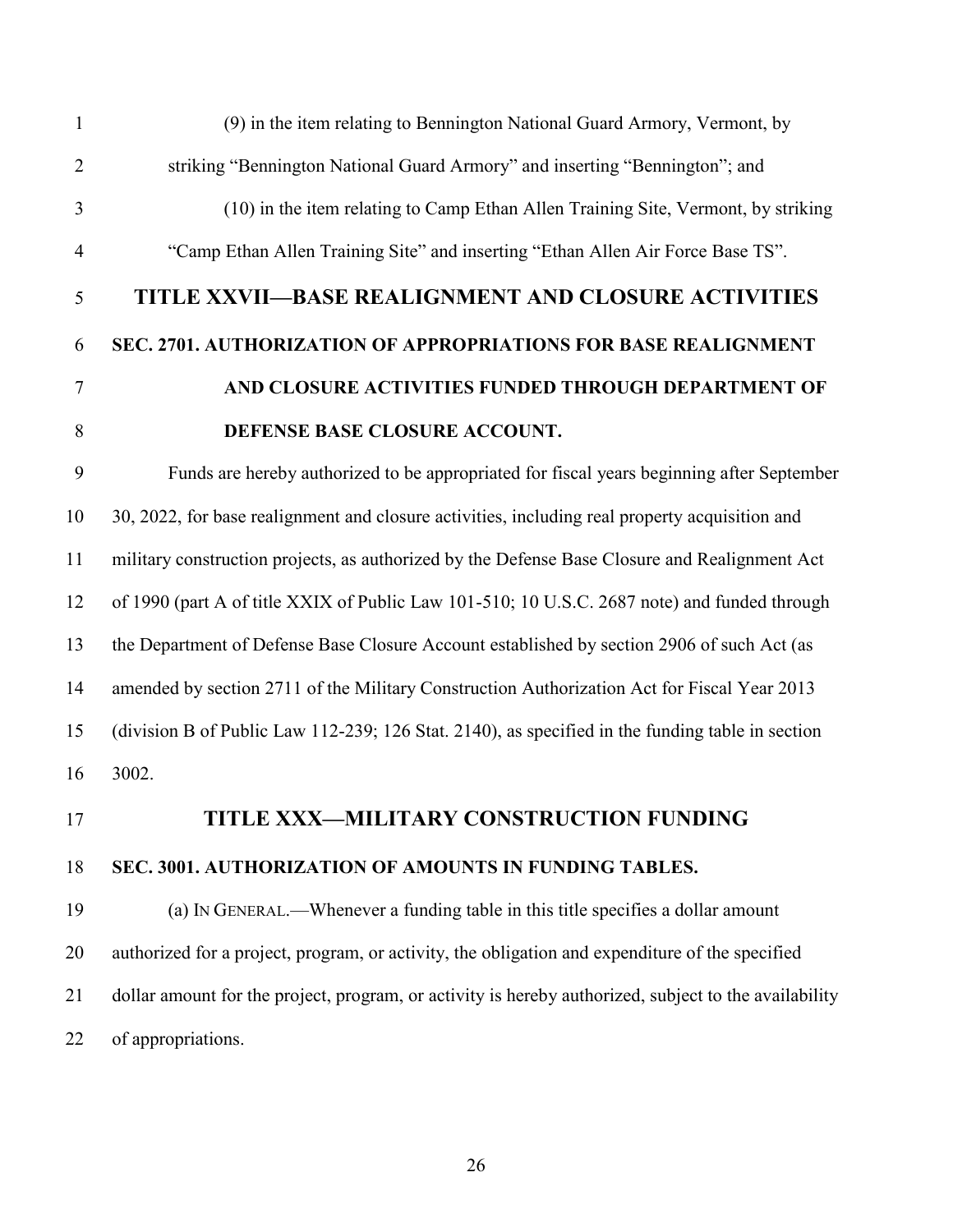| $\mathbf{1}$   | (9) in the item relating to Bennington National Guard Armory, Vermont, by                             |
|----------------|-------------------------------------------------------------------------------------------------------|
| $\overline{2}$ | striking "Bennington National Guard Armory" and inserting "Bennington"; and                           |
| 3              | (10) in the item relating to Camp Ethan Allen Training Site, Vermont, by striking                     |
| $\overline{4}$ | "Camp Ethan Allen Training Site" and inserting "Ethan Allen Air Force Base TS".                       |
| 5              | TITLE XXVII—BASE REALIGNMENT AND CLOSURE ACTIVITIES                                                   |
| 6              | SEC. 2701. AUTHORIZATION OF APPROPRIATIONS FOR BASE REALIGNMENT                                       |
| $\tau$         | AND CLOSURE ACTIVITIES FUNDED THROUGH DEPARTMENT OF                                                   |
| 8              | DEFENSE BASE CLOSURE ACCOUNT.                                                                         |
| 9              | Funds are hereby authorized to be appropriated for fiscal years beginning after September             |
| 10             | 30, 2022, for base realignment and closure activities, including real property acquisition and        |
| 11             | military construction projects, as authorized by the Defense Base Closure and Realignment Act         |
| 12             | of 1990 (part A of title XXIX of Public Law 101-510; 10 U.S.C. 2687 note) and funded through          |
| 13             | the Department of Defense Base Closure Account established by section 2906 of such Act (as            |
| 14             | amended by section 2711 of the Military Construction Authorization Act for Fiscal Year 2013           |
| 15             | (division B of Public Law 112-239; 126 Stat. 2140), as specified in the funding table in section      |
| 16             | 3002.                                                                                                 |
| 17             | TITLE XXX-MILITARY CONSTRUCTION FUNDING                                                               |
| 18             | SEC. 3001. AUTHORIZATION OF AMOUNTS IN FUNDING TABLES.                                                |
| 19             | (a) IN GENERAL.—Whenever a funding table in this title specifies a dollar amount                      |
| 20             | authorized for a project, program, or activity, the obligation and expenditure of the specified       |
| 21             | dollar amount for the project, program, or activity is hereby authorized, subject to the availability |
| 22             | of appropriations.                                                                                    |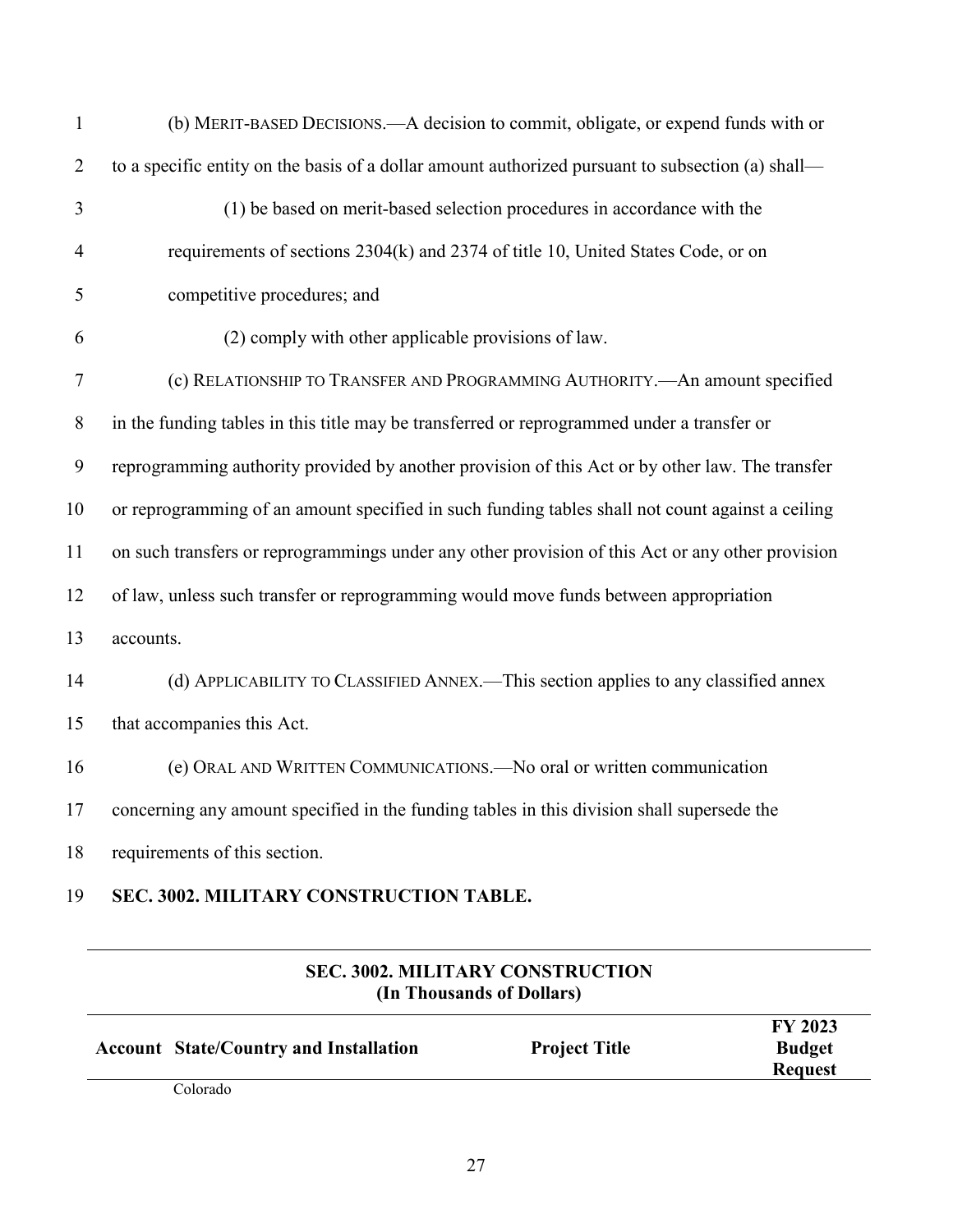| $\mathbf{1}$   | (b) MERIT-BASED DECISIONS.—A decision to commit, obligate, or expend funds with or                |
|----------------|---------------------------------------------------------------------------------------------------|
| $\overline{2}$ | to a specific entity on the basis of a dollar amount authorized pursuant to subsection (a) shall— |
| 3              | (1) be based on merit-based selection procedures in accordance with the                           |
| $\overline{4}$ | requirements of sections 2304(k) and 2374 of title 10, United States Code, or on                  |
| 5              | competitive procedures; and                                                                       |
| 6              | (2) comply with other applicable provisions of law.                                               |
| 7              | (c) RELATIONSHIP TO TRANSFER AND PROGRAMMING AUTHORITY. - An amount specified                     |
| $8\,$          | in the funding tables in this title may be transferred or reprogrammed under a transfer or        |
| 9              | reprogramming authority provided by another provision of this Act or by other law. The transfer   |
| 10             | or reprogramming of an amount specified in such funding tables shall not count against a ceiling  |
| 11             | on such transfers or reprogrammings under any other provision of this Act or any other provision  |
| 12             | of law, unless such transfer or reprogramming would move funds between appropriation              |
| 13             | accounts.                                                                                         |
| 14             | (d) APPLICABILITY TO CLASSIFIED ANNEX.—This section applies to any classified annex               |
| 15             | that accompanies this Act.                                                                        |
| 16             | (e) ORAL AND WRITTEN COMMUNICATIONS. - No oral or written communication                           |
| 17             | concerning any amount specified in the funding tables in this division shall supersede the        |
| 18             | requirements of this section.                                                                     |

### **SEC. 3002. MILITARY CONSTRUCTION TABLE.**

| (In Thousands of Dollars) |                                               |                      |                                                   |
|---------------------------|-----------------------------------------------|----------------------|---------------------------------------------------|
|                           | <b>Account State/Country and Installation</b> | <b>Project Title</b> | <b>FY 2023</b><br><b>Budget</b><br><b>Request</b> |
|                           | $\sim$ $\sim$                                 |                      |                                                   |

# **SEC. 3002. MILITARY CONSTRUCTION**

Colorado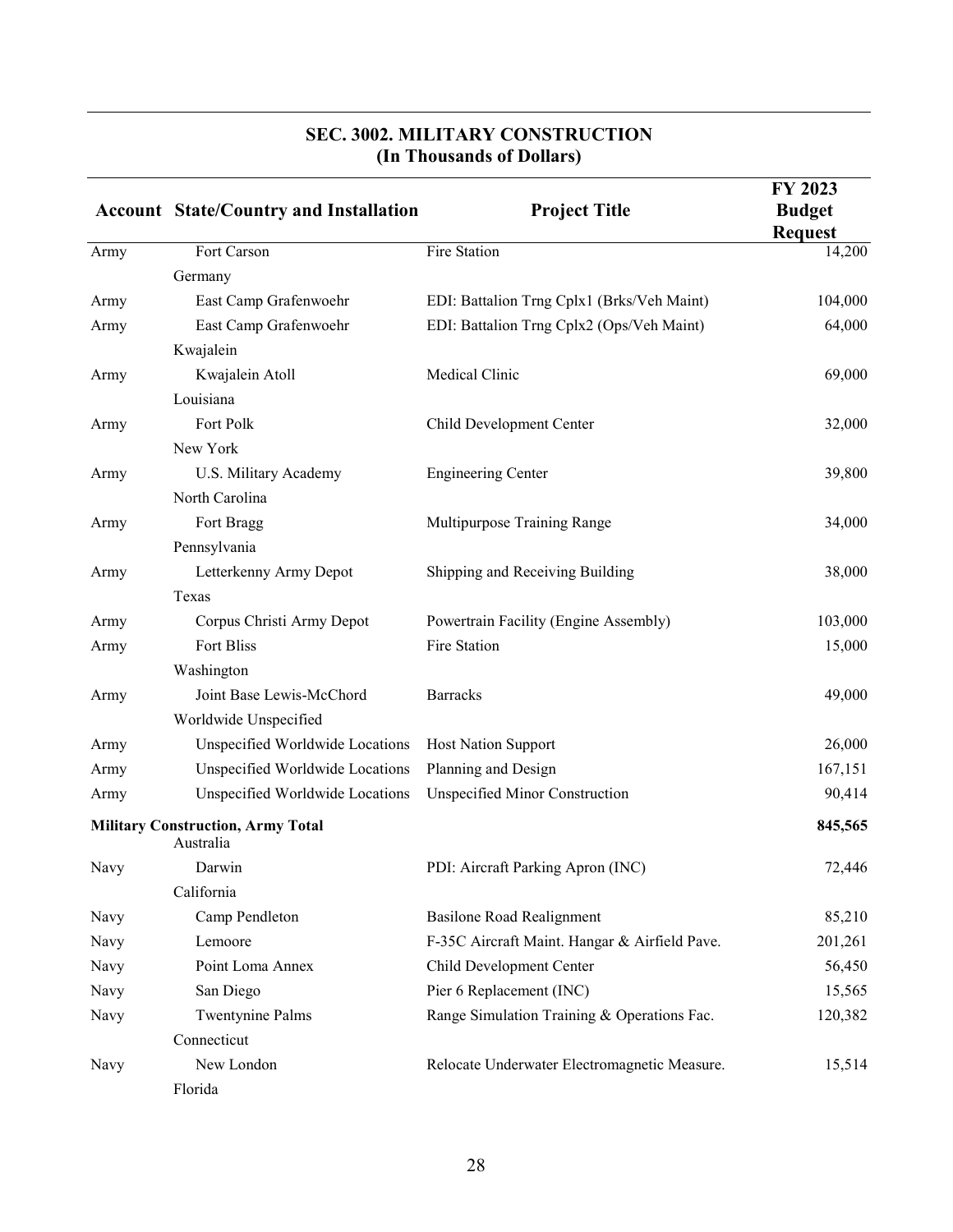|                                                       | <b>Account State/Country and Installation</b> | <b>Project Title</b>                          | FY 2023<br><b>Budget</b><br><b>Request</b> |
|-------------------------------------------------------|-----------------------------------------------|-----------------------------------------------|--------------------------------------------|
| Army                                                  | Fort Carson                                   | Fire Station                                  | 14,200                                     |
|                                                       | Germany                                       |                                               |                                            |
| Army                                                  | East Camp Grafenwoehr                         | EDI: Battalion Trng Cplx1 (Brks/Veh Maint)    | 104,000                                    |
| Army                                                  | East Camp Grafenwoehr                         | EDI: Battalion Trng Cplx2 (Ops/Veh Maint)     | 64,000                                     |
|                                                       | Kwajalein                                     |                                               |                                            |
| Army                                                  | Kwajalein Atoll                               | Medical Clinic                                | 69,000                                     |
|                                                       | Louisiana                                     |                                               |                                            |
| Army                                                  | Fort Polk                                     | Child Development Center                      | 32,000                                     |
|                                                       | New York                                      |                                               |                                            |
| Army                                                  | U.S. Military Academy                         | <b>Engineering Center</b>                     | 39,800                                     |
|                                                       | North Carolina                                |                                               |                                            |
| Army                                                  | Fort Bragg                                    | Multipurpose Training Range                   | 34,000                                     |
|                                                       | Pennsylvania                                  |                                               |                                            |
| Army                                                  | Letterkenny Army Depot                        | Shipping and Receiving Building               | 38,000                                     |
|                                                       | Texas                                         |                                               |                                            |
| Army                                                  | Corpus Christi Army Depot                     | Powertrain Facility (Engine Assembly)         | 103,000                                    |
| Army                                                  | Fort Bliss                                    | Fire Station                                  | 15,000                                     |
|                                                       | Washington                                    |                                               |                                            |
| Army                                                  | Joint Base Lewis-McChord                      | <b>Barracks</b>                               | 49,000                                     |
|                                                       | Worldwide Unspecified                         |                                               |                                            |
| Army                                                  | Unspecified Worldwide Locations               | <b>Host Nation Support</b>                    | 26,000                                     |
| Army                                                  | Unspecified Worldwide Locations               | Planning and Design                           | 167,151                                    |
| Army                                                  | Unspecified Worldwide Locations               | <b>Unspecified Minor Construction</b>         | 90,414                                     |
| <b>Military Construction, Army Total</b><br>Australia |                                               |                                               | 845,565                                    |
| Navy                                                  | Darwin                                        | PDI: Aircraft Parking Apron (INC)             | 72,446                                     |
|                                                       | California                                    |                                               |                                            |
| Navy                                                  | Camp Pendleton                                | <b>Basilone Road Realignment</b>              | 85,210                                     |
| Navy                                                  | Lemoore                                       | F-35C Aircraft Maint. Hangar & Airfield Pave. | 201,261                                    |
| Navy                                                  | Point Loma Annex                              | Child Development Center                      | 56,450                                     |
| Navy                                                  | San Diego                                     | Pier 6 Replacement (INC)                      | 15,565                                     |
| Navy                                                  | <b>Twentynine Palms</b>                       | Range Simulation Training & Operations Fac.   | 120,382                                    |
|                                                       | Connecticut                                   |                                               |                                            |
| Navy                                                  | New London                                    | Relocate Underwater Electromagnetic Measure.  | 15,514                                     |
|                                                       | Florida                                       |                                               |                                            |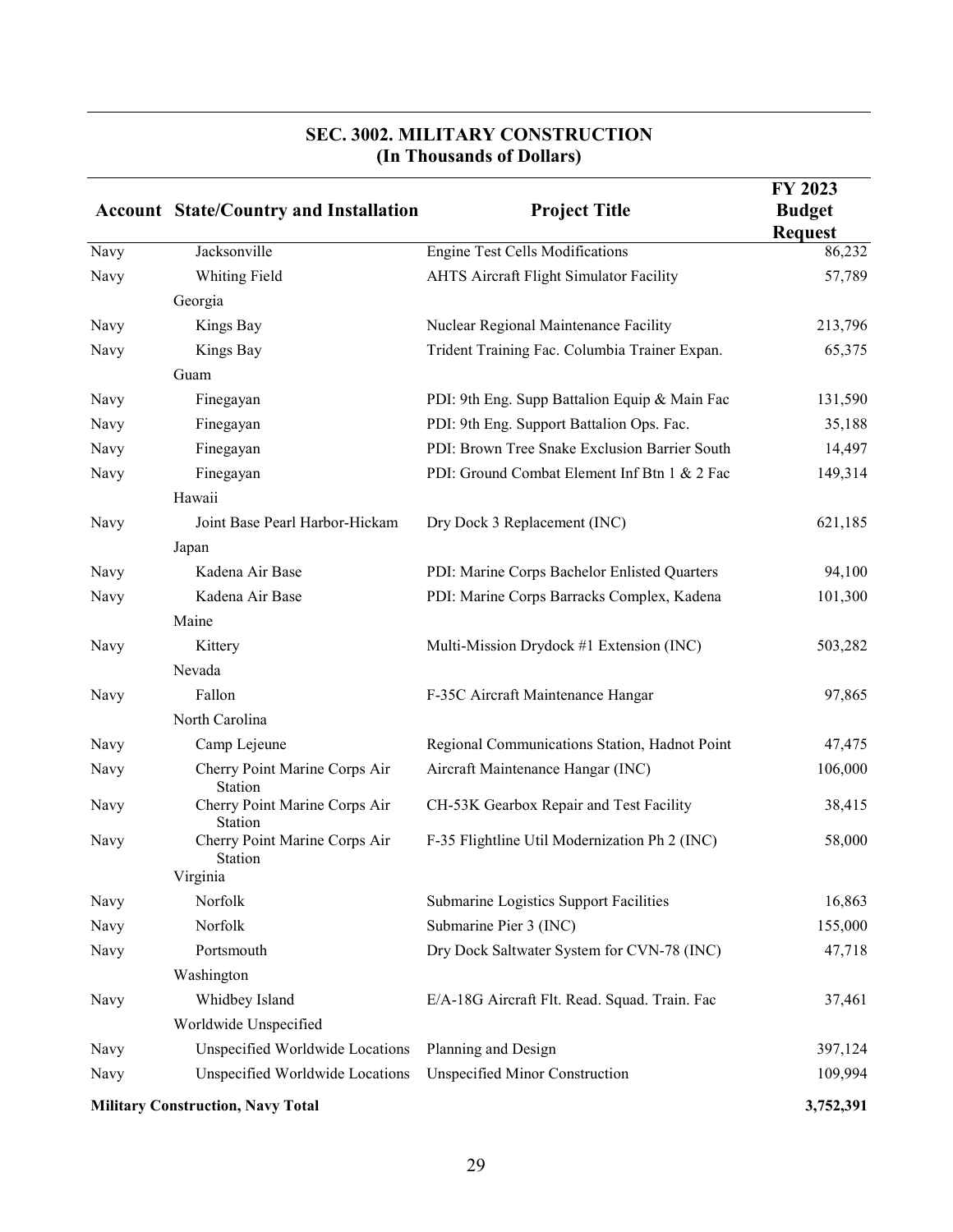|      | <b>Account State/Country and Installation</b> | <b>Project Title</b>                           | FY 2023<br><b>Budget</b><br><b>Request</b> |
|------|-----------------------------------------------|------------------------------------------------|--------------------------------------------|
| Navy | Jacksonville                                  | <b>Engine Test Cells Modifications</b>         | 86,232                                     |
| Navy | Whiting Field                                 | <b>AHTS Aircraft Flight Simulator Facility</b> | 57,789                                     |
|      | Georgia                                       |                                                |                                            |
| Navy | Kings Bay                                     | Nuclear Regional Maintenance Facility          | 213,796                                    |
| Navy | Kings Bay                                     | Trident Training Fac. Columbia Trainer Expan.  | 65,375                                     |
|      | Guam                                          |                                                |                                            |
| Navy | Finegayan                                     | PDI: 9th Eng. Supp Battalion Equip & Main Fac  | 131,590                                    |
| Navy | Finegayan                                     | PDI: 9th Eng. Support Battalion Ops. Fac.      | 35,188                                     |
| Navy | Finegayan                                     | PDI: Brown Tree Snake Exclusion Barrier South  | 14,497                                     |
| Navy | Finegayan                                     | PDI: Ground Combat Element Inf Btn 1 & 2 Fac   | 149,314                                    |
|      | Hawaii                                        |                                                |                                            |
| Navy | Joint Base Pearl Harbor-Hickam                | Dry Dock 3 Replacement (INC)                   | 621,185                                    |
|      | Japan                                         |                                                |                                            |
| Navy | Kadena Air Base                               | PDI: Marine Corps Bachelor Enlisted Quarters   | 94,100                                     |
| Navy | Kadena Air Base                               | PDI: Marine Corps Barracks Complex, Kadena     | 101,300                                    |
|      | Maine                                         |                                                |                                            |
| Navy | Kittery                                       | Multi-Mission Drydock #1 Extension (INC)       | 503,282                                    |
|      | Nevada                                        |                                                |                                            |
| Navy | Fallon                                        | F-35C Aircraft Maintenance Hangar              | 97,865                                     |
|      | North Carolina                                |                                                |                                            |
| Navy | Camp Lejeune                                  | Regional Communications Station, Hadnot Point  | 47,475                                     |
| Navy | Cherry Point Marine Corps Air<br>Station      | Aircraft Maintenance Hangar (INC)              | 106,000                                    |
| Navy | Cherry Point Marine Corps Air<br>Station      | CH-53K Gearbox Repair and Test Facility        | 38,415                                     |
| Navy | Cherry Point Marine Corps Air<br>Station      | F-35 Flightline Util Modernization Ph 2 (INC)  | 58,000                                     |
|      | Virginia                                      |                                                |                                            |
| Navy | Norfolk                                       | Submarine Logistics Support Facilities         | 16,863                                     |
| Navy | Norfolk                                       | Submarine Pier 3 (INC)                         | 155,000                                    |
| Navy | Portsmouth                                    | Dry Dock Saltwater System for CVN-78 (INC)     | 47,718                                     |
|      | Washington                                    |                                                |                                            |
| Navy | Whidbey Island                                | E/A-18G Aircraft Flt. Read. Squad. Train. Fac  | 37,461                                     |
|      | Worldwide Unspecified                         |                                                |                                            |
| Navy | Unspecified Worldwide Locations               | Planning and Design                            | 397,124                                    |
| Navy | Unspecified Worldwide Locations               | Unspecified Minor Construction                 | 109,994                                    |
|      | <b>Military Construction, Navy Total</b>      |                                                | 3,752,391                                  |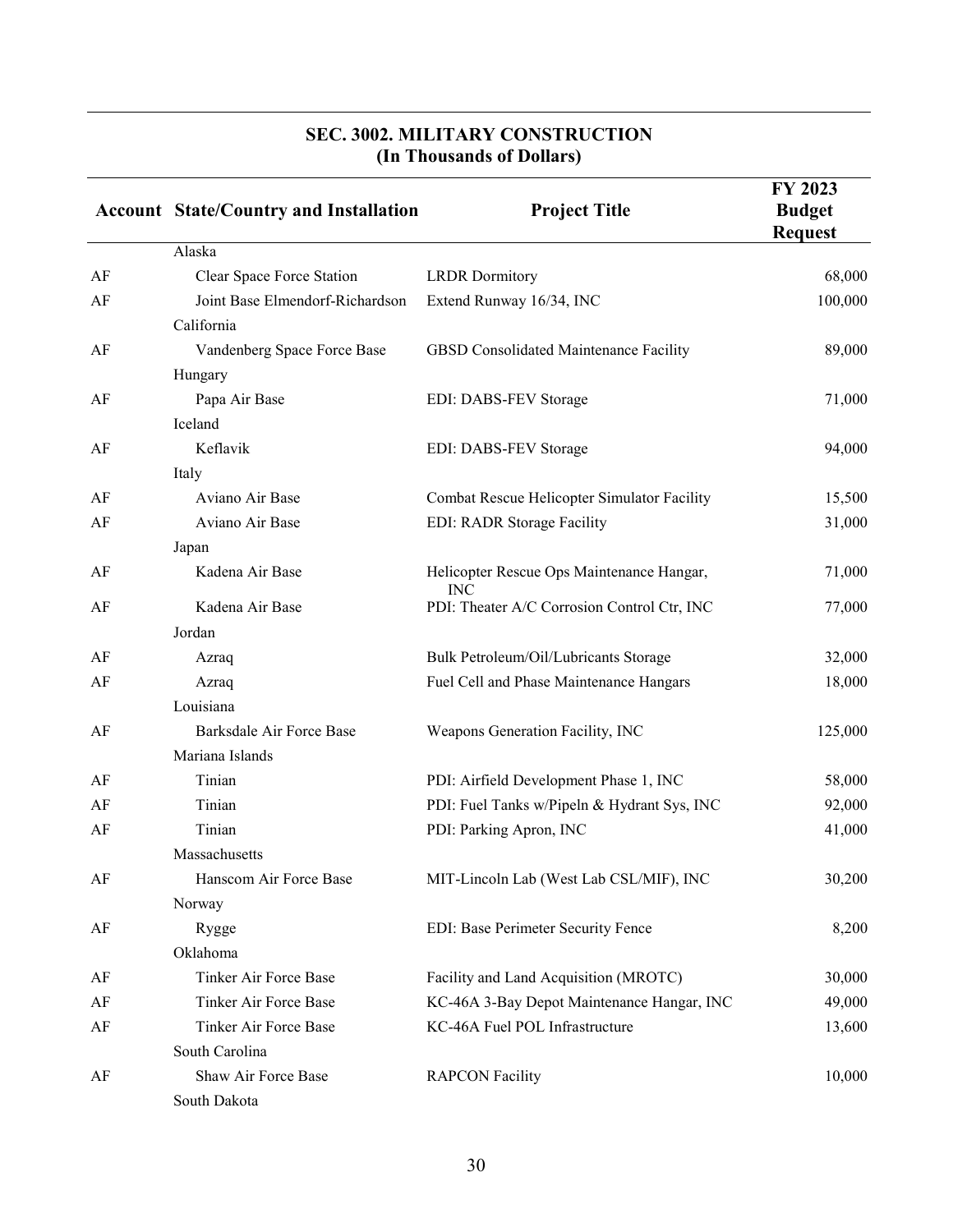|    | <b>Account State/Country and Installation</b> | <b>Project Title</b>                                    | FY 2023<br><b>Budget</b><br><b>Request</b> |
|----|-----------------------------------------------|---------------------------------------------------------|--------------------------------------------|
|    | Alaska                                        |                                                         |                                            |
| AF | Clear Space Force Station                     | <b>LRDR</b> Dormitory                                   | 68,000                                     |
| AF | Joint Base Elmendorf-Richardson<br>California | Extend Runway 16/34, INC                                | 100,000                                    |
| AF | Vandenberg Space Force Base                   | GBSD Consolidated Maintenance Facility                  | 89,000                                     |
|    | Hungary                                       |                                                         |                                            |
| AF | Papa Air Base                                 | EDI: DABS-FEV Storage                                   | 71,000                                     |
|    | Iceland                                       |                                                         |                                            |
| AF | Keflavik                                      | EDI: DABS-FEV Storage                                   | 94,000                                     |
|    | Italy                                         |                                                         |                                            |
| AF | Aviano Air Base                               | Combat Rescue Helicopter Simulator Facility             | 15,500                                     |
| AF | Aviano Air Base                               | EDI: RADR Storage Facility                              | 31,000                                     |
|    | Japan                                         |                                                         |                                            |
| AF | Kadena Air Base                               | Helicopter Rescue Ops Maintenance Hangar,<br><b>INC</b> | 71,000                                     |
| AF | Kadena Air Base                               | PDI: Theater A/C Corrosion Control Ctr, INC             | 77,000                                     |
|    | Jordan                                        |                                                         |                                            |
| AF | Azraq                                         | Bulk Petroleum/Oil/Lubricants Storage                   | 32,000                                     |
| AF | Azraq                                         | Fuel Cell and Phase Maintenance Hangars                 | 18,000                                     |
|    | Louisiana                                     |                                                         |                                            |
| AF | Barksdale Air Force Base                      | Weapons Generation Facility, INC                        | 125,000                                    |
|    | Mariana Islands                               |                                                         |                                            |
| AF | Tinian                                        | PDI: Airfield Development Phase 1, INC                  | 58,000                                     |
| AF | Tinian                                        | PDI: Fuel Tanks w/Pipeln & Hydrant Sys, INC             | 92,000                                     |
| AF | Tinian                                        | PDI: Parking Apron, INC                                 | 41,000                                     |
|    | Massachusetts                                 |                                                         |                                            |
| AF | Hanscom Air Force Base                        | MIT-Lincoln Lab (West Lab CSL/MIF), INC                 | 30,200                                     |
|    | Norway                                        |                                                         |                                            |
| AF | Rygge                                         | EDI: Base Perimeter Security Fence                      | 8,200                                      |
|    | Oklahoma                                      |                                                         |                                            |
| AF | Tinker Air Force Base                         | Facility and Land Acquisition (MROTC)                   | 30,000                                     |
| AF | Tinker Air Force Base                         | KC-46A 3-Bay Depot Maintenance Hangar, INC              | 49,000                                     |
| AF | <b>Tinker Air Force Base</b>                  | KC-46A Fuel POL Infrastructure                          | 13,600                                     |
|    | South Carolina                                |                                                         |                                            |
| AF | Shaw Air Force Base<br>South Dakota           | <b>RAPCON Facility</b>                                  | 10,000                                     |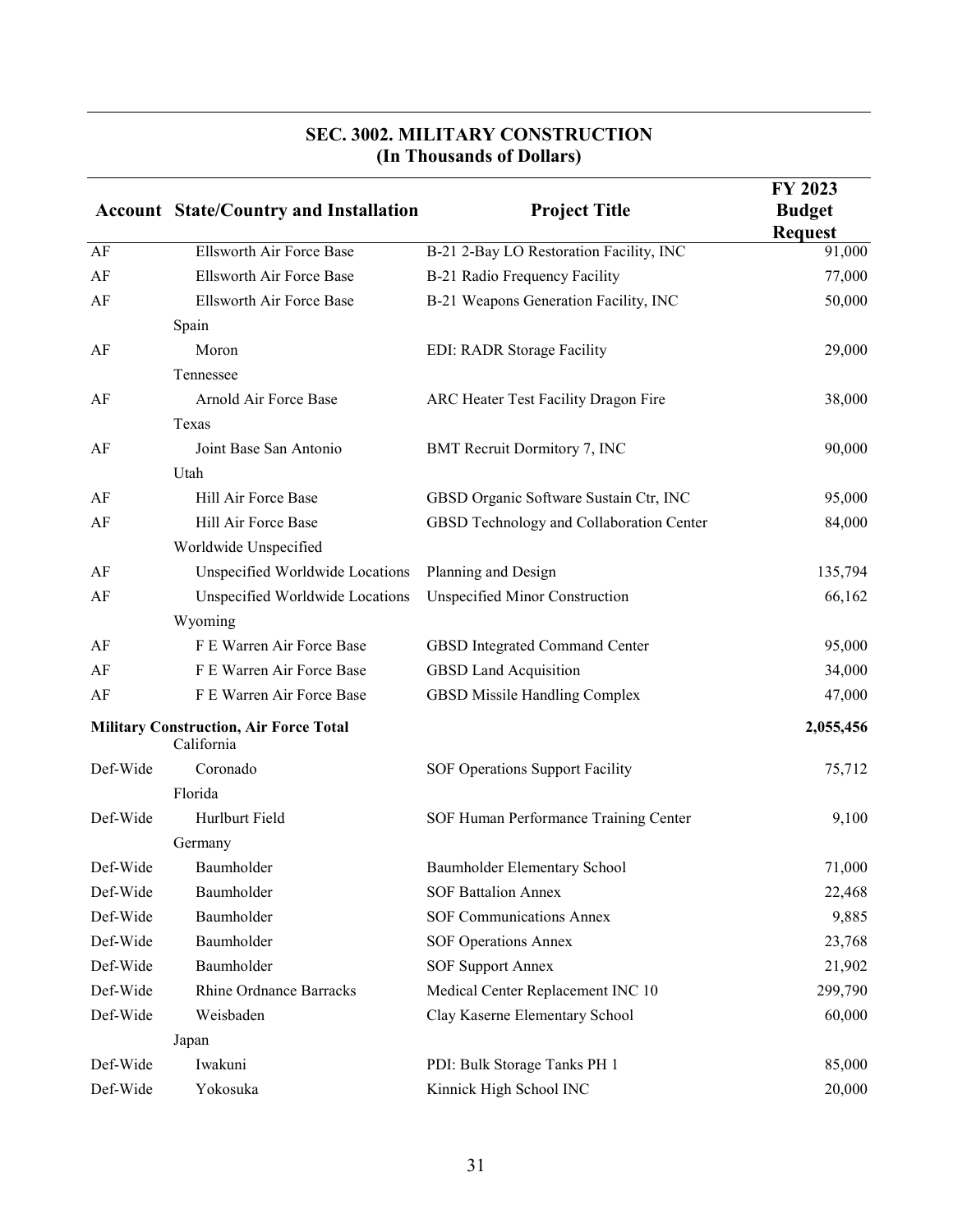|          | <b>Account State/Country and Installation</b>               | <b>Project Title</b>                     | FY 2023<br><b>Budget</b><br><b>Request</b> |
|----------|-------------------------------------------------------------|------------------------------------------|--------------------------------------------|
| AF       | Ellsworth Air Force Base                                    | B-21 2-Bay LO Restoration Facility, INC  | 91,000                                     |
| AF       | Ellsworth Air Force Base                                    | B-21 Radio Frequency Facility            | 77,000                                     |
| AF       | Ellsworth Air Force Base                                    | B-21 Weapons Generation Facility, INC    | 50,000                                     |
|          | Spain                                                       |                                          |                                            |
| AF       | Moron                                                       | EDI: RADR Storage Facility               | 29,000                                     |
|          | Tennessee                                                   |                                          |                                            |
| AF       | Arnold Air Force Base                                       | ARC Heater Test Facility Dragon Fire     | 38,000                                     |
|          | Texas                                                       |                                          |                                            |
| AF       | Joint Base San Antonio                                      | BMT Recruit Dormitory 7, INC             | 90,000                                     |
|          | Utah                                                        |                                          |                                            |
| AF       | Hill Air Force Base                                         | GBSD Organic Software Sustain Ctr, INC   | 95,000                                     |
| AF       | Hill Air Force Base                                         | GBSD Technology and Collaboration Center | 84,000                                     |
|          | Worldwide Unspecified                                       |                                          |                                            |
| AF       | Unspecified Worldwide Locations                             | Planning and Design                      | 135,794                                    |
| AF       | Unspecified Worldwide Locations                             | <b>Unspecified Minor Construction</b>    | 66,162                                     |
|          | Wyoming                                                     |                                          |                                            |
| AF       | F E Warren Air Force Base                                   | GBSD Integrated Command Center           | 95,000                                     |
| AF       | F E Warren Air Force Base                                   | <b>GBSD Land Acquisition</b>             | 34,000                                     |
| AF       | F E Warren Air Force Base                                   | GBSD Missile Handling Complex            | 47,000                                     |
|          | <b>Military Construction, Air Force Total</b><br>California |                                          | 2,055,456                                  |
| Def-Wide | Coronado                                                    | SOF Operations Support Facility          | 75,712                                     |
|          | Florida                                                     |                                          |                                            |
| Def-Wide | Hurlburt Field                                              | SOF Human Performance Training Center    | 9,100                                      |
|          | Germany                                                     |                                          |                                            |
| Def-Wide | Baumholder                                                  | Baumholder Elementary School             | 71,000                                     |
| Def-Wide | Baumholder                                                  | <b>SOF Battalion Annex</b>               | 22,468                                     |
| Def-Wide | Baumholder                                                  | <b>SOF Communications Annex</b>          | 9,885                                      |
| Def-Wide | Baumholder                                                  | <b>SOF Operations Annex</b>              | 23,768                                     |
| Def-Wide | Baumholder                                                  | <b>SOF Support Annex</b>                 | 21,902                                     |
| Def-Wide | <b>Rhine Ordnance Barracks</b>                              | Medical Center Replacement INC 10        | 299,790                                    |
| Def-Wide | Weisbaden                                                   | Clay Kaserne Elementary School           | 60,000                                     |
|          | Japan                                                       |                                          |                                            |
| Def-Wide | Iwakuni                                                     | PDI: Bulk Storage Tanks PH 1             | 85,000                                     |
| Def-Wide | Yokosuka                                                    | Kinnick High School INC                  | 20,000                                     |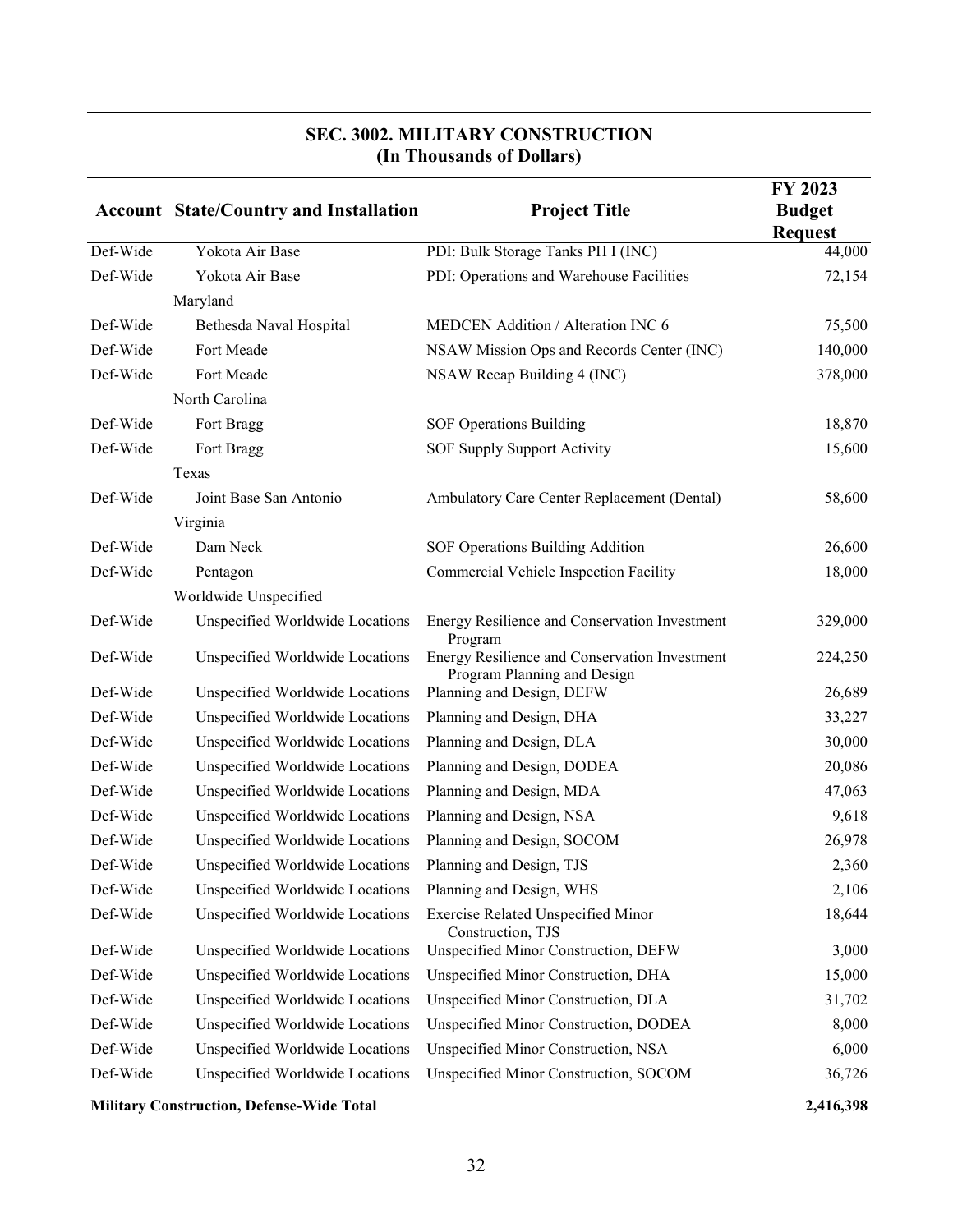|          | <b>Account State/Country and Installation</b>            | <b>Project Title</b>                                                         | FY 2023<br><b>Budget</b><br><b>Request</b> |
|----------|----------------------------------------------------------|------------------------------------------------------------------------------|--------------------------------------------|
| Def-Wide | Yokota Air Base                                          | PDI: Bulk Storage Tanks PH I (INC)                                           | 44,000                                     |
| Def-Wide | Yokota Air Base                                          | PDI: Operations and Warehouse Facilities                                     | 72,154                                     |
|          | Maryland                                                 |                                                                              |                                            |
| Def-Wide | Bethesda Naval Hospital                                  | MEDCEN Addition / Alteration INC 6                                           | 75,500                                     |
| Def-Wide | Fort Meade                                               | NSAW Mission Ops and Records Center (INC)                                    | 140,000                                    |
| Def-Wide | Fort Meade                                               | NSAW Recap Building 4 (INC)                                                  | 378,000                                    |
|          | North Carolina                                           |                                                                              |                                            |
| Def-Wide | Fort Bragg                                               | <b>SOF Operations Building</b>                                               | 18,870                                     |
| Def-Wide | Fort Bragg                                               | SOF Supply Support Activity                                                  | 15,600                                     |
|          | Texas                                                    |                                                                              |                                            |
| Def-Wide | Joint Base San Antonio                                   | Ambulatory Care Center Replacement (Dental)                                  | 58,600                                     |
|          | Virginia                                                 |                                                                              |                                            |
| Def-Wide | Dam Neck                                                 | SOF Operations Building Addition                                             | 26,600                                     |
| Def-Wide | Pentagon                                                 | Commercial Vehicle Inspection Facility                                       | 18,000                                     |
|          | Worldwide Unspecified                                    |                                                                              |                                            |
| Def-Wide | Unspecified Worldwide Locations                          | Energy Resilience and Conservation Investment<br>Program                     | 329,000                                    |
| Def-Wide | Unspecified Worldwide Locations                          | Energy Resilience and Conservation Investment<br>Program Planning and Design | 224,250                                    |
| Def-Wide | Unspecified Worldwide Locations                          | Planning and Design, DEFW                                                    | 26,689                                     |
| Def-Wide | Unspecified Worldwide Locations                          | Planning and Design, DHA                                                     | 33,227                                     |
| Def-Wide | Unspecified Worldwide Locations                          | Planning and Design, DLA                                                     | 30,000                                     |
| Def-Wide | Unspecified Worldwide Locations                          | Planning and Design, DODEA                                                   | 20,086                                     |
| Def-Wide | Unspecified Worldwide Locations                          | Planning and Design, MDA                                                     | 47,063                                     |
| Def-Wide | Unspecified Worldwide Locations                          | Planning and Design, NSA                                                     | 9,618                                      |
| Def-Wide | Unspecified Worldwide Locations                          | Planning and Design, SOCOM                                                   | 26,978                                     |
| Def-Wide | Unspecified Worldwide Locations Planning and Design, TJS |                                                                              | 2,360                                      |
| Def-Wide | Unspecified Worldwide Locations                          | Planning and Design, WHS                                                     | 2,106                                      |
| Def-Wide | Unspecified Worldwide Locations                          | Exercise Related Unspecified Minor<br>Construction, TJS                      | 18,644                                     |
| Def-Wide | Unspecified Worldwide Locations                          | Unspecified Minor Construction, DEFW                                         | 3,000                                      |
| Def-Wide | Unspecified Worldwide Locations                          | Unspecified Minor Construction, DHA                                          | 15,000                                     |
| Def-Wide | Unspecified Worldwide Locations                          | Unspecified Minor Construction, DLA                                          | 31,702                                     |
| Def-Wide | Unspecified Worldwide Locations                          | Unspecified Minor Construction, DODEA                                        | 8,000                                      |
| Def-Wide | Unspecified Worldwide Locations                          | Unspecified Minor Construction, NSA                                          | 6,000                                      |
| Def-Wide | Unspecified Worldwide Locations                          | Unspecified Minor Construction, SOCOM                                        | 36,726                                     |

**Military Construction, Defense-Wide Total 2,416,398**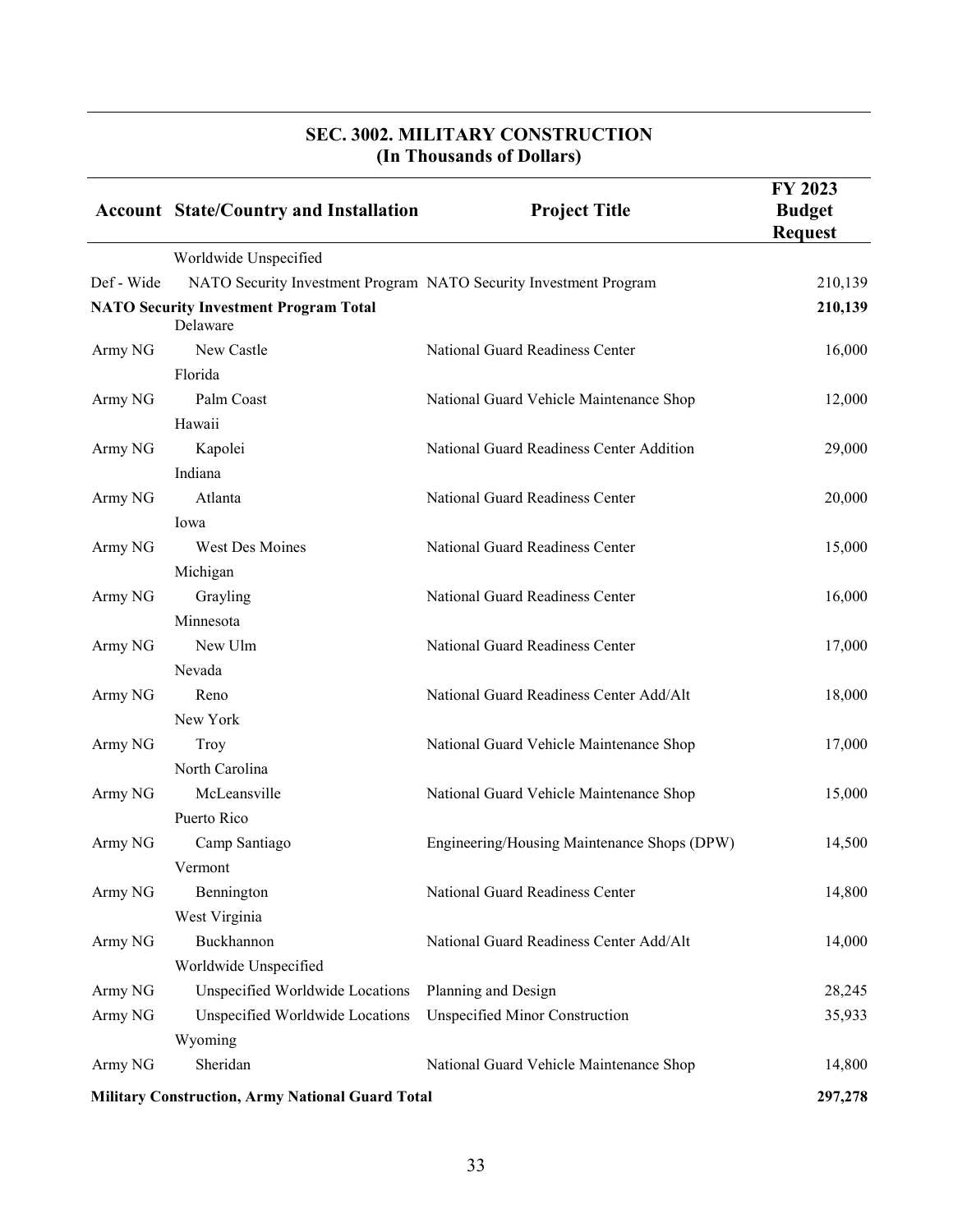|            | <b>Account State/Country and Installation</b>             | <b>Project Title</b>                                              | FY 2023<br><b>Budget</b><br><b>Request</b> |
|------------|-----------------------------------------------------------|-------------------------------------------------------------------|--------------------------------------------|
|            | Worldwide Unspecified                                     |                                                                   |                                            |
| Def - Wide |                                                           | NATO Security Investment Program NATO Security Investment Program | 210,139                                    |
|            | <b>NATO Security Investment Program Total</b><br>Delaware |                                                                   | 210,139                                    |
| Army NG    | New Castle                                                | National Guard Readiness Center                                   | 16,000                                     |
|            | Florida                                                   |                                                                   |                                            |
| Army NG    | Palm Coast                                                | National Guard Vehicle Maintenance Shop                           | 12,000                                     |
|            | Hawaii                                                    |                                                                   |                                            |
| Army NG    | Kapolei                                                   | National Guard Readiness Center Addition                          | 29,000                                     |
|            | Indiana                                                   |                                                                   |                                            |
| Army NG    | Atlanta                                                   | National Guard Readiness Center                                   | 20,000                                     |
|            | Iowa                                                      |                                                                   |                                            |
| Army NG    | West Des Moines                                           | National Guard Readiness Center                                   | 15,000                                     |
|            | Michigan                                                  |                                                                   |                                            |
| Army NG    | Grayling                                                  | National Guard Readiness Center                                   | 16,000                                     |
|            | Minnesota                                                 |                                                                   |                                            |
| Army NG    | New Ulm                                                   | National Guard Readiness Center                                   | 17,000                                     |
|            | Nevada                                                    |                                                                   |                                            |
| Army NG    | Reno                                                      | National Guard Readiness Center Add/Alt                           | 18,000                                     |
|            | New York                                                  |                                                                   |                                            |
| Army NG    | Troy                                                      | National Guard Vehicle Maintenance Shop                           | 17,000                                     |
|            | North Carolina                                            |                                                                   |                                            |
| Army NG    | McLeansville                                              | National Guard Vehicle Maintenance Shop                           | 15,000                                     |
|            | Puerto Rico                                               |                                                                   |                                            |
| Army NG    | Camp Santiago                                             | Engineering/Housing Maintenance Shops (DPW)                       | 14,500                                     |
|            | Vermont                                                   |                                                                   |                                            |
| Army NG    | Bennington                                                | National Guard Readiness Center                                   | 14,800                                     |
|            | West Virginia                                             |                                                                   |                                            |
| Army NG    | Buckhannon                                                | National Guard Readiness Center Add/Alt                           | 14,000                                     |
|            | Worldwide Unspecified                                     |                                                                   |                                            |
| Army NG    | Unspecified Worldwide Locations                           | Planning and Design                                               | 28,245                                     |
| Army NG    | Unspecified Worldwide Locations                           | <b>Unspecified Minor Construction</b>                             | 35,933                                     |
|            | Wyoming                                                   |                                                                   |                                            |
| Army NG    | Sheridan                                                  | National Guard Vehicle Maintenance Shop                           | 14,800                                     |
|            | <b>Military Construction, Army National Guard Total</b>   |                                                                   | 297,278                                    |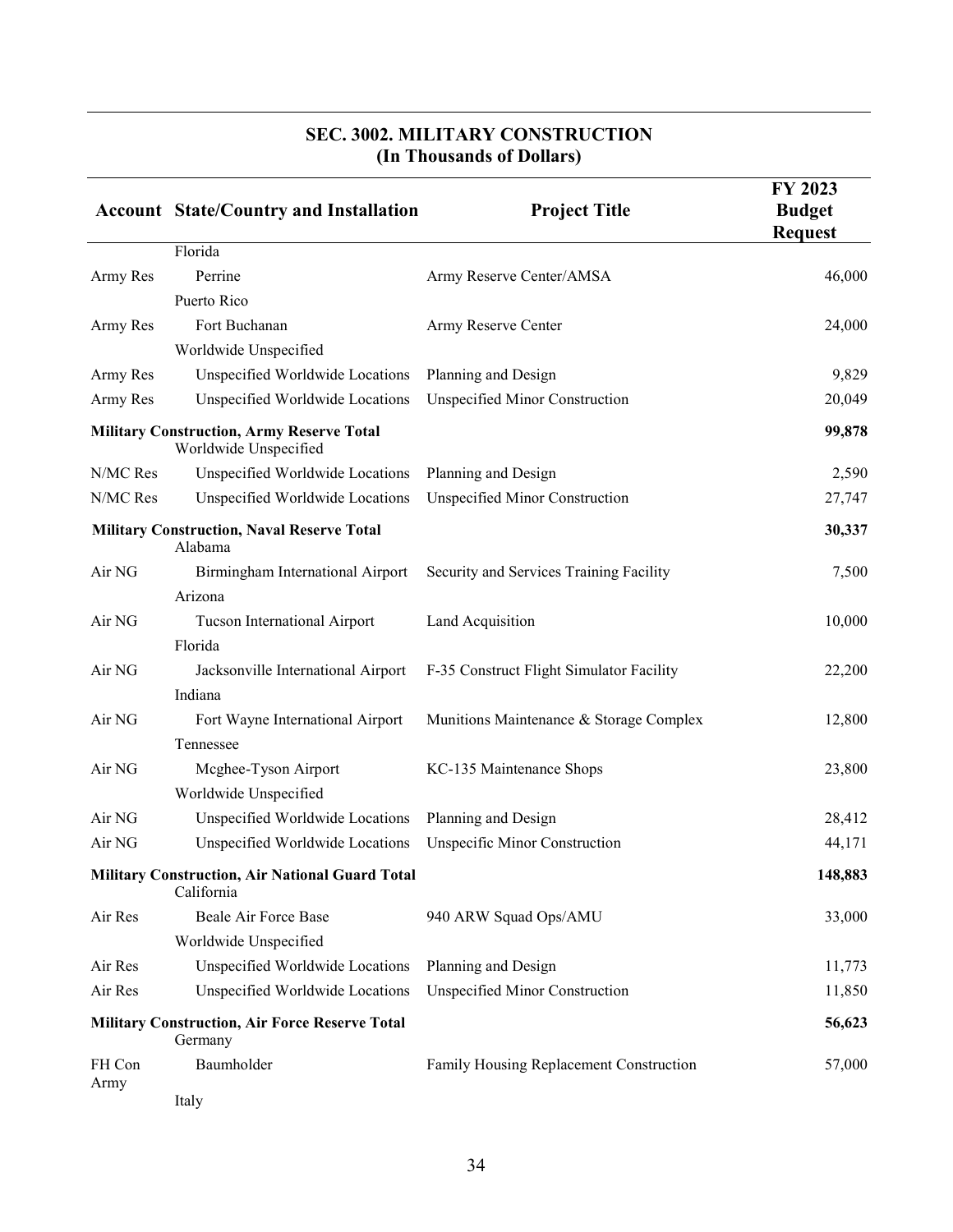|          | <b>Account State/Country and Installation</b>                             | <b>Project Title</b>                     | FY 2023<br><b>Budget</b><br><b>Request</b> |
|----------|---------------------------------------------------------------------------|------------------------------------------|--------------------------------------------|
|          | Florida                                                                   |                                          |                                            |
| Army Res | Perrine                                                                   | Army Reserve Center/AMSA                 | 46,000                                     |
|          | Puerto Rico                                                               |                                          |                                            |
| Army Res | Fort Buchanan                                                             | Army Reserve Center                      | 24,000                                     |
|          | Worldwide Unspecified                                                     |                                          |                                            |
| Army Res | Unspecified Worldwide Locations                                           | Planning and Design                      | 9,829                                      |
| Army Res | Unspecified Worldwide Locations                                           | Unspecified Minor Construction           | 20,049                                     |
|          | <b>Military Construction, Army Reserve Total</b><br>Worldwide Unspecified |                                          | 99,878                                     |
| N/MC Res | Unspecified Worldwide Locations                                           | Planning and Design                      | 2,590                                      |
| N/MC Res | Unspecified Worldwide Locations                                           | <b>Unspecified Minor Construction</b>    | 27,747                                     |
|          | <b>Military Construction, Naval Reserve Total</b><br>Alabama              |                                          | 30,337                                     |
| Air NG   | Birmingham International Airport                                          | Security and Services Training Facility  | 7,500                                      |
|          | Arizona                                                                   |                                          |                                            |
| Air NG   | Tucson International Airport                                              | Land Acquisition                         | 10,000                                     |
|          | Florida                                                                   |                                          |                                            |
| Air NG   | Jacksonville International Airport                                        | F-35 Construct Flight Simulator Facility | 22,200                                     |
|          | Indiana                                                                   |                                          |                                            |
| Air NG   | Fort Wayne International Airport                                          | Munitions Maintenance & Storage Complex  | 12,800                                     |
|          | Tennessee                                                                 |                                          |                                            |
| Air NG   | Mcghee-Tyson Airport                                                      | KC-135 Maintenance Shops                 | 23,800                                     |
|          | Worldwide Unspecified                                                     |                                          |                                            |
| Air NG   | Unspecified Worldwide Locations                                           | Planning and Design                      | 28,412                                     |
| Air NG   | Unspecified Worldwide Locations                                           | <b>Unspecific Minor Construction</b>     | 44,171                                     |
|          | <b>Military Construction, Air National Guard Total</b><br>California      |                                          | 148,883                                    |
| Air Res  | Beale Air Force Base                                                      | 940 ARW Squad Ops/AMU                    | 33,000                                     |
|          | Worldwide Unspecified                                                     |                                          |                                            |
| Air Res  | Unspecified Worldwide Locations                                           | Planning and Design                      | 11,773                                     |
| Air Res  | Unspecified Worldwide Locations                                           | <b>Unspecified Minor Construction</b>    | 11,850                                     |
|          | <b>Military Construction, Air Force Reserve Total</b><br>Germany          |                                          | 56,623                                     |
| FH Con   | Baumholder                                                                | Family Housing Replacement Construction  | 57,000                                     |
| Army     | Italy                                                                     |                                          |                                            |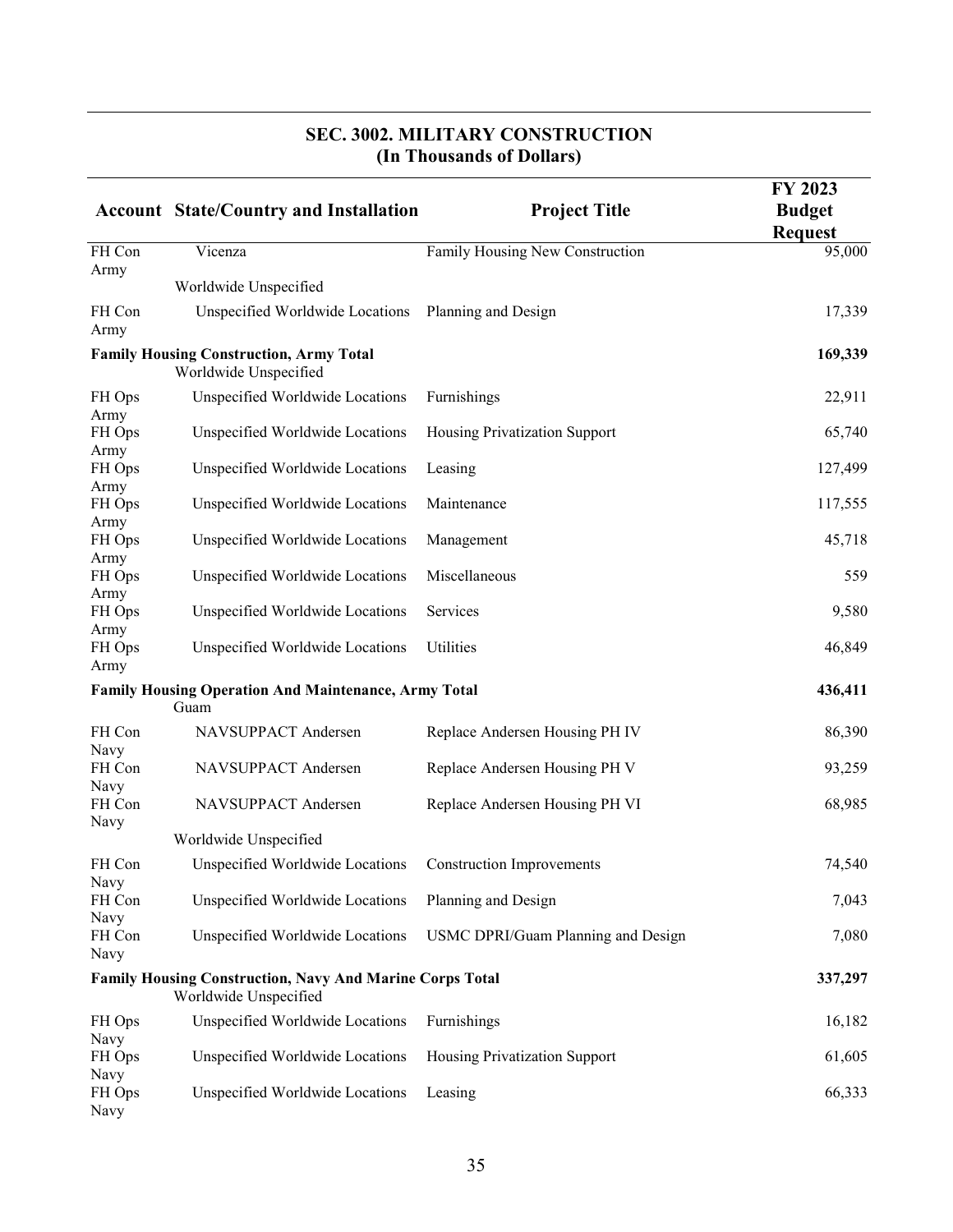#### **Account State/Country and Installation Project Title FY 2023 Budget Request** FH Con Army Vicenza Family Housing New Construction 95,000 Worldwide Unspecified FH Con Army Unspecified Worldwide Locations Planning and Design 17,339 **Family Housing Construction, Army Total 169,339** Worldwide Unspecified FH Ops Army Unspecified Worldwide Locations Furnishings 22,911 FH Ops Army Unspecified Worldwide Locations Housing Privatization Support 65,740 FH Ops Army Unspecified Worldwide Locations Leasing 127,499 FH Ops Army Unspecified Worldwide Locations Maintenance 117,555 FH Ops Army Unspecified Worldwide Locations Management 45,718 FH Ops Army Unspecified Worldwide Locations Miscellaneous 559 FH Ops Army Unspecified Worldwide Locations Services 9,580 FH Ops Army Unspecified Worldwide Locations Utilities 46,849 **Family Housing Operation And Maintenance, Army Total 436,411** Guam FH Con Navy NAVSUPPACT Andersen Replace Andersen Housing PH IV 86,390 FH Con Navy NAVSUPPACT Andersen Replace Andersen Housing PH V 93,259 Worldwide Unspecified

| FH Con<br>Navy | NAVSUPPACT Andersen                                                                      | Replace Andersen Housing PH VI       | 68,985  |
|----------------|------------------------------------------------------------------------------------------|--------------------------------------|---------|
|                | Worldwide Unspecified                                                                    |                                      |         |
| FH Con<br>Navy | Unspecified Worldwide Locations                                                          | <b>Construction Improvements</b>     | 74,540  |
| FH Con<br>Navy | Unspecified Worldwide Locations                                                          | Planning and Design                  | 7,043   |
| FH Con<br>Navy | Unspecified Worldwide Locations                                                          | USMC DPRI/Guam Planning and Design   | 7,080   |
|                | <b>Family Housing Construction, Navy And Marine Corps Total</b><br>Worldwide Unspecified |                                      | 337,297 |
| FH Ops<br>Navy | Unspecified Worldwide Locations                                                          | <b>Furnishings</b>                   | 16,182  |
| FH Ops<br>Navy | Unspecified Worldwide Locations                                                          | <b>Housing Privatization Support</b> | 61,605  |
| FH Ops<br>Navy | Unspecified Worldwide Locations                                                          | Leasing                              | 66,333  |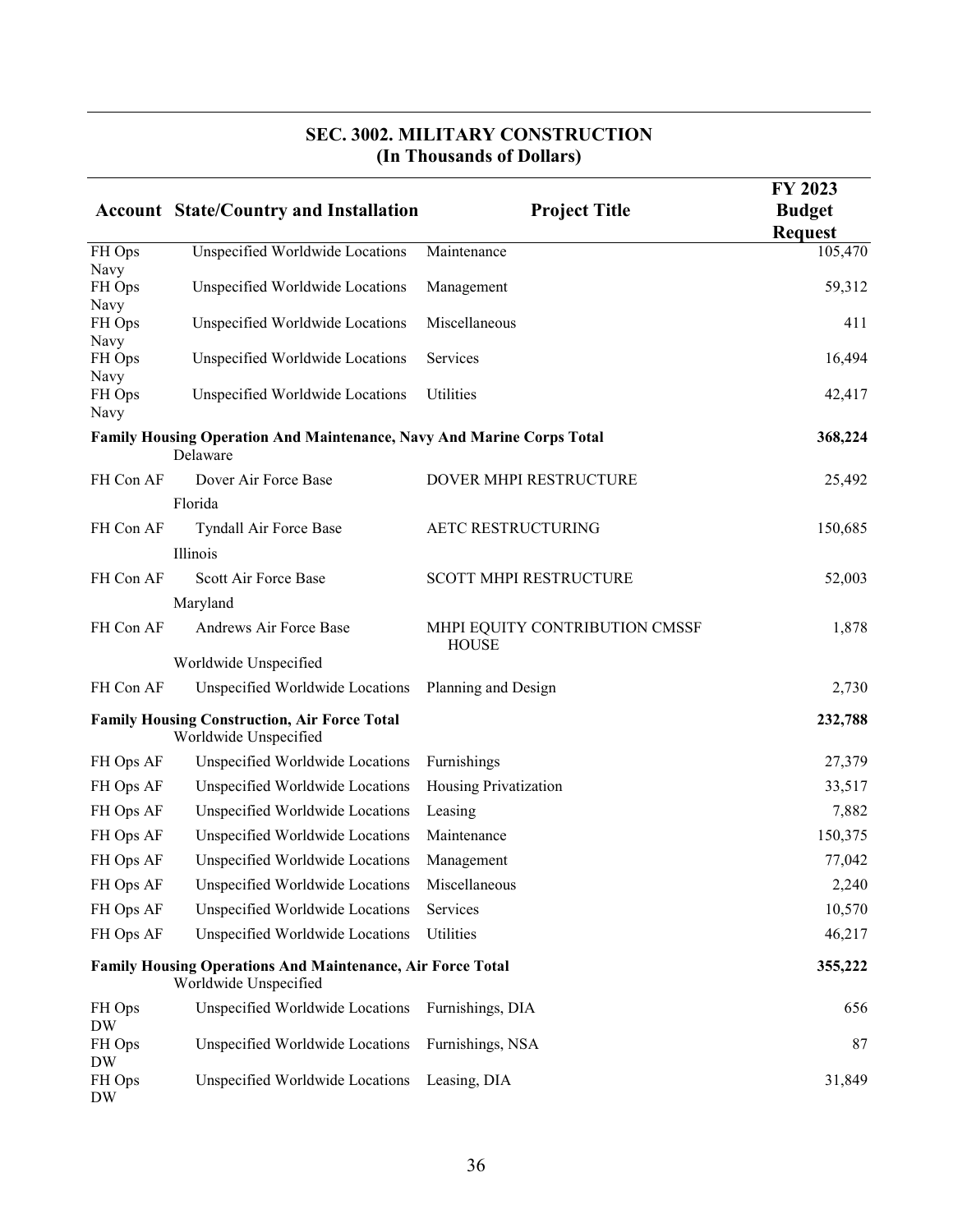|                        | <b>Account State/Country and Installation</b>                                              | <b>Project Title</b>                           | FY 2023<br><b>Budget</b><br><b>Request</b> |
|------------------------|--------------------------------------------------------------------------------------------|------------------------------------------------|--------------------------------------------|
| FH Ops                 | Unspecified Worldwide Locations                                                            | Maintenance                                    | 105,470                                    |
| Navy<br>FH Ops<br>Navy | Unspecified Worldwide Locations                                                            | Management                                     | 59,312                                     |
| FH Ops<br>Navy         | Unspecified Worldwide Locations                                                            | Miscellaneous                                  | 411                                        |
| FH Ops<br>Navy         | Unspecified Worldwide Locations                                                            | Services                                       | 16,494                                     |
| FH Ops<br>Navy         | Unspecified Worldwide Locations                                                            | Utilities                                      | 42,417                                     |
|                        | Family Housing Operation And Maintenance, Navy And Marine Corps Total<br>Delaware          |                                                | 368,224                                    |
| FH Con AF              | Dover Air Force Base                                                                       | DOVER MHPI RESTRUCTURE                         | 25,492                                     |
|                        | Florida                                                                                    |                                                |                                            |
| FH Con AF              | Tyndall Air Force Base                                                                     | AETC RESTRUCTURING                             | 150,685                                    |
|                        | Illinois                                                                                   |                                                |                                            |
| FH Con AF              | Scott Air Force Base                                                                       | <b>SCOTT MHPI RESTRUCTURE</b>                  | 52,003                                     |
|                        | Maryland                                                                                   |                                                |                                            |
| FH Con AF              | Andrews Air Force Base                                                                     | MHPI EQUITY CONTRIBUTION CMSSF<br><b>HOUSE</b> | 1,878                                      |
|                        | Worldwide Unspecified                                                                      |                                                |                                            |
| FH Con AF              | Unspecified Worldwide Locations                                                            | Planning and Design                            | 2,730                                      |
|                        | <b>Family Housing Construction, Air Force Total</b><br>Worldwide Unspecified               |                                                | 232,788                                    |
| FH Ops AF              | Unspecified Worldwide Locations                                                            | Furnishings                                    | 27,379                                     |
| FH Ops AF              | Unspecified Worldwide Locations                                                            | Housing Privatization                          | 33,517                                     |
| FH Ops AF              | Unspecified Worldwide Locations                                                            | Leasing                                        | 7,882                                      |
| FH Ops AF              | Unspecified Worldwide Locations                                                            | Maintenance                                    | 150,375                                    |
| FH Ops AF              | Unspecified Worldwide Locations                                                            | Management                                     | 77,042                                     |
| FH Ops AF              | Unspecified Worldwide Locations                                                            | Miscellaneous                                  | 2,240                                      |
| FH Ops AF              | Unspecified Worldwide Locations                                                            | Services                                       | 10,570                                     |
| FH Ops AF              | Unspecified Worldwide Locations                                                            | Utilities                                      | 46,217                                     |
|                        | <b>Family Housing Operations And Maintenance, Air Force Total</b><br>Worldwide Unspecified |                                                | 355,222                                    |
| FH Ops<br>DW           | Unspecified Worldwide Locations                                                            | Furnishings, DIA                               | 656                                        |
| FH Ops<br><b>DW</b>    | Unspecified Worldwide Locations                                                            | Furnishings, NSA                               | 87                                         |
| FH Ops<br>DW           | Unspecified Worldwide Locations                                                            | Leasing, DIA                                   | 31,849                                     |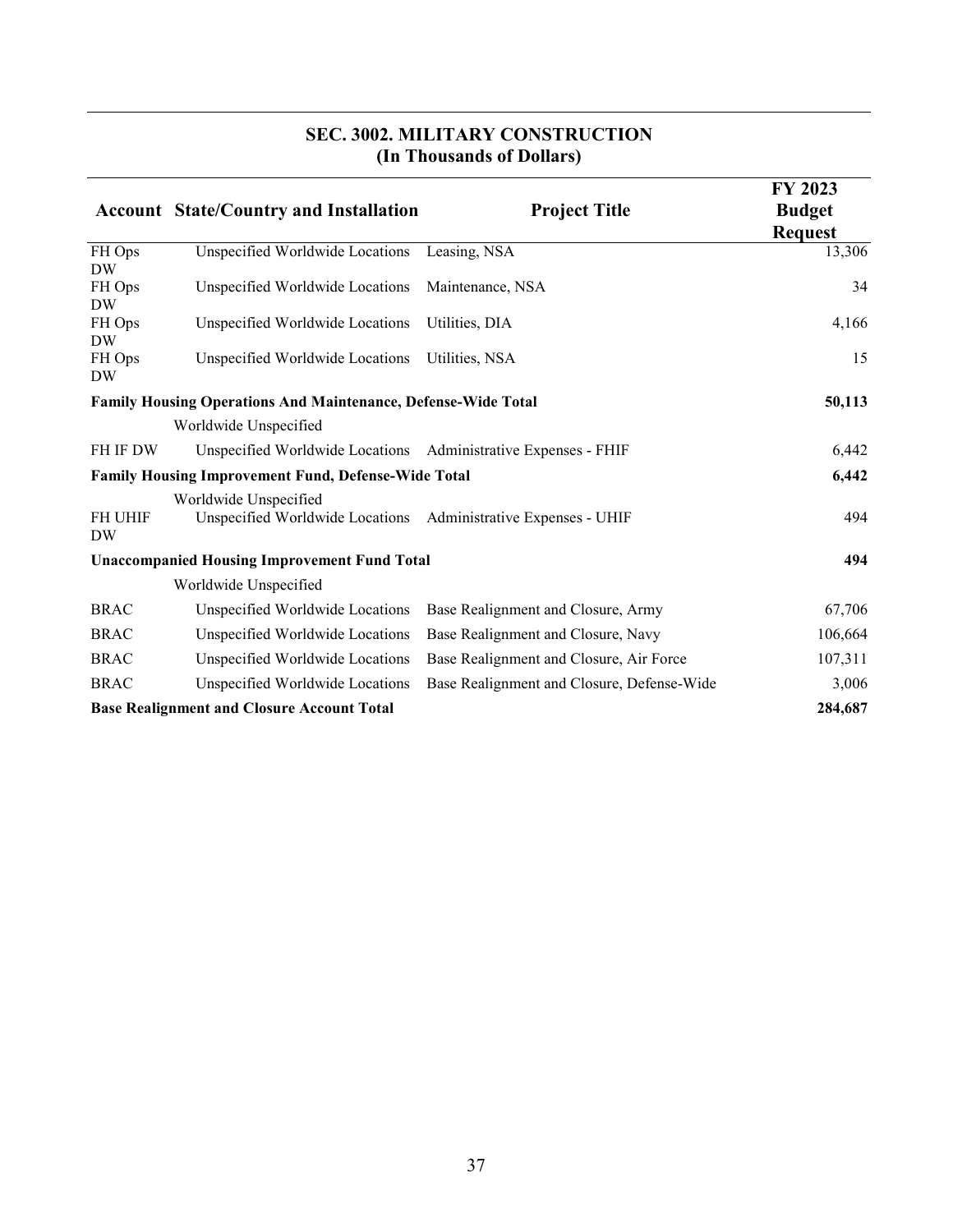|                             |                                                                      | THE LIBRATION OF PURSEST                   |                                                   |
|-----------------------------|----------------------------------------------------------------------|--------------------------------------------|---------------------------------------------------|
|                             | <b>Account State/Country and Installation</b>                        | <b>Project Title</b>                       | <b>FY 2023</b><br><b>Budget</b><br><b>Request</b> |
| FH Ops<br><b>DW</b>         | Unspecified Worldwide Locations                                      | Leasing, NSA                               | 13,306                                            |
| FH Ops<br><b>DW</b>         | Unspecified Worldwide Locations                                      | Maintenance, NSA                           | 34                                                |
| FH Ops<br><b>DW</b>         | Unspecified Worldwide Locations                                      | Utilities, DIA                             | 4,166                                             |
| FH Ops<br><b>DW</b>         | Unspecified Worldwide Locations                                      | Utilities, NSA                             | 15                                                |
|                             | <b>Family Housing Operations And Maintenance, Defense-Wide Total</b> |                                            | 50,113                                            |
|                             | Worldwide Unspecified                                                |                                            |                                                   |
| FH IF DW                    | Unspecified Worldwide Locations Administrative Expenses - FHIF       |                                            | 6,442                                             |
|                             | <b>Family Housing Improvement Fund, Defense-Wide Total</b>           |                                            | 6,442                                             |
| <b>FH UHIF</b><br><b>DW</b> | Worldwide Unspecified<br>Unspecified Worldwide Locations             | Administrative Expenses - UHIF             | 494                                               |
|                             | <b>Unaccompanied Housing Improvement Fund Total</b>                  |                                            | 494                                               |
|                             | Worldwide Unspecified                                                |                                            |                                                   |
| <b>BRAC</b>                 | Unspecified Worldwide Locations                                      | Base Realignment and Closure, Army         | 67,706                                            |
| <b>BRAC</b>                 | Unspecified Worldwide Locations                                      | Base Realignment and Closure, Navy         | 106,664                                           |
| <b>BRAC</b>                 | Unspecified Worldwide Locations                                      | Base Realignment and Closure, Air Force    | 107,311                                           |
| <b>BRAC</b>                 | Unspecified Worldwide Locations                                      | Base Realignment and Closure, Defense-Wide | 3,006                                             |
|                             | <b>Base Realignment and Closure Account Total</b>                    |                                            | 284,687                                           |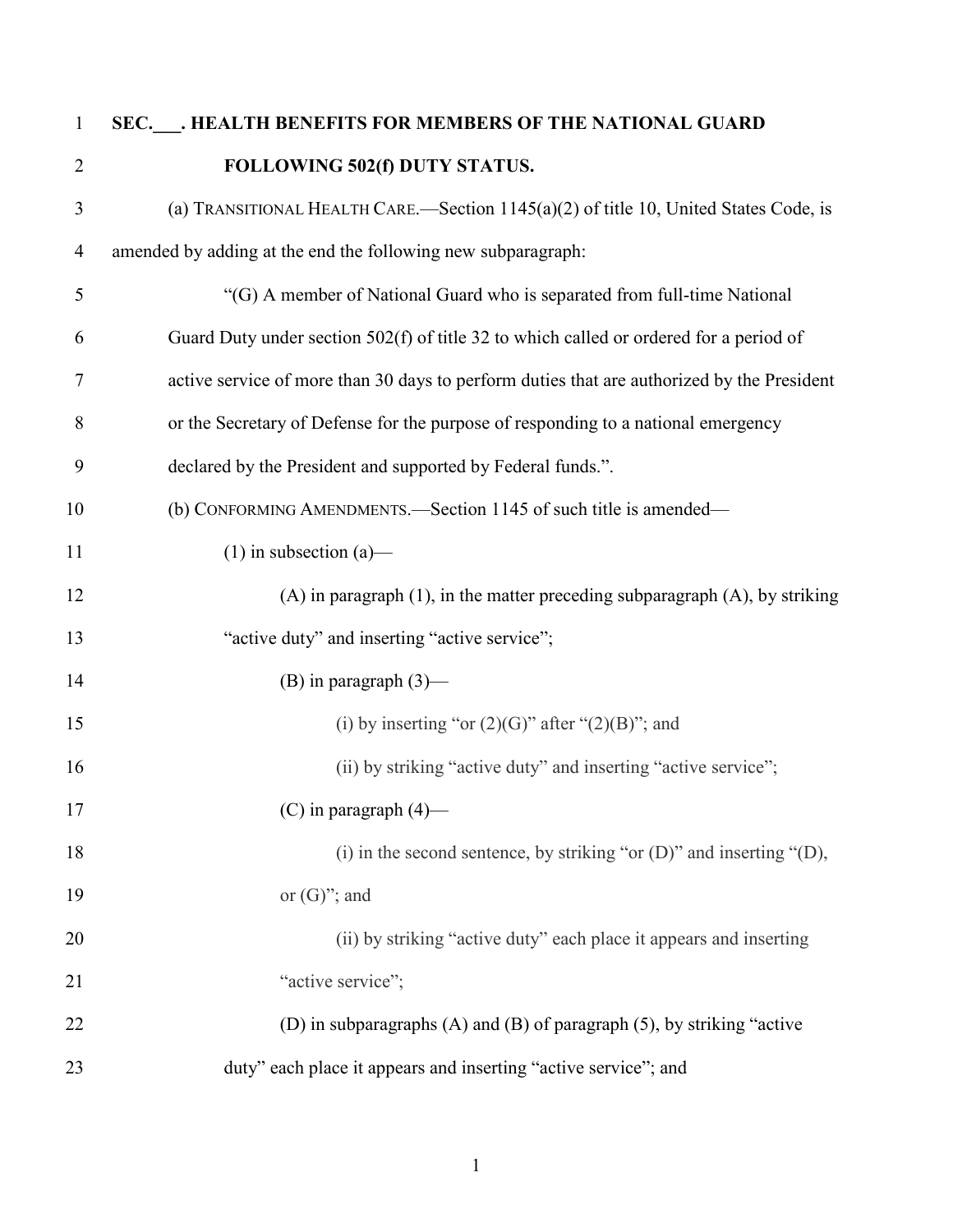| $\mathbf{1}$   | SEC. __. HEALTH BENEFITS FOR MEMBERS OF THE NATIONAL GUARD                                 |
|----------------|--------------------------------------------------------------------------------------------|
| $\overline{2}$ | FOLLOWING 502(f) DUTY STATUS.                                                              |
| 3              | (a) TRANSITIONAL HEALTH CARE.—Section $1145(a)(2)$ of title 10, United States Code, is     |
| $\overline{4}$ | amended by adding at the end the following new subparagraph:                               |
| 5              | "(G) A member of National Guard who is separated from full-time National                   |
| 6              | Guard Duty under section 502(f) of title 32 to which called or ordered for a period of     |
| 7              | active service of more than 30 days to perform duties that are authorized by the President |
| 8              | or the Secretary of Defense for the purpose of responding to a national emergency          |
| 9              | declared by the President and supported by Federal funds.".                                |
| 10             | (b) CONFORMING AMENDMENTS.—Section 1145 of such title is amended—                          |
| 11             | $(1)$ in subsection (a)—                                                                   |
| 12             | $(A)$ in paragraph $(1)$ , in the matter preceding subparagraph $(A)$ , by striking        |
| 13             | "active duty" and inserting "active service";                                              |
| 14             | (B) in paragraph $(3)$ —                                                                   |
| 15             | (i) by inserting "or $(2)(G)$ " after " $(2)(B)$ "; and                                    |
| 16             | (ii) by striking "active duty" and inserting "active service";                             |
| 17             | $(C)$ in paragraph $(4)$ —                                                                 |
| 18             | (i) in the second sentence, by striking "or $(D)$ " and inserting " $(D)$ ,                |
| 19             | or $(G)$ "; and                                                                            |
| 20             | (ii) by striking "active duty" each place it appears and inserting                         |
| 21             | "active service";                                                                          |
| 22             | (D) in subparagraphs (A) and (B) of paragraph (5), by striking "active                     |
| 23             | duty" each place it appears and inserting "active service"; and                            |

1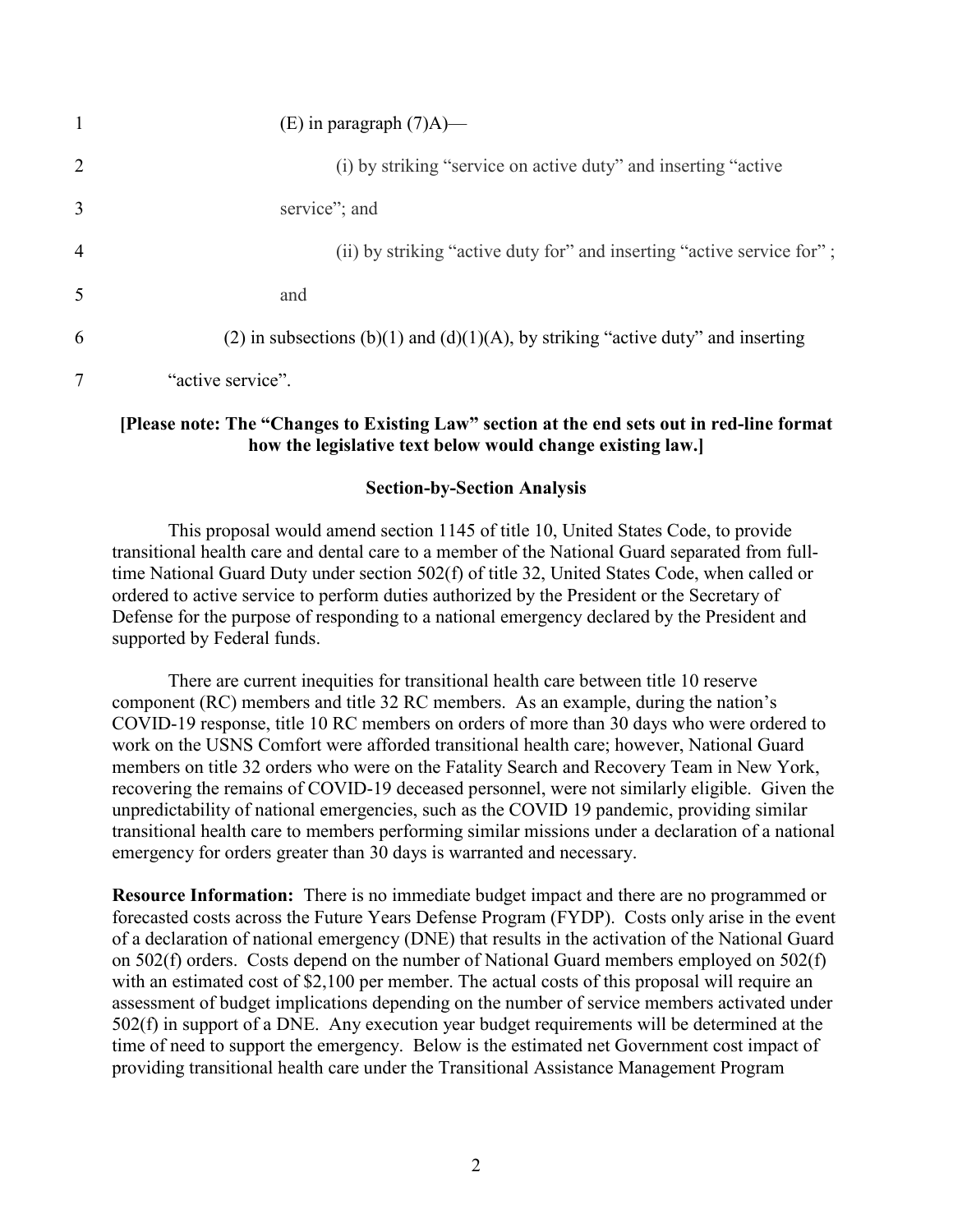|                | (E) in paragraph $(7)$ A)—                                                       |
|----------------|----------------------------------------------------------------------------------|
| 2              | (i) by striking "service on active duty" and inserting "active"                  |
| 3              | service"; and                                                                    |
| $\overline{4}$ | (ii) by striking "active duty for" and inserting "active service for";           |
| 5              | and                                                                              |
| 6              | (2) in subsections (b)(1) and (d)(1)(A), by striking "active duty" and inserting |
|                | "active service".                                                                |

# **[Please note: The "Changes to Existing Law" section at the end sets out in red-line format how the legislative text below would change existing law.]**

### **Section-by-Section Analysis**

This proposal would amend section 1145 of title 10, United States Code, to provide transitional health care and dental care to a member of the National Guard separated from fulltime National Guard Duty under section 502(f) of title 32, United States Code, when called or ordered to active service to perform duties authorized by the President or the Secretary of Defense for the purpose of responding to a national emergency declared by the President and supported by Federal funds.

There are current inequities for transitional health care between title 10 reserve component (RC) members and title 32 RC members. As an example, during the nation's COVID-19 response, title 10 RC members on orders of more than 30 days who were ordered to work on the USNS Comfort were afforded transitional health care; however, National Guard members on title 32 orders who were on the Fatality Search and Recovery Team in New York, recovering the remains of COVID-19 deceased personnel, were not similarly eligible. Given the unpredictability of national emergencies, such as the COVID 19 pandemic, providing similar transitional health care to members performing similar missions under a declaration of a national emergency for orders greater than 30 days is warranted and necessary.

**Resource Information:** There is no immediate budget impact and there are no programmed or forecasted costs across the Future Years Defense Program (FYDP). Costs only arise in the event of a declaration of national emergency (DNE) that results in the activation of the National Guard on 502(f) orders. Costs depend on the number of National Guard members employed on 502(f) with an estimated cost of \$2,100 per member. The actual costs of this proposal will require an assessment of budget implications depending on the number of service members activated under 502(f) in support of a DNE. Any execution year budget requirements will be determined at the time of need to support the emergency. Below is the estimated net Government cost impact of providing transitional health care under the Transitional Assistance Management Program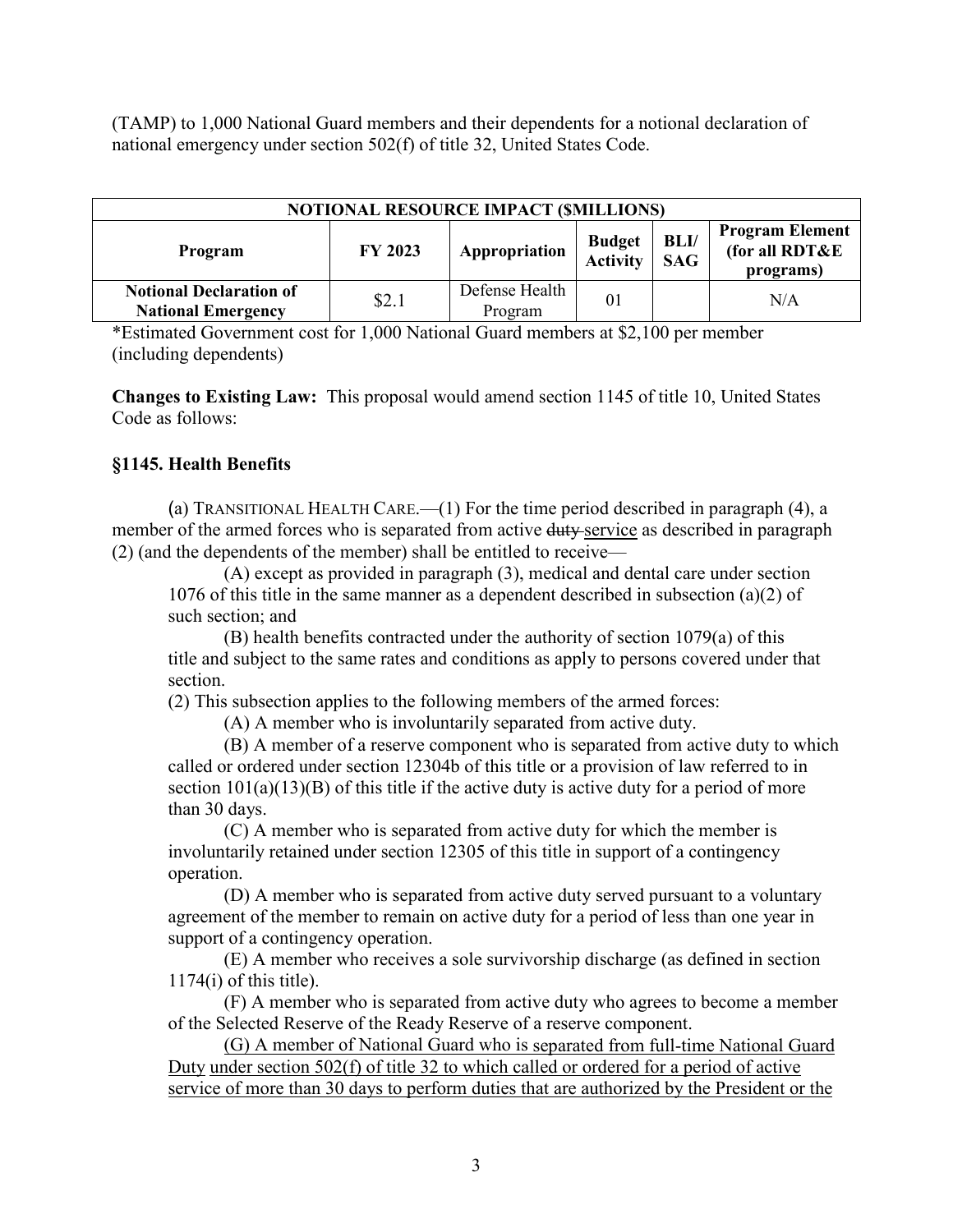(TAMP) to 1,000 National Guard members and their dependents for a notional declaration of national emergency under section 502(f) of title 32, United States Code.

| <b>NOTIONAL RESOURCE IMPACT (\$MILLIONS)</b>                |         |                           |                           |                    |                                                       |  |  |
|-------------------------------------------------------------|---------|---------------------------|---------------------------|--------------------|-------------------------------------------------------|--|--|
| Program                                                     | FY 2023 | Appropriation             | <b>Budget</b><br>Activity | BLI/<br><b>SAG</b> | <b>Program Element</b><br>(for all RDT&E<br>programs) |  |  |
| <b>Notional Declaration of</b><br><b>National Emergency</b> | \$2.1   | Defense Health<br>Program | 0 <sub>1</sub>            |                    | N/A                                                   |  |  |

\*Estimated Government cost for 1,000 National Guard members at \$2,100 per member (including dependents)

**Changes to Existing Law:** This proposal would amend section 1145 of title 10, United States Code as follows:

# **§1145. Health Benefits**

(a) TRANSITIONAL HEALTH CARE.—(1) For the time period described in paragraph (4), a member of the armed forces who is separated from active duty service as described in paragraph (2) (and the dependents of the member) shall be entitled to receive—

(A) except as provided in paragraph (3), medical and dental care under section 1076 of this title in the same manner as a dependent described in subsection (a)(2) of such section; and

(B) health benefits contracted under the authority of section 1079(a) of this title and subject to the same rates and conditions as apply to persons covered under that section.

(2) This subsection applies to the following members of the armed forces:

(A) A member who is involuntarily separated from active duty.

(B) A member of a reserve component who is separated from active duty to which called or ordered under section 12304b of this title or a provision of law referred to in section  $101(a)(13)(B)$  of this title if the active duty is active duty for a period of more than 30 days.

(C) A member who is separated from active duty for which the member is involuntarily retained under section 12305 of this title in support of a contingency operation.

(D) A member who is separated from active duty served pursuant to a voluntary agreement of the member to remain on active duty for a period of less than one year in support of a contingency operation.

(E) A member who receives a sole survivorship discharge (as defined in section  $1174(i)$  of this title).

(F) A member who is separated from active duty who agrees to become a member of the Selected Reserve of the Ready Reserve of a reserve component.

(G) A member of National Guard who is separated from full-time National Guard Duty under section 502(f) of title 32 to which called or ordered for a period of active service of more than 30 days to perform duties that are authorized by the President or the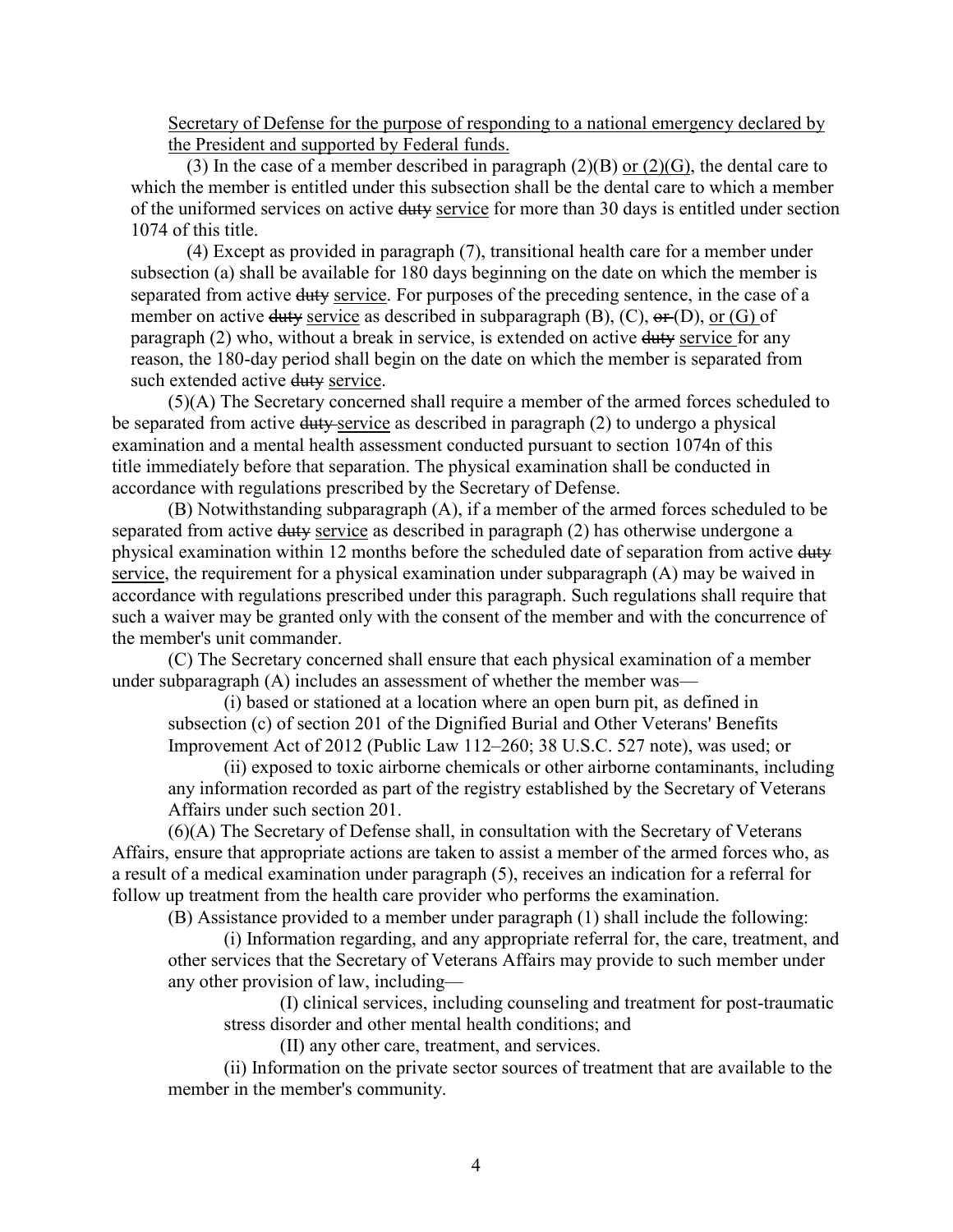Secretary of Defense for the purpose of responding to a national emergency declared by the President and supported by Federal funds.

(3) In the case of a member described in paragraph  $(2)(B)$  or  $(2)(G)$ , the dental care to which the member is entitled under this subsection shall be the dental care to which a member of the uniformed services on active duty service for more than 30 days is entitled under section 1074 of this title.

(4) Except as provided in paragraph (7), transitional health care for a member under subsection (a) shall be available for 180 days beginning on the date on which the member is separated from active duty service. For purposes of the preceding sentence, in the case of a member on active duty service as described in subparagraph  $(B)$ ,  $(C)$ ,  $\Theta$ **r** $(D)$ , or  $(G)$  of paragraph (2) who, without a break in service, is extended on active duty service for any reason, the 180-day period shall begin on the date on which the member is separated from such extended active duty service.

(5)(A) The Secretary concerned shall require a member of the armed forces scheduled to be separated from active duty service as described in paragraph (2) to undergo a physical examination and a mental health assessment conducted pursuant to section 1074n of this title immediately before that separation. The physical examination shall be conducted in accordance with regulations prescribed by the Secretary of Defense.

(B) Notwithstanding subparagraph (A), if a member of the armed forces scheduled to be separated from active duty service as described in paragraph (2) has otherwise undergone a physical examination within 12 months before the scheduled date of separation from active duty service, the requirement for a physical examination under subparagraph (A) may be waived in accordance with regulations prescribed under this paragraph. Such regulations shall require that such a waiver may be granted only with the consent of the member and with the concurrence of the member's unit commander.

(C) The Secretary concerned shall ensure that each physical examination of a member under subparagraph (A) includes an assessment of whether the member was—

(i) based or stationed at a location where an open burn pit, as defined in subsection (c) of section 201 of the Dignified Burial and Other Veterans' Benefits Improvement Act of 2012 (Public Law 112–260; 38 U.S.C. 527 note), was used; or

(ii) exposed to toxic airborne chemicals or other airborne contaminants, including any information recorded as part of the registry established by the Secretary of Veterans Affairs under such section 201.

(6)(A) The Secretary of Defense shall, in consultation with the Secretary of Veterans Affairs, ensure that appropriate actions are taken to assist a member of the armed forces who, as a result of a medical examination under paragraph (5), receives an indication for a referral for follow up treatment from the health care provider who performs the examination.

(B) Assistance provided to a member under paragraph (1) shall include the following:

(i) Information regarding, and any appropriate referral for, the care, treatment, and other services that the Secretary of Veterans Affairs may provide to such member under any other provision of law, including—

(I) clinical services, including counseling and treatment for post-traumatic stress disorder and other mental health conditions; and

(II) any other care, treatment, and services.

(ii) Information on the private sector sources of treatment that are available to the member in the member's community.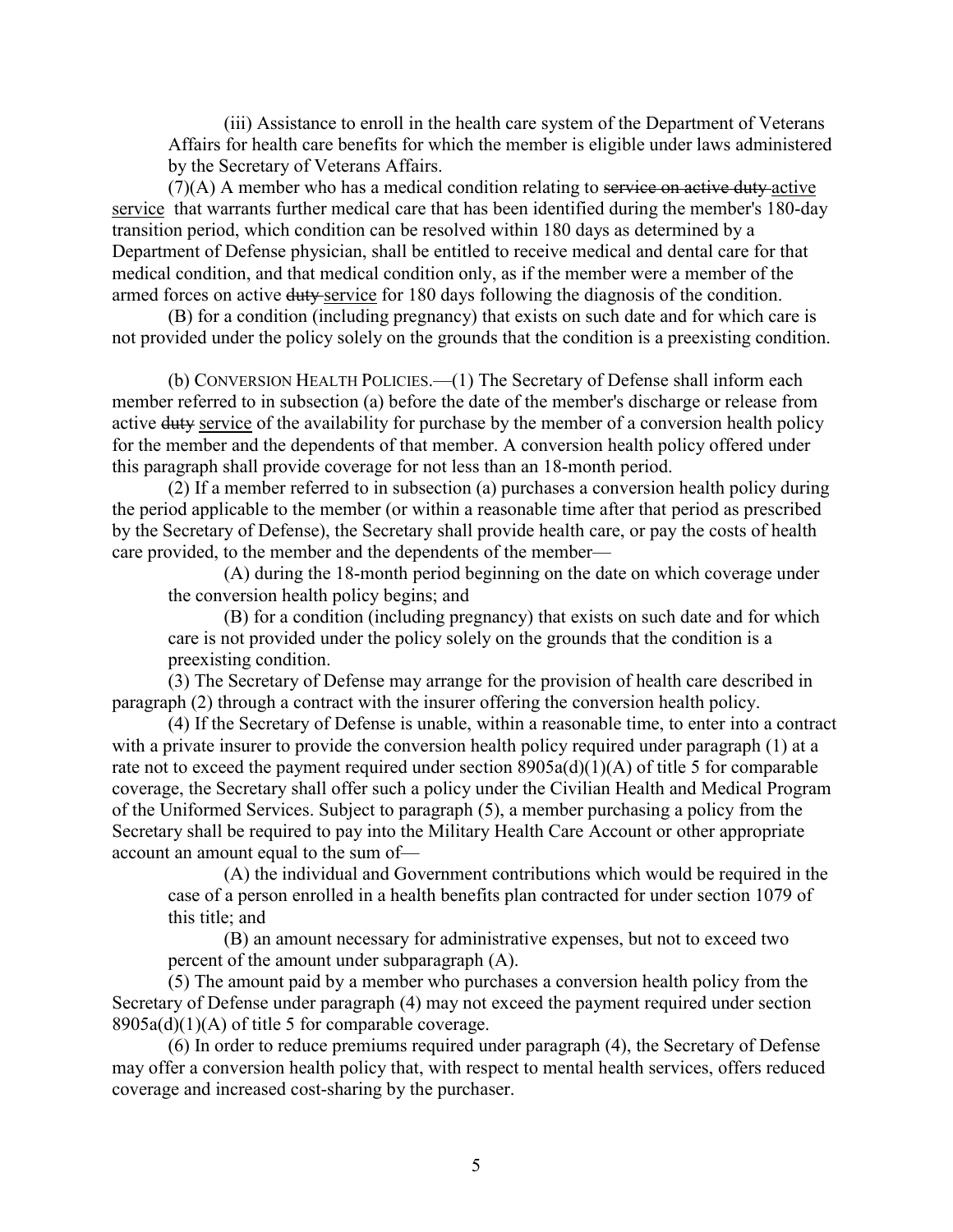(iii) Assistance to enroll in the health care system of the Department of Veterans Affairs for health care benefits for which the member is eligible under laws administered by the Secretary of Veterans Affairs.

 $(7)(A)$  A member who has a medical condition relating to service on active duty active service that warrants further medical care that has been identified during the member's 180-day transition period, which condition can be resolved within 180 days as determined by a Department of Defense physician, shall be entitled to receive medical and dental care for that medical condition, and that medical condition only, as if the member were a member of the armed forces on active duty service for 180 days following the diagnosis of the condition.

(B) for a condition (including pregnancy) that exists on such date and for which care is not provided under the policy solely on the grounds that the condition is a preexisting condition.

(b) CONVERSION HEALTH POLICIES.—(1) The Secretary of Defense shall inform each member referred to in subsection (a) before the date of the member's discharge or release from active duty service of the availability for purchase by the member of a conversion health policy for the member and the dependents of that member. A conversion health policy offered under this paragraph shall provide coverage for not less than an 18-month period.

(2) If a member referred to in subsection (a) purchases a conversion health policy during the period applicable to the member (or within a reasonable time after that period as prescribed by the Secretary of Defense), the Secretary shall provide health care, or pay the costs of health care provided, to the member and the dependents of the member—

(A) during the 18-month period beginning on the date on which coverage under the conversion health policy begins; and

(B) for a condition (including pregnancy) that exists on such date and for which care is not provided under the policy solely on the grounds that the condition is a preexisting condition.

(3) The Secretary of Defense may arrange for the provision of health care described in paragraph (2) through a contract with the insurer offering the conversion health policy.

(4) If the Secretary of Defense is unable, within a reasonable time, to enter into a contract with a private insurer to provide the conversion health policy required under paragraph (1) at a rate not to exceed the payment required under section 8905a(d)(1)(A) of title 5 for comparable coverage, the Secretary shall offer such a policy under the Civilian Health and Medical Program of the Uniformed Services. Subject to paragraph (5), a member purchasing a policy from the Secretary shall be required to pay into the Military Health Care Account or other appropriate account an amount equal to the sum of—

(A) the individual and Government contributions which would be required in the case of a person enrolled in a health benefits plan contracted for under section 1079 of this title; and

(B) an amount necessary for administrative expenses, but not to exceed two percent of the amount under subparagraph (A).

(5) The amount paid by a member who purchases a conversion health policy from the Secretary of Defense under paragraph (4) may not exceed the payment required under section  $8905a(d)(1)(A)$  of title 5 for comparable coverage.

(6) In order to reduce premiums required under paragraph (4), the Secretary of Defense may offer a conversion health policy that, with respect to mental health services, offers reduced coverage and increased cost-sharing by the purchaser.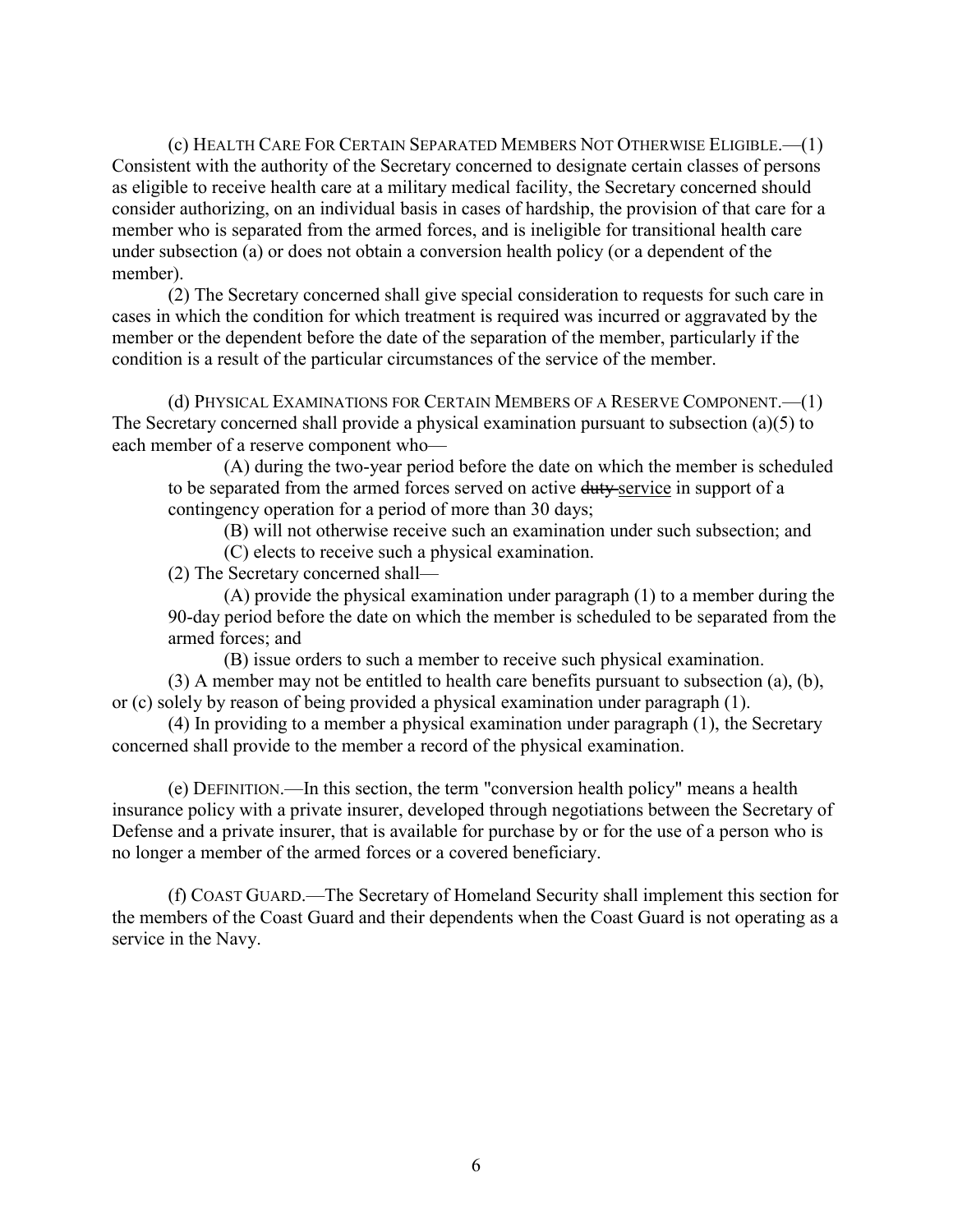(c) HEALTH CARE FOR CERTAIN SEPARATED MEMBERS NOT OTHERWISE ELIGIBLE.—(1) Consistent with the authority of the Secretary concerned to designate certain classes of persons as eligible to receive health care at a military medical facility, the Secretary concerned should consider authorizing, on an individual basis in cases of hardship, the provision of that care for a member who is separated from the armed forces, and is ineligible for transitional health care under subsection (a) or does not obtain a conversion health policy (or a dependent of the member).

(2) The Secretary concerned shall give special consideration to requests for such care in cases in which the condition for which treatment is required was incurred or aggravated by the member or the dependent before the date of the separation of the member, particularly if the condition is a result of the particular circumstances of the service of the member.

(d) PHYSICAL EXAMINATIONS FOR CERTAIN MEMBERS OF A RESERVE COMPONENT.—(1) The Secretary concerned shall provide a physical examination pursuant to subsection (a)(5) to each member of a reserve component who—

(A) during the two-year period before the date on which the member is scheduled to be separated from the armed forces served on active duty-service in support of a contingency operation for a period of more than 30 days;

(B) will not otherwise receive such an examination under such subsection; and

(C) elects to receive such a physical examination.

(2) The Secretary concerned shall—

(A) provide the physical examination under paragraph (1) to a member during the 90-day period before the date on which the member is scheduled to be separated from the armed forces; and

(B) issue orders to such a member to receive such physical examination.

(3) A member may not be entitled to health care benefits pursuant to subsection (a), (b), or (c) solely by reason of being provided a physical examination under paragraph (1).

(4) In providing to a member a physical examination under paragraph (1), the Secretary concerned shall provide to the member a record of the physical examination.

(e) DEFINITION.—In this section, the term "conversion health policy" means a health insurance policy with a private insurer, developed through negotiations between the Secretary of Defense and a private insurer, that is available for purchase by or for the use of a person who is no longer a member of the armed forces or a covered beneficiary.

(f) COAST GUARD.—The Secretary of Homeland Security shall implement this section for the members of the Coast Guard and their dependents when the Coast Guard is not operating as a service in the Navy.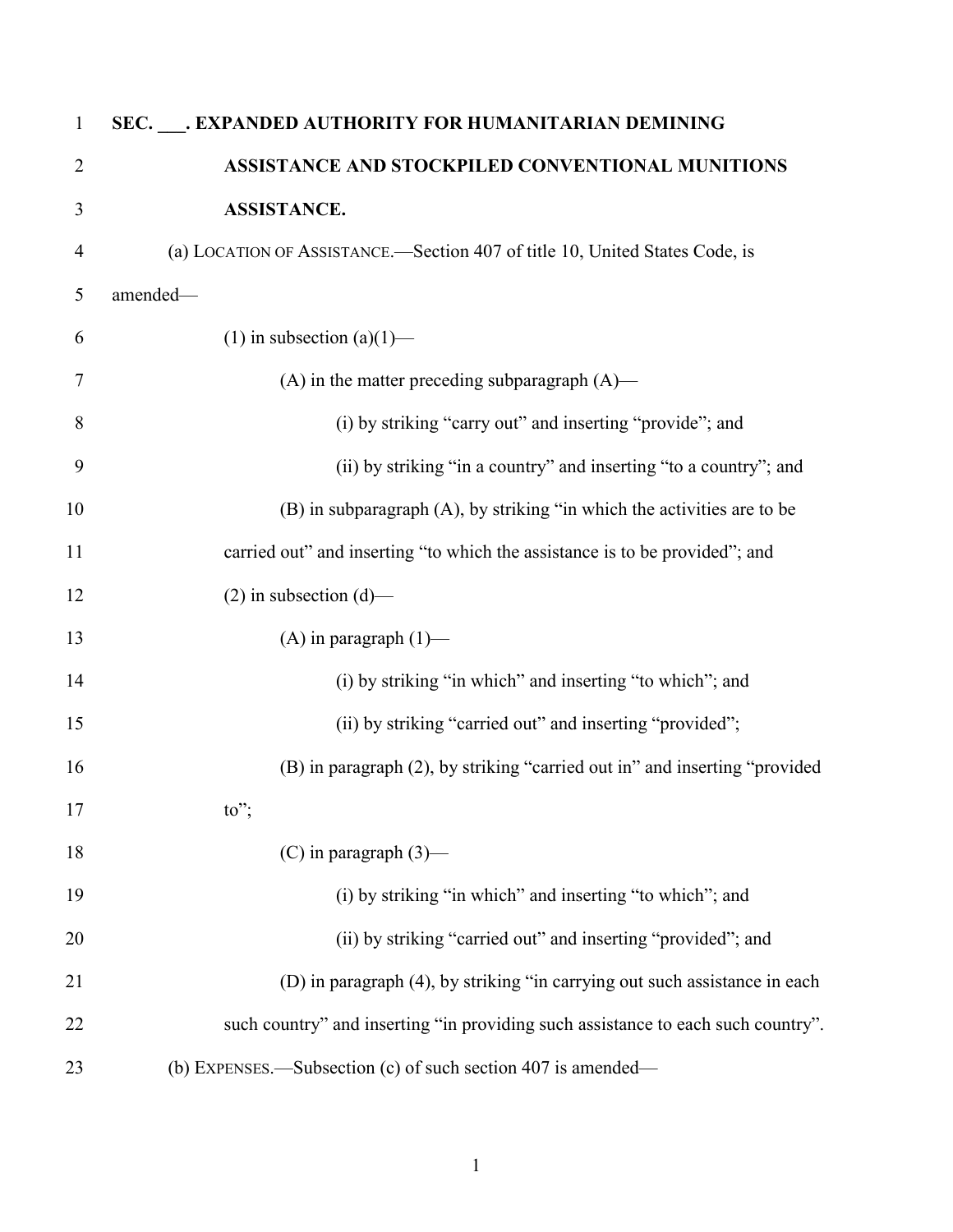| $\mathbf{1}$   | SEC. ___. EXPANDED AUTHORITY FOR HUMANITARIAN DEMINING                           |
|----------------|----------------------------------------------------------------------------------|
| $\overline{2}$ | ASSISTANCE AND STOCKPILED CONVENTIONAL MUNITIONS                                 |
| 3              | <b>ASSISTANCE.</b>                                                               |
| $\overline{4}$ | (a) LOCATION OF ASSISTANCE.—Section 407 of title 10, United States Code, is      |
| 5              | amended-                                                                         |
| 6              | (1) in subsection (a)(1)—                                                        |
| $\tau$         | $(A)$ in the matter preceding subparagraph $(A)$ —                               |
| 8              | (i) by striking "carry out" and inserting "provide"; and                         |
| 9              | (ii) by striking "in a country" and inserting "to a country"; and                |
| 10             | (B) in subparagraph (A), by striking "in which the activities are to be          |
| 11             | carried out" and inserting "to which the assistance is to be provided"; and      |
| 12             | $(2)$ in subsection $(d)$ —                                                      |
| 13             | $(A)$ in paragraph $(1)$ —                                                       |
| 14             | (i) by striking "in which" and inserting "to which"; and                         |
| 15             | (ii) by striking "carried out" and inserting "provided";                         |
| 16             | (B) in paragraph (2), by striking "carried out in" and inserting "provided       |
| 17             | to";                                                                             |
| 18             | $(C)$ in paragraph $(3)$ —                                                       |
| 19             | (i) by striking "in which" and inserting "to which"; and                         |
| 20             | (ii) by striking "carried out" and inserting "provided"; and                     |
| 21             | (D) in paragraph (4), by striking "in carrying out such assistance in each       |
| 22             | such country" and inserting "in providing such assistance to each such country". |
| 23             | (b) EXPENSES.—Subsection $(c)$ of such section 407 is amended—                   |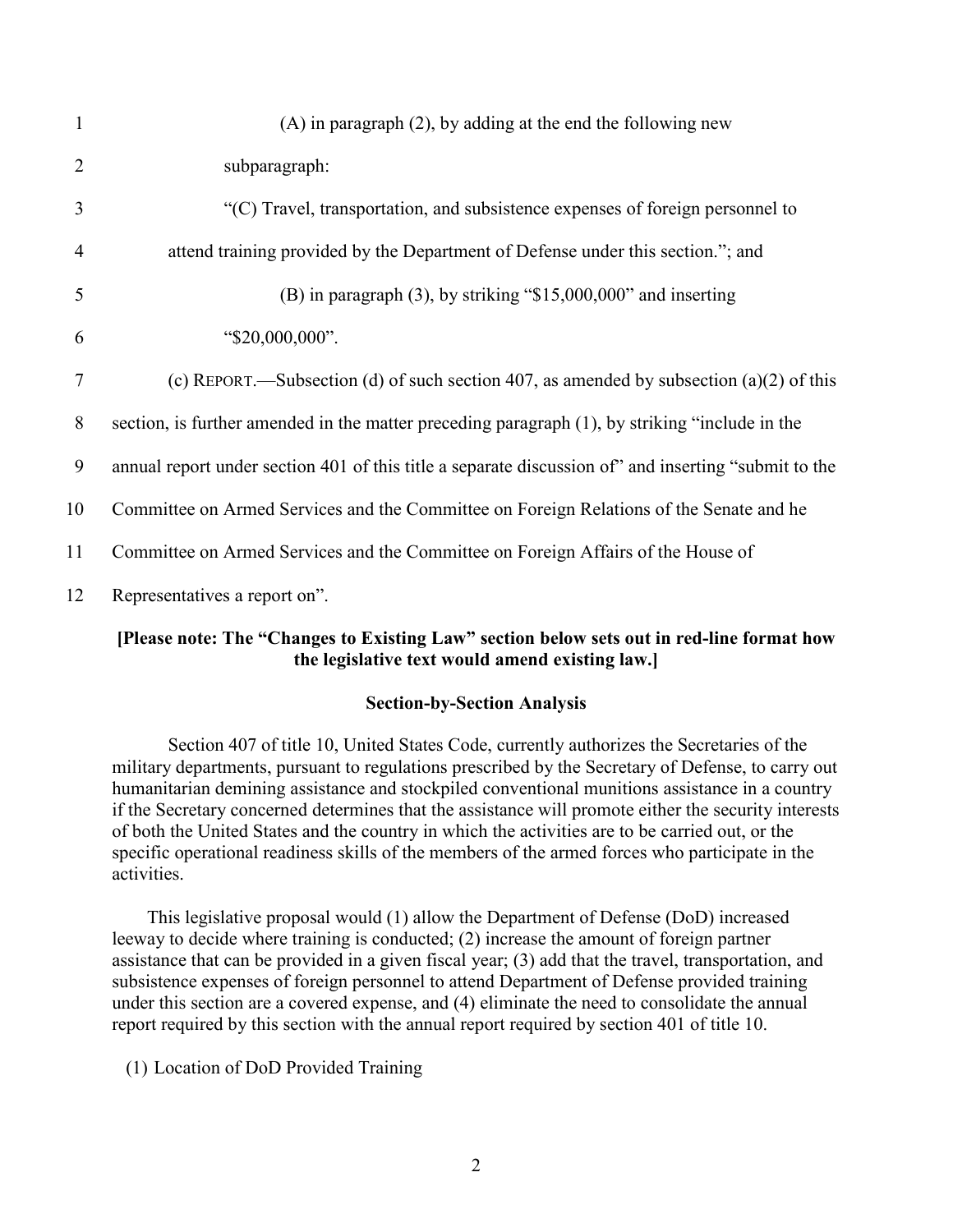| $\mathbf{1}$   | $(A)$ in paragraph $(2)$ , by adding at the end the following new                                    |
|----------------|------------------------------------------------------------------------------------------------------|
| $\overline{2}$ | subparagraph:                                                                                        |
| 3              | "(C) Travel, transportation, and subsistence expenses of foreign personnel to                        |
| 4              | attend training provided by the Department of Defense under this section."; and                      |
| 5              | $(B)$ in paragraph $(3)$ , by striking "\$15,000,000" and inserting                                  |
| 6              | "\$20,000,000".                                                                                      |
| 7              | (c) REPORT.—Subsection (d) of such section 407, as amended by subsection (a)(2) of this              |
| 8              | section, is further amended in the matter preceding paragraph (1), by striking "include in the       |
| 9              | annual report under section 401 of this title a separate discussion of" and inserting "submit to the |
| 10             | Committee on Armed Services and the Committee on Foreign Relations of the Senate and he              |
| 11             | Committee on Armed Services and the Committee on Foreign Affairs of the House of                     |
| 12             | Representatives a report on".                                                                        |

# **[Please note: The "Changes to Existing Law" section below sets out in red-line format how the legislative text would amend existing law.]**

### **Section-by-Section Analysis**

Section 407 of title 10, United States Code, currently authorizes the Secretaries of the military departments, pursuant to regulations prescribed by the Secretary of Defense, to carry out humanitarian demining assistance and stockpiled conventional munitions assistance in a country if the Secretary concerned determines that the assistance will promote either the security interests of both the United States and the country in which the activities are to be carried out, or the specific operational readiness skills of the members of the armed forces who participate in the activities.

This legislative proposal would (1) allow the Department of Defense (DoD) increased leeway to decide where training is conducted; (2) increase the amount of foreign partner assistance that can be provided in a given fiscal year; (3) add that the travel, transportation, and subsistence expenses of foreign personnel to attend Department of Defense provided training under this section are a covered expense, and (4) eliminate the need to consolidate the annual report required by this section with the annual report required by section 401 of title 10.

(1) Location of DoD Provided Training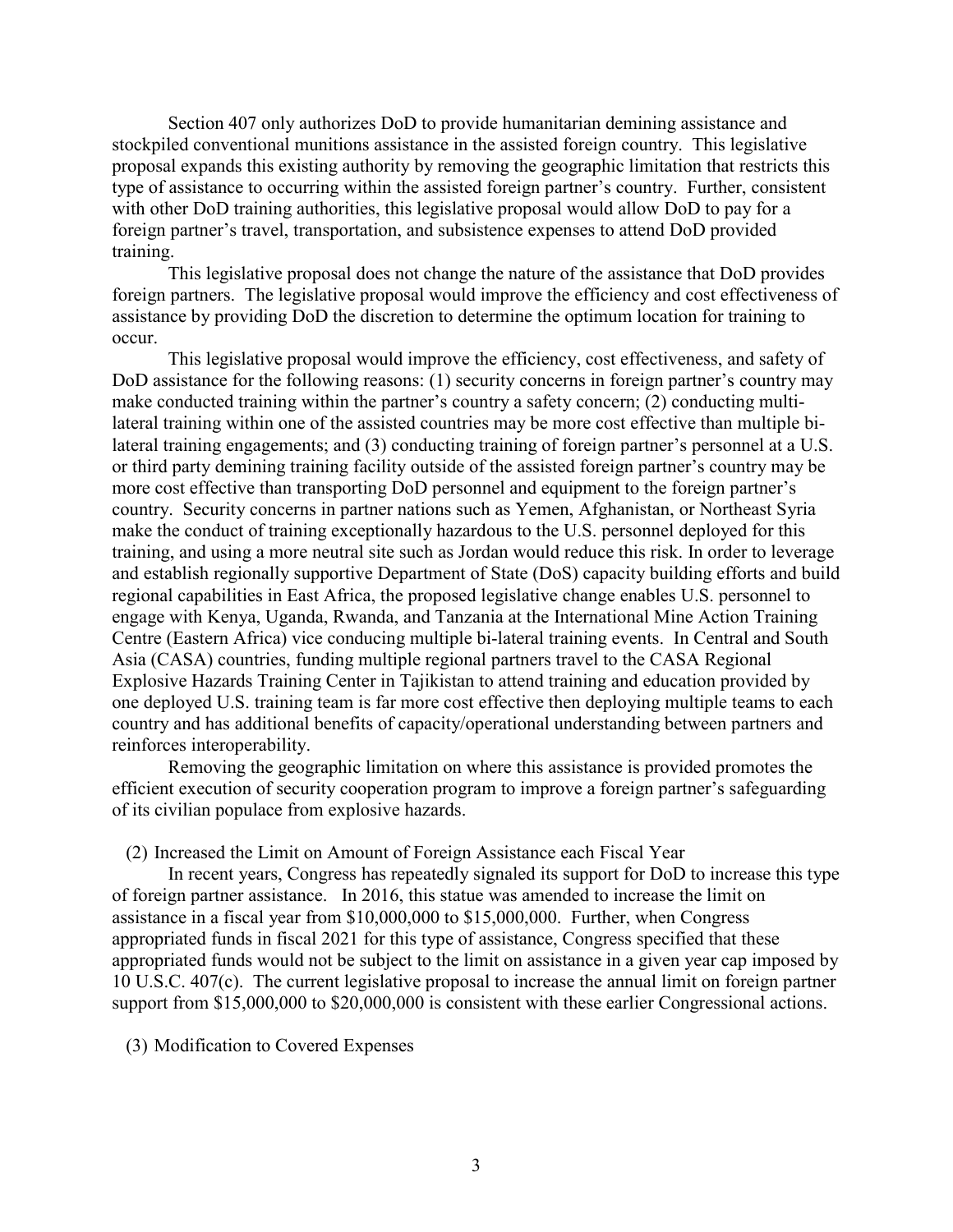Section 407 only authorizes DoD to provide humanitarian demining assistance and stockpiled conventional munitions assistance in the assisted foreign country. This legislative proposal expands this existing authority by removing the geographic limitation that restricts this type of assistance to occurring within the assisted foreign partner's country. Further, consistent with other DoD training authorities, this legislative proposal would allow DoD to pay for a foreign partner's travel, transportation, and subsistence expenses to attend DoD provided training.

This legislative proposal does not change the nature of the assistance that DoD provides foreign partners. The legislative proposal would improve the efficiency and cost effectiveness of assistance by providing DoD the discretion to determine the optimum location for training to occur.

This legislative proposal would improve the efficiency, cost effectiveness, and safety of DoD assistance for the following reasons: (1) security concerns in foreign partner's country may make conducted training within the partner's country a safety concern; (2) conducting multilateral training within one of the assisted countries may be more cost effective than multiple bilateral training engagements; and (3) conducting training of foreign partner's personnel at a U.S. or third party demining training facility outside of the assisted foreign partner's country may be more cost effective than transporting DoD personnel and equipment to the foreign partner's country. Security concerns in partner nations such as Yemen, Afghanistan, or Northeast Syria make the conduct of training exceptionally hazardous to the U.S. personnel deployed for this training, and using a more neutral site such as Jordan would reduce this risk. In order to leverage and establish regionally supportive Department of State (DoS) capacity building efforts and build regional capabilities in East Africa, the proposed legislative change enables U.S. personnel to engage with Kenya, Uganda, Rwanda, and Tanzania at the International Mine Action Training Centre (Eastern Africa) vice conducing multiple bi-lateral training events. In Central and South Asia (CASA) countries, funding multiple regional partners travel to the CASA Regional Explosive Hazards Training Center in Tajikistan to attend training and education provided by one deployed U.S. training team is far more cost effective then deploying multiple teams to each country and has additional benefits of capacity/operational understanding between partners and reinforces interoperability.

Removing the geographic limitation on where this assistance is provided promotes the efficient execution of security cooperation program to improve a foreign partner's safeguarding of its civilian populace from explosive hazards.

### (2) Increased the Limit on Amount of Foreign Assistance each Fiscal Year

In recent years, Congress has repeatedly signaled its support for DoD to increase this type of foreign partner assistance. In 2016, this statue was amended to increase the limit on assistance in a fiscal year from \$10,000,000 to \$15,000,000. Further, when Congress appropriated funds in fiscal 2021 for this type of assistance, Congress specified that these appropriated funds would not be subject to the limit on assistance in a given year cap imposed by 10 U.S.C. 407(c). The current legislative proposal to increase the annual limit on foreign partner support from \$15,000,000 to \$20,000,000 is consistent with these earlier Congressional actions.

#### (3) Modification to Covered Expenses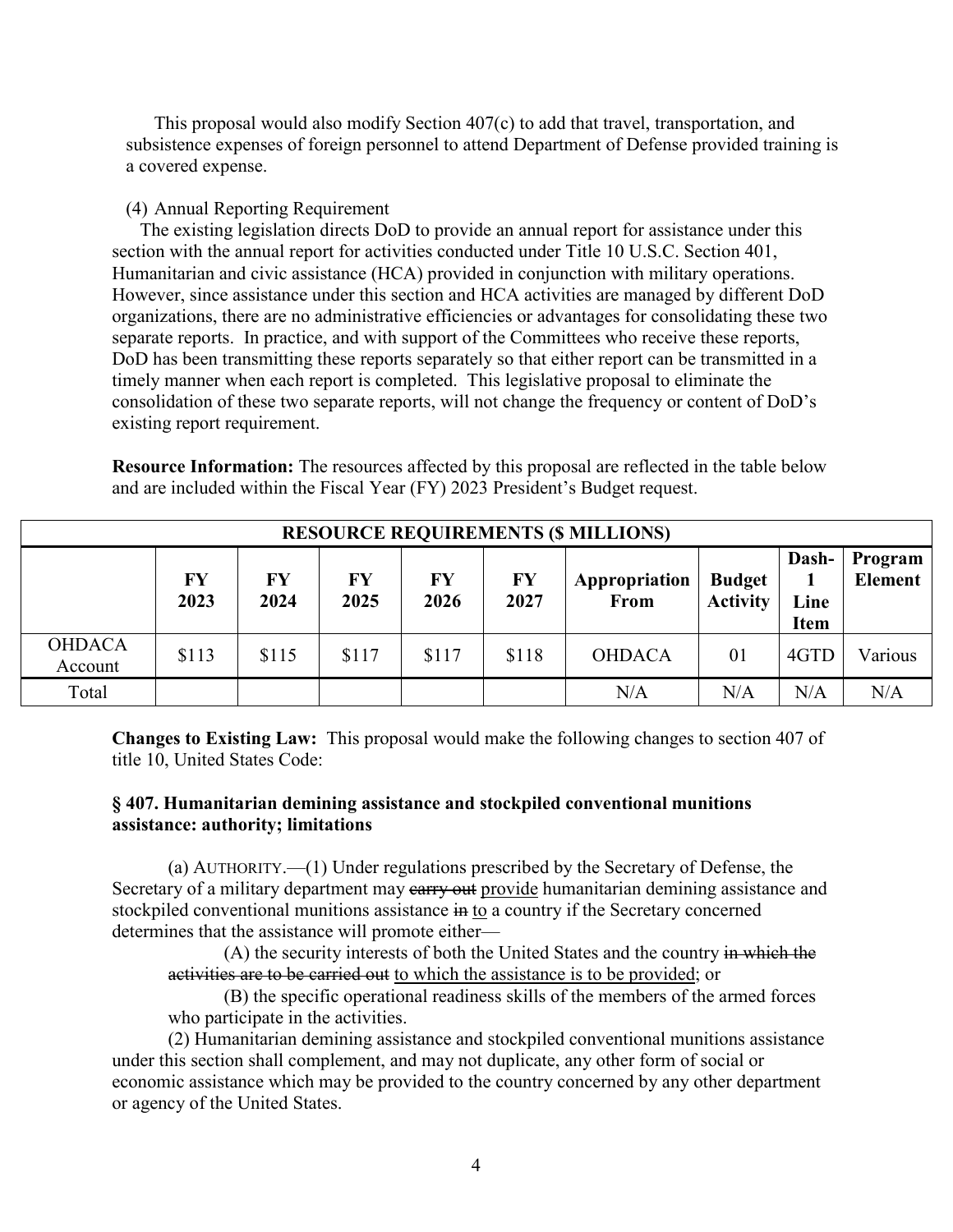This proposal would also modify Section 407(c) to add that travel, transportation, and subsistence expenses of foreign personnel to attend Department of Defense provided training is a covered expense.

#### (4) Annual Reporting Requirement

The existing legislation directs DoD to provide an annual report for assistance under this section with the annual report for activities conducted under Title 10 U.S.C. Section 401, Humanitarian and civic assistance (HCA) provided in conjunction with military operations. However, since assistance under this section and HCA activities are managed by different DoD organizations, there are no administrative efficiencies or advantages for consolidating these two separate reports. In practice, and with support of the Committees who receive these reports, DoD has been transmitting these reports separately so that either report can be transmitted in a timely manner when each report is completed. This legislative proposal to eliminate the consolidation of these two separate reports, will not change the frequency or content of DoD's existing report requirement.

**Resource Information:** The resources affected by this proposal are reflected in the table below and are included within the Fiscal Year (FY) 2023 President's Budget request.

| <b>RESOURCE REQUIREMENTS (\$ MILLIONS)</b> |            |            |            |            |            |                              |                                  |                              |                           |
|--------------------------------------------|------------|------------|------------|------------|------------|------------------------------|----------------------------------|------------------------------|---------------------------|
|                                            | FY<br>2023 | FY<br>2024 | FY<br>2025 | FY<br>2026 | FY<br>2027 | Appropriation<br><b>From</b> | <b>Budget</b><br><b>Activity</b> | Dash-<br>Line<br><b>Item</b> | Program<br><b>Element</b> |
| <b>OHDACA</b><br>Account                   | \$113      | \$115      | \$117      | \$117      | \$118      | <b>OHDACA</b>                | 01                               | 4GTD                         | Various                   |
| Total                                      |            |            |            |            |            | N/A                          | N/A                              | N/A                          | N/A                       |

**Changes to Existing Law:** This proposal would make the following changes to section 407 of title 10, United States Code:

### **§ 407. Humanitarian demining assistance and stockpiled conventional munitions assistance: authority; limitations**

(a) AUTHORITY.—(1) Under regulations prescribed by the Secretary of Defense, the Secretary of a military department may earry out provide humanitarian demining assistance and stockpiled conventional munitions assistance in to a country if the Secretary concerned determines that the assistance will promote either—

(A) the security interests of both the United States and the country in which the activities are to be carried out to which the assistance is to be provided; or

(B) the specific operational readiness skills of the members of the armed forces who participate in the activities.

(2) Humanitarian demining assistance and stockpiled conventional munitions assistance under this section shall complement, and may not duplicate, any other form of social or economic assistance which may be provided to the country concerned by any other department or agency of the United States.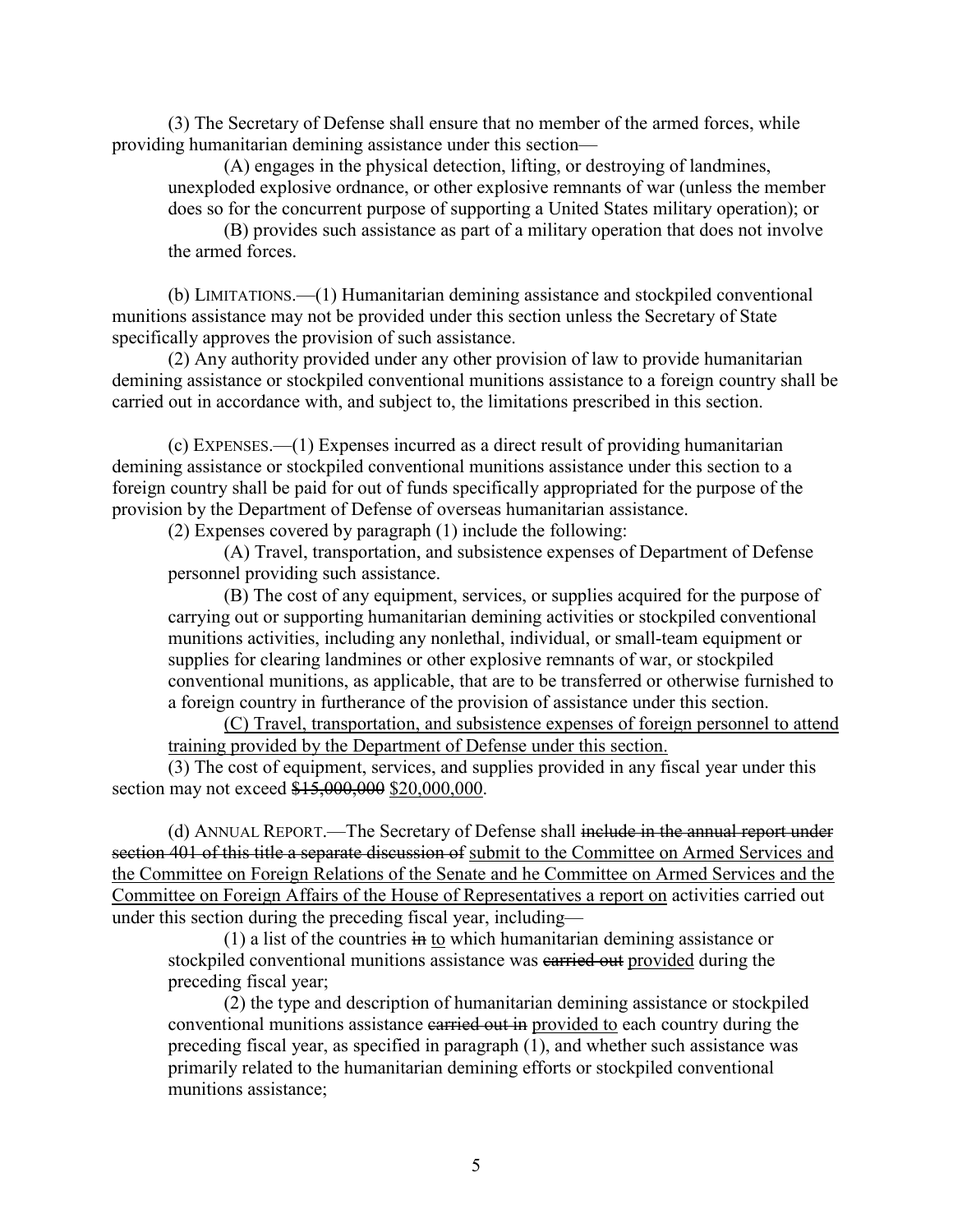(3) The Secretary of Defense shall ensure that no member of the armed forces, while providing humanitarian demining assistance under this section—

(A) engages in the physical detection, lifting, or destroying of landmines, unexploded explosive ordnance, or other explosive remnants of war (unless the member does so for the concurrent purpose of supporting a United States military operation); or

(B) provides such assistance as part of a military operation that does not involve the armed forces.

(b) LIMITATIONS.—(1) Humanitarian demining assistance and stockpiled conventional munitions assistance may not be provided under this section unless the Secretary of State specifically approves the provision of such assistance.

(2) Any authority provided under any other provision of law to provide humanitarian demining assistance or stockpiled conventional munitions assistance to a foreign country shall be carried out in accordance with, and subject to, the limitations prescribed in this section.

(c) EXPENSES.—(1) Expenses incurred as a direct result of providing humanitarian demining assistance or stockpiled conventional munitions assistance under this section to a foreign country shall be paid for out of funds specifically appropriated for the purpose of the provision by the Department of Defense of overseas humanitarian assistance.

(2) Expenses covered by paragraph (1) include the following:

(A) Travel, transportation, and subsistence expenses of Department of Defense personnel providing such assistance.

(B) The cost of any equipment, services, or supplies acquired for the purpose of carrying out or supporting humanitarian demining activities or stockpiled conventional munitions activities, including any nonlethal, individual, or small-team equipment or supplies for clearing landmines or other explosive remnants of war, or stockpiled conventional munitions, as applicable, that are to be transferred or otherwise furnished to a foreign country in furtherance of the provision of assistance under this section.

(C) Travel, transportation, and subsistence expenses of foreign personnel to attend training provided by the Department of Defense under this section.

(3) The cost of equipment, services, and supplies provided in any fiscal year under this section may not exceed \$15,000,000 \$20,000,000.

(d) ANNUAL REPORT.—The Secretary of Defense shall include in the annual report under section 401 of this title a separate discussion of submit to the Committee on Armed Services and the Committee on Foreign Relations of the Senate and he Committee on Armed Services and the Committee on Foreign Affairs of the House of Representatives a report on activities carried out under this section during the preceding fiscal year, including—

(1) a list of the countries in to which humanitarian demining assistance or stockpiled conventional munitions assistance was earried out provided during the preceding fiscal year;

(2) the type and description of humanitarian demining assistance or stockpiled conventional munitions assistance carried out in provided to each country during the preceding fiscal year, as specified in paragraph (1), and whether such assistance was primarily related to the humanitarian demining efforts or stockpiled conventional munitions assistance;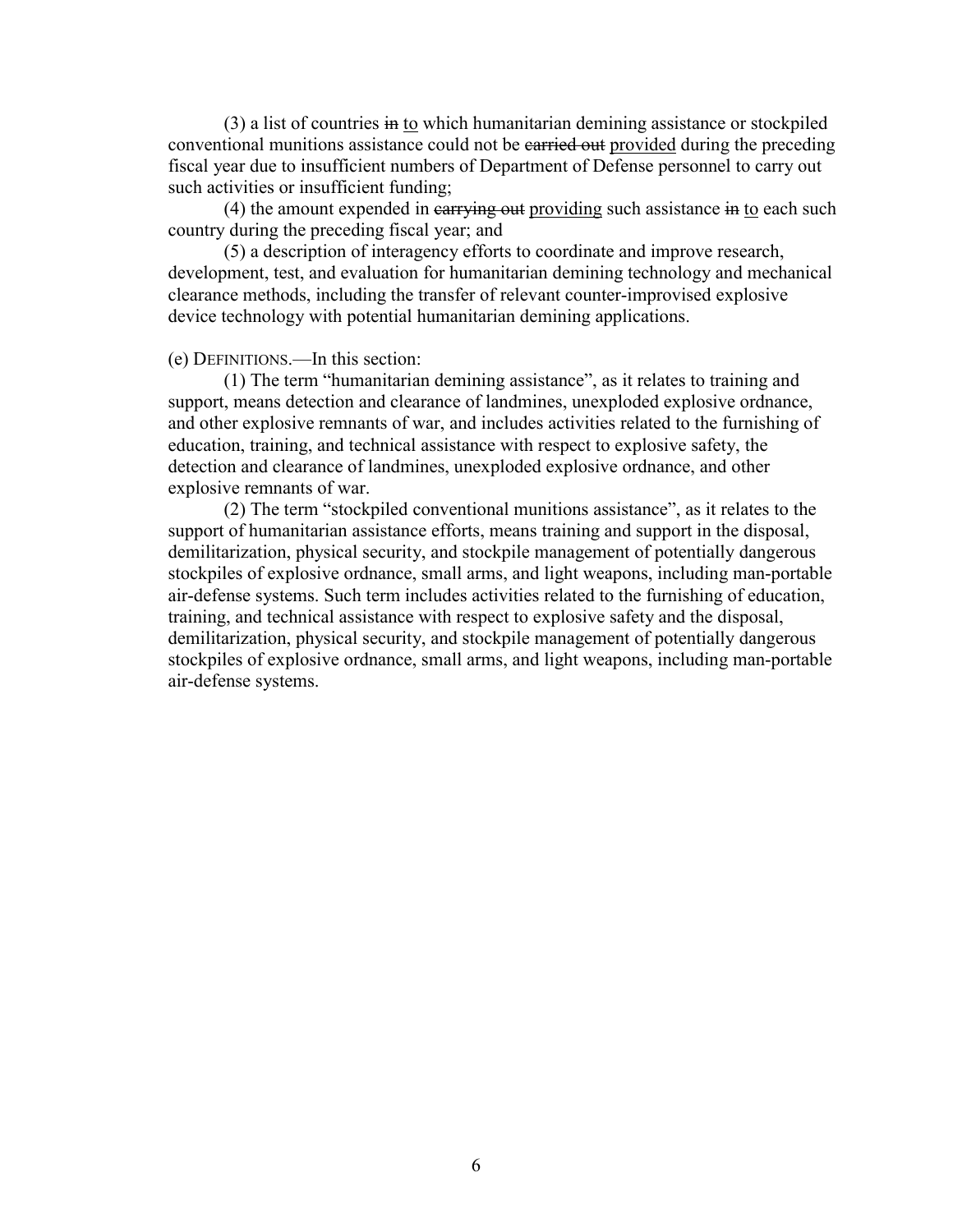$(3)$  a list of countries in to which humanitarian demining assistance or stockpiled conventional munitions assistance could not be earried out provided during the preceding fiscal year due to insufficient numbers of Department of Defense personnel to carry out such activities or insufficient funding;

(4) the amount expended in  $\frac{1}{2}$  carrying out providing such assistance in to each such country during the preceding fiscal year; and

(5) a description of interagency efforts to coordinate and improve research, development, test, and evaluation for humanitarian demining technology and mechanical clearance methods, including the transfer of relevant counter-improvised explosive device technology with potential humanitarian demining applications.

### (e) DEFINITIONS.—In this section:

(1) The term "humanitarian demining assistance", as it relates to training and support, means detection and clearance of landmines, unexploded explosive ordnance, and other explosive remnants of war, and includes activities related to the furnishing of education, training, and technical assistance with respect to explosive safety, the detection and clearance of landmines, unexploded explosive ordnance, and other explosive remnants of war.

(2) The term "stockpiled conventional munitions assistance", as it relates to the support of humanitarian assistance efforts, means training and support in the disposal, demilitarization, physical security, and stockpile management of potentially dangerous stockpiles of explosive ordnance, small arms, and light weapons, including man-portable air-defense systems. Such term includes activities related to the furnishing of education, training, and technical assistance with respect to explosive safety and the disposal, demilitarization, physical security, and stockpile management of potentially dangerous stockpiles of explosive ordnance, small arms, and light weapons, including man-portable air-defense systems.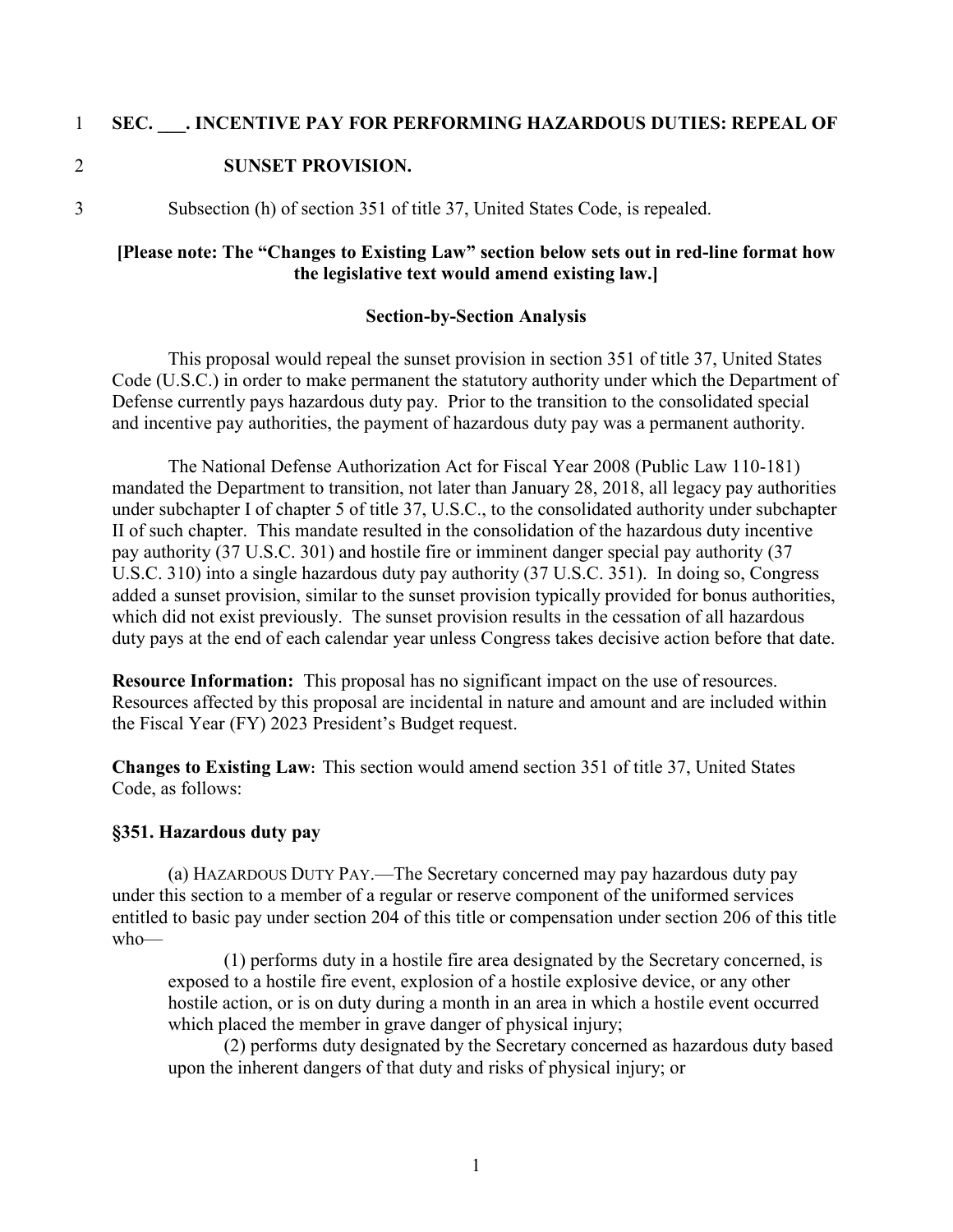### 1 **SEC. \_\_\_. INCENTIVE PAY FOR PERFORMING HAZARDOUS DUTIES: REPEAL OF**

### 2 **SUNSET PROVISION.**

3 Subsection (h) of section 351 of title 37, United States Code, is repealed.

### **[Please note: The "Changes to Existing Law" section below sets out in red-line format how the legislative text would amend existing law.]**

#### **Section-by-Section Analysis**

This proposal would repeal the sunset provision in section 351 of title 37, United States Code (U.S.C.) in order to make permanent the statutory authority under which the Department of Defense currently pays hazardous duty pay. Prior to the transition to the consolidated special and incentive pay authorities, the payment of hazardous duty pay was a permanent authority.

The National Defense Authorization Act for Fiscal Year 2008 (Public Law 110-181) mandated the Department to transition, not later than January 28, 2018, all legacy pay authorities under subchapter I of chapter 5 of title 37, U.S.C., to the consolidated authority under subchapter II of such chapter. This mandate resulted in the consolidation of the hazardous duty incentive pay authority (37 U.S.C. 301) and hostile fire or imminent danger special pay authority (37 U.S.C. 310) into a single hazardous duty pay authority (37 U.S.C. 351). In doing so, Congress added a sunset provision, similar to the sunset provision typically provided for bonus authorities, which did not exist previously. The sunset provision results in the cessation of all hazardous duty pays at the end of each calendar year unless Congress takes decisive action before that date.

**Resource Information:** This proposal has no significant impact on the use of resources. Resources affected by this proposal are incidental in nature and amount and are included within the Fiscal Year (FY) 2023 President's Budget request.

**Changes to Existing Law:** This section would amend section 351 of title 37, United States Code, as follows:

### **§351. Hazardous duty pay**

(a) HAZARDOUS DUTY PAY.—The Secretary concerned may pay hazardous duty pay under this section to a member of a regular or reserve component of the uniformed services entitled to basic pay under section 204 of this title or compensation under section 206 of this title who—

(1) performs duty in a hostile fire area designated by the Secretary concerned, is exposed to a hostile fire event, explosion of a hostile explosive device, or any other hostile action, or is on duty during a month in an area in which a hostile event occurred which placed the member in grave danger of physical injury;

(2) performs duty designated by the Secretary concerned as hazardous duty based upon the inherent dangers of that duty and risks of physical injury; or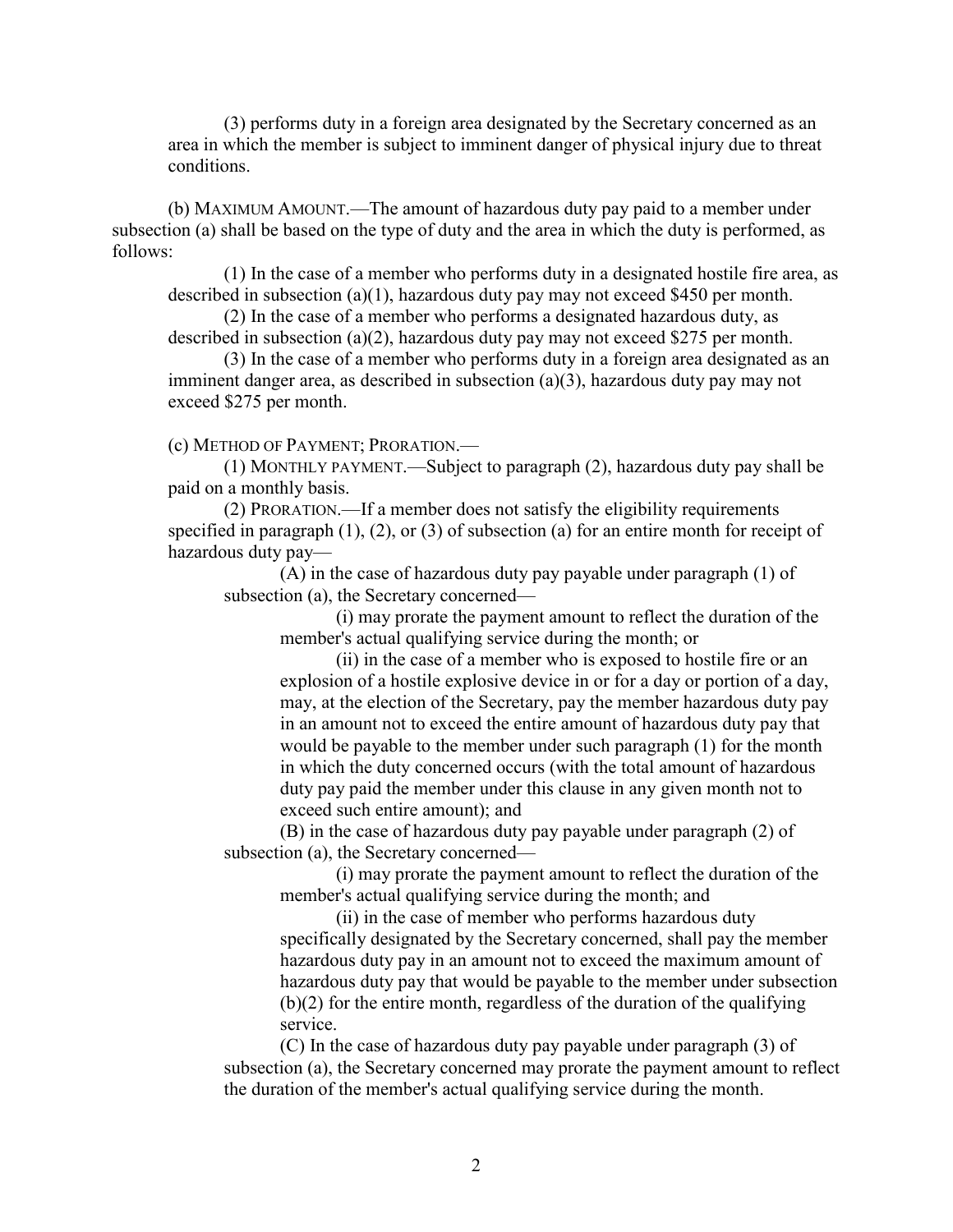(3) performs duty in a foreign area designated by the Secretary concerned as an area in which the member is subject to imminent danger of physical injury due to threat conditions.

(b) MAXIMUM AMOUNT.—The amount of hazardous duty pay paid to a member under subsection (a) shall be based on the type of duty and the area in which the duty is performed, as follows:

(1) In the case of a member who performs duty in a designated hostile fire area, as described in subsection (a)(1), hazardous duty pay may not exceed \$450 per month.

(2) In the case of a member who performs a designated hazardous duty, as described in subsection (a)(2), hazardous duty pay may not exceed \$275 per month.

(3) In the case of a member who performs duty in a foreign area designated as an imminent danger area, as described in subsection (a)(3), hazardous duty pay may not exceed \$275 per month.

(c) METHOD OF PAYMENT; PRORATION.—

(1) MONTHLY PAYMENT.—Subject to paragraph (2), hazardous duty pay shall be paid on a monthly basis.

(2) PRORATION.—If a member does not satisfy the eligibility requirements specified in paragraph  $(1)$ ,  $(2)$ , or  $(3)$  of subsection  $(a)$  for an entire month for receipt of hazardous duty pay—

(A) in the case of hazardous duty pay payable under paragraph (1) of subsection (a), the Secretary concerned—

(i) may prorate the payment amount to reflect the duration of the member's actual qualifying service during the month; or

(ii) in the case of a member who is exposed to hostile fire or an explosion of a hostile explosive device in or for a day or portion of a day, may, at the election of the Secretary, pay the member hazardous duty pay in an amount not to exceed the entire amount of hazardous duty pay that would be payable to the member under such paragraph (1) for the month in which the duty concerned occurs (with the total amount of hazardous duty pay paid the member under this clause in any given month not to exceed such entire amount); and

(B) in the case of hazardous duty pay payable under paragraph (2) of subsection (a), the Secretary concerned—

(i) may prorate the payment amount to reflect the duration of the member's actual qualifying service during the month; and

(ii) in the case of member who performs hazardous duty specifically designated by the Secretary concerned, shall pay the member hazardous duty pay in an amount not to exceed the maximum amount of hazardous duty pay that would be payable to the member under subsection (b)(2) for the entire month, regardless of the duration of the qualifying service.

(C) In the case of hazardous duty pay payable under paragraph (3) of subsection (a), the Secretary concerned may prorate the payment amount to reflect the duration of the member's actual qualifying service during the month.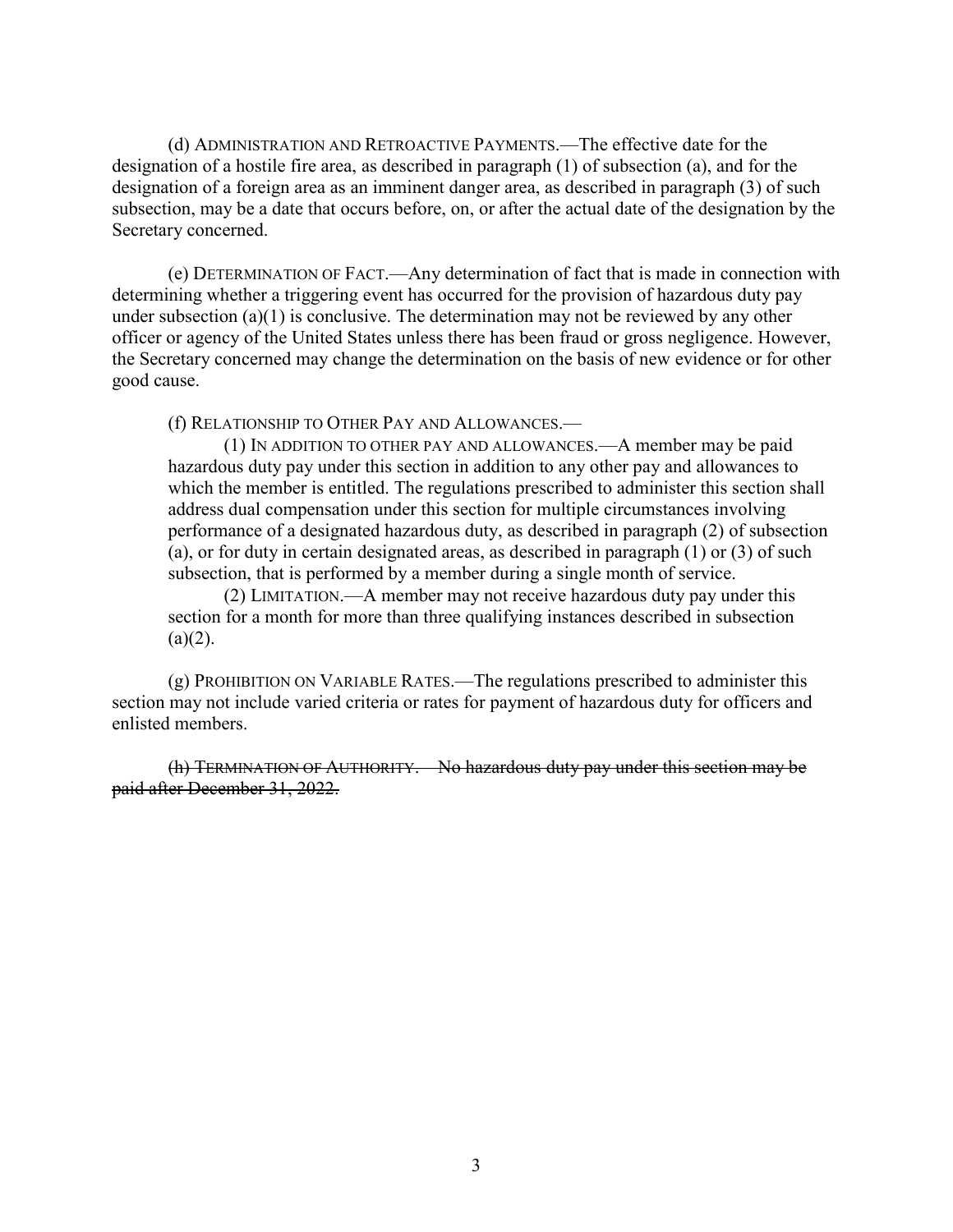(d) ADMINISTRATION AND RETROACTIVE PAYMENTS.—The effective date for the designation of a hostile fire area, as described in paragraph (1) of subsection (a), and for the designation of a foreign area as an imminent danger area, as described in paragraph (3) of such subsection, may be a date that occurs before, on, or after the actual date of the designation by the Secretary concerned.

(e) DETERMINATION OF FACT.—Any determination of fact that is made in connection with determining whether a triggering event has occurred for the provision of hazardous duty pay under subsection  $(a)(1)$  is conclusive. The determination may not be reviewed by any other officer or agency of the United States unless there has been fraud or gross negligence. However, the Secretary concerned may change the determination on the basis of new evidence or for other good cause.

(f) RELATIONSHIP TO OTHER PAY AND ALLOWANCES.—

(1) IN ADDITION TO OTHER PAY AND ALLOWANCES.—A member may be paid hazardous duty pay under this section in addition to any other pay and allowances to which the member is entitled. The regulations prescribed to administer this section shall address dual compensation under this section for multiple circumstances involving performance of a designated hazardous duty, as described in paragraph (2) of subsection (a), or for duty in certain designated areas, as described in paragraph (1) or (3) of such subsection, that is performed by a member during a single month of service.

(2) LIMITATION.—A member may not receive hazardous duty pay under this section for a month for more than three qualifying instances described in subsection  $(a)(2)$ .

(g) PROHIBITION ON VARIABLE RATES.—The regulations prescribed to administer this section may not include varied criteria or rates for payment of hazardous duty for officers and enlisted members.

(h) TERMINATION OF AUTHORITY.—No hazardous duty pay under this section may be paid after December 31, 2022.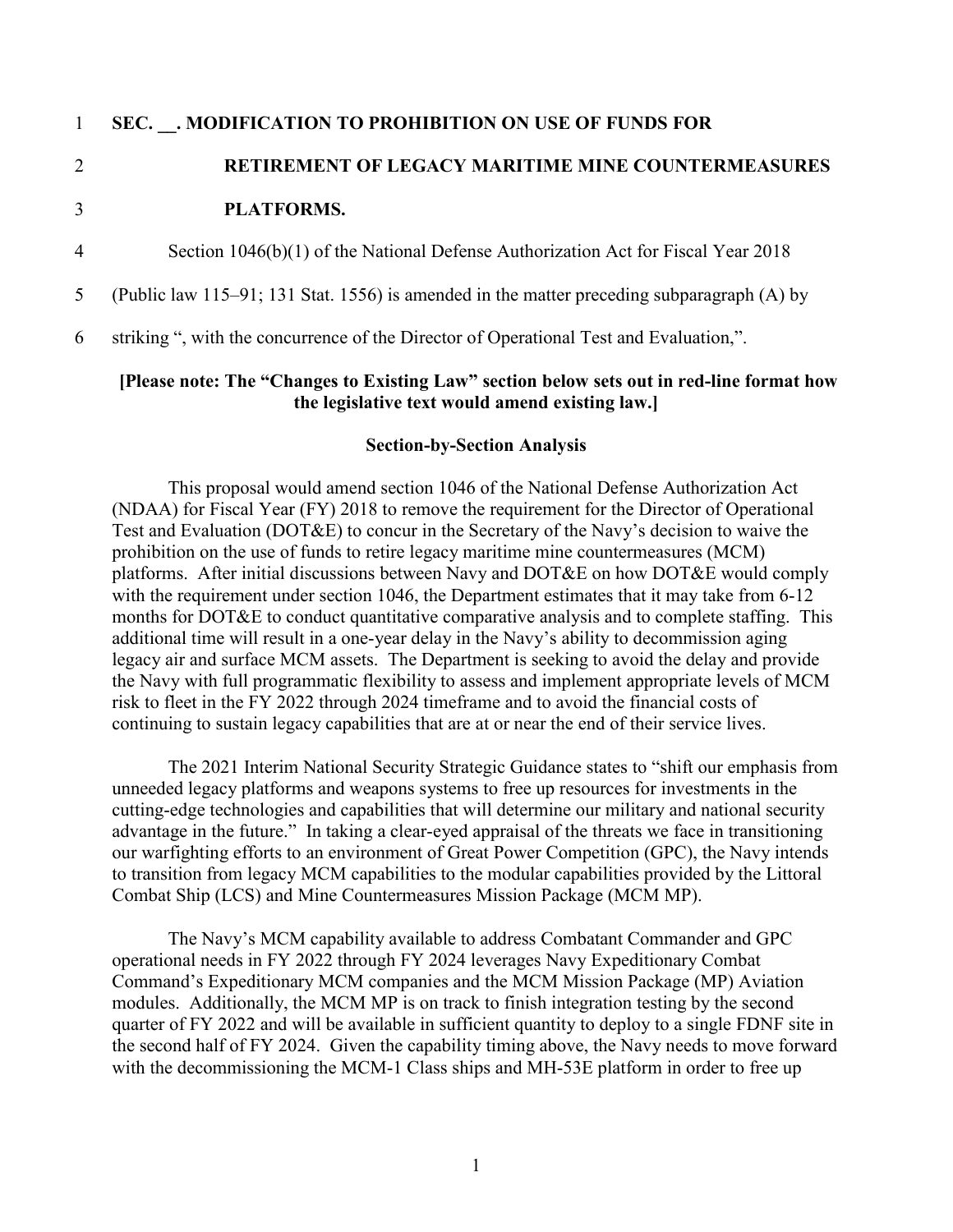### 1 **SEC. \_\_. MODIFICATION TO PROHIBITION ON USE OF FUNDS FOR**

# 2 **RETIREMENT OF LEGACY MARITIME MINE COUNTERMEASURES**

#### 3 **PLATFORMS.**

4 Section 1046(b)(1) of the National Defense Authorization Act for Fiscal Year 2018

5 (Public law 115–91; 131 Stat. 1556) is amended in the matter preceding subparagraph (A) by

6 striking ", with the concurrence of the Director of Operational Test and Evaluation,".

### **[Please note: The "Changes to Existing Law" section below sets out in red-line format how the legislative text would amend existing law.]**

### **Section-by-Section Analysis**

This proposal would amend section 1046 of the National Defense Authorization Act (NDAA) for Fiscal Year (FY) 2018 to remove the requirement for the Director of Operational Test and Evaluation (DOT&E) to concur in the Secretary of the Navy's decision to waive the prohibition on the use of funds to retire legacy maritime mine countermeasures (MCM) platforms. After initial discussions between Navy and DOT&E on how DOT&E would comply with the requirement under section 1046, the Department estimates that it may take from 6-12 months for DOT&E to conduct quantitative comparative analysis and to complete staffing. This additional time will result in a one-year delay in the Navy's ability to decommission aging legacy air and surface MCM assets. The Department is seeking to avoid the delay and provide the Navy with full programmatic flexibility to assess and implement appropriate levels of MCM risk to fleet in the FY 2022 through 2024 timeframe and to avoid the financial costs of continuing to sustain legacy capabilities that are at or near the end of their service lives.

The 2021 Interim National Security Strategic Guidance states to "shift our emphasis from unneeded legacy platforms and weapons systems to free up resources for investments in the cutting-edge technologies and capabilities that will determine our military and national security advantage in the future." In taking a clear-eyed appraisal of the threats we face in transitioning our warfighting efforts to an environment of Great Power Competition (GPC), the Navy intends to transition from legacy MCM capabilities to the modular capabilities provided by the Littoral Combat Ship (LCS) and Mine Countermeasures Mission Package (MCM MP).

The Navy's MCM capability available to address Combatant Commander and GPC operational needs in FY 2022 through FY 2024 leverages Navy Expeditionary Combat Command's Expeditionary MCM companies and the MCM Mission Package (MP) Aviation modules. Additionally, the MCM MP is on track to finish integration testing by the second quarter of FY 2022 and will be available in sufficient quantity to deploy to a single FDNF site in the second half of FY 2024. Given the capability timing above, the Navy needs to move forward with the decommissioning the MCM-1 Class ships and MH-53E platform in order to free up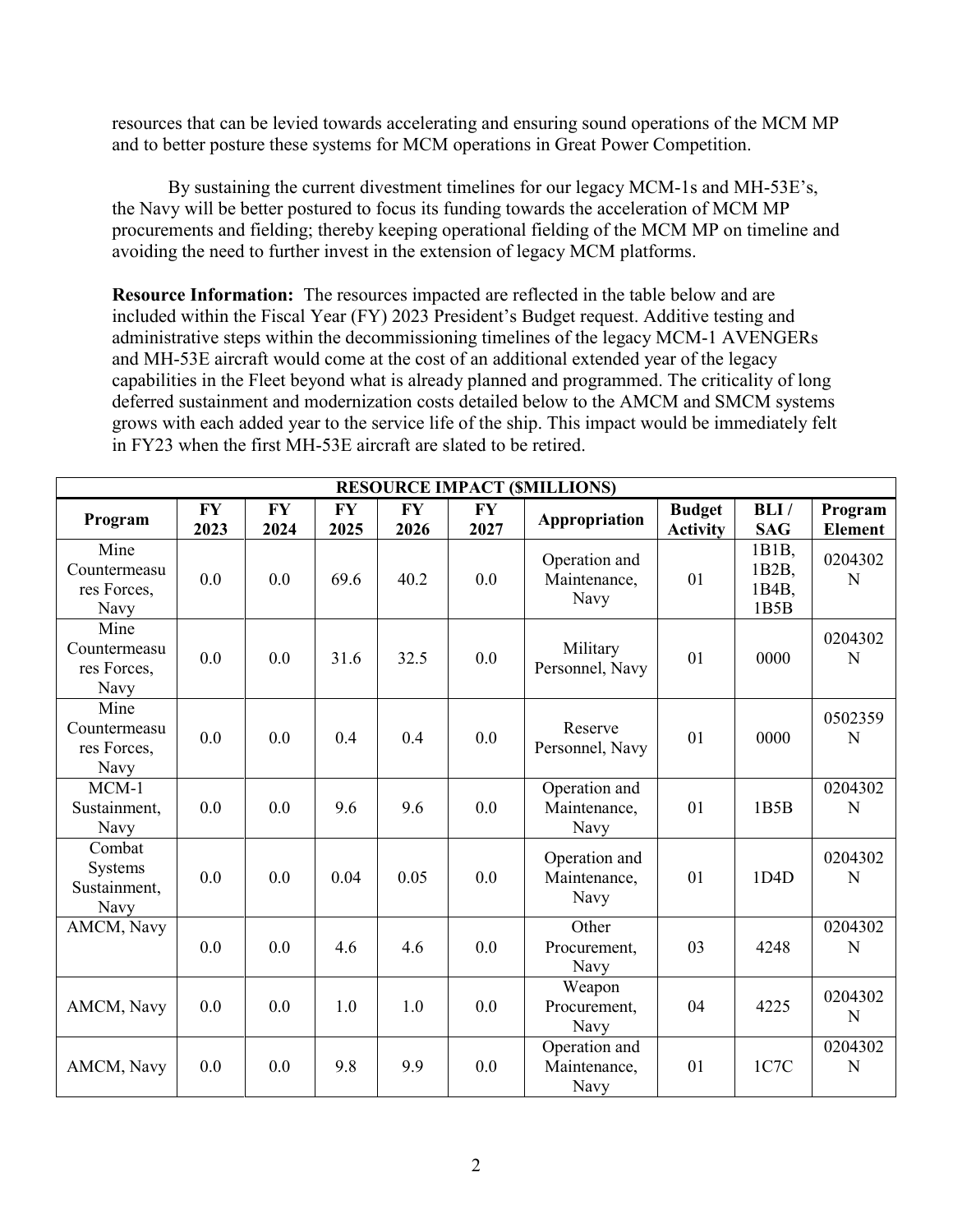resources that can be levied towards accelerating and ensuring sound operations of the MCM MP and to better posture these systems for MCM operations in Great Power Competition.

By sustaining the current divestment timelines for our legacy MCM-1s and MH-53E's, the Navy will be better postured to focus its funding towards the acceleration of MCM MP procurements and fielding; thereby keeping operational fielding of the MCM MP on timeline and avoiding the need to further invest in the extension of legacy MCM platforms.

**Resource Information:** The resources impacted are reflected in the table below and are included within the Fiscal Year (FY) 2023 President's Budget request. Additive testing and administrative steps within the decommissioning timelines of the legacy MCM-1 AVENGERs and MH-53E aircraft would come at the cost of an additional extended year of the legacy capabilities in the Fleet beyond what is already planned and programmed. The criticality of long deferred sustainment and modernization costs detailed below to the AMCM and SMCM systems grows with each added year to the service life of the ship. This impact would be immediately felt in FY23 when the first MH-53E aircraft are slated to be retired.

| <b>RESOURCE IMPACT (\$MILLIONS)</b>                |                   |                   |                   |                   |                   |                                       |                                  |                                              |                           |
|----------------------------------------------------|-------------------|-------------------|-------------------|-------------------|-------------------|---------------------------------------|----------------------------------|----------------------------------------------|---------------------------|
| Program                                            | <b>FY</b><br>2023 | <b>FY</b><br>2024 | <b>FY</b><br>2025 | <b>FY</b><br>2026 | <b>FY</b><br>2027 | Appropriation                         | <b>Budget</b><br><b>Activity</b> | BLI/<br><b>SAG</b>                           | Program<br><b>Element</b> |
| Mine<br>Countermeasu<br>res Forces,<br>Navy        | 0.0               | 0.0               | 69.6              | 40.2              | 0.0               | Operation and<br>Maintenance,<br>Navy | 01                               | 1B1B,<br>1B <sub>2</sub> B,<br>1B4B,<br>1B5B | 0204302<br>N              |
| Mine<br>Countermeasu<br>res Forces,<br><b>Navy</b> | 0.0               | 0.0               | 31.6              | 32.5              | 0.0               | Military<br>Personnel, Navy           | 01                               | 0000                                         | 0204302<br>N              |
| Mine<br>Countermeasu<br>res Forces,<br>Navy        | 0.0               | 0.0               | 0.4               | 0.4               | 0.0               | Reserve<br>Personnel, Navy            | 01                               | 0000                                         | 0502359<br>N              |
| $MCM-1$<br>Sustainment,<br>Navy                    | 0.0               | 0.0               | 9.6               | 9.6               | 0.0               | Operation and<br>Maintenance,<br>Navy | 01                               | 1B5B                                         | 0204302<br>N              |
| Combat<br>Systems<br>Sustainment,<br>Navy          | 0.0               | 0.0               | 0.04              | 0.05              | 0.0               | Operation and<br>Maintenance,<br>Navy | 01                               | 1D <sub>4</sub> D                            | 0204302<br>N              |
| AMCM, Navy                                         | 0.0               | 0.0               | 4.6               | 4.6               | 0.0               | Other<br>Procurement,<br>Navy         | 03                               | 4248                                         | 0204302<br>N              |
| AMCM, Navy                                         | 0.0               | 0.0               | 1.0               | 1.0               | 0.0               | Weapon<br>Procurement,<br>Navy        | 04                               | 4225                                         | 0204302<br>N              |
| AMCM, Navy                                         | 0.0               | 0.0               | 9.8               | 9.9               | 0.0               | Operation and<br>Maintenance,<br>Navy | 01                               | 1C7C                                         | 0204302<br>N              |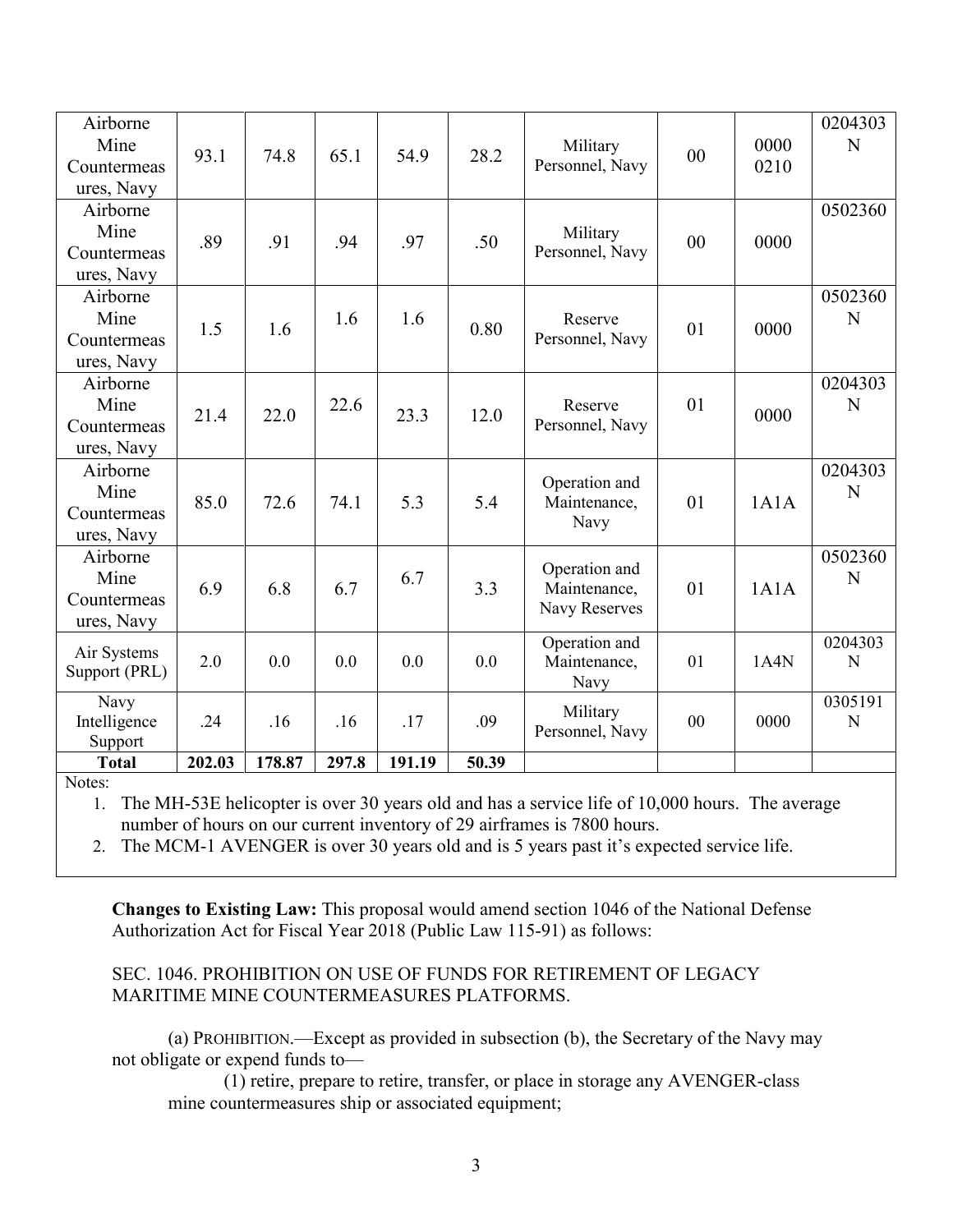| Airborne<br>Mine<br>Countermeas<br>ures, Navy | 93.1   | 74.8   | 65.1  | 54.9   | 28.2  | Military<br>Personnel, Navy                    | 00             | 0000<br>0210 | 0204303<br>N |
|-----------------------------------------------|--------|--------|-------|--------|-------|------------------------------------------------|----------------|--------------|--------------|
| Airborne<br>Mine<br>Countermeas<br>ures, Navy | .89    | .91    | .94   | .97    | .50   | Military<br>Personnel, Navy                    | 0 <sub>0</sub> | 0000         | 0502360      |
| Airborne<br>Mine<br>Countermeas<br>ures, Navy | 1.5    | 1.6    | 1.6   | 1.6    | 0.80  | Reserve<br>Personnel, Navy                     | 01             | 0000         | 0502360<br>N |
| Airborne<br>Mine<br>Countermeas<br>ures, Navy | 21.4   | 22.0   | 22.6  | 23.3   | 12.0  | Reserve<br>Personnel, Navy                     | 01             | 0000         | 0204303<br>N |
| Airborne<br>Mine<br>Countermeas<br>ures, Navy | 85.0   | 72.6   | 74.1  | 5.3    | 5.4   | Operation and<br>Maintenance,<br>Navy          | 01             | 1A1A         | 0204303<br>N |
| Airborne<br>Mine<br>Countermeas<br>ures, Navy | 6.9    | 6.8    | 6.7   | 6.7    | 3.3   | Operation and<br>Maintenance,<br>Navy Reserves | 01             | 1A1A         | 0502360<br>N |
| Air Systems<br>Support (PRL)                  | 2.0    | 0.0    | 0.0   | 0.0    | 0.0   | Operation and<br>Maintenance,<br>Navy          | 01             | 1A4N         | 0204303<br>N |
| Navy<br>Intelligence<br>Support               | .24    | .16    | .16   | .17    | .09   | Military<br>Personnel, Navy                    | 00             | 0000         | 0305191<br>N |
| <b>Total</b><br>$\mathbf{r}$                  | 202.03 | 178.87 | 297.8 | 191.19 | 50.39 |                                                |                |              |              |

Notes:

1. The MH-53E helicopter is over 30 years old and has a service life of 10,000 hours. The average number of hours on our current inventory of 29 airframes is 7800 hours.

2. The MCM-1 AVENGER is over 30 years old and is 5 years past it's expected service life.

**Changes to Existing Law:** This proposal would amend section 1046 of the National Defense Authorization Act for Fiscal Year 2018 (Public Law 115-91) as follows:

# SEC. 1046. PROHIBITION ON USE OF FUNDS FOR RETIREMENT OF LEGACY MARITIME MINE COUNTERMEASURES PLATFORMS.

(a) PROHIBITION.—Except as provided in subsection (b), the Secretary of the Navy may not obligate or expend funds to—

(1) retire, prepare to retire, transfer, or place in storage any AVENGER-class mine countermeasures ship or associated equipment;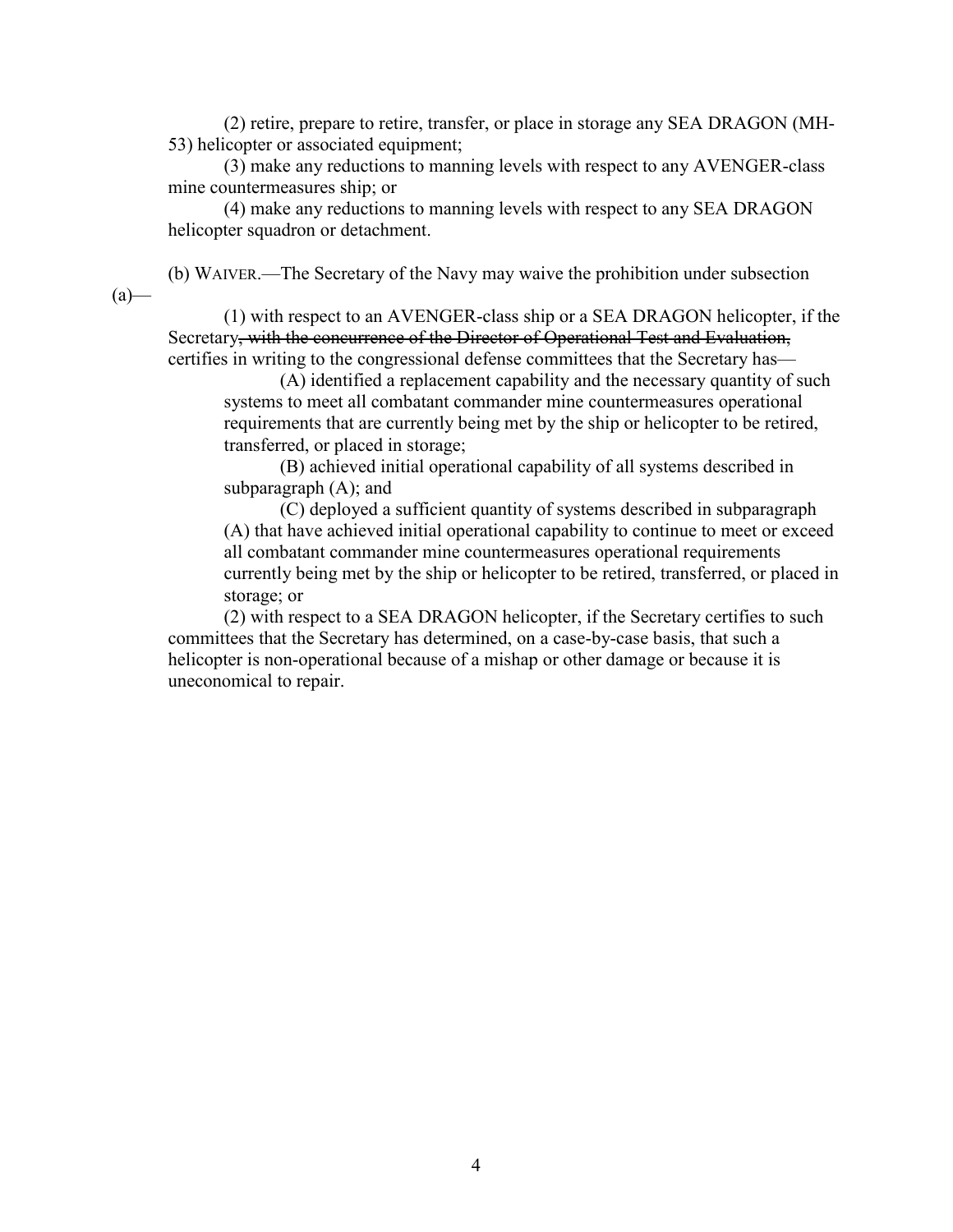(2) retire, prepare to retire, transfer, or place in storage any SEA DRAGON (MH-53) helicopter or associated equipment;

(3) make any reductions to manning levels with respect to any AVENGER-class mine countermeasures ship; or

(4) make any reductions to manning levels with respect to any SEA DRAGON helicopter squadron or detachment.

(b) WAIVER.—The Secretary of the Navy may waive the prohibition under subsection  $(a)$ —

(1) with respect to an AVENGER-class ship or a SEA DRAGON helicopter, if the Secretary, with the concurrence of the Director of Operational Test and Evaluation, certifies in writing to the congressional defense committees that the Secretary has—

(A) identified a replacement capability and the necessary quantity of such systems to meet all combatant commander mine countermeasures operational requirements that are currently being met by the ship or helicopter to be retired, transferred, or placed in storage;

(B) achieved initial operational capability of all systems described in subparagraph (A); and

(C) deployed a sufficient quantity of systems described in subparagraph (A) that have achieved initial operational capability to continue to meet or exceed all combatant commander mine countermeasures operational requirements currently being met by the ship or helicopter to be retired, transferred, or placed in storage; or

(2) with respect to a SEA DRAGON helicopter, if the Secretary certifies to such committees that the Secretary has determined, on a case-by-case basis, that such a helicopter is non-operational because of a mishap or other damage or because it is uneconomical to repair.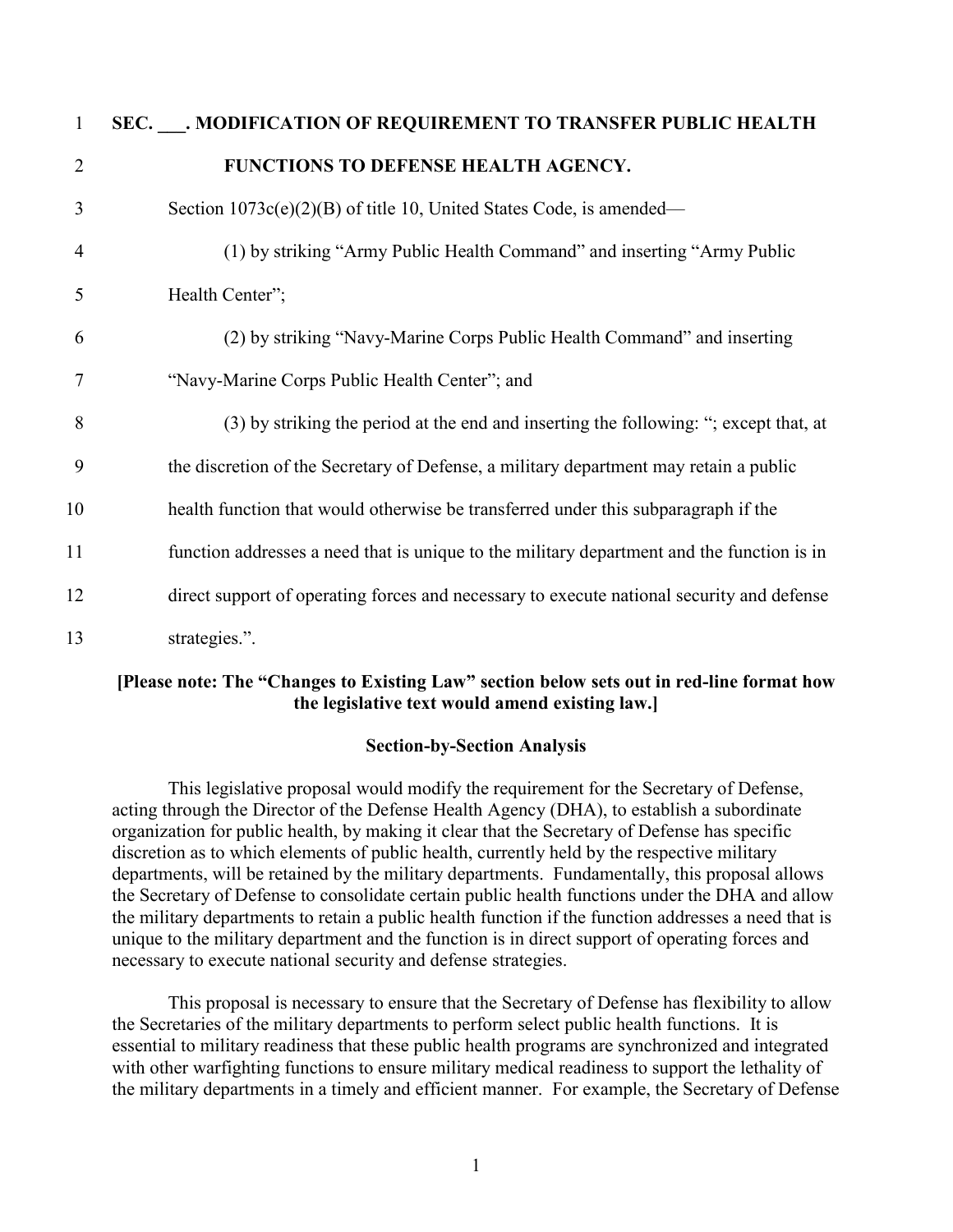| $\mathbf{1}$   | SEC. MODIFICATION OF REQUIREMENT TO TRANSFER PUBLIC HEALTH                                 |
|----------------|--------------------------------------------------------------------------------------------|
| 2              | FUNCTIONS TO DEFENSE HEALTH AGENCY.                                                        |
| 3              | Section $1073c(e)(2)(B)$ of title 10, United States Code, is amended—                      |
| $\overline{4}$ | (1) by striking "Army Public Health Command" and inserting "Army Public                    |
| 5              | Health Center";                                                                            |
| 6              | (2) by striking "Navy-Marine Corps Public Health Command" and inserting                    |
| 7              | "Navy-Marine Corps Public Health Center"; and                                              |
| 8              | (3) by striking the period at the end and inserting the following: "; except that, at      |
| 9              | the discretion of the Secretary of Defense, a military department may retain a public      |
| 10             | health function that would otherwise be transferred under this subparagraph if the         |
| 11             | function addresses a need that is unique to the military department and the function is in |
| 12             | direct support of operating forces and necessary to execute national security and defense  |
| 13             | strategies.".                                                                              |

### **[Please note: The "Changes to Existing Law" section below sets out in red-line format how the legislative text would amend existing law.]**

#### **Section-by-Section Analysis**

This legislative proposal would modify the requirement for the Secretary of Defense, acting through the Director of the Defense Health Agency (DHA), to establish a subordinate organization for public health, by making it clear that the Secretary of Defense has specific discretion as to which elements of public health, currently held by the respective military departments, will be retained by the military departments. Fundamentally, this proposal allows the Secretary of Defense to consolidate certain public health functions under the DHA and allow the military departments to retain a public health function if the function addresses a need that is unique to the military department and the function is in direct support of operating forces and necessary to execute national security and defense strategies.

This proposal is necessary to ensure that the Secretary of Defense has flexibility to allow the Secretaries of the military departments to perform select public health functions. It is essential to military readiness that these public health programs are synchronized and integrated with other warfighting functions to ensure military medical readiness to support the lethality of the military departments in a timely and efficient manner. For example, the Secretary of Defense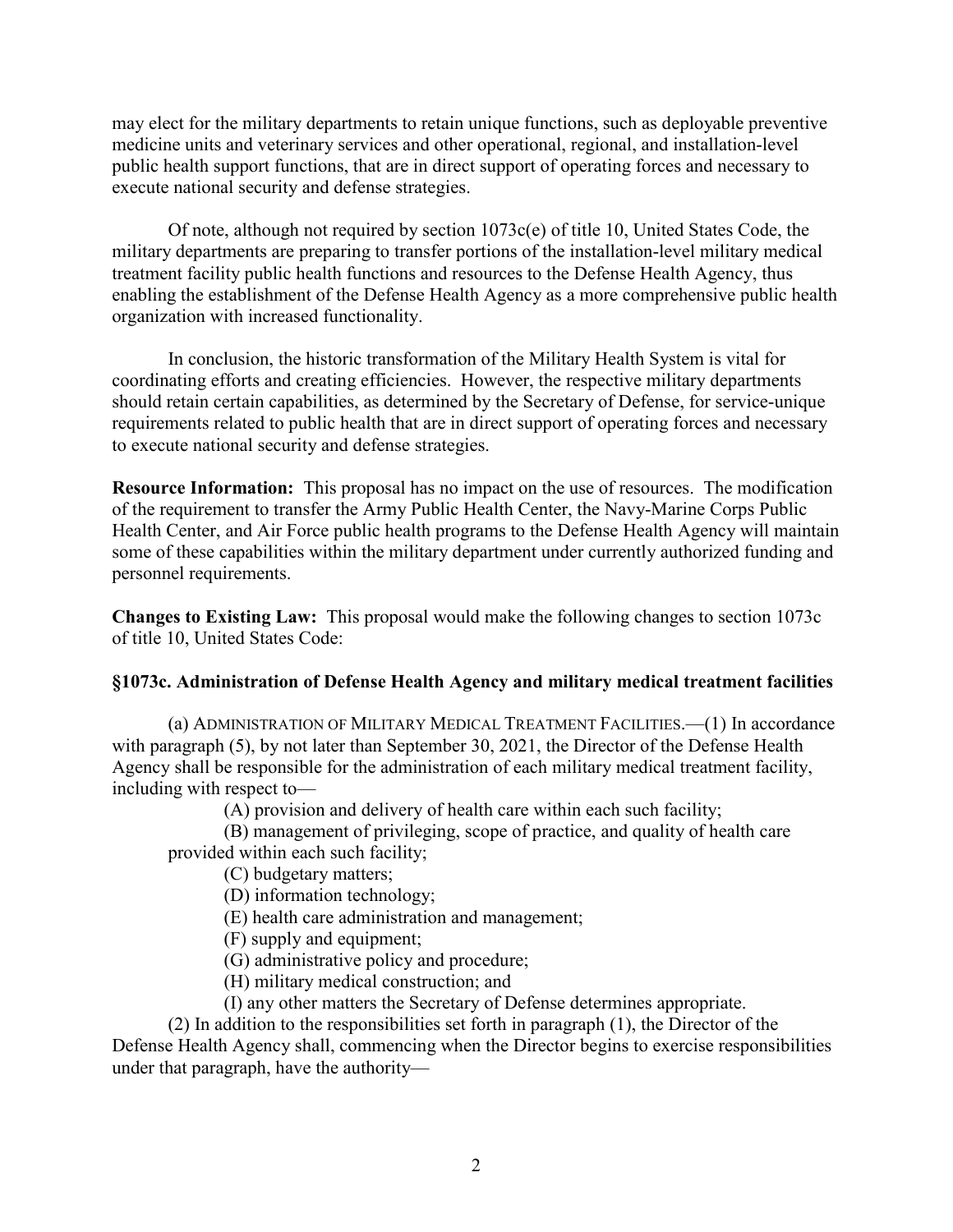may elect for the military departments to retain unique functions, such as deployable preventive medicine units and veterinary services and other operational, regional, and installation-level public health support functions, that are in direct support of operating forces and necessary to execute national security and defense strategies.

Of note, although not required by section 1073c(e) of title 10, United States Code, the military departments are preparing to transfer portions of the installation-level military medical treatment facility public health functions and resources to the Defense Health Agency, thus enabling the establishment of the Defense Health Agency as a more comprehensive public health organization with increased functionality.

In conclusion, the historic transformation of the Military Health System is vital for coordinating efforts and creating efficiencies. However, the respective military departments should retain certain capabilities, as determined by the Secretary of Defense, for service-unique requirements related to public health that are in direct support of operating forces and necessary to execute national security and defense strategies.

**Resource Information:** This proposal has no impact on the use of resources. The modification of the requirement to transfer the Army Public Health Center, the Navy-Marine Corps Public Health Center, and Air Force public health programs to the Defense Health Agency will maintain some of these capabilities within the military department under currently authorized funding and personnel requirements.

**Changes to Existing Law:** This proposal would make the following changes to section 1073c of title 10, United States Code:

#### **§1073c. Administration of Defense Health Agency and military medical treatment facilities**

(a) ADMINISTRATION OF MILITARY MEDICAL TREATMENT FACILITIES.—(1) In accordance with paragraph (5), by not later than September 30, 2021, the Director of the Defense Health Agency shall be responsible for the administration of each military medical treatment facility, including with respect to—

(A) provision and delivery of health care within each such facility;

(B) management of privileging, scope of practice, and quality of health care provided within each such facility;

(C) budgetary matters;

(D) information technology;

(E) health care administration and management;

(F) supply and equipment;

(G) administrative policy and procedure;

(H) military medical construction; and

(I) any other matters the Secretary of Defense determines appropriate.

(2) In addition to the responsibilities set forth in paragraph (1), the Director of the

Defense Health Agency shall, commencing when the Director begins to exercise responsibilities under that paragraph, have the authority—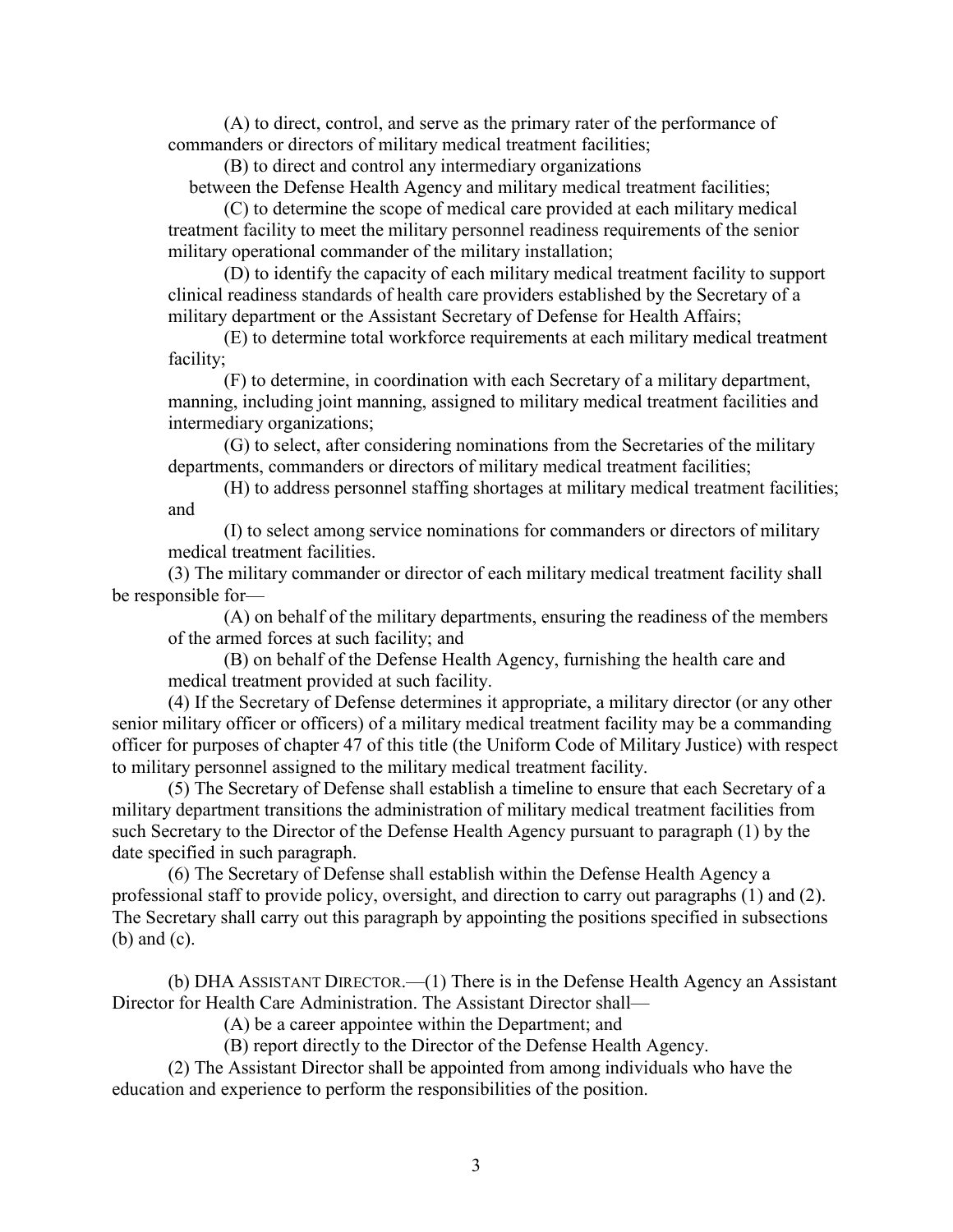(A) to direct, control, and serve as the primary rater of the performance of commanders or directors of military medical treatment facilities;

(B) to direct and control any intermediary organizations

between the Defense Health Agency and military medical treatment facilities;

(C) to determine the scope of medical care provided at each military medical treatment facility to meet the military personnel readiness requirements of the senior military operational commander of the military installation;

(D) to identify the capacity of each military medical treatment facility to support clinical readiness standards of health care providers established by the Secretary of a military department or the Assistant Secretary of Defense for Health Affairs;

(E) to determine total workforce requirements at each military medical treatment facility;

(F) to determine, in coordination with each Secretary of a military department, manning, including joint manning, assigned to military medical treatment facilities and intermediary organizations;

(G) to select, after considering nominations from the Secretaries of the military departments, commanders or directors of military medical treatment facilities;

(H) to address personnel staffing shortages at military medical treatment facilities; and

(I) to select among service nominations for commanders or directors of military medical treatment facilities.

(3) The military commander or director of each military medical treatment facility shall be responsible for—

(A) on behalf of the military departments, ensuring the readiness of the members of the armed forces at such facility; and

(B) on behalf of the Defense Health Agency, furnishing the health care and medical treatment provided at such facility.

(4) If the Secretary of Defense determines it appropriate, a military director (or any other senior military officer or officers) of a military medical treatment facility may be a commanding officer for purposes of chapter 47 of this title (the Uniform Code of Military Justice) with respect to military personnel assigned to the military medical treatment facility.

(5) The Secretary of Defense shall establish a timeline to ensure that each Secretary of a military department transitions the administration of military medical treatment facilities from such Secretary to the Director of the Defense Health Agency pursuant to paragraph (1) by the date specified in such paragraph.

(6) The Secretary of Defense shall establish within the Defense Health Agency a professional staff to provide policy, oversight, and direction to carry out paragraphs (1) and (2). The Secretary shall carry out this paragraph by appointing the positions specified in subsections (b) and (c).

(b) DHA ASSISTANT DIRECTOR.—(1) There is in the Defense Health Agency an Assistant Director for Health Care Administration. The Assistant Director shall—

(A) be a career appointee within the Department; and

(B) report directly to the Director of the Defense Health Agency.

(2) The Assistant Director shall be appointed from among individuals who have the education and experience to perform the responsibilities of the position.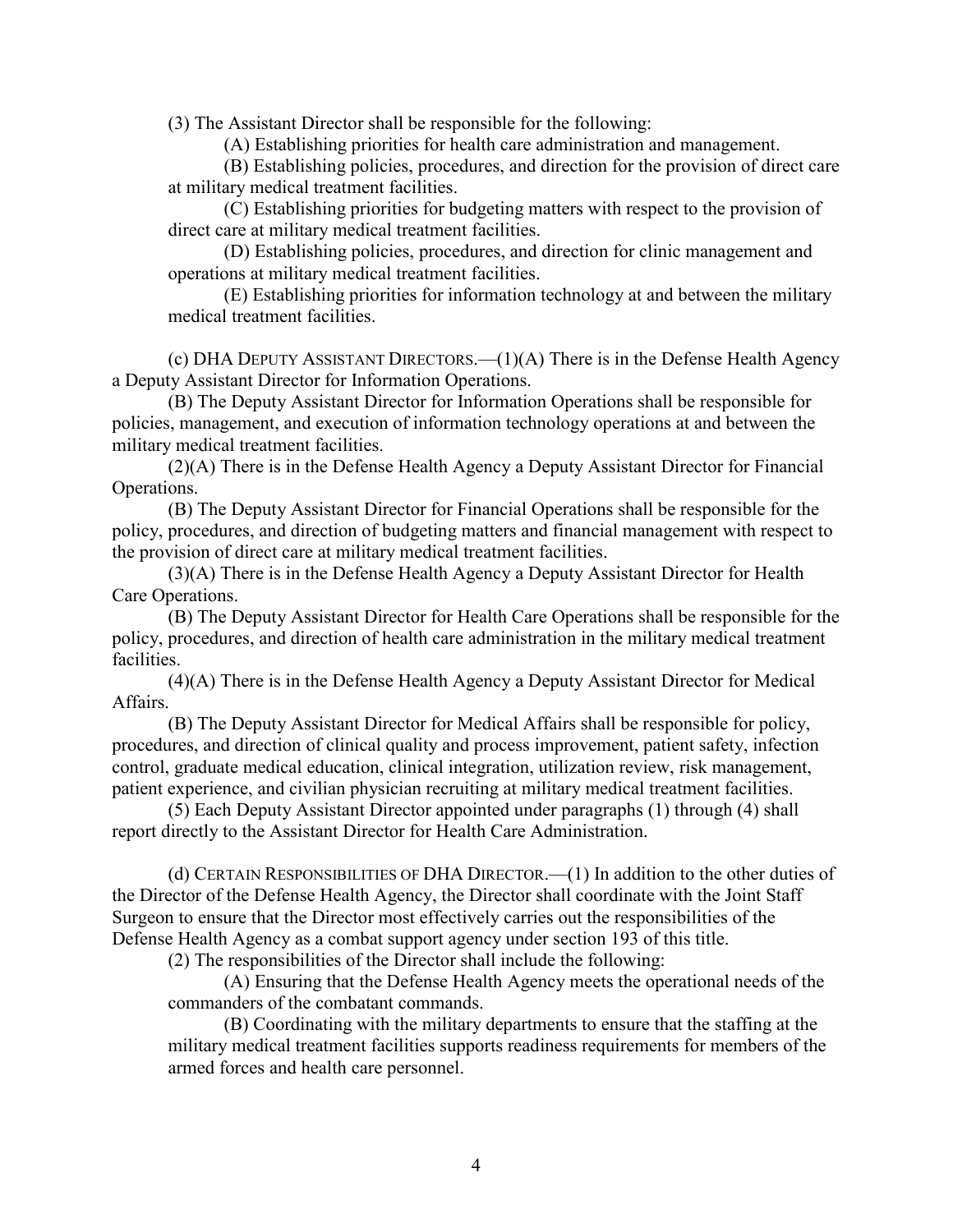(3) The Assistant Director shall be responsible for the following:

(A) Establishing priorities for health care administration and management.

(B) Establishing policies, procedures, and direction for the provision of direct care at military medical treatment facilities.

(C) Establishing priorities for budgeting matters with respect to the provision of direct care at military medical treatment facilities.

(D) Establishing policies, procedures, and direction for clinic management and operations at military medical treatment facilities.

(E) Establishing priorities for information technology at and between the military medical treatment facilities.

(c) DHA DEPUTY ASSISTANT DIRECTORS.—(1)(A) There is in the Defense Health Agency a Deputy Assistant Director for Information Operations.

(B) The Deputy Assistant Director for Information Operations shall be responsible for policies, management, and execution of information technology operations at and between the military medical treatment facilities.

(2)(A) There is in the Defense Health Agency a Deputy Assistant Director for Financial Operations.

(B) The Deputy Assistant Director for Financial Operations shall be responsible for the policy, procedures, and direction of budgeting matters and financial management with respect to the provision of direct care at military medical treatment facilities.

(3)(A) There is in the Defense Health Agency a Deputy Assistant Director for Health Care Operations.

(B) The Deputy Assistant Director for Health Care Operations shall be responsible for the policy, procedures, and direction of health care administration in the military medical treatment facilities.

(4)(A) There is in the Defense Health Agency a Deputy Assistant Director for Medical Affairs.

(B) The Deputy Assistant Director for Medical Affairs shall be responsible for policy, procedures, and direction of clinical quality and process improvement, patient safety, infection control, graduate medical education, clinical integration, utilization review, risk management, patient experience, and civilian physician recruiting at military medical treatment facilities.

(5) Each Deputy Assistant Director appointed under paragraphs (1) through (4) shall report directly to the Assistant Director for Health Care Administration.

(d) CERTAIN RESPONSIBILITIES OF DHA DIRECTOR.—(1) In addition to the other duties of the Director of the Defense Health Agency, the Director shall coordinate with the Joint Staff Surgeon to ensure that the Director most effectively carries out the responsibilities of the Defense Health Agency as a combat support agency under section 193 of this title.

(2) The responsibilities of the Director shall include the following:

(A) Ensuring that the Defense Health Agency meets the operational needs of the commanders of the combatant commands.

(B) Coordinating with the military departments to ensure that the staffing at the military medical treatment facilities supports readiness requirements for members of the armed forces and health care personnel.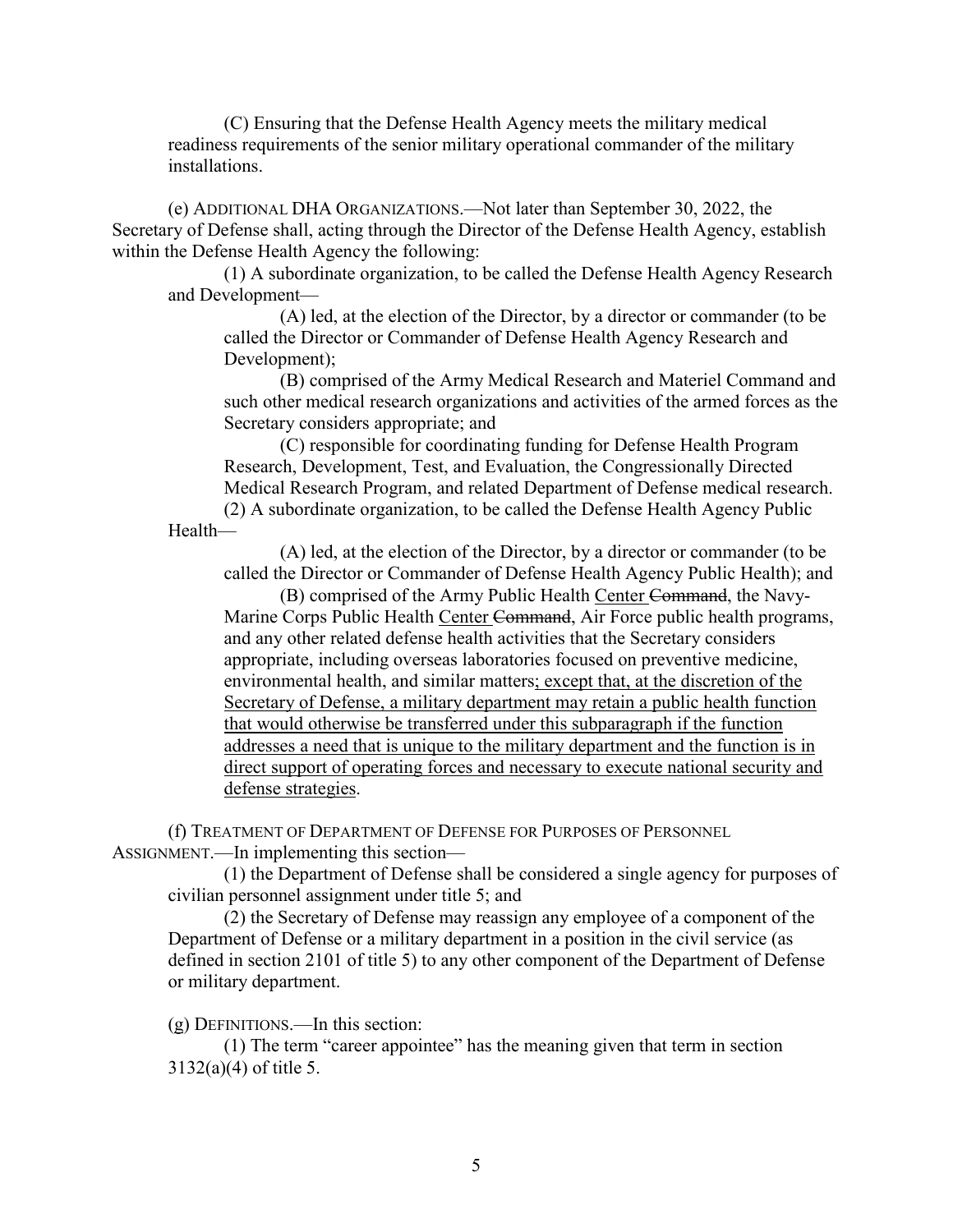(C) Ensuring that the Defense Health Agency meets the military medical readiness requirements of the senior military operational commander of the military installations.

(e) ADDITIONAL DHA ORGANIZATIONS.—Not later than September 30, 2022, the Secretary of Defense shall, acting through the Director of the Defense Health Agency, establish within the Defense Health Agency the following:

(1) A subordinate organization, to be called the Defense Health Agency Research and Development—

(A) led, at the election of the Director, by a director or commander (to be called the Director or Commander of Defense Health Agency Research and Development);

(B) comprised of the Army Medical Research and Materiel Command and such other medical research organizations and activities of the armed forces as the Secretary considers appropriate; and

(C) responsible for coordinating funding for Defense Health Program Research, Development, Test, and Evaluation, the Congressionally Directed Medical Research Program, and related Department of Defense medical research.

(2) A subordinate organization, to be called the Defense Health Agency Public Health—

(A) led, at the election of the Director, by a director or commander (to be called the Director or Commander of Defense Health Agency Public Health); and

(B) comprised of the Army Public Health Center Command, the Navy-Marine Corps Public Health Center Command, Air Force public health programs, and any other related defense health activities that the Secretary considers appropriate, including overseas laboratories focused on preventive medicine, environmental health, and similar matters; except that, at the discretion of the Secretary of Defense, a military department may retain a public health function that would otherwise be transferred under this subparagraph if the function addresses a need that is unique to the military department and the function is in direct support of operating forces and necessary to execute national security and defense strategies.

(f) TREATMENT OF DEPARTMENT OF DEFENSE FOR PURPOSES OF PERSONNEL ASSIGNMENT.—In implementing this section—

(1) the Department of Defense shall be considered a single agency for purposes of civilian personnel assignment under title 5; and

(2) the Secretary of Defense may reassign any employee of a component of the Department of Defense or a military department in a position in the civil service (as defined in section 2101 of title 5) to any other component of the Department of Defense or military department.

(g) DEFINITIONS.—In this section:

(1) The term "career appointee" has the meaning given that term in section 3132(a)(4) of title 5.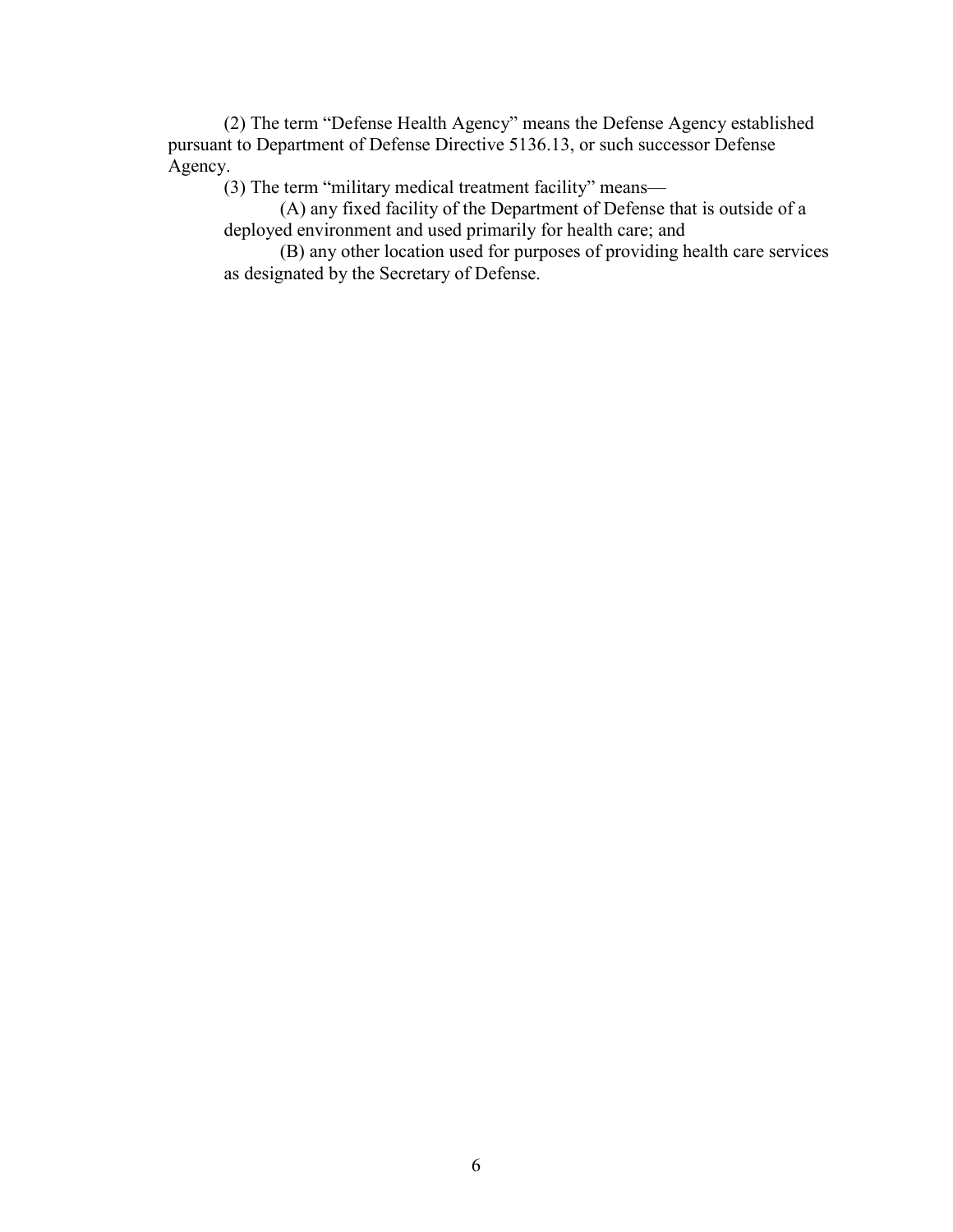(2) The term "Defense Health Agency" means the Defense Agency established pursuant to Department of Defense Directive 5136.13, or such successor Defense Agency.

(3) The term "military medical treatment facility" means—

(A) any fixed facility of the Department of Defense that is outside of a deployed environment and used primarily for health care; and

(B) any other location used for purposes of providing health care services as designated by the Secretary of Defense.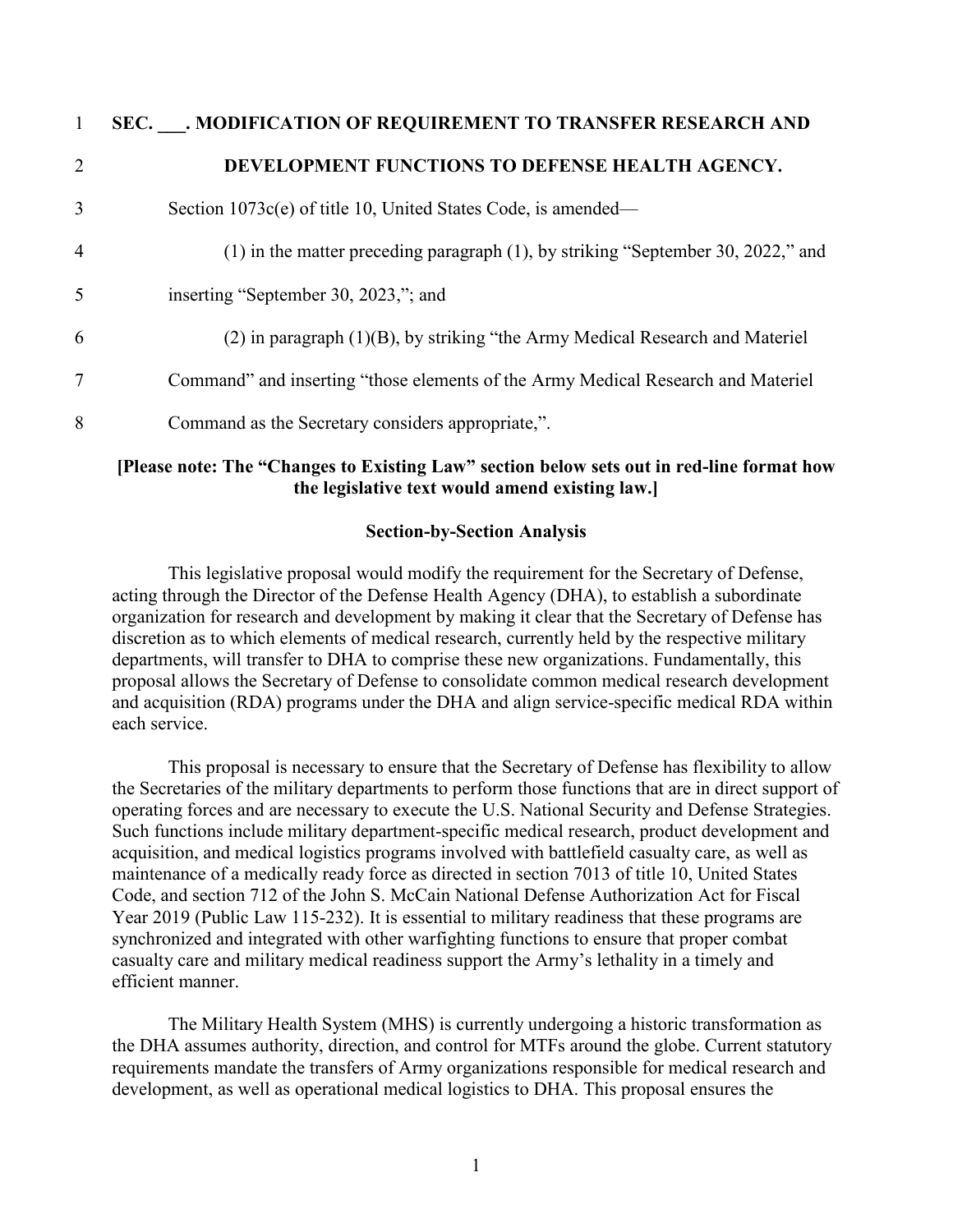| $\mathbf{1}$   | SEC. MODIFICATION OF REQUIREMENT TO TRANSFER RESEARCH AND                         |
|----------------|-----------------------------------------------------------------------------------|
| $\overline{2}$ | DEVELOPMENT FUNCTIONS TO DEFENSE HEALTH AGENCY.                                   |
| 3              | Section 1073c(e) of title 10, United States Code, is amended—                     |
| $\overline{4}$ | (1) in the matter preceding paragraph (1), by striking "September 30, 2022," and  |
| 5              | inserting "September 30, 2023,"; and                                              |
| 6              | $(2)$ in paragraph $(1)(B)$ , by striking "the Army Medical Research and Materiel |
| 7              | Command" and inserting "those elements of the Army Medical Research and Materiel  |
| 8              | Command as the Secretary considers appropriate,".                                 |

# **[Please note: The "Changes to Existing Law" section below sets out in red-line format how the legislative text would amend existing law.]**

### **Section-by-Section Analysis**

This legislative proposal would modify the requirement for the Secretary of Defense, acting through the Director of the Defense Health Agency (DHA), to establish a subordinate organization for research and development by making it clear that the Secretary of Defense has discretion as to which elements of medical research, currently held by the respective military departments, will transfer to DHA to comprise these new organizations. Fundamentally, this proposal allows the Secretary of Defense to consolidate common medical research development and acquisition (RDA) programs under the DHA and align service-specific medical RDA within each service.

This proposal is necessary to ensure that the Secretary of Defense has flexibility to allow the Secretaries of the military departments to perform those functions that are in direct support of operating forces and are necessary to execute the U.S. National Security and Defense Strategies. Such functions include military department-specific medical research, product development and acquisition, and medical logistics programs involved with battlefield casualty care, as well as maintenance of a medically ready force as directed in section 7013 of title 10, United States Code, and section 712 of the John S. McCain National Defense Authorization Act for Fiscal Year 2019 (Public Law 115-232). It is essential to military readiness that these programs are synchronized and integrated with other warfighting functions to ensure that proper combat casualty care and military medical readiness support the Army's lethality in a timely and efficient manner.

The Military Health System (MHS) is currently undergoing a historic transformation as the DHA assumes authority, direction, and control for MTFs around the globe. Current statutory requirements mandate the transfers of Army organizations responsible for medical research and development, as well as operational medical logistics to DHA. This proposal ensures the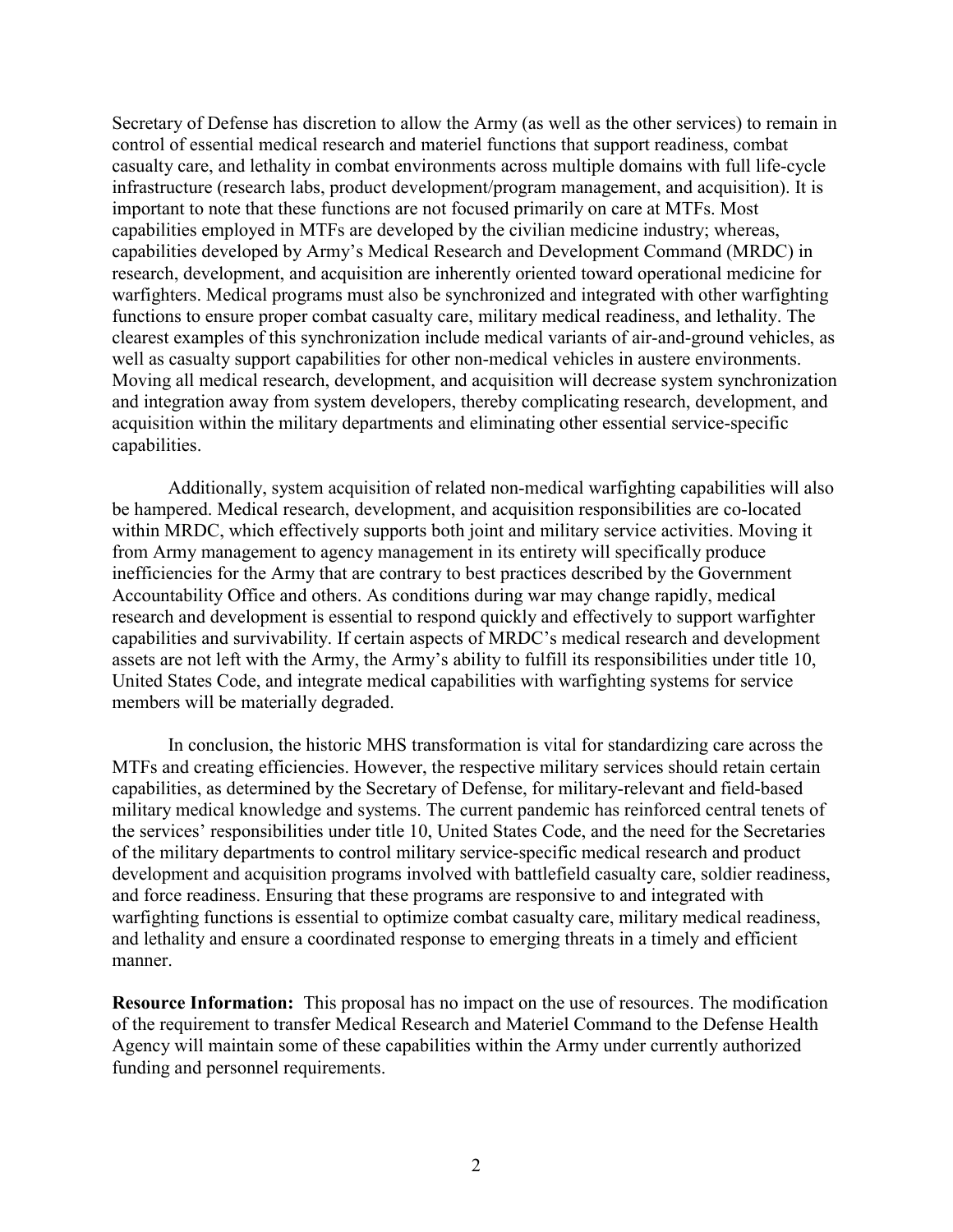Secretary of Defense has discretion to allow the Army (as well as the other services) to remain in control of essential medical research and materiel functions that support readiness, combat casualty care, and lethality in combat environments across multiple domains with full life-cycle infrastructure (research labs, product development/program management, and acquisition). It is important to note that these functions are not focused primarily on care at MTFs. Most capabilities employed in MTFs are developed by the civilian medicine industry; whereas, capabilities developed by Army's Medical Research and Development Command (MRDC) in research, development, and acquisition are inherently oriented toward operational medicine for warfighters. Medical programs must also be synchronized and integrated with other warfighting functions to ensure proper combat casualty care, military medical readiness, and lethality. The clearest examples of this synchronization include medical variants of air-and-ground vehicles, as well as casualty support capabilities for other non-medical vehicles in austere environments. Moving all medical research, development, and acquisition will decrease system synchronization and integration away from system developers, thereby complicating research, development, and acquisition within the military departments and eliminating other essential service-specific capabilities.

Additionally, system acquisition of related non-medical warfighting capabilities will also be hampered. Medical research, development, and acquisition responsibilities are co-located within MRDC, which effectively supports both joint and military service activities. Moving it from Army management to agency management in its entirety will specifically produce inefficiencies for the Army that are contrary to best practices described by the Government Accountability Office and others. As conditions during war may change rapidly, medical research and development is essential to respond quickly and effectively to support warfighter capabilities and survivability. If certain aspects of MRDC's medical research and development assets are not left with the Army, the Army's ability to fulfill its responsibilities under title 10, United States Code, and integrate medical capabilities with warfighting systems for service members will be materially degraded.

In conclusion, the historic MHS transformation is vital for standardizing care across the MTFs and creating efficiencies. However, the respective military services should retain certain capabilities, as determined by the Secretary of Defense, for military-relevant and field-based military medical knowledge and systems. The current pandemic has reinforced central tenets of the services' responsibilities under title 10, United States Code, and the need for the Secretaries of the military departments to control military service-specific medical research and product development and acquisition programs involved with battlefield casualty care, soldier readiness, and force readiness. Ensuring that these programs are responsive to and integrated with warfighting functions is essential to optimize combat casualty care, military medical readiness, and lethality and ensure a coordinated response to emerging threats in a timely and efficient manner.

**Resource Information:** This proposal has no impact on the use of resources. The modification of the requirement to transfer Medical Research and Materiel Command to the Defense Health Agency will maintain some of these capabilities within the Army under currently authorized funding and personnel requirements.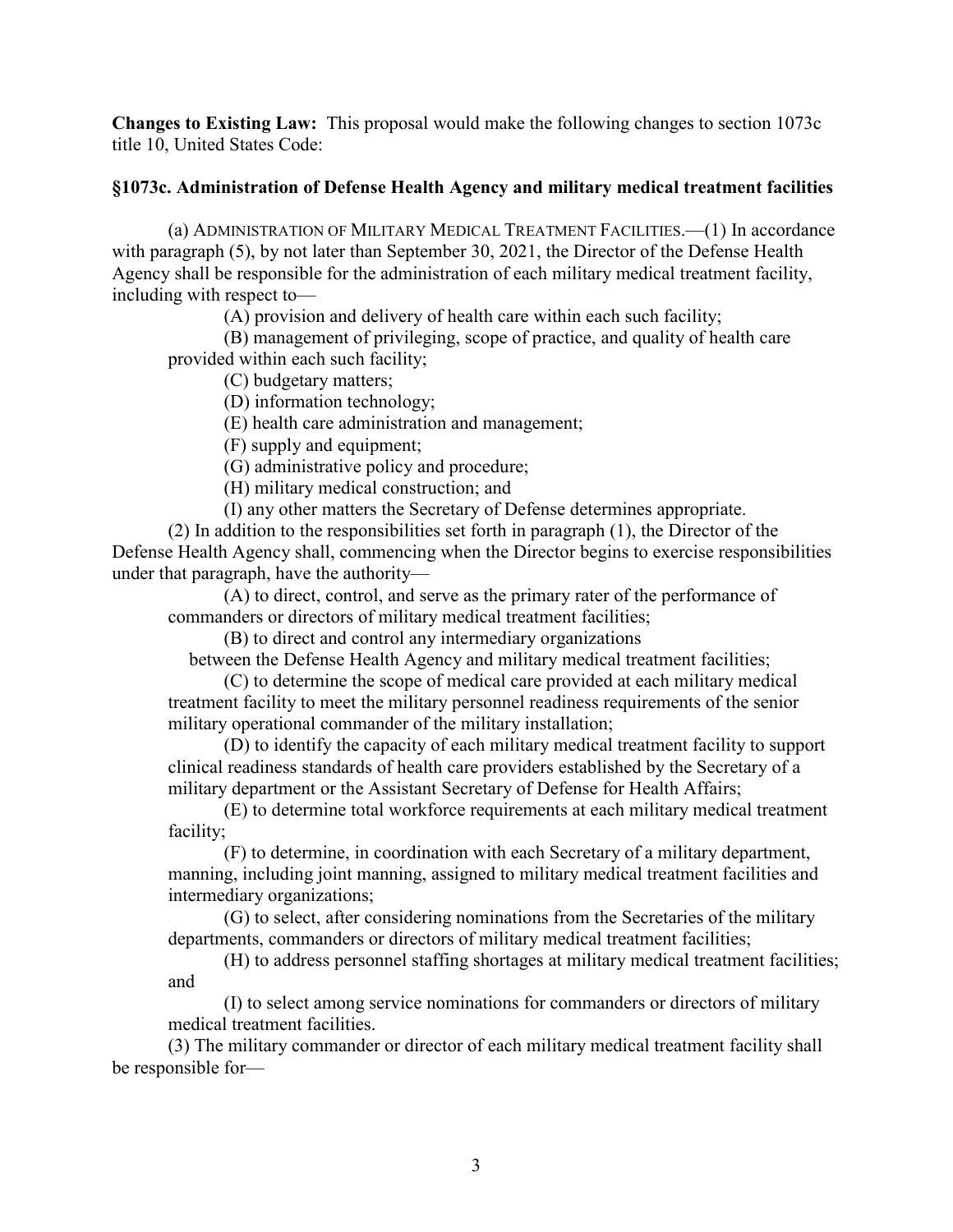**Changes to Existing Law:** This proposal would make the following changes to section 1073c title 10, United States Code:

# **§1073c. Administration of Defense Health Agency and military medical treatment facilities**

(a) ADMINISTRATION OF MILITARY MEDICAL TREATMENT FACILITIES.—(1) In accordance with paragraph (5), by not later than September 30, 2021, the Director of the Defense Health Agency shall be responsible for the administration of each military medical treatment facility, including with respect to—

(A) provision and delivery of health care within each such facility;

(B) management of privileging, scope of practice, and quality of health care provided within each such facility;

(C) budgetary matters;

(D) information technology;

(E) health care administration and management;

(F) supply and equipment;

(G) administrative policy and procedure;

(H) military medical construction; and

(I) any other matters the Secretary of Defense determines appropriate.

(2) In addition to the responsibilities set forth in paragraph (1), the Director of the Defense Health Agency shall, commencing when the Director begins to exercise responsibilities under that paragraph, have the authority—

(A) to direct, control, and serve as the primary rater of the performance of commanders or directors of military medical treatment facilities;

(B) to direct and control any intermediary organizations

between the Defense Health Agency and military medical treatment facilities;

(C) to determine the scope of medical care provided at each military medical treatment facility to meet the military personnel readiness requirements of the senior military operational commander of the military installation;

(D) to identify the capacity of each military medical treatment facility to support clinical readiness standards of health care providers established by the Secretary of a military department or the Assistant Secretary of Defense for Health Affairs;

(E) to determine total workforce requirements at each military medical treatment facility;

(F) to determine, in coordination with each Secretary of a military department, manning, including joint manning, assigned to military medical treatment facilities and intermediary organizations;

(G) to select, after considering nominations from the Secretaries of the military departments, commanders or directors of military medical treatment facilities;

(H) to address personnel staffing shortages at military medical treatment facilities; and

(I) to select among service nominations for commanders or directors of military medical treatment facilities.

(3) The military commander or director of each military medical treatment facility shall be responsible for—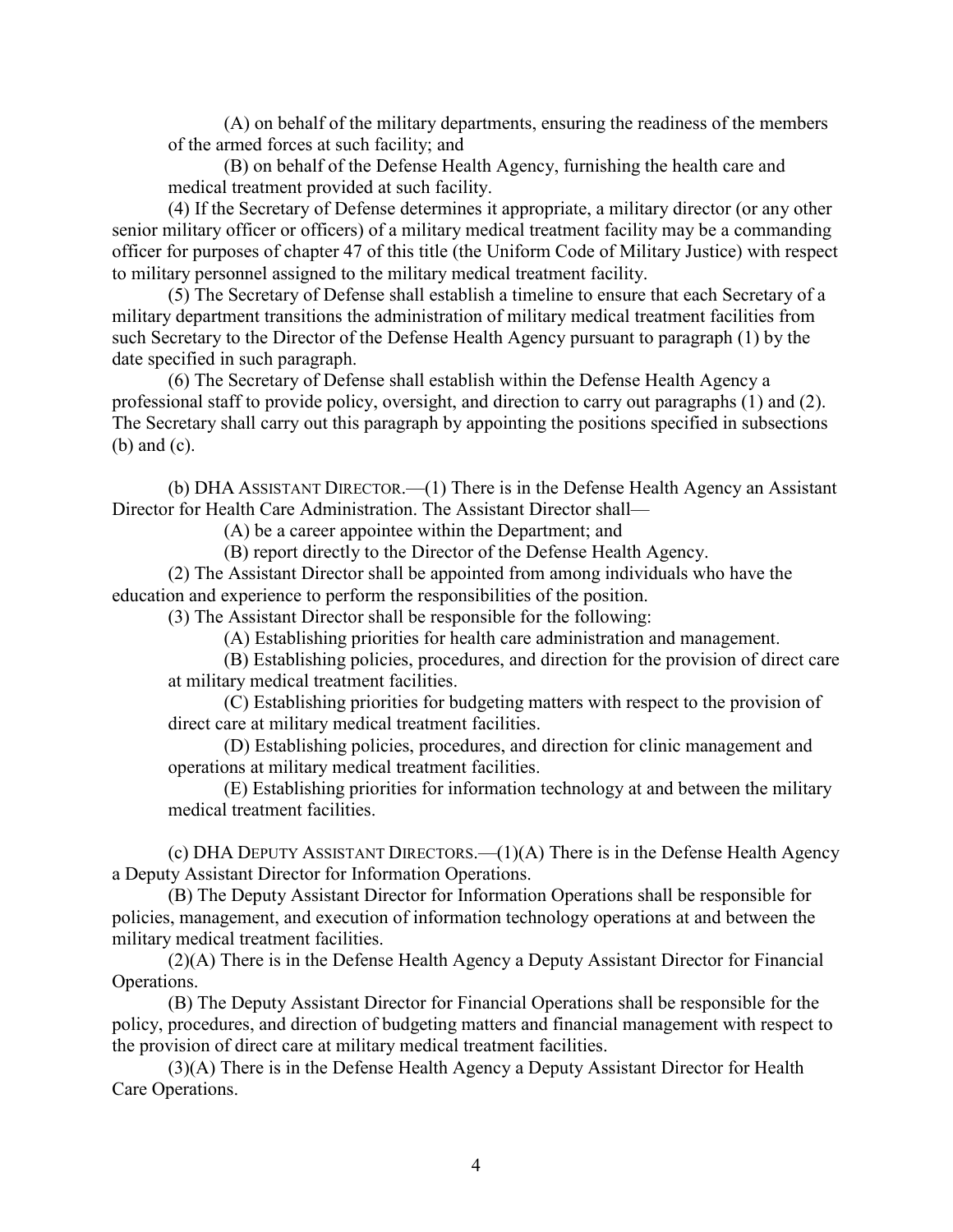(A) on behalf of the military departments, ensuring the readiness of the members of the armed forces at such facility; and

(B) on behalf of the Defense Health Agency, furnishing the health care and medical treatment provided at such facility.

(4) If the Secretary of Defense determines it appropriate, a military director (or any other senior military officer or officers) of a military medical treatment facility may be a commanding officer for purposes of chapter 47 of this title (the Uniform Code of Military Justice) with respect to military personnel assigned to the military medical treatment facility.

(5) The Secretary of Defense shall establish a timeline to ensure that each Secretary of a military department transitions the administration of military medical treatment facilities from such Secretary to the Director of the Defense Health Agency pursuant to paragraph (1) by the date specified in such paragraph.

(6) The Secretary of Defense shall establish within the Defense Health Agency a professional staff to provide policy, oversight, and direction to carry out paragraphs (1) and (2). The Secretary shall carry out this paragraph by appointing the positions specified in subsections (b) and (c).

(b) DHA ASSISTANT DIRECTOR.—(1) There is in the Defense Health Agency an Assistant Director for Health Care Administration. The Assistant Director shall—

(A) be a career appointee within the Department; and

(B) report directly to the Director of the Defense Health Agency.

(2) The Assistant Director shall be appointed from among individuals who have the education and experience to perform the responsibilities of the position.

(3) The Assistant Director shall be responsible for the following:

(A) Establishing priorities for health care administration and management.

(B) Establishing policies, procedures, and direction for the provision of direct care at military medical treatment facilities.

(C) Establishing priorities for budgeting matters with respect to the provision of direct care at military medical treatment facilities.

(D) Establishing policies, procedures, and direction for clinic management and operations at military medical treatment facilities.

(E) Establishing priorities for information technology at and between the military medical treatment facilities.

(c) DHA DEPUTY ASSISTANT DIRECTORS.—(1)(A) There is in the Defense Health Agency a Deputy Assistant Director for Information Operations.

(B) The Deputy Assistant Director for Information Operations shall be responsible for policies, management, and execution of information technology operations at and between the military medical treatment facilities.

(2)(A) There is in the Defense Health Agency a Deputy Assistant Director for Financial Operations.

(B) The Deputy Assistant Director for Financial Operations shall be responsible for the policy, procedures, and direction of budgeting matters and financial management with respect to the provision of direct care at military medical treatment facilities.

(3)(A) There is in the Defense Health Agency a Deputy Assistant Director for Health Care Operations.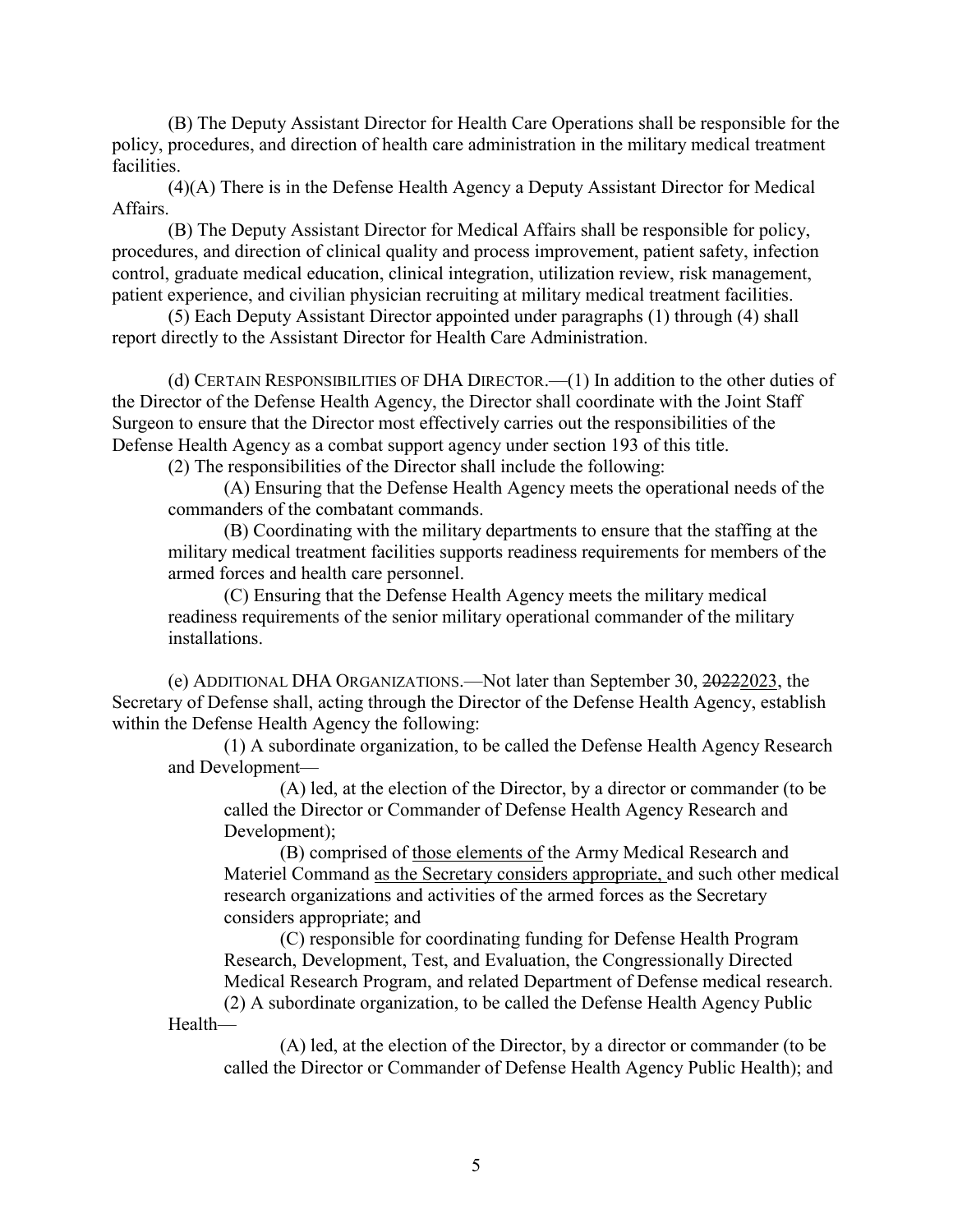(B) The Deputy Assistant Director for Health Care Operations shall be responsible for the policy, procedures, and direction of health care administration in the military medical treatment facilities.

(4)(A) There is in the Defense Health Agency a Deputy Assistant Director for Medical Affairs.

(B) The Deputy Assistant Director for Medical Affairs shall be responsible for policy, procedures, and direction of clinical quality and process improvement, patient safety, infection control, graduate medical education, clinical integration, utilization review, risk management, patient experience, and civilian physician recruiting at military medical treatment facilities.

(5) Each Deputy Assistant Director appointed under paragraphs (1) through (4) shall report directly to the Assistant Director for Health Care Administration.

(d) CERTAIN RESPONSIBILITIES OF DHA DIRECTOR.—(1) In addition to the other duties of the Director of the Defense Health Agency, the Director shall coordinate with the Joint Staff Surgeon to ensure that the Director most effectively carries out the responsibilities of the Defense Health Agency as a combat support agency under section 193 of this title.

(2) The responsibilities of the Director shall include the following:

(A) Ensuring that the Defense Health Agency meets the operational needs of the commanders of the combatant commands.

(B) Coordinating with the military departments to ensure that the staffing at the military medical treatment facilities supports readiness requirements for members of the armed forces and health care personnel.

(C) Ensuring that the Defense Health Agency meets the military medical readiness requirements of the senior military operational commander of the military installations.

(e) ADDITIONAL DHA ORGANIZATIONS.—Not later than September 30, 20222023, the Secretary of Defense shall, acting through the Director of the Defense Health Agency, establish within the Defense Health Agency the following:

(1) A subordinate organization, to be called the Defense Health Agency Research and Development—

> (A) led, at the election of the Director, by a director or commander (to be called the Director or Commander of Defense Health Agency Research and Development);

(B) comprised of those elements of the Army Medical Research and Materiel Command as the Secretary considers appropriate, and such other medical research organizations and activities of the armed forces as the Secretary considers appropriate; and

(C) responsible for coordinating funding for Defense Health Program Research, Development, Test, and Evaluation, the Congressionally Directed Medical Research Program, and related Department of Defense medical research.

(2) A subordinate organization, to be called the Defense Health Agency Public Health—

(A) led, at the election of the Director, by a director or commander (to be called the Director or Commander of Defense Health Agency Public Health); and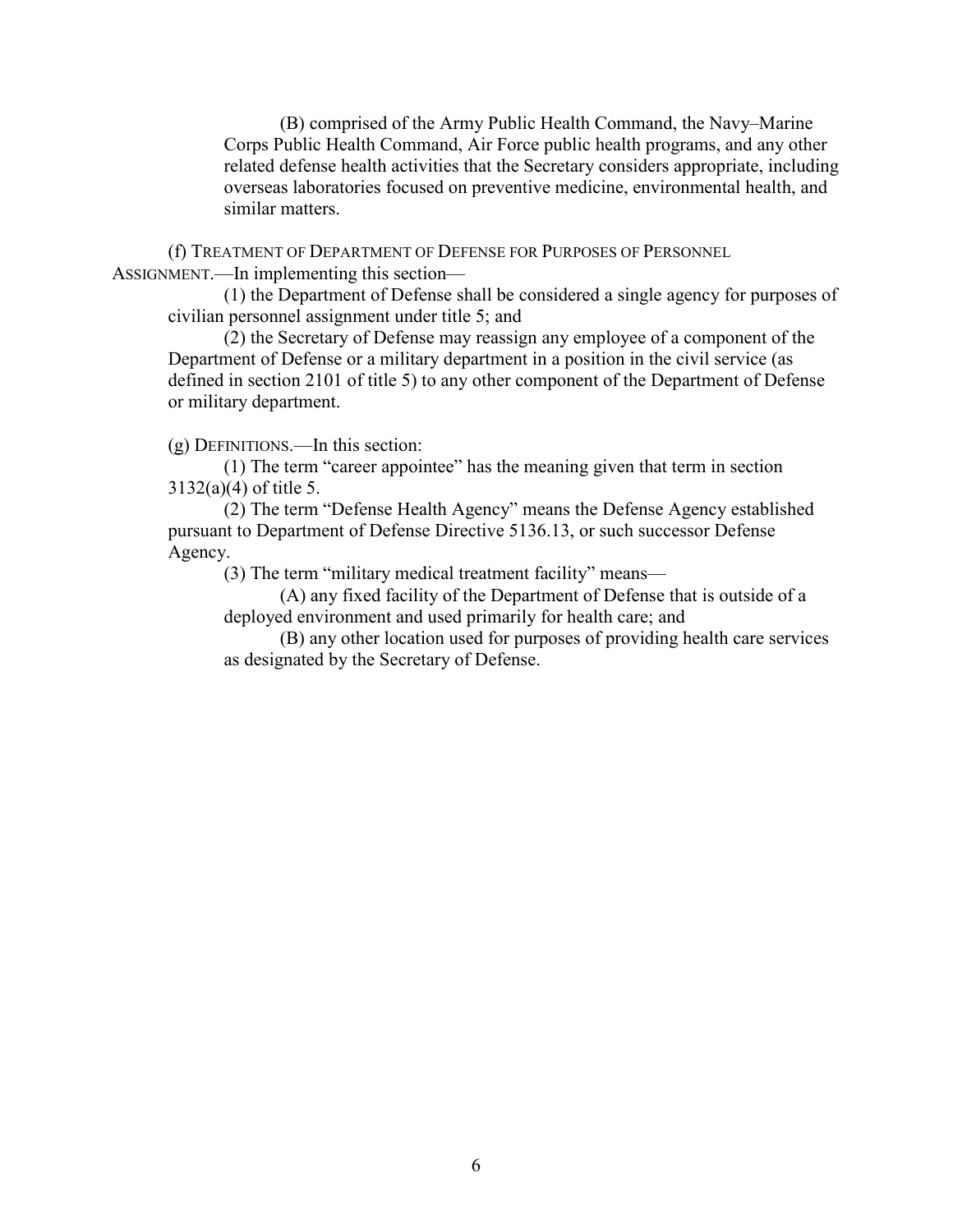(B) comprised of the Army Public Health Command, the Navy–Marine Corps Public Health Command, Air Force public health programs, and any other related defense health activities that the Secretary considers appropriate, including overseas laboratories focused on preventive medicine, environmental health, and similar matters.

(f) TREATMENT OF DEPARTMENT OF DEFENSE FOR PURPOSES OF PERSONNEL ASSIGNMENT.—In implementing this section—

(1) the Department of Defense shall be considered a single agency for purposes of civilian personnel assignment under title 5; and

(2) the Secretary of Defense may reassign any employee of a component of the Department of Defense or a military department in a position in the civil service (as defined in section 2101 of title 5) to any other component of the Department of Defense or military department.

(g) DEFINITIONS.—In this section:

(1) The term "career appointee" has the meaning given that term in section 3132(a)(4) of title 5.

(2) The term "Defense Health Agency" means the Defense Agency established pursuant to Department of Defense Directive 5136.13, or such successor Defense Agency.

(3) The term "military medical treatment facility" means—

(A) any fixed facility of the Department of Defense that is outside of a deployed environment and used primarily for health care; and

(B) any other location used for purposes of providing health care services as designated by the Secretary of Defense.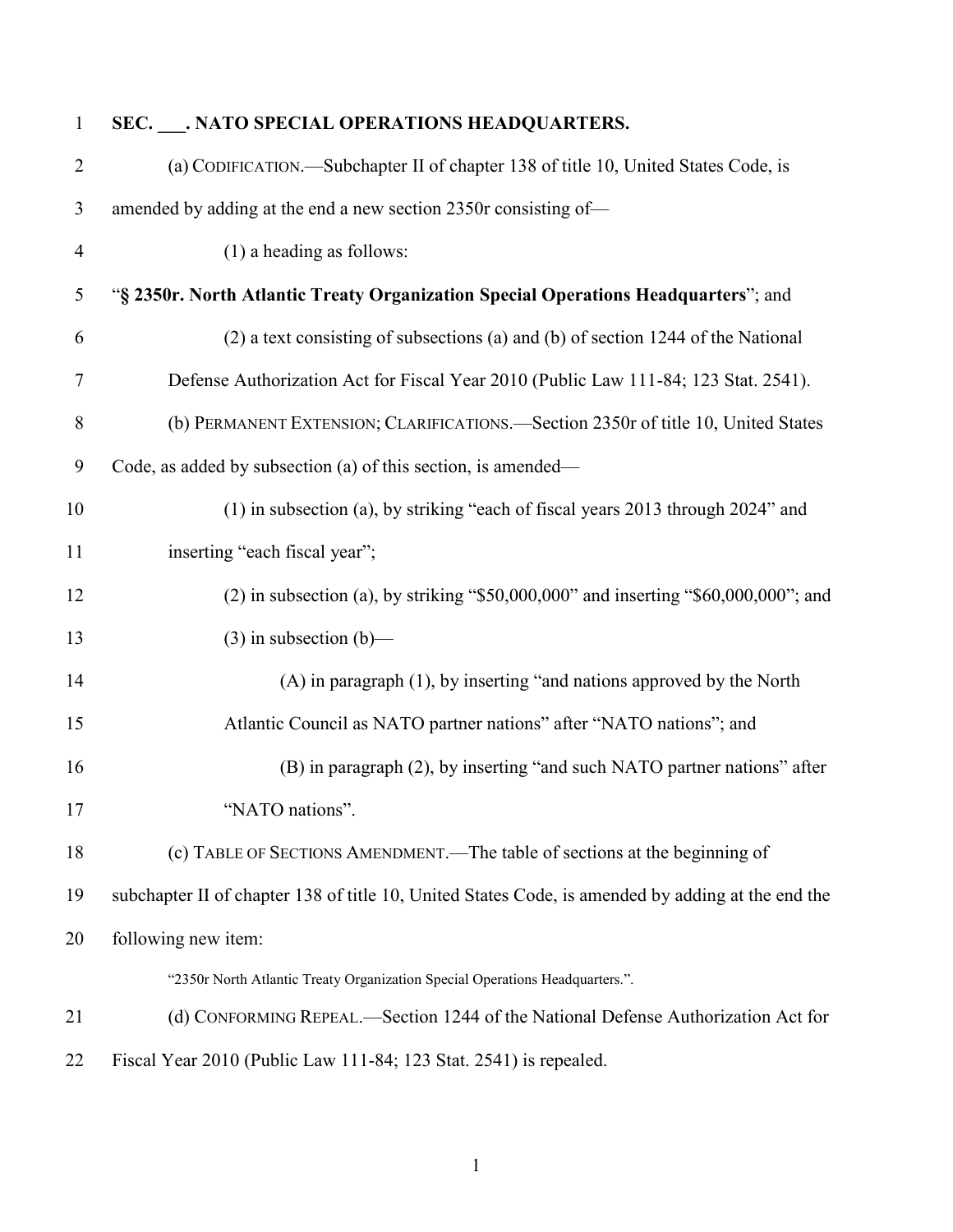| $\mathbf{1}$   | SEC. ___. NATO SPECIAL OPERATIONS HEADQUARTERS.                                                   |
|----------------|---------------------------------------------------------------------------------------------------|
| $\overline{2}$ | (a) CODIFICATION.—Subchapter II of chapter 138 of title 10, United States Code, is                |
| 3              | amended by adding at the end a new section 2350r consisting of-                                   |
| $\overline{4}$ | $(1)$ a heading as follows:                                                                       |
| $\mathfrak{S}$ | "§ 2350r. North Atlantic Treaty Organization Special Operations Headquarters"; and                |
| 6              | (2) a text consisting of subsections (a) and (b) of section 1244 of the National                  |
| 7              | Defense Authorization Act for Fiscal Year 2010 (Public Law 111-84; 123 Stat. 2541).               |
| 8              | (b) PERMANENT EXTENSION; CLARIFICATIONS.—Section 2350r of title 10, United States                 |
| 9              | Code, as added by subsection (a) of this section, is amended—                                     |
| 10             | (1) in subsection (a), by striking "each of fiscal years 2013 through 2024" and                   |
| 11             | inserting "each fiscal year";                                                                     |
| 12             | $(2)$ in subsection (a), by striking "\$50,000,000" and inserting "\$60,000,000"; and             |
| 13             | $(3)$ in subsection $(b)$ —                                                                       |
| 14             | (A) in paragraph (1), by inserting "and nations approved by the North                             |
| 15             | Atlantic Council as NATO partner nations" after "NATO nations"; and                               |
| 16             | (B) in paragraph (2), by inserting "and such NATO partner nations" after                          |
| 17             | "NATO nations".                                                                                   |
| 18             | (c) TABLE OF SECTIONS AMENDMENT.—The table of sections at the beginning of                        |
| 19             | subchapter II of chapter 138 of title 10, United States Code, is amended by adding at the end the |
| 20             | following new item:                                                                               |
|                | "2350r North Atlantic Treaty Organization Special Operations Headquarters.".                      |
| 21             | (d) CONFORMING REPEAL.—Section 1244 of the National Defense Authorization Act for                 |
| 22             | Fiscal Year 2010 (Public Law 111-84; 123 Stat. 2541) is repealed.                                 |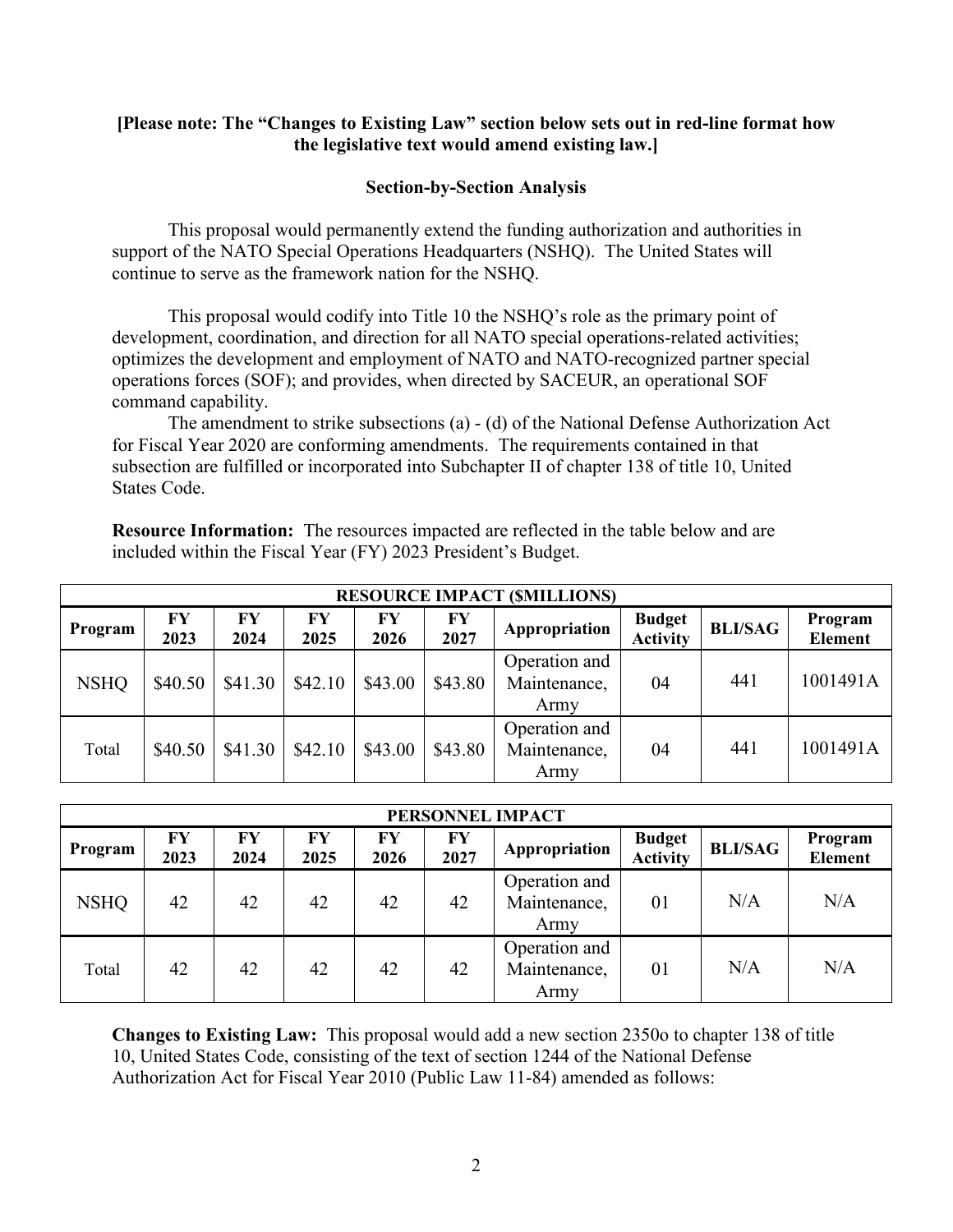#### **[Please note: The "Changes to Existing Law" section below sets out in red-line format how the legislative text would amend existing law.]**

#### **Section-by-Section Analysis**

This proposal would permanently extend the funding authorization and authorities in support of the NATO Special Operations Headquarters (NSHQ). The United States will continue to serve as the framework nation for the NSHQ.

This proposal would codify into Title 10 the NSHQ's role as the primary point of development, coordination, and direction for all NATO special operations-related activities; optimizes the development and employment of NATO and NATO-recognized partner special operations forces (SOF); and provides, when directed by SACEUR, an operational SOF command capability.

The amendment to strike subsections (a) - (d) of the National Defense Authorization Act for Fiscal Year 2020 are conforming amendments. The requirements contained in that subsection are fulfilled or incorporated into Subchapter II of chapter 138 of title 10, United States Code.

**Resource Information:** The resources impacted are reflected in the table below and are included within the Fiscal Year (FY) 2023 President's Budget.

|             | <b>RESOURCE IMPACT (SMILLIONS)</b> |            |            |            |            |                                       |                                  |                |                           |
|-------------|------------------------------------|------------|------------|------------|------------|---------------------------------------|----------------------------------|----------------|---------------------------|
| Program     | FY<br>2023                         | FY<br>2024 | FY<br>2025 | FY<br>2026 | FY<br>2027 | Appropriation                         | <b>Budget</b><br><b>Activity</b> | <b>BLI/SAG</b> | Program<br><b>Element</b> |
| <b>NSHQ</b> | \$40.50                            | \$41.30    | \$42.10    | \$43.00    | \$43.80    | Operation and<br>Maintenance,<br>Army | 04                               | 441            | 1001491A                  |
| Total       | \$40.50                            | \$41.30    | \$42.10    | \$43.00    | \$43.80    | Operation and<br>Maintenance,<br>Army | 04                               | 441            | 1001491A                  |

|             | PERSONNEL IMPACT |            |            |            |            |                                       |                                  |                |                           |
|-------------|------------------|------------|------------|------------|------------|---------------------------------------|----------------------------------|----------------|---------------------------|
| Program     | FY<br>2023       | FY<br>2024 | FY<br>2025 | FY<br>2026 | FY<br>2027 | Appropriation                         | <b>Budget</b><br><b>Activity</b> | <b>BLI/SAG</b> | Program<br><b>Element</b> |
| <b>NSHO</b> | 42               | 42         | 42         | 42         | 42         | Operation and<br>Maintenance,<br>Army | 01                               | N/A            | N/A                       |
| Total       | 42               | 42         | 42         | 42         | 42         | Operation and<br>Maintenance,<br>Army | 01                               | N/A            | N/A                       |

**Changes to Existing Law:** This proposal would add a new section 2350o to chapter 138 of title 10, United States Code, consisting of the text of section 1244 of the National Defense Authorization Act for Fiscal Year 2010 (Public Law 11-84) amended as follows: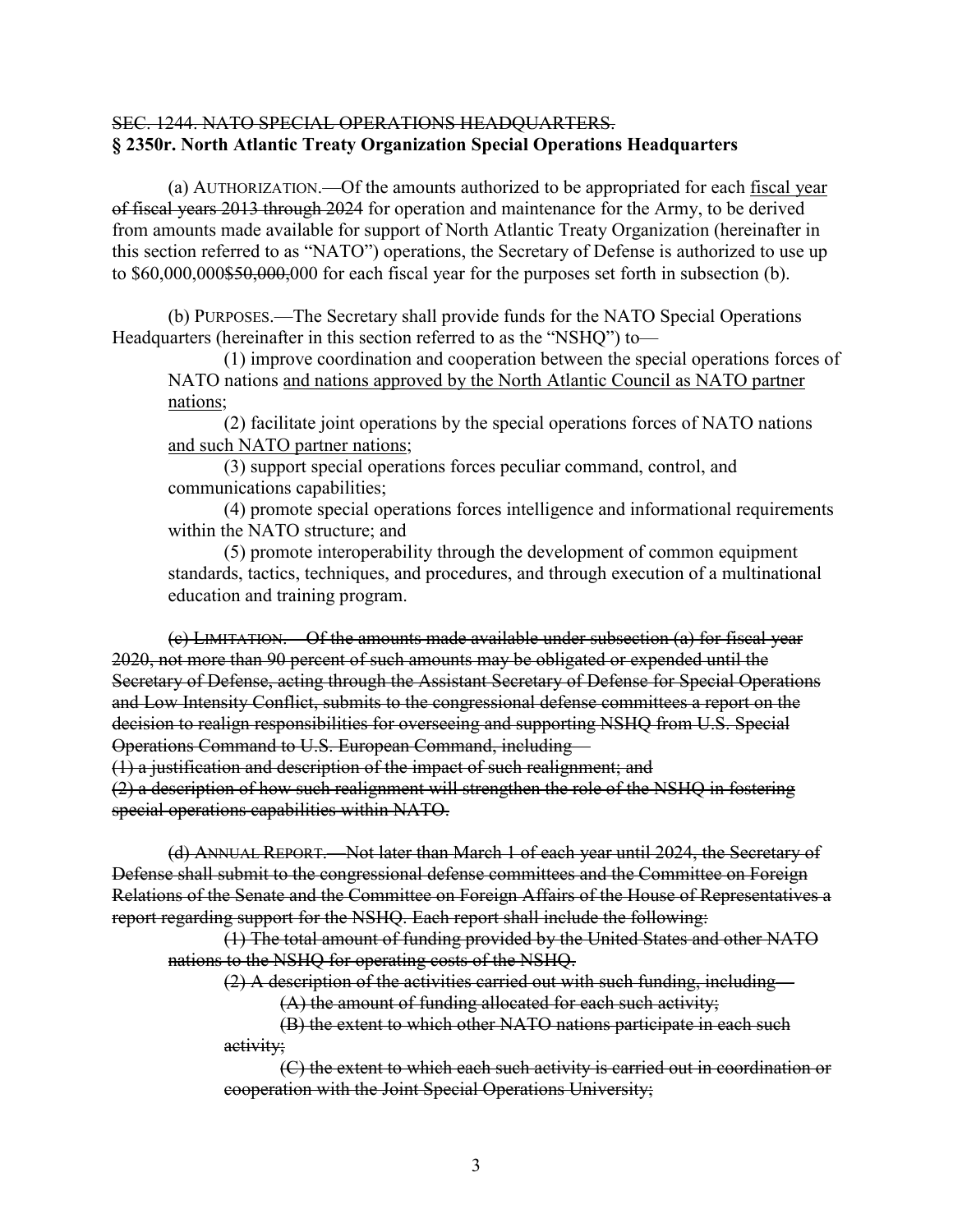#### SEC. 1244. NATO SPECIAL OPERATIONS HEADQUARTERS. **§ 2350r. North Atlantic Treaty Organization Special Operations Headquarters**

(a) AUTHORIZATION.—Of the amounts authorized to be appropriated for each fiscal year of fiscal years 2013 through 2024 for operation and maintenance for the Army, to be derived from amounts made available for support of North Atlantic Treaty Organization (hereinafter in this section referred to as "NATO") operations, the Secretary of Defense is authorized to use up to \$60,000,000\$50,000,000 for each fiscal year for the purposes set forth in subsection (b).

(b) PURPOSES.—The Secretary shall provide funds for the NATO Special Operations Headquarters (hereinafter in this section referred to as the "NSHQ") to—

(1) improve coordination and cooperation between the special operations forces of NATO nations and nations approved by the North Atlantic Council as NATO partner nations;

(2) facilitate joint operations by the special operations forces of NATO nations and such NATO partner nations;

(3) support special operations forces peculiar command, control, and communications capabilities;

(4) promote special operations forces intelligence and informational requirements within the NATO structure; and

(5) promote interoperability through the development of common equipment standards, tactics, techniques, and procedures, and through execution of a multinational education and training program.

(c) LIMITATION.—Of the amounts made available under subsection (a) for fiscal year 2020, not more than 90 percent of such amounts may be obligated or expended until the Secretary of Defense, acting through the Assistant Secretary of Defense for Special Operations and Low Intensity Conflict, submits to the congressional defense committees a report on the decision to realign responsibilities for overseeing and supporting NSHQ from U.S. Special Operations Command to U.S. European Command, including—

(1) a justification and description of the impact of such realignment; and

(2) a description of how such realignment will strengthen the role of the NSHQ in fostering special operations capabilities within NATO.

(d) ANNUAL REPORT.—Not later than March 1 of each year until 2024, the Secretary of Defense shall submit to the congressional defense committees and the Committee on Foreign Relations of the Senate and the Committee on Foreign Affairs of the House of Representatives a report regarding support for the NSHQ. Each report shall include the following:

(1) The total amount of funding provided by the United States and other NATO nations to the NSHQ for operating costs of the NSHQ.

(2) A description of the activities carried out with such funding, including—

(A) the amount of funding allocated for each such activity;

(B) the extent to which other NATO nations participate in each such activity;

(C) the extent to which each such activity is carried out in coordination or cooperation with the Joint Special Operations University;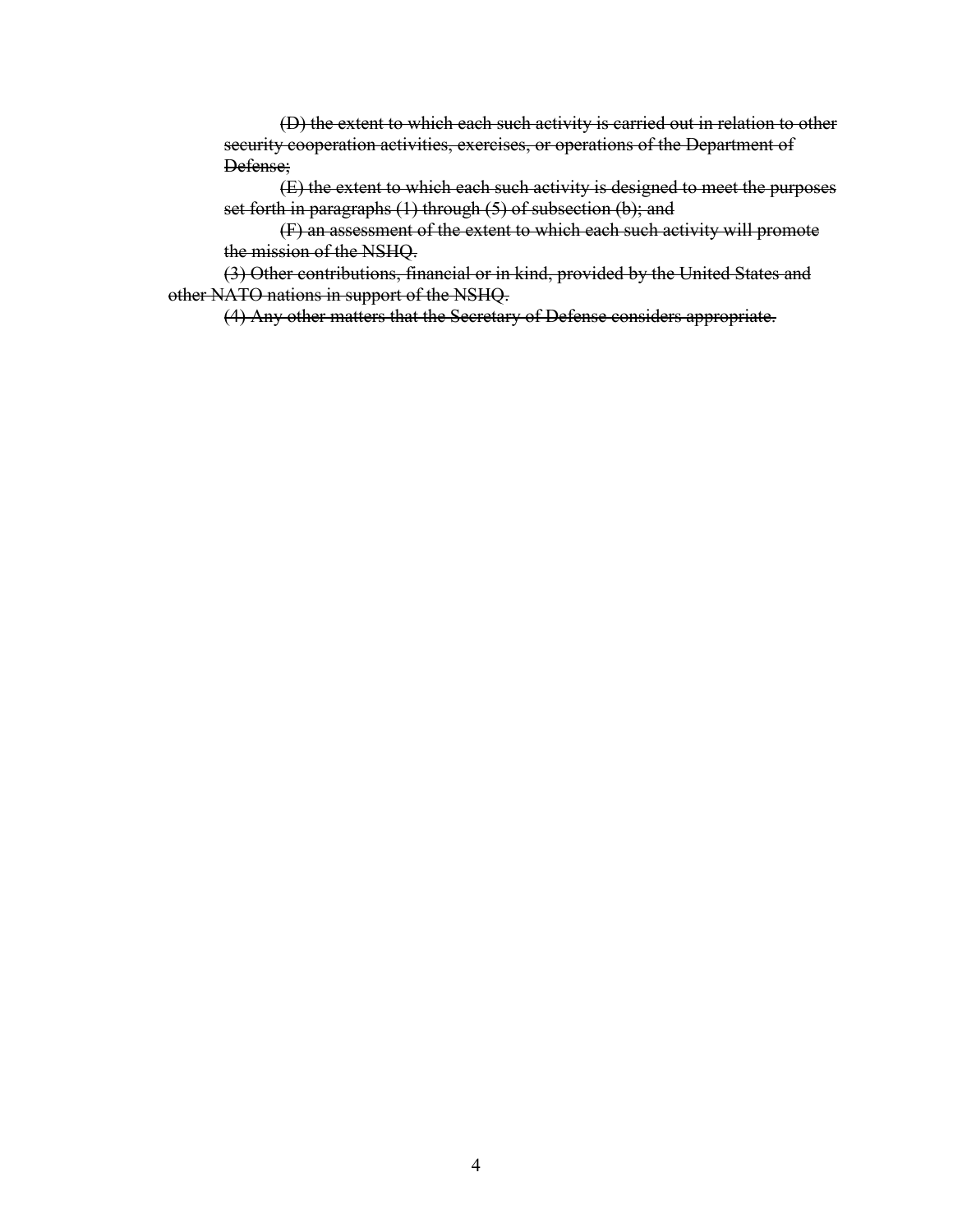(D) the extent to which each such activity is carried out in relation to other security cooperation activities, exercises, or operations of the Department of Defense;

(E) the extent to which each such activity is designed to meet the purposes set forth in paragraphs (1) through (5) of subsection (b); and

(F) an assessment of the extent to which each such activity will promote the mission of the NSHQ.

(3) Other contributions, financial or in kind, provided by the United States and other NATO nations in support of the NSHQ.

(4) Any other matters that the Secretary of Defense considers appropriate.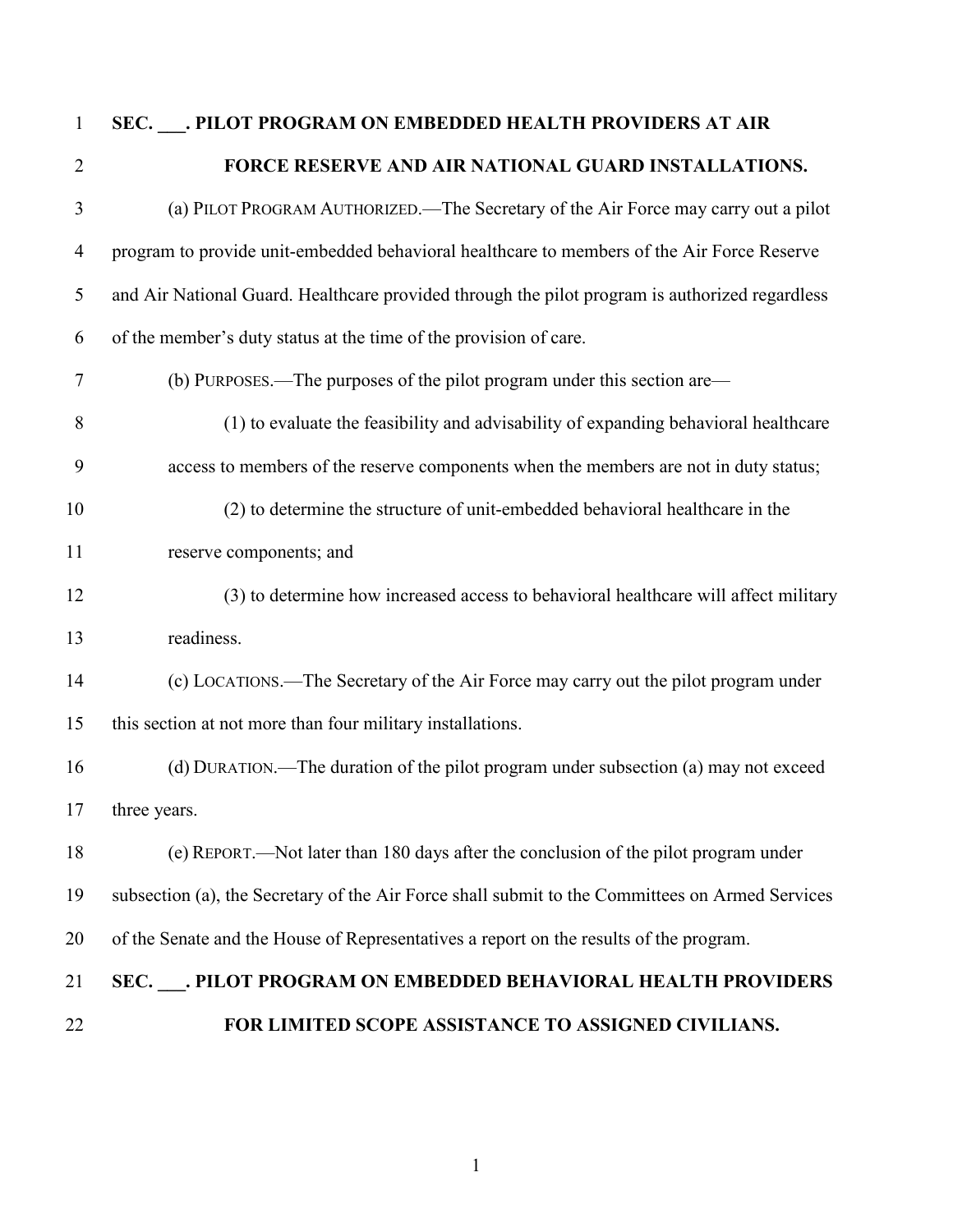# **SEC. \_\_\_. PILOT PROGRAM ON EMBEDDED HEALTH PROVIDERS AT AIR FORCE RESERVE AND AIR NATIONAL GUARD INSTALLATIONS.**

- (a) PILOT PROGRAM AUTHORIZED.—The Secretary of the Air Force may carry out a pilot program to provide unit-embedded behavioral healthcare to members of the Air Force Reserve and Air National Guard. Healthcare provided through the pilot program is authorized regardless of the member's duty status at the time of the provision of care. (b) PURPOSES.—The purposes of the pilot program under this section are— (1) to evaluate the feasibility and advisability of expanding behavioral healthcare access to members of the reserve components when the members are not in duty status; (2) to determine the structure of unit-embedded behavioral healthcare in the reserve components; and (3) to determine how increased access to behavioral healthcare will affect military readiness. (c) LOCATIONS.—The Secretary of the Air Force may carry out the pilot program under this section at not more than four military installations. (d) DURATION.—The duration of the pilot program under subsection (a) may not exceed three years. (e) REPORT.—Not later than 180 days after the conclusion of the pilot program under subsection (a), the Secretary of the Air Force shall submit to the Committees on Armed Services of the Senate and the House of Representatives a report on the results of the program. **SEC. \_\_\_. PILOT PROGRAM ON EMBEDDED BEHAVIORAL HEALTH PROVIDERS**
- **FOR LIMITED SCOPE ASSISTANCE TO ASSIGNED CIVILIANS.**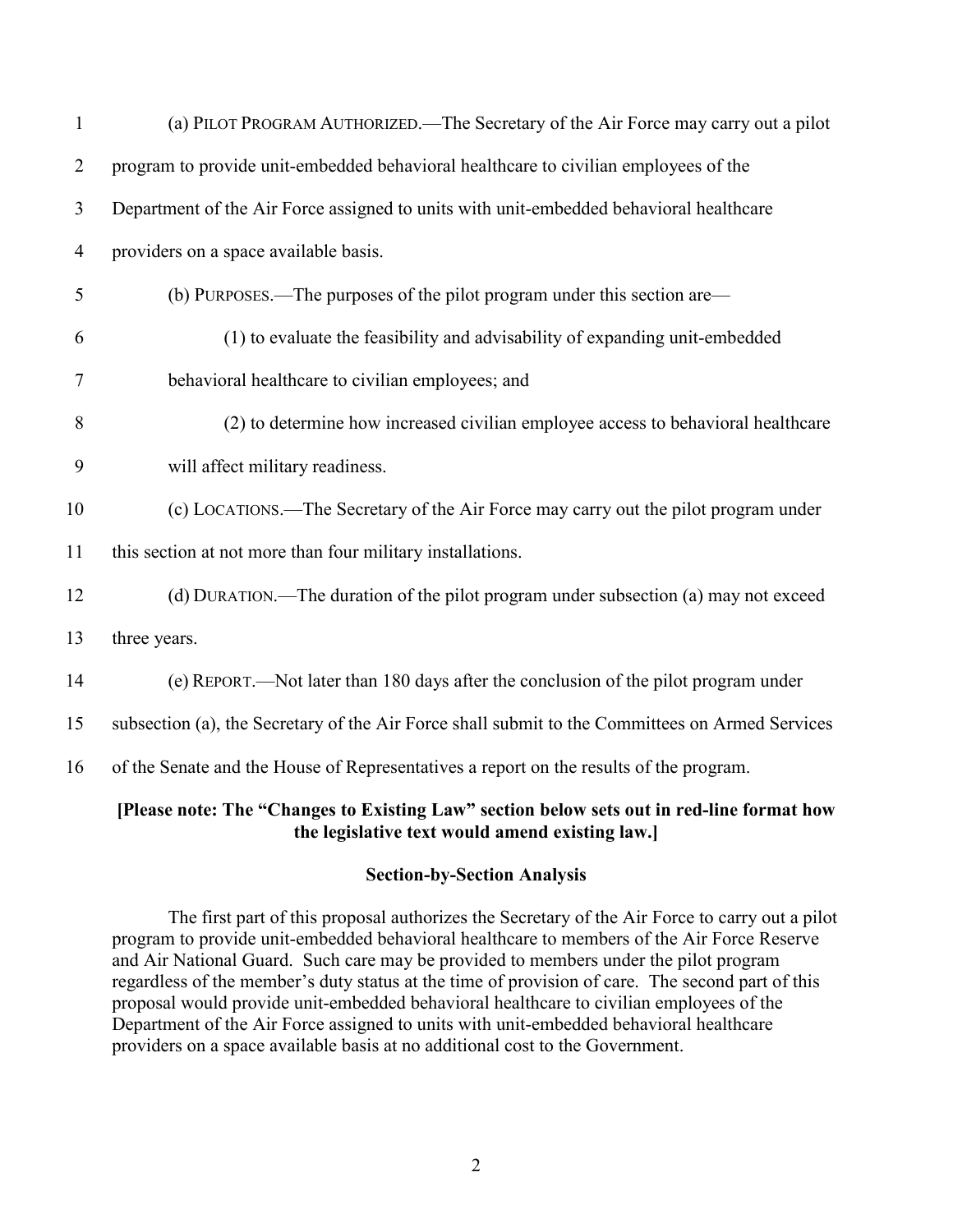| 1              | (a) PILOT PROGRAM AUTHORIZED.—The Secretary of the Air Force may carry out a pilot              |
|----------------|-------------------------------------------------------------------------------------------------|
| $\overline{2}$ | program to provide unit-embedded behavioral healthcare to civilian employees of the             |
| 3              | Department of the Air Force assigned to units with unit-embedded behavioral healthcare          |
| $\overline{4}$ | providers on a space available basis.                                                           |
| 5              | (b) PURPOSES.—The purposes of the pilot program under this section are—                         |
| 6              | (1) to evaluate the feasibility and advisability of expanding unit-embedded                     |
| 7              | behavioral healthcare to civilian employees; and                                                |
| 8              | (2) to determine how increased civilian employee access to behavioral healthcare                |
| 9              | will affect military readiness.                                                                 |
| 10             | (c) LOCATIONS.—The Secretary of the Air Force may carry out the pilot program under             |
| 11             | this section at not more than four military installations.                                      |
| 12             | (d) DURATION.—The duration of the pilot program under subsection (a) may not exceed             |
| 13             | three years.                                                                                    |
| 14             | (e) REPORT.—Not later than 180 days after the conclusion of the pilot program under             |
| 15             | subsection (a), the Secretary of the Air Force shall submit to the Committees on Armed Services |
| 16             | of the Senate and the House of Representatives a report on the results of the program.          |
|                | [Please note: The "Changes to Existing Law" section below sets out in red-line format how       |

# **Section-by-Section Analysis**

**the legislative text would amend existing law.]**

The first part of this proposal authorizes the Secretary of the Air Force to carry out a pilot program to provide unit-embedded behavioral healthcare to members of the Air Force Reserve and Air National Guard. Such care may be provided to members under the pilot program regardless of the member's duty status at the time of provision of care. The second part of this proposal would provide unit-embedded behavioral healthcare to civilian employees of the Department of the Air Force assigned to units with unit-embedded behavioral healthcare providers on a space available basis at no additional cost to the Government.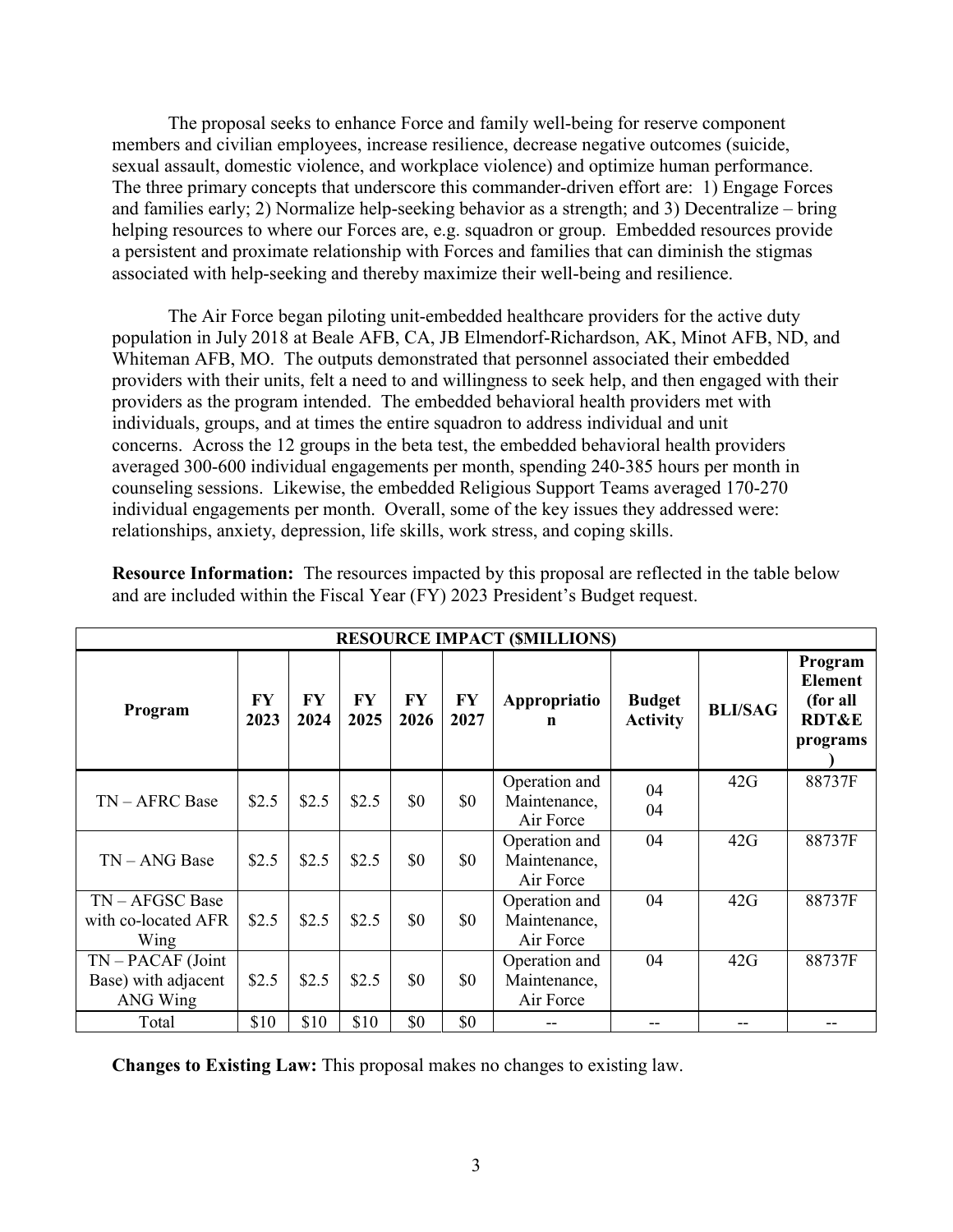The proposal seeks to enhance Force and family well-being for reserve component members and civilian employees, increase resilience, decrease negative outcomes (suicide, sexual assault, domestic violence, and workplace violence) and optimize human performance. The three primary concepts that underscore this commander-driven effort are: 1) Engage Forces and families early; 2) Normalize help-seeking behavior as a strength; and 3) Decentralize – bring helping resources to where our Forces are, e.g. squadron or group. Embedded resources provide a persistent and proximate relationship with Forces and families that can diminish the stigmas associated with help-seeking and thereby maximize their well-being and resilience.

The Air Force began piloting unit-embedded healthcare providers for the active duty population in July 2018 at Beale AFB, CA, JB Elmendorf-Richardson, AK, Minot AFB, ND, and Whiteman AFB, MO. The outputs demonstrated that personnel associated their embedded providers with their units, felt a need to and willingness to seek help, and then engaged with their providers as the program intended. The embedded behavioral health providers met with individuals, groups, and at times the entire squadron to address individual and unit concerns. Across the 12 groups in the beta test, the embedded behavioral health providers averaged 300-600 individual engagements per month, spending 240-385 hours per month in counseling sessions. Likewise, the embedded Religious Support Teams averaged 170-270 individual engagements per month. Overall, some of the key issues they addressed were: relationships, anxiety, depression, life skills, work stress, and coping skills.

| <b>RESOURCE IMPACT (SMILLIONS)</b>                     |                   |            |            |                   |            |                                            |                                  |                |                                                                       |
|--------------------------------------------------------|-------------------|------------|------------|-------------------|------------|--------------------------------------------|----------------------------------|----------------|-----------------------------------------------------------------------|
| Program                                                | <b>FY</b><br>2023 | FY<br>2024 | FY<br>2025 | <b>FY</b><br>2026 | FY<br>2027 | Appropriatio<br>n                          | <b>Budget</b><br><b>Activity</b> | <b>BLI/SAG</b> | Program<br><b>Element</b><br>(for all<br><b>RDT&amp;E</b><br>programs |
| $TN - AFRC$ Base                                       | \$2.5             | \$2.5      | \$2.5      | \$0               | \$0        | Operation and<br>Maintenance,<br>Air Force | 04<br>04                         | 42G            | 88737F                                                                |
| $TN - ANG$ Base                                        | \$2.5             | \$2.5      | \$2.5      | \$0               | \$0        | Operation and<br>Maintenance,<br>Air Force | 04                               | 42G            | 88737F                                                                |
| TN - AFGSC Base<br>with co-located AFR<br>Wing         | \$2.5             | \$2.5      | \$2.5      | \$0               | \$0        | Operation and<br>Maintenance,<br>Air Force | 04                               | 42G            | 88737F                                                                |
| $TN - PACAF$ (Joint<br>Base) with adjacent<br>ANG Wing | \$2.5             | \$2.5      | \$2.5      | \$0               | \$0        | Operation and<br>Maintenance,<br>Air Force | 04                               | 42G            | 88737F                                                                |
| Total                                                  | \$10              | \$10       | \$10       | \$0               | \$0        |                                            |                                  |                |                                                                       |

**Resource Information:** The resources impacted by this proposal are reflected in the table below and are included within the Fiscal Year (FY) 2023 President's Budget request.

**Changes to Existing Law:** This proposal makes no changes to existing law.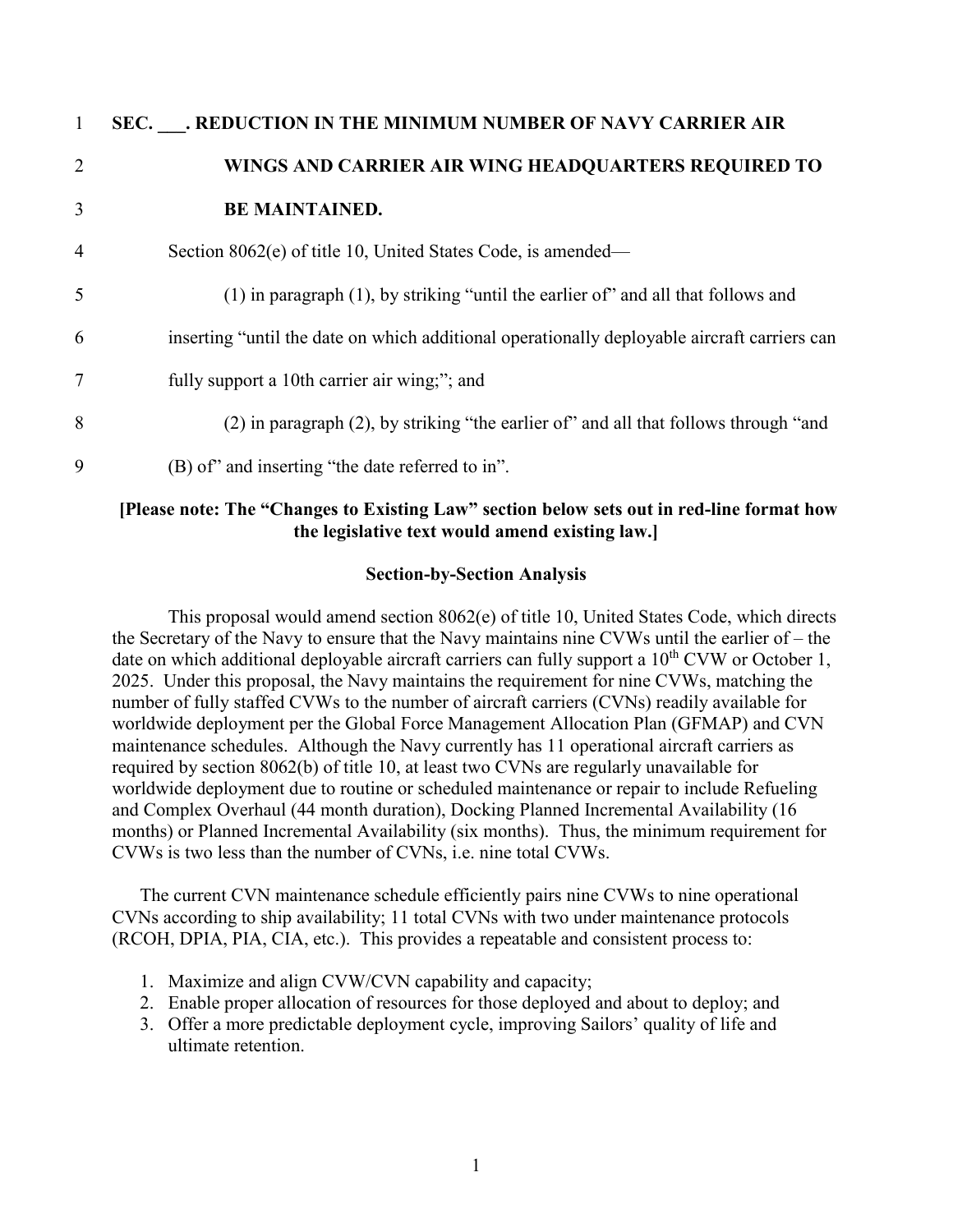| $\mathbf{1}$   | SEC. AEDUCTION IN THE MINIMUM NUMBER OF NAVY CARRIER AIR                                     |
|----------------|----------------------------------------------------------------------------------------------|
| $\overline{2}$ | WINGS AND CARRIER AIR WING HEADQUARTERS REQUIRED TO                                          |
| 3              | <b>BE MAINTAINED.</b>                                                                        |
| $\overline{4}$ | Section 8062(e) of title 10, United States Code, is amended—                                 |
| 5              | (1) in paragraph (1), by striking "until the earlier of" and all that follows and            |
| 6              | inserting "until the date on which additional operationally deployable aircraft carriers can |
| $\overline{7}$ | fully support a 10th carrier air wing;"; and                                                 |
| 8              | (2) in paragraph (2), by striking "the earlier of" and all that follows through "and         |
| 9              | (B) of" and inserting "the date referred to in".                                             |

#### **[Please note: The "Changes to Existing Law" section below sets out in red-line format how the legislative text would amend existing law.]**

#### **Section-by-Section Analysis**

This proposal would amend section 8062(e) of title 10, United States Code, which directs the Secretary of the Navy to ensure that the Navy maintains nine CVWs until the earlier of – the date on which additional deployable aircraft carriers can fully support a  $10<sup>th</sup>$  CVW or October 1, 2025. Under this proposal, the Navy maintains the requirement for nine CVWs, matching the number of fully staffed CVWs to the number of aircraft carriers (CVNs) readily available for worldwide deployment per the Global Force Management Allocation Plan (GFMAP) and CVN maintenance schedules. Although the Navy currently has 11 operational aircraft carriers as required by section 8062(b) of title 10, at least two CVNs are regularly unavailable for worldwide deployment due to routine or scheduled maintenance or repair to include Refueling and Complex Overhaul (44 month duration), Docking Planned Incremental Availability (16 months) or Planned Incremental Availability (six months). Thus, the minimum requirement for CVWs is two less than the number of CVNs, i.e. nine total CVWs.

The current CVN maintenance schedule efficiently pairs nine CVWs to nine operational CVNs according to ship availability; 11 total CVNs with two under maintenance protocols (RCOH, DPIA, PIA, CIA, etc.). This provides a repeatable and consistent process to:

- 1. Maximize and align CVW/CVN capability and capacity;
- 2. Enable proper allocation of resources for those deployed and about to deploy; and
- 3. Offer a more predictable deployment cycle, improving Sailors' quality of life and ultimate retention.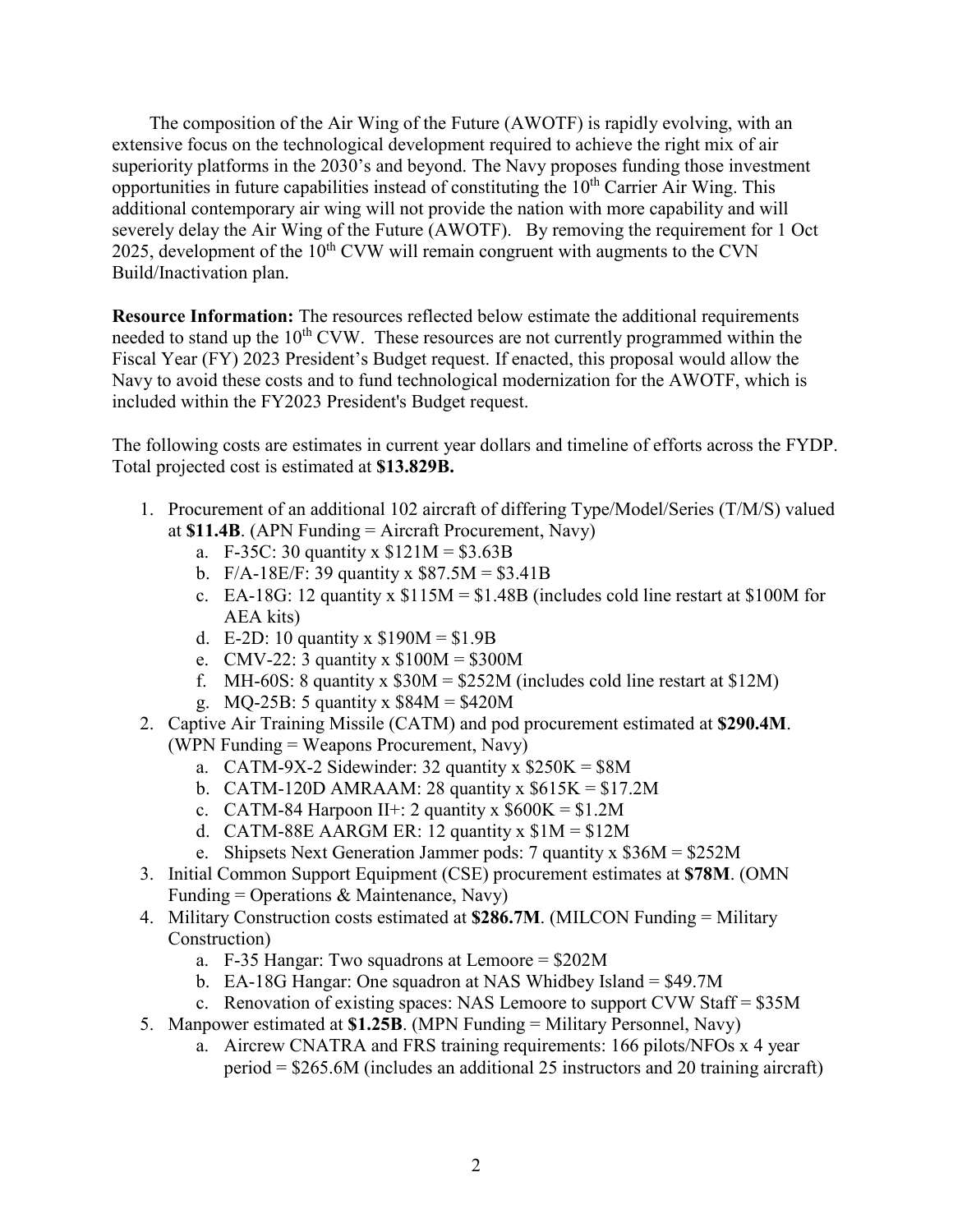The composition of the Air Wing of the Future (AWOTF) is rapidly evolving, with an extensive focus on the technological development required to achieve the right mix of air superiority platforms in the 2030's and beyond. The Navy proposes funding those investment opportunities in future capabilities instead of constituting the  $10<sup>th</sup>$  Carrier Air Wing. This additional contemporary air wing will not provide the nation with more capability and will severely delay the Air Wing of the Future (AWOTF). By removing the requirement for 1 Oct 2025, development of the  $10<sup>th</sup>$  CVW will remain congruent with augments to the CVN Build/Inactivation plan.

**Resource Information:** The resources reflected below estimate the additional requirements needed to stand up the  $10<sup>th</sup>$  CVW. These resources are not currently programmed within the Fiscal Year (FY) 2023 President's Budget request. If enacted, this proposal would allow the Navy to avoid these costs and to fund technological modernization for the AWOTF, which is included within the FY2023 President's Budget request.

The following costs are estimates in current year dollars and timeline of efforts across the FYDP. Total projected cost is estimated at **\$13.829B.**

- 1. Procurement of an additional 102 aircraft of differing Type/Model/Series (T/M/S) valued at **\$11.4B**. (APN Funding = Aircraft Procurement, Navy)
	- a. F-35C: 30 quantity x  $$121M = $3.63B$
	- b.  $F/A-18E/F: 39$  quantity x  $$87.5M = $3.41B$
	- c. EA-18G: 12 quantity x  $$115M = $1.48B$  (includes cold line restart at \$100M for AEA kits)
	- d. E-2D: 10 quantity x  $$190M = $1.9B$
	- e. CMV-22: 3 quantity x \$100M = \$300M
	- f. MH-60S: 8 quantity x  $$30M = $252M$  (includes cold line restart at  $$12M$ )
	- g. MQ-25B: 5 quantity x \$84M = \$420M
- 2. Captive Air Training Missile (CATM) and pod procurement estimated at **\$290.4M**. (WPN Funding = Weapons Procurement, Navy)
	- a. CATM-9X-2 Sidewinder: 32 quantity x  $$250K = $8M$
	- b. CATM-120D AMRAAM: 28 quantity x  $$615K = $17.2M$
	- c. CATM-84 Harpoon II+: 2 quantity x  $$600K = $1.2M$
	- d. CATM-88E AARGM ER: 12 quantity x  $$1M = $12M$
	- e. Shipsets Next Generation Jammer pods: 7 quantity x \$36M = \$252M
- 3. Initial Common Support Equipment (CSE) procurement estimates at **\$78M**. (OMN Funding = Operations  $&$  Maintenance, Navy)
- 4. Military Construction costs estimated at **\$286.7M**. (MILCON Funding = Military Construction)
	- a. F-35 Hangar: Two squadrons at Lemoore = \$202M
	- b. EA-18G Hangar: One squadron at NAS Whidbey Island = \$49.7M
	- c. Renovation of existing spaces: NAS Lemoore to support CVW Staff = \$35M
- 5. Manpower estimated at **\$1.25B**. (MPN Funding = Military Personnel, Navy)
	- a. Aircrew CNATRA and FRS training requirements: 166 pilots/NFOs x 4 year period = \$265.6M (includes an additional 25 instructors and 20 training aircraft)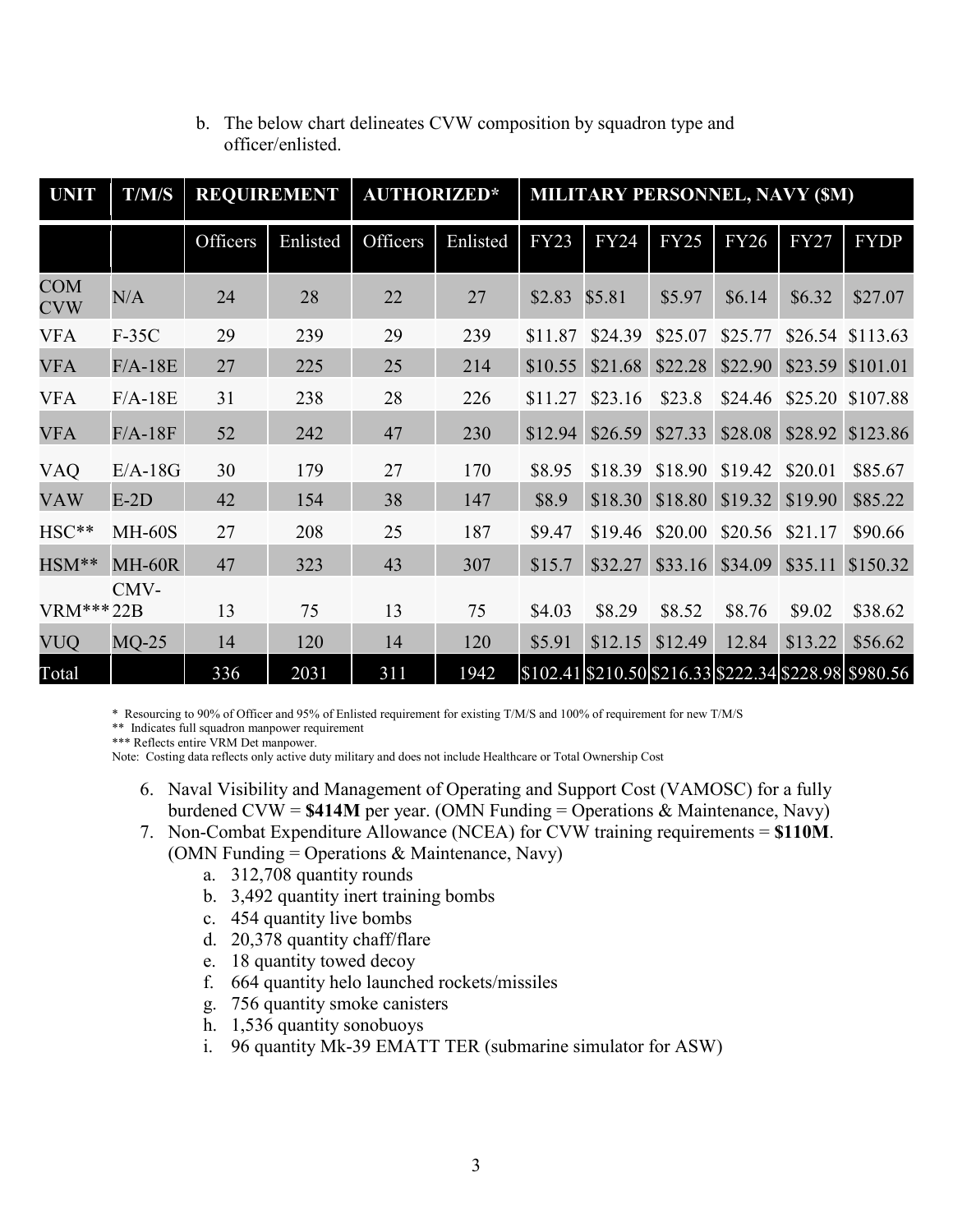| <b>UNIT</b>              | T/M/S         |          | <b>REQUIREMENT</b> | <b>AUTHORIZED*</b> |          | <b>MILITARY PERSONNEL, NAVY (\$M)</b> |             |             |             |             |                                                       |
|--------------------------|---------------|----------|--------------------|--------------------|----------|---------------------------------------|-------------|-------------|-------------|-------------|-------------------------------------------------------|
|                          |               | Officers | Enlisted           | Officers           | Enlisted | <b>FY23</b>                           | <b>FY24</b> | <b>FY25</b> | <b>FY26</b> | <b>FY27</b> | <b>FYDP</b>                                           |
| <b>COM</b><br><b>CVW</b> | N/A           | 24       | 28                 | 22                 | 27       | \$2.83                                | \$5.81      | \$5.97      | \$6.14      | \$6.32      | \$27.07                                               |
| <b>VFA</b>               | $F-35C$       | 29       | 239                | 29                 | 239      | \$11.87                               | \$24.39     | \$25.07     | \$25.77     |             | \$26.54 \$113.63                                      |
| <b>VFA</b>               | $F/A-18E$     | 27       | 225                | 25                 | 214      | \$10.55                               | \$21.68     | \$22.28     | \$22.90     | \$23.59     | \$101.01                                              |
| <b>VFA</b>               | $F/A-18E$     | 31       | 238                | 28                 | 226      | \$11.27                               | \$23.16     | \$23.8      | \$24.46     | \$25.20     | \$107.88                                              |
| <b>VFA</b>               | $F/A-18F$     | 52       | 242                | 47                 | 230      | \$12.94                               | \$26.59     | \$27.33     | \$28.08     | \$28.92     | \$123.86                                              |
| VAQ                      | $E/A-18G$     | 30       | 179                | 27                 | 170      | \$8.95                                | \$18.39     | \$18.90     | \$19.42     | \$20.01     | \$85.67                                               |
| <b>VAW</b>               | $E-2D$        | 42       | 154                | 38                 | 147      | \$8.9                                 | \$18.30     | \$18.80     | \$19.32     | \$19.90     | \$85.22                                               |
| HSC**                    | <b>MH-60S</b> | 27       | 208                | 25                 | 187      | \$9.47                                | \$19.46     | \$20.00     | \$20.56     | \$21.17     | \$90.66                                               |
| HSM**                    | MH-60R        | 47       | 323                | 43                 | 307      | \$15.7                                | \$32.27     | \$33.16     | \$34.09     | \$35.11     | \$150.32                                              |
| VRM***22B                | CMV-          | 13       | 75                 | 13                 | 75       | \$4.03                                | \$8.29      | \$8.52      | \$8.76      | \$9.02      | \$38.62                                               |
| <b>VUQ</b>               | $MQ-25$       | 14       | 120                | 14                 | 120      | \$5.91                                | \$12.15     | \$12.49     | 12.84       | \$13.22     | \$56.62                                               |
| Total                    |               | 336      | 2031               | 311                | 1942     |                                       |             |             |             |             | \$102.41\\$210.50\\$216.33\\$222.34\\$228.98\\$980.56 |

#### b. The below chart delineates CVW composition by squadron type and officer/enlisted.

\* Resourcing to 90% of Officer and 95% of Enlisted requirement for existing T/M/S and 100% of requirement for new T/M/S

\*\* Indicates full squadron manpower requirement

\*\*\* Reflects entire VRM Det manpower.

Note: Costing data reflects only active duty military and does not include Healthcare or Total Ownership Cost

- 6. Naval Visibility and Management of Operating and Support Cost (VAMOSC) for a fully burdened CVW = **\$414M** per year. (OMN Funding = Operations & Maintenance, Navy)
- 7. Non-Combat Expenditure Allowance (NCEA) for CVW training requirements = **\$110M**. (OMN Funding = Operations & Maintenance, Navy)
	- a. 312,708 quantity rounds
	- b. 3,492 quantity inert training bombs
	- c. 454 quantity live bombs
	- d. 20,378 quantity chaff/flare
	- e. 18 quantity towed decoy
	- f. 664 quantity helo launched rockets/missiles
	- g. 756 quantity smoke canisters
	- h. 1,536 quantity sonobuoys
	- i. 96 quantity Mk-39 EMATT TER (submarine simulator for ASW)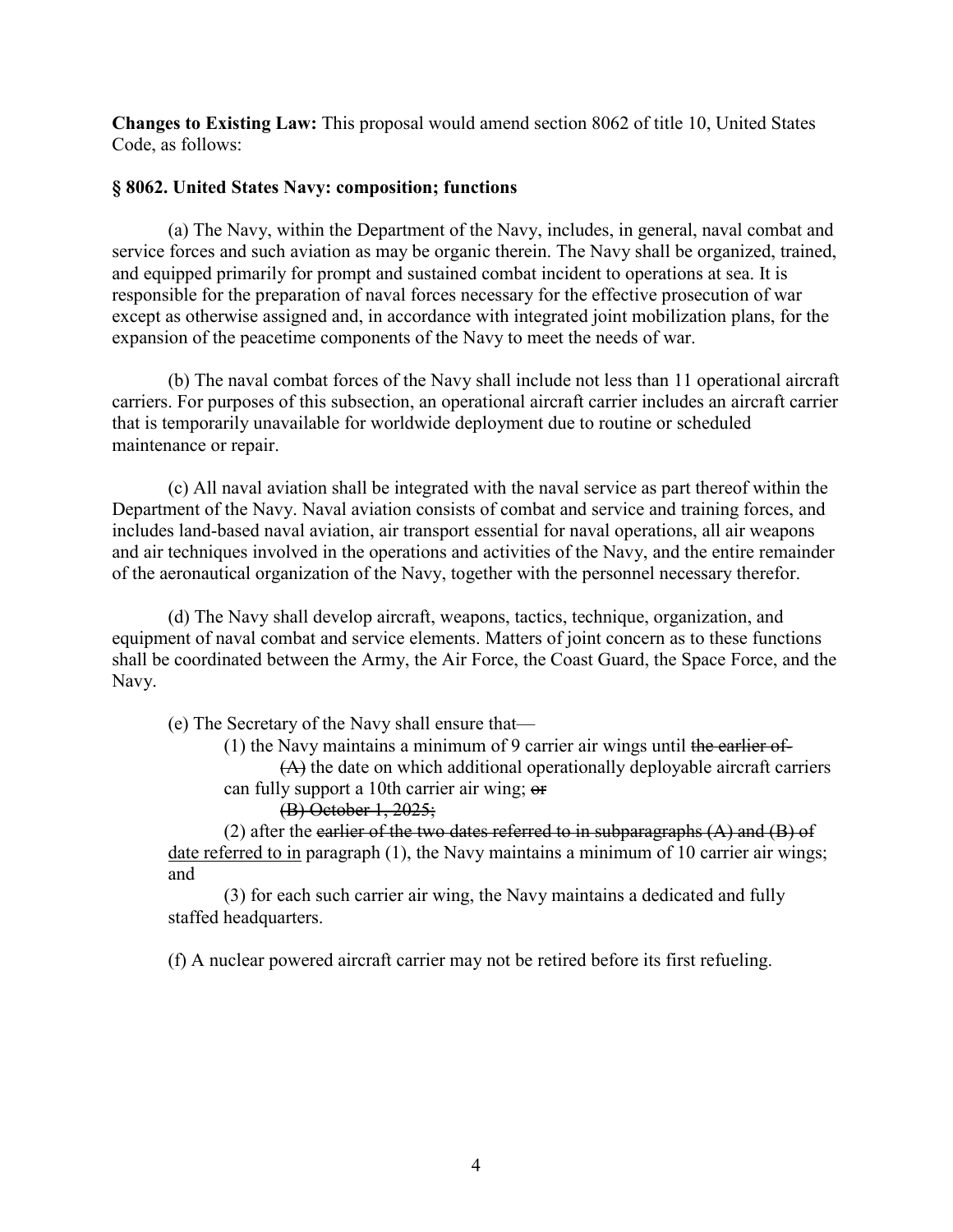**Changes to Existing Law:** This proposal would amend section 8062 of title 10, United States Code, as follows:

#### **§ 8062. United States Navy: composition; functions**

(a) The Navy, within the Department of the Navy, includes, in general, naval combat and service forces and such aviation as may be organic therein. The Navy shall be organized, trained, and equipped primarily for prompt and sustained combat incident to operations at sea. It is responsible for the preparation of naval forces necessary for the effective prosecution of war except as otherwise assigned and, in accordance with integrated joint mobilization plans, for the expansion of the peacetime components of the Navy to meet the needs of war.

(b) The naval combat forces of the Navy shall include not less than 11 operational aircraft carriers. For purposes of this subsection, an operational aircraft carrier includes an aircraft carrier that is temporarily unavailable for worldwide deployment due to routine or scheduled maintenance or repair.

(c) All naval aviation shall be integrated with the naval service as part thereof within the Department of the Navy. Naval aviation consists of combat and service and training forces, and includes land-based naval aviation, air transport essential for naval operations, all air weapons and air techniques involved in the operations and activities of the Navy, and the entire remainder of the aeronautical organization of the Navy, together with the personnel necessary therefor.

(d) The Navy shall develop aircraft, weapons, tactics, technique, organization, and equipment of naval combat and service elements. Matters of joint concern as to these functions shall be coordinated between the Army, the Air Force, the Coast Guard, the Space Force, and the Navy.

(e) The Secretary of the Navy shall ensure that—

(1) the Navy maintains a minimum of 9 carrier air wings until the earlier of-

(A) the date on which additional operationally deployable aircraft carriers can fully support a 10th carrier air wing; or

(B) October 1, 2025;

(2) after the earlier of the two dates referred to in subparagraphs  $(A)$  and  $(B)$  of date referred to in paragraph (1), the Navy maintains a minimum of 10 carrier air wings; and

(3) for each such carrier air wing, the Navy maintains a dedicated and fully staffed headquarters.

(f) A nuclear powered aircraft carrier may not be retired before its first refueling.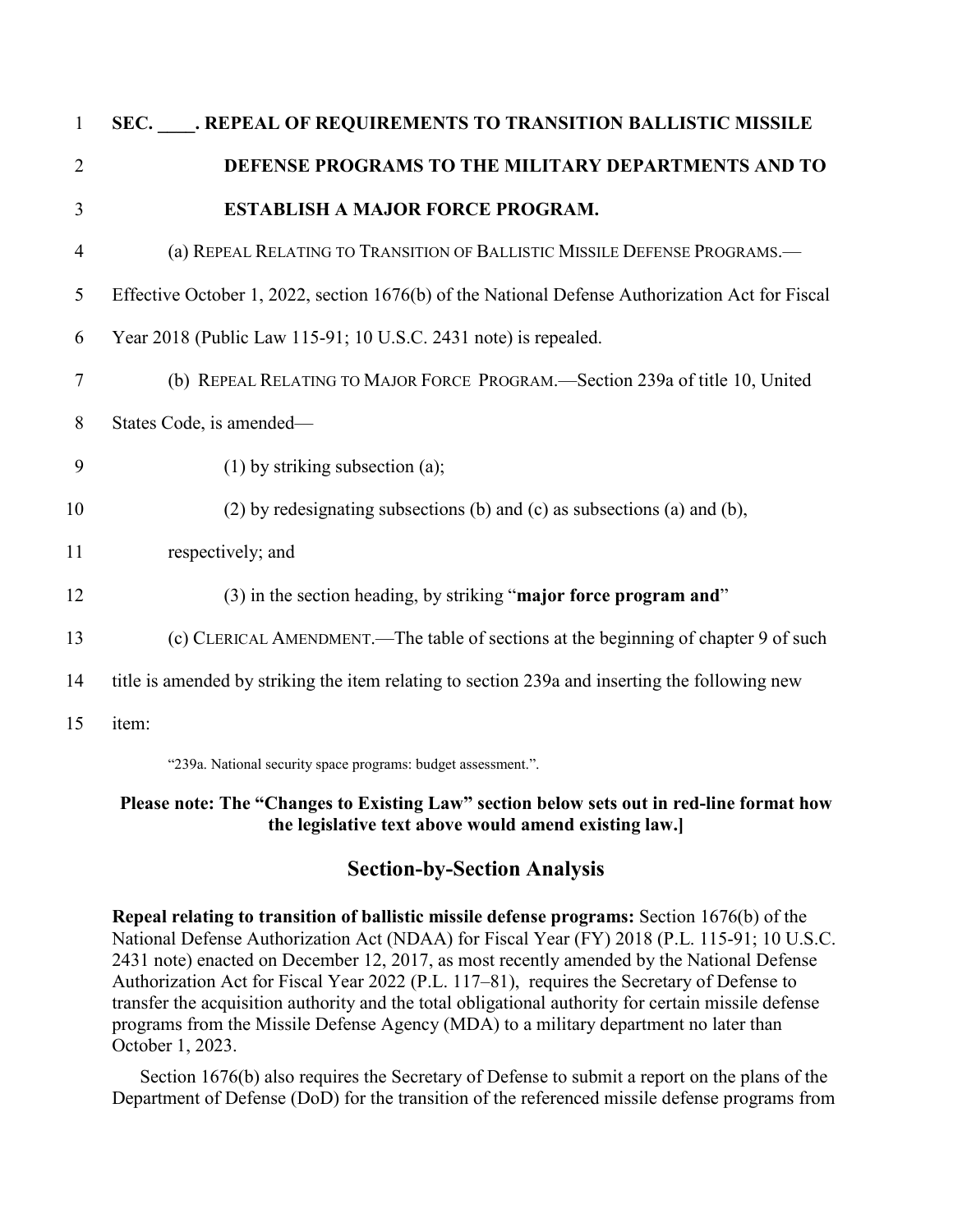| $\mathbf{1}$   | SEC. REPEAL OF REQUIREMENTS TO TRANSITION BALLISTIC MISSILE                                     |
|----------------|-------------------------------------------------------------------------------------------------|
| $\overline{2}$ | DEFENSE PROGRAMS TO THE MILITARY DEPARTMENTS AND TO                                             |
| 3              | <b>ESTABLISH A MAJOR FORCE PROGRAM.</b>                                                         |
| $\overline{4}$ | (a) REPEAL RELATING TO TRANSITION OF BALLISTIC MISSILE DEFENSE PROGRAMS.-                       |
| 5              | Effective October 1, 2022, section 1676(b) of the National Defense Authorization Act for Fiscal |
| 6              | Year 2018 (Public Law 115-91; 10 U.S.C. 2431 note) is repealed.                                 |
| 7              | (b) REPEAL RELATING TO MAJOR FORCE PROGRAM.—Section 239a of title 10, United                    |
| 8              | States Code, is amended-                                                                        |
| 9              | $(1)$ by striking subsection (a);                                                               |
| 10             | (2) by redesignating subsections (b) and (c) as subsections (a) and (b),                        |
| 11             | respectively; and                                                                               |
| 12             | (3) in the section heading, by striking "major force program and"                               |
| 13             | (c) CLERICAL AMENDMENT.—The table of sections at the beginning of chapter 9 of such             |
| 14             | title is amended by striking the item relating to section 239a and inserting the following new  |
| 15             | item:                                                                                           |
|                |                                                                                                 |

"239a. National security space programs: budget assessment.".

#### **Please note: The "Changes to Existing Law" section below sets out in red-line format how the legislative text above would amend existing law.]**

## **Section-by-Section Analysis**

**Repeal relating to transition of ballistic missile defense programs:** Section 1676(b) of the National Defense Authorization Act (NDAA) for Fiscal Year (FY) 2018 (P.L. 115-91; 10 U.S.C. 2431 note) enacted on December 12, 2017, as most recently amended by the National Defense Authorization Act for Fiscal Year 2022 (P.L. 117–81), requires the Secretary of Defense to transfer the acquisition authority and the total obligational authority for certain missile defense programs from the Missile Defense Agency (MDA) to a military department no later than October 1, 2023.

 Section 1676(b) also requires the Secretary of Defense to submit a report on the plans of the Department of Defense (DoD) for the transition of the referenced missile defense programs from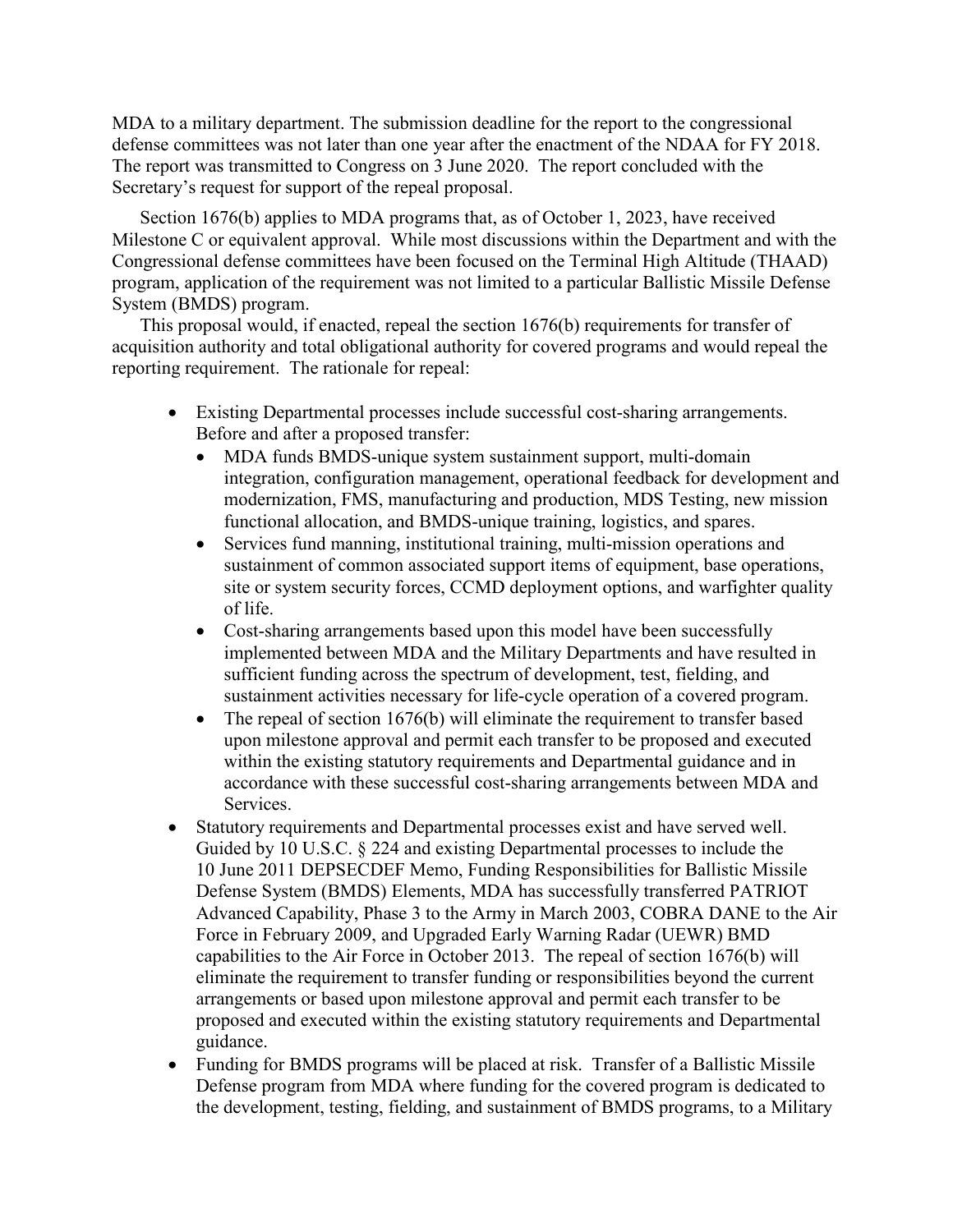MDA to a military department. The submission deadline for the report to the congressional defense committees was not later than one year after the enactment of the NDAA for FY 2018. The report was transmitted to Congress on 3 June 2020. The report concluded with the Secretary's request for support of the repeal proposal.

Section 1676(b) applies to MDA programs that, as of October 1, 2023, have received Milestone C or equivalent approval. While most discussions within the Department and with the Congressional defense committees have been focused on the Terminal High Altitude (THAAD) program, application of the requirement was not limited to a particular Ballistic Missile Defense System (BMDS) program.

This proposal would, if enacted, repeal the section 1676(b) requirements for transfer of acquisition authority and total obligational authority for covered programs and would repeal the reporting requirement. The rationale for repeal:

- Existing Departmental processes include successful cost-sharing arrangements. Before and after a proposed transfer:
	- MDA funds BMDS-unique system sustainment support, multi-domain integration, configuration management, operational feedback for development and modernization, FMS, manufacturing and production, MDS Testing, new mission functional allocation, and BMDS-unique training, logistics, and spares.
	- Services fund manning, institutional training, multi-mission operations and sustainment of common associated support items of equipment, base operations, site or system security forces, CCMD deployment options, and warfighter quality of life.
	- Cost-sharing arrangements based upon this model have been successfully implemented between MDA and the Military Departments and have resulted in sufficient funding across the spectrum of development, test, fielding, and sustainment activities necessary for life-cycle operation of a covered program.
	- The repeal of section 1676(b) will eliminate the requirement to transfer based upon milestone approval and permit each transfer to be proposed and executed within the existing statutory requirements and Departmental guidance and in accordance with these successful cost-sharing arrangements between MDA and Services.
- Statutory requirements and Departmental processes exist and have served well. Guided by 10 U.S.C. § 224 and existing Departmental processes to include the 10 June 2011 DEPSECDEF Memo, Funding Responsibilities for Ballistic Missile Defense System (BMDS) Elements, MDA has successfully transferred PATRIOT Advanced Capability, Phase 3 to the Army in March 2003, COBRA DANE to the Air Force in February 2009, and Upgraded Early Warning Radar (UEWR) BMD capabilities to the Air Force in October 2013. The repeal of section 1676(b) will eliminate the requirement to transfer funding or responsibilities beyond the current arrangements or based upon milestone approval and permit each transfer to be proposed and executed within the existing statutory requirements and Departmental guidance.
- Funding for BMDS programs will be placed at risk. Transfer of a Ballistic Missile Defense program from MDA where funding for the covered program is dedicated to the development, testing, fielding, and sustainment of BMDS programs, to a Military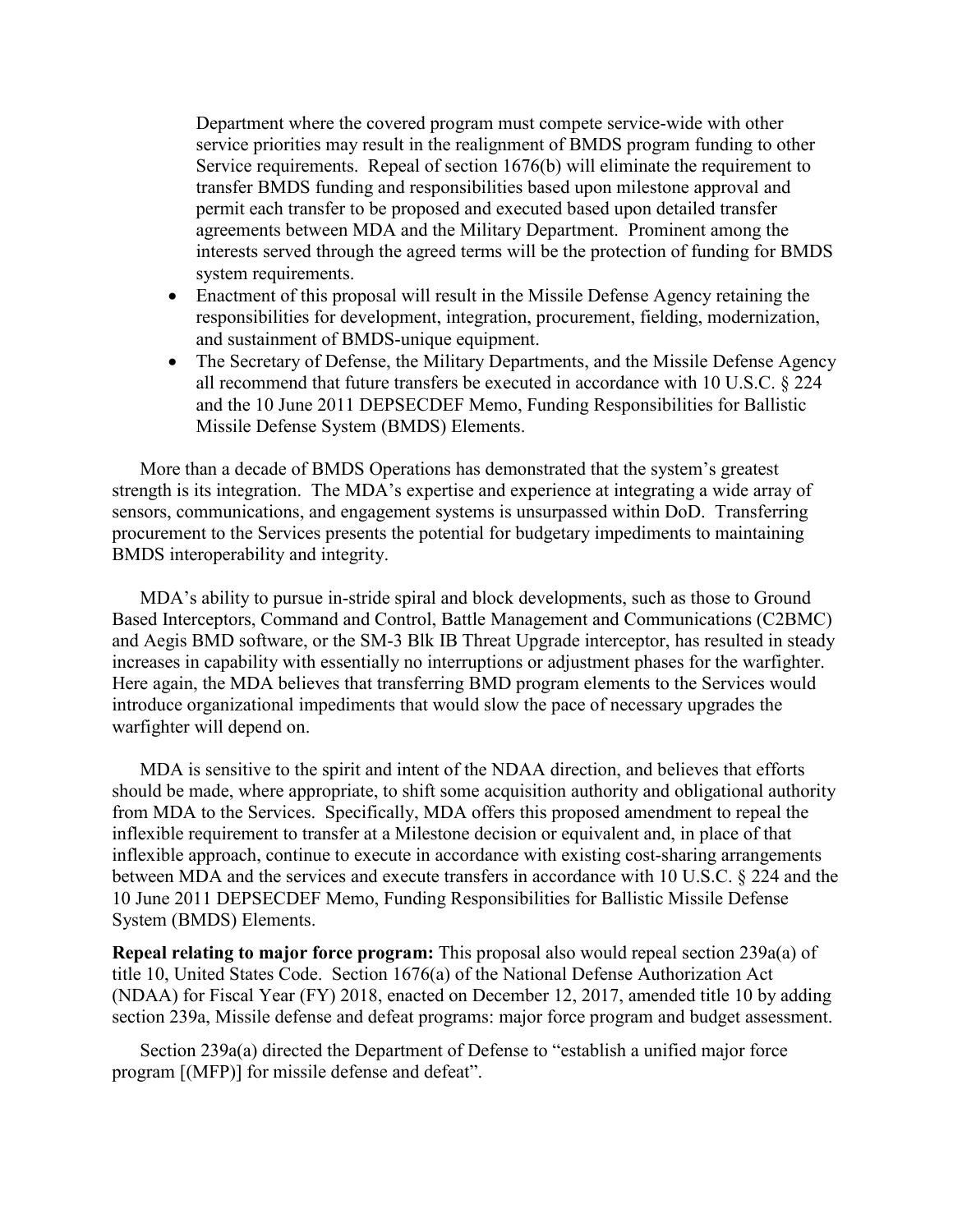Department where the covered program must compete service-wide with other service priorities may result in the realignment of BMDS program funding to other Service requirements. Repeal of section 1676(b) will eliminate the requirement to transfer BMDS funding and responsibilities based upon milestone approval and permit each transfer to be proposed and executed based upon detailed transfer agreements between MDA and the Military Department. Prominent among the interests served through the agreed terms will be the protection of funding for BMDS system requirements.

- Enactment of this proposal will result in the Missile Defense Agency retaining the responsibilities for development, integration, procurement, fielding, modernization, and sustainment of BMDS-unique equipment.
- The Secretary of Defense, the Military Departments, and the Missile Defense Agency all recommend that future transfers be executed in accordance with 10 U.S.C. § 224 and the 10 June 2011 DEPSECDEF Memo, Funding Responsibilities for Ballistic Missile Defense System (BMDS) Elements.

More than a decade of BMDS Operations has demonstrated that the system's greatest strength is its integration. The MDA's expertise and experience at integrating a wide array of sensors, communications, and engagement systems is unsurpassed within DoD. Transferring procurement to the Services presents the potential for budgetary impediments to maintaining BMDS interoperability and integrity.

MDA's ability to pursue in-stride spiral and block developments, such as those to Ground Based Interceptors, Command and Control, Battle Management and Communications (C2BMC) and Aegis BMD software, or the SM-3 Blk IB Threat Upgrade interceptor, has resulted in steady increases in capability with essentially no interruptions or adjustment phases for the warfighter. Here again, the MDA believes that transferring BMD program elements to the Services would introduce organizational impediments that would slow the pace of necessary upgrades the warfighter will depend on.

MDA is sensitive to the spirit and intent of the NDAA direction, and believes that efforts should be made, where appropriate, to shift some acquisition authority and obligational authority from MDA to the Services. Specifically, MDA offers this proposed amendment to repeal the inflexible requirement to transfer at a Milestone decision or equivalent and, in place of that inflexible approach, continue to execute in accordance with existing cost-sharing arrangements between MDA and the services and execute transfers in accordance with 10 U.S.C. § 224 and the 10 June 2011 DEPSECDEF Memo, Funding Responsibilities for Ballistic Missile Defense System (BMDS) Elements.

**Repeal relating to major force program:** This proposal also would repeal section 239a(a) of title 10, United States Code. Section 1676(a) of the National Defense Authorization Act (NDAA) for Fiscal Year (FY) 2018, enacted on December 12, 2017, amended title 10 by adding section 239a, Missile defense and defeat programs: major force program and budget assessment.

 Section 239a(a) directed the Department of Defense to "establish a unified major force program [(MFP)] for missile defense and defeat".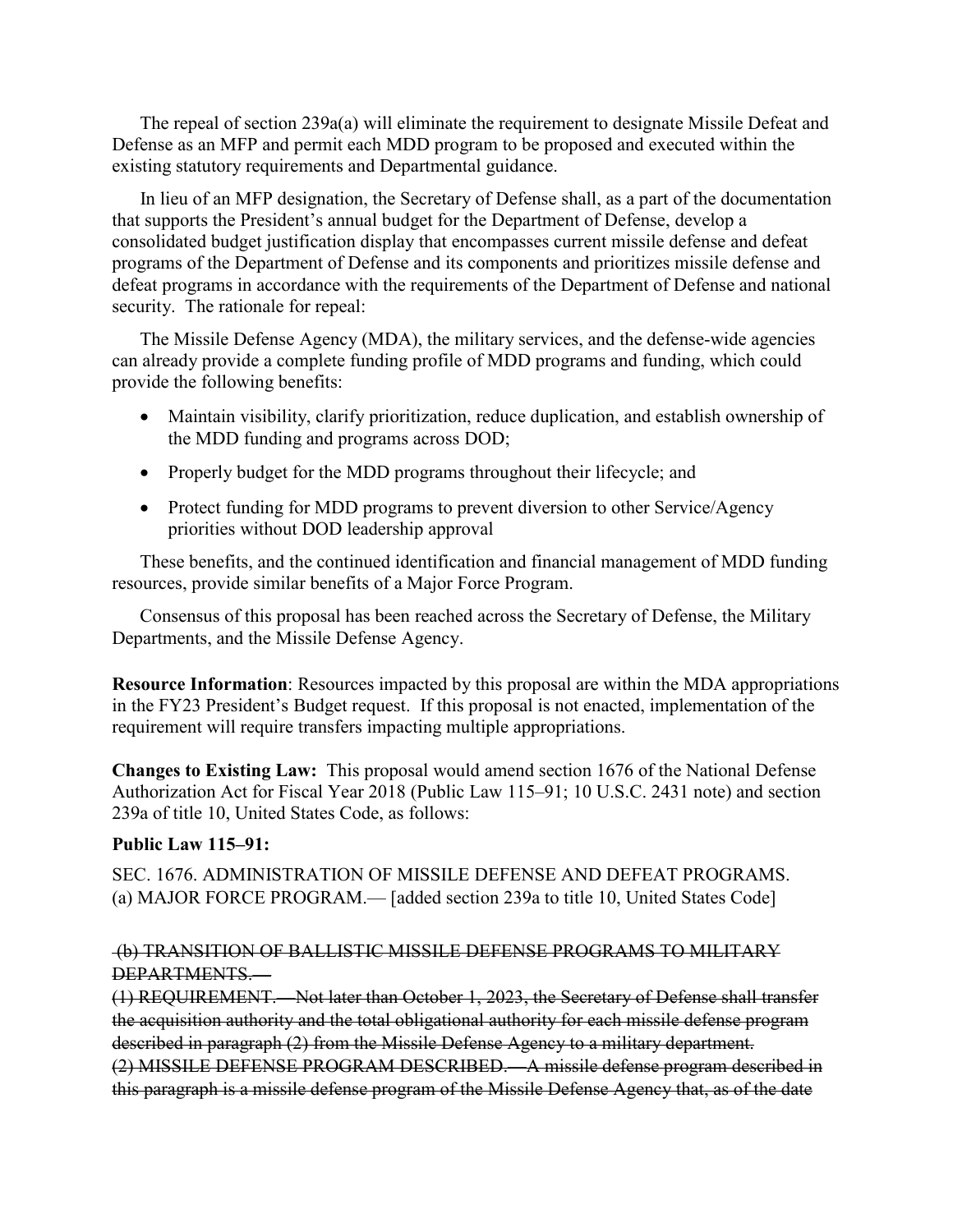The repeal of section 239a(a) will eliminate the requirement to designate Missile Defeat and Defense as an MFP and permit each MDD program to be proposed and executed within the existing statutory requirements and Departmental guidance.

 In lieu of an MFP designation, the Secretary of Defense shall, as a part of the documentation that supports the President's annual budget for the Department of Defense, develop a consolidated budget justification display that encompasses current missile defense and defeat programs of the Department of Defense and its components and prioritizes missile defense and defeat programs in accordance with the requirements of the Department of Defense and national security. The rationale for repeal:

 The Missile Defense Agency (MDA), the military services, and the defense-wide agencies can already provide a complete funding profile of MDD programs and funding, which could provide the following benefits:

- Maintain visibility, clarify prioritization, reduce duplication, and establish ownership of the MDD funding and programs across DOD;
- Properly budget for the MDD programs throughout their lifecycle; and
- Protect funding for MDD programs to prevent diversion to other Service/Agency priorities without DOD leadership approval

 These benefits, and the continued identification and financial management of MDD funding resources, provide similar benefits of a Major Force Program.

 Consensus of this proposal has been reached across the Secretary of Defense, the Military Departments, and the Missile Defense Agency.

**Resource Information**: Resources impacted by this proposal are within the MDA appropriations in the FY23 President's Budget request. If this proposal is not enacted, implementation of the requirement will require transfers impacting multiple appropriations.

**Changes to Existing Law:** This proposal would amend section 1676 of the National Defense Authorization Act for Fiscal Year 2018 (Public Law 115–91; 10 U.S.C. 2431 note) and section 239a of title 10, United States Code, as follows:

### **Public Law 115–91:**

SEC. 1676. ADMINISTRATION OF MISSILE DEFENSE AND DEFEAT PROGRAMS. (a) MAJOR FORCE PROGRAM.— [added section 239a to title 10, United States Code]

### (b) TRANSITION OF BALLISTIC MISSILE DEFENSE PROGRAMS TO MILITARY DEPARTMENTS.—

(1) REQUIREMENT.—Not later than October 1, 2023, the Secretary of Defense shall transfer the acquisition authority and the total obligational authority for each missile defense program described in paragraph (2) from the Missile Defense Agency to a military department. (2) MISSILE DEFENSE PROGRAM DESCRIBED.—A missile defense program described in this paragraph is a missile defense program of the Missile Defense Agency that, as of the date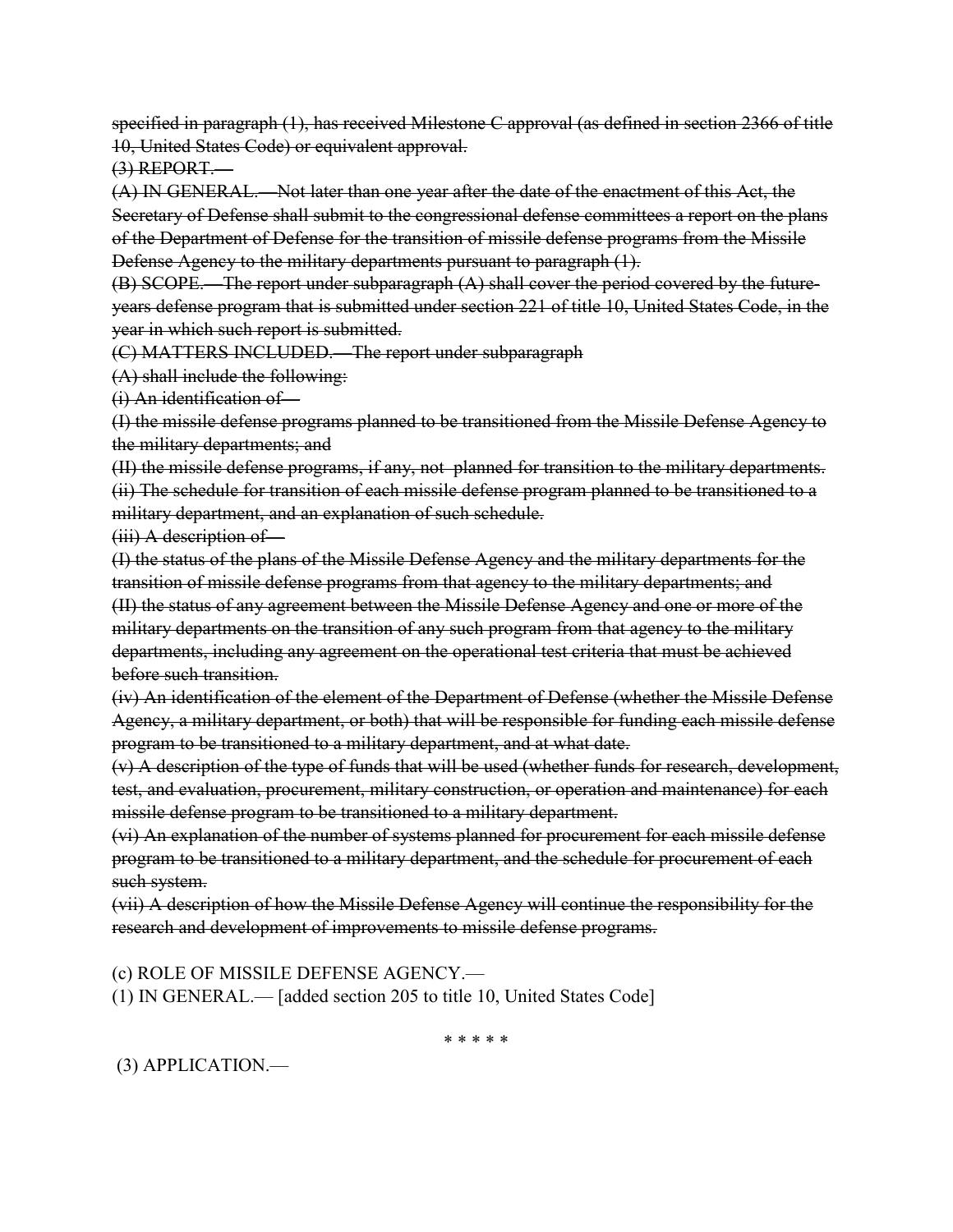specified in paragraph (1), has received Milestone C approval (as defined in section 2366 of title 10, United States Code) or equivalent approval.

 $(3)$  REPORT.

(A) IN GENERAL.—Not later than one year after the date of the enactment of this Act, the Secretary of Defense shall submit to the congressional defense committees a report on the plans of the Department of Defense for the transition of missile defense programs from the Missile Defense Agency to the military departments pursuant to paragraph (1).

(B) SCOPE.—The report under subparagraph (A) shall cover the period covered by the futureyears defense program that is submitted under section 221 of title 10, United States Code, in the year in which such report is submitted.

(C) MATTERS INCLUDED.—The report under subparagraph

(A) shall include the following:

(i) An identification of—

(I) the missile defense programs planned to be transitioned from the Missile Defense Agency to the military departments; and

(II) the missile defense programs, if any, not planned for transition to the military departments. (ii) The schedule for transition of each missile defense program planned to be transitioned to a military department, and an explanation of such schedule.

(iii) A description of—

(I) the status of the plans of the Missile Defense Agency and the military departments for the transition of missile defense programs from that agency to the military departments; and (II) the status of any agreement between the Missile Defense Agency and one or more of the military departments on the transition of any such program from that agency to the military departments, including any agreement on the operational test criteria that must be achieved before such transition.

(iv) An identification of the element of the Department of Defense (whether the Missile Defense Agency, a military department, or both) that will be responsible for funding each missile defense program to be transitioned to a military department, and at what date.

(v) A description of the type of funds that will be used (whether funds for research, development, test, and evaluation, procurement, military construction, or operation and maintenance) for each missile defense program to be transitioned to a military department.

(vi) An explanation of the number of systems planned for procurement for each missile defense program to be transitioned to a military department, and the schedule for procurement of each such system.

(vii) A description of how the Missile Defense Agency will continue the responsibility for the research and development of improvements to missile defense programs.

(c) ROLE OF MISSILE DEFENSE AGENCY.—

(1) IN GENERAL.— [added section 205 to title 10, United States Code]

\* \* \* \* \*

(3) APPLICATION.—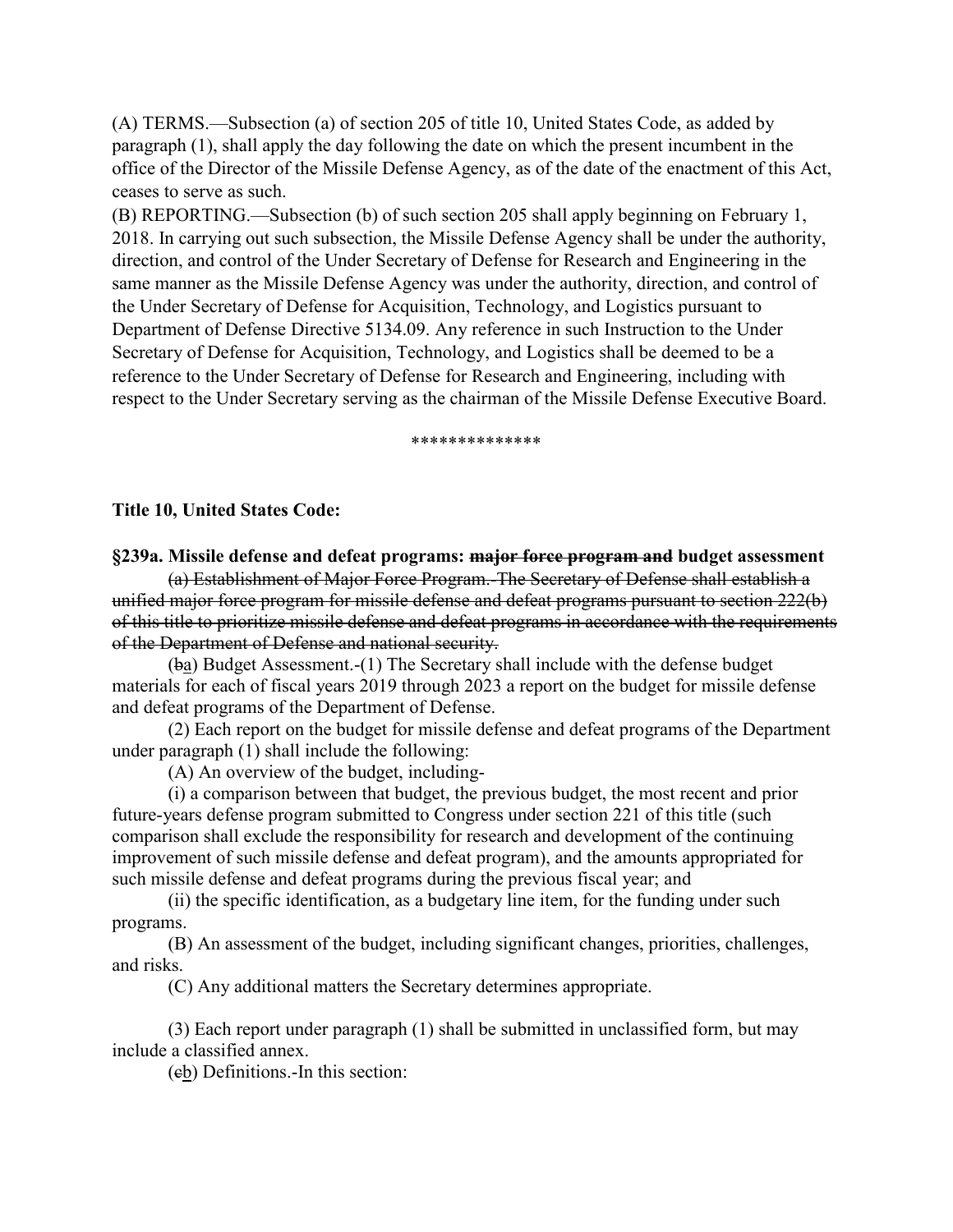(A) TERMS.—Subsection (a) of section 205 of title 10, United States Code, as added by paragraph (1), shall apply the day following the date on which the present incumbent in the office of the Director of the Missile Defense Agency, as of the date of the enactment of this Act, ceases to serve as such.

(B) REPORTING.—Subsection (b) of such section 205 shall apply beginning on February 1, 2018. In carrying out such subsection, the Missile Defense Agency shall be under the authority, direction, and control of the Under Secretary of Defense for Research and Engineering in the same manner as the Missile Defense Agency was under the authority, direction, and control of the Under Secretary of Defense for Acquisition, Technology, and Logistics pursuant to Department of Defense Directive 5134.09. Any reference in such Instruction to the Under Secretary of Defense for Acquisition, Technology, and Logistics shall be deemed to be a reference to the Under Secretary of Defense for Research and Engineering, including with respect to the Under Secretary serving as the chairman of the Missile Defense Executive Board.

\*\*\*\*\*\*\*\*\*\*\*\*\*\*

#### **Title 10, United States Code:**

**§239a. Missile defense and defeat programs: major force program and budget assessment**

(a) Establishment of Major Force Program.-The Secretary of Defense shall establish a unified major force program for missile defense and defeat programs pursuant to section 222(b) of this title to prioritize missile defense and defeat programs in accordance with the requirements of the Department of Defense and national security.

(ba) Budget Assessment.-(1) The Secretary shall include with the defense budget materials for each of fiscal years 2019 through 2023 a report on the budget for missile defense and defeat programs of the Department of Defense.

(2) Each report on the budget for missile defense and defeat programs of the Department under paragraph (1) shall include the following:

(A) An overview of the budget, including-

(i) a comparison between that budget, the previous budget, the most recent and prior future-years defense program submitted to Congress under section 221 of this title (such comparison shall exclude the responsibility for research and development of the continuing improvement of such missile defense and defeat program), and the amounts appropriated for such missile defense and defeat programs during the previous fiscal year; and

(ii) the specific identification, as a budgetary line item, for the funding under such programs.

(B) An assessment of the budget, including significant changes, priorities, challenges, and risks.

(C) Any additional matters the Secretary determines appropriate.

(3) Each report under paragraph (1) shall be submitted in unclassified form, but may include a classified annex.

(cb) Definitions.-In this section: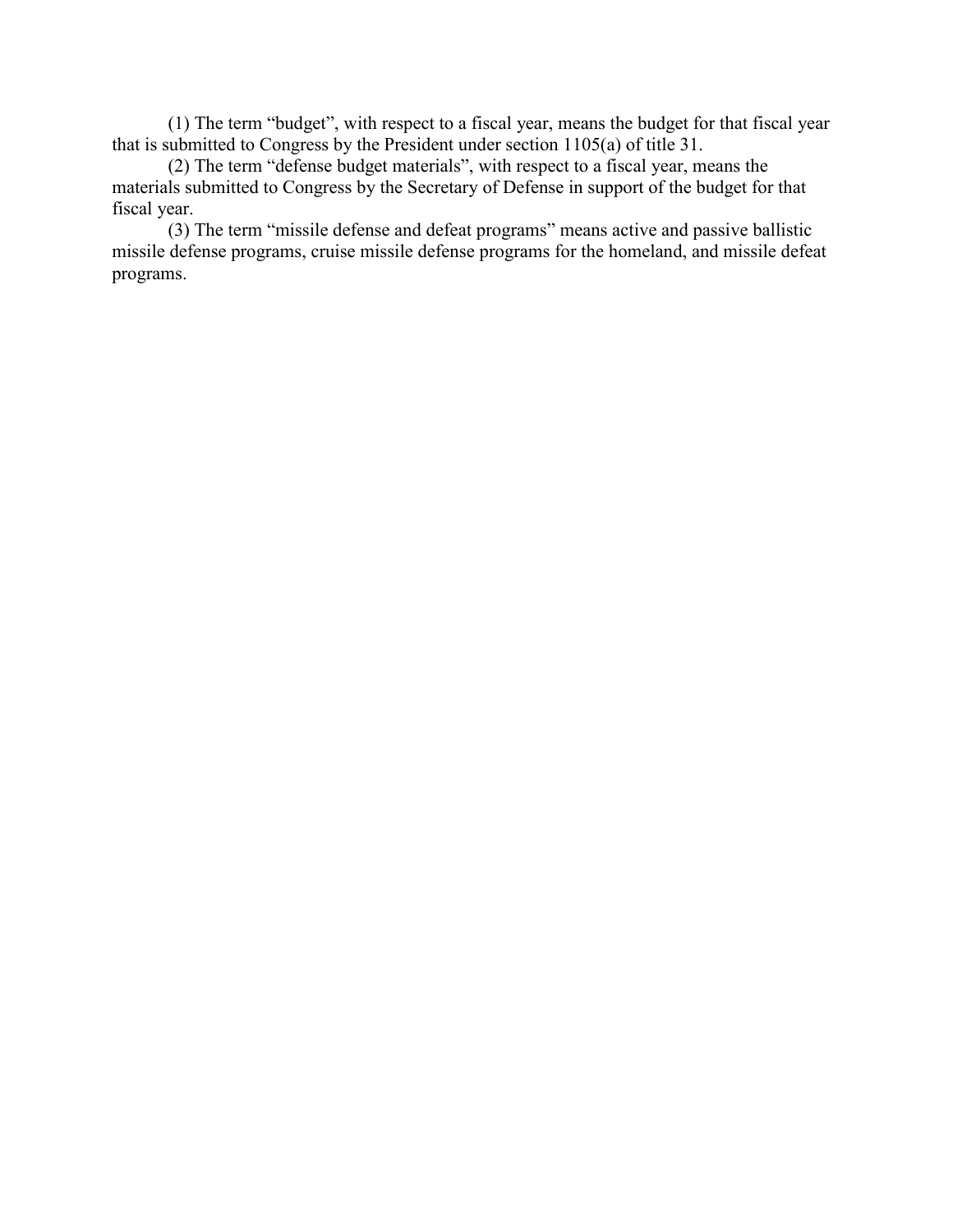(1) The term "budget", with respect to a fiscal year, means the budget for that fiscal year that is submitted to Congress by the President under section 1105(a) of title 31.

(2) The term "defense budget materials", with respect to a fiscal year, means the materials submitted to Congress by the Secretary of Defense in support of the budget for that fiscal year.

(3) The term "missile defense and defeat programs" means active and passive ballistic missile defense programs, cruise missile defense programs for the homeland, and missile defeat programs.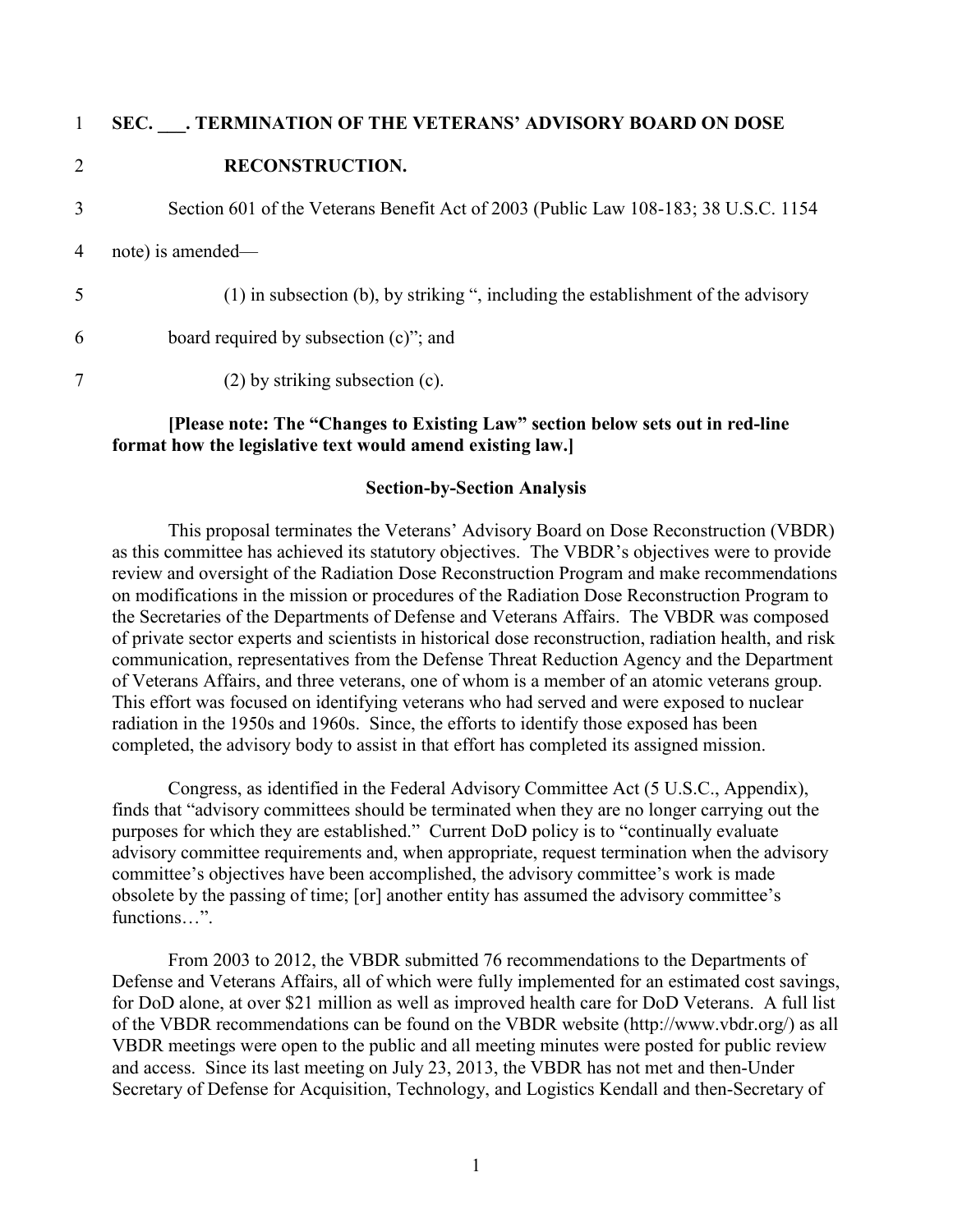| $\mathbf{1}$   | SEC. . TERMINATION OF THE VETERANS' ADVISORY BOARD ON DOSE                           |
|----------------|--------------------------------------------------------------------------------------|
| $\overline{2}$ | <b>RECONSTRUCTION.</b>                                                               |
| 3              | Section 601 of the Veterans Benefit Act of 2003 (Public Law 108-183; 38 U.S.C. 1154) |
| 4              | note) is amended—                                                                    |
| 5              | (1) in subsection (b), by striking ", including the establishment of the advisory    |
| 6              | board required by subsection $(c)$ "; and                                            |
| 7              | $(2)$ by striking subsection $(c)$ .                                                 |

#### **[Please note: The "Changes to Existing Law" section below sets out in red-line format how the legislative text would amend existing law.]**

#### **Section-by-Section Analysis**

This proposal terminates the Veterans' Advisory Board on Dose Reconstruction (VBDR) as this committee has achieved its statutory objectives. The VBDR's objectives were to provide review and oversight of the Radiation Dose Reconstruction Program and make recommendations on modifications in the mission or procedures of the Radiation Dose Reconstruction Program to the Secretaries of the Departments of Defense and Veterans Affairs. The VBDR was composed of private sector experts and scientists in historical dose reconstruction, radiation health, and risk communication, representatives from the Defense Threat Reduction Agency and the Department of Veterans Affairs, and three veterans, one of whom is a member of an atomic veterans group. This effort was focused on identifying veterans who had served and were exposed to nuclear radiation in the 1950s and 1960s. Since, the efforts to identify those exposed has been completed, the advisory body to assist in that effort has completed its assigned mission.

Congress, as identified in the Federal Advisory Committee Act (5 U.S.C., Appendix), finds that "advisory committees should be terminated when they are no longer carrying out the purposes for which they are established." Current DoD policy is to "continually evaluate advisory committee requirements and, when appropriate, request termination when the advisory committee's objectives have been accomplished, the advisory committee's work is made obsolete by the passing of time; [or] another entity has assumed the advisory committee's functions…".

From 2003 to 2012, the VBDR submitted 76 recommendations to the Departments of Defense and Veterans Affairs, all of which were fully implemented for an estimated cost savings, for DoD alone, at over \$21 million as well as improved health care for DoD Veterans. A full list of the VBDR recommendations can be found on the VBDR website (http://www.vbdr.org/) as all VBDR meetings were open to the public and all meeting minutes were posted for public review and access. Since its last meeting on July 23, 2013, the VBDR has not met and then-Under Secretary of Defense for Acquisition, Technology, and Logistics Kendall and then-Secretary of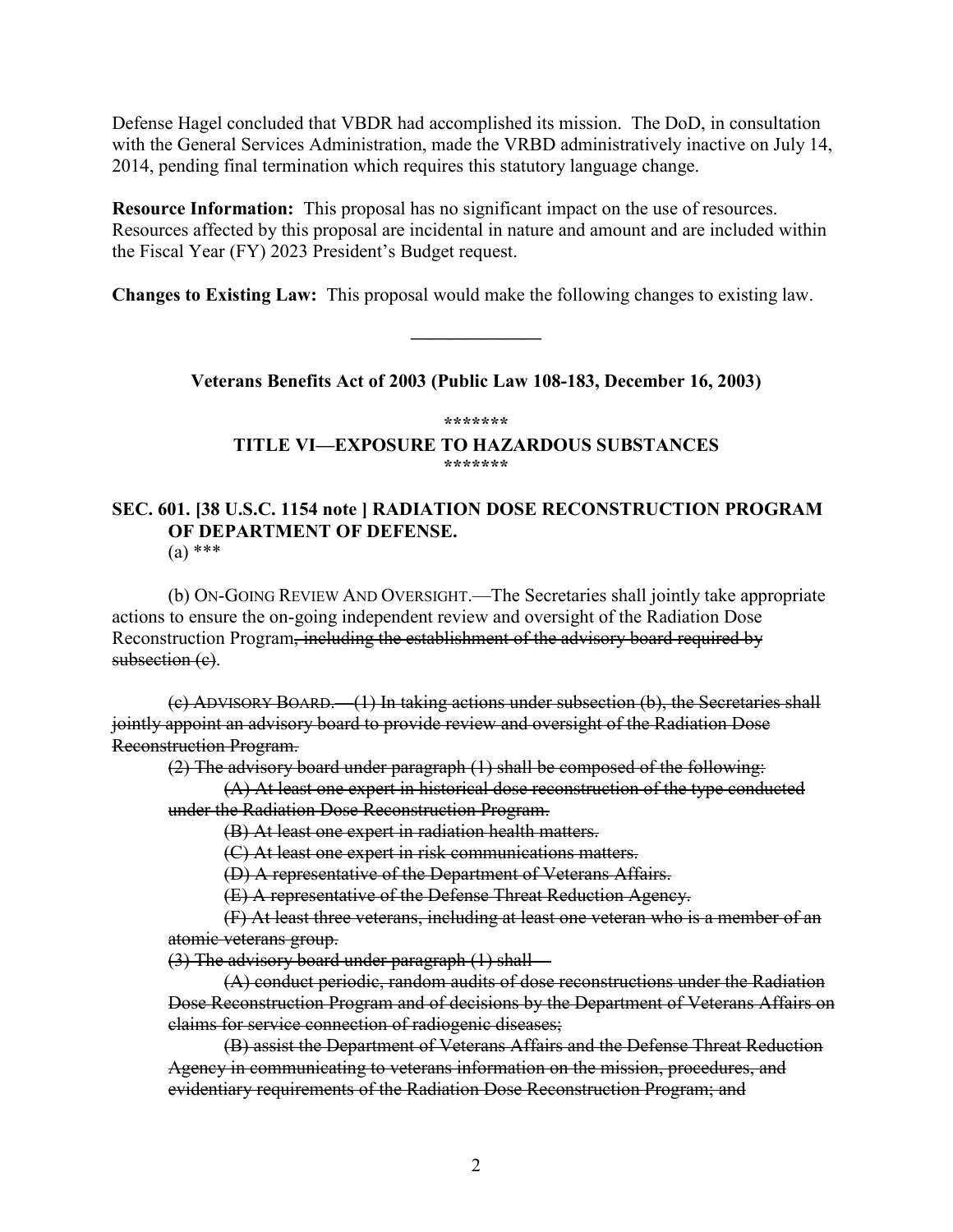Defense Hagel concluded that VBDR had accomplished its mission. The DoD, in consultation with the General Services Administration, made the VRBD administratively inactive on July 14, 2014, pending final termination which requires this statutory language change.

**Resource Information:** This proposal has no significant impact on the use of resources. Resources affected by this proposal are incidental in nature and amount and are included within the Fiscal Year (FY) 2023 President's Budget request.

**Changes to Existing Law:** This proposal would make the following changes to existing law.

**Veterans Benefits Act of 2003 (Public Law 108-183, December 16, 2003)**

**———————**

**\*\*\*\*\*\*\***

**TITLE VI—EXPOSURE TO HAZARDOUS SUBSTANCES \*\*\*\*\*\*\***

## **SEC. 601. [38 U.S.C. 1154 note ] RADIATION DOSE RECONSTRUCTION PROGRAM OF DEPARTMENT OF DEFENSE.**

(a) \*\*\*

(b) ON-GOING REVIEW AND OVERSIGHT.—The Secretaries shall jointly take appropriate actions to ensure the on-going independent review and oversight of the Radiation Dose Reconstruction Program, including the establishment of the advisory board required by subsection (e).

(c) ADVISORY BOARD.—(1) In taking actions under subsection (b), the Secretaries shall jointly appoint an advisory board to provide review and oversight of the Radiation Dose Reconstruction Program.

(2) The advisory board under paragraph (1) shall be composed of the following:

(A) At least one expert in historical dose reconstruction of the type conducted under the Radiation Dose Reconstruction Program.

(B) At least one expert in radiation health matters.

(C) At least one expert in risk communications matters.

(D) A representative of the Department of Veterans Affairs.

(E) A representative of the Defense Threat Reduction Agency.

(F) At least three veterans, including at least one veteran who is a member of an atomic veterans group.

(3) The advisory board under paragraph (1) shall—

(A) conduct periodic, random audits of dose reconstructions under the Radiation Dose Reconstruction Program and of decisions by the Department of Veterans Affairs on claims for service connection of radiogenic diseases;

(B) assist the Department of Veterans Affairs and the Defense Threat Reduction Agency in communicating to veterans information on the mission, procedures, and evidentiary requirements of the Radiation Dose Reconstruction Program; and